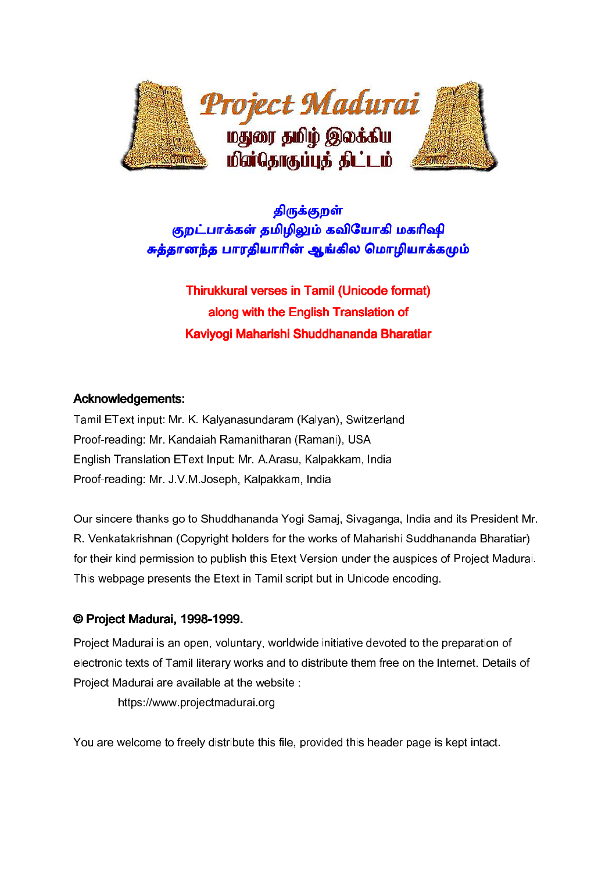

# திருக்குறள் குறட்பாக்கள் தமிழிலும் கவியோகி மகரிஷி சுத்தானந்த பாரதியாரின் ஆங்கில மொழியாக்கமும்

Thirukkural verses in Tamil (Unicode format) along with the English Translation of Kaviyogi Maharishi Shuddhananda Bharatiar

#### Acknowledgements:

Tamil EText input: Mr. K. Kalyanasundaram (Kalyan), Switzerland Proof-reading: Mr. Kandaiah Ramanitharan (Ramani), USA English Translation EText Input: Mr. A.Arasu, Kalpakkam, India Proof-reading: Mr. J.V.M.Joseph, Kalpakkam, India

Our sincere thanks go to Shuddhananda Yogi Samaj, Sivaganga, India and its President Mr. R. Venkatakrishnan (Copyright holders for the works of Maharishi Suddhananda Bharatiar) for their kind permission to publish this Etext Version under the auspices of Project Madurai. This webpage presents the Etext in Tamil script but in Unicode encoding.

#### © Project Madurai, 1998- © 1998-1999.

Project Madurai is an open, voluntary, worldwide initiative devoted to the preparation of electronic texts of Tamil literary works and to distribute them free on the Internet. Details of Project Madurai are available at the website :

https://www.projectmadurai.org

You are welcome to freely distribute this file, provided this header page is kept intact.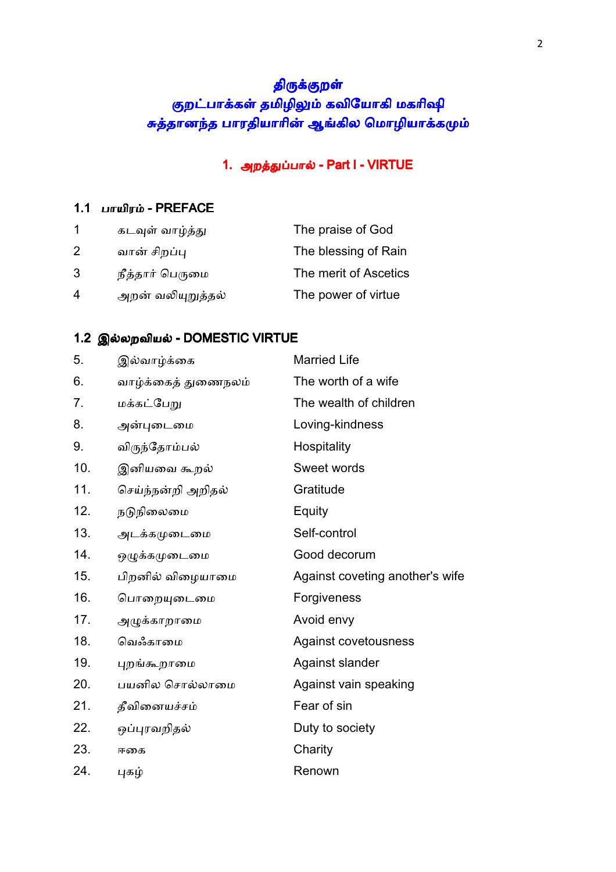# திருக்குறள் குறட்பாக்கள் தமிழிலும் கவியோகி மகரிஷி சுத்தானந்த பாரதியாரின் ஆங்கில மொழியாக்கமும்

### 1. அறத்துப்பால் - Part I - VIRTUE

### 1.1 பாயிரம் - PREFACE

|   | கடவுள் வாழ்த்து   | The praise of God     |
|---|-------------------|-----------------------|
| 2 | வான் சிறப்பு      | The blessing of Rain  |
| 3 | நீத்தார் பெருமை   | The merit of Ascetics |
| 4 | அறன் வலியுறுத்தல் | The power of virtue   |

### 1.2 இல்லறவியல் - DOMESTIC VIRTUE

| 5.  | இல்வாழ்க்கை         | <b>Married Life</b>             |
|-----|---------------------|---------------------------------|
| 6.  | வாழ்க்கைத் துணைநலம் | The worth of a wife             |
| 7.  | மக்கட்பேறு          | The wealth of children          |
| 8.  | அன்புடைமை           | Loving-kindness                 |
| 9.  | விருந்தோம்பல்       | Hospitality                     |
| 10. | இனியவை கூறல்        | Sweet words                     |
| 11. | செய்ந்நன்றி அறிதல்  | Gratitude                       |
| 12. | நடுநிலைமை           | Equity                          |
| 13. | அடக்கமுடைமை         | Self-control                    |
| 14. | ஒழுக்கமுடைமை        | Good decorum                    |
| 15. | பிறனில் விழையாமை    | Against coveting another's wife |
| 16. | பொறையுடைமை          | Forgiveness                     |
| 17. | அழுக்காறாமை         | Avoid envy                      |
| 18. | வெஃகாமை             | Against covetousness            |
| 19. | புறங்கூறாமை         | Against slander                 |
| 20. | பயனில சொல்லாமை      | Against vain speaking           |
| 21. | தீவினையச்சம்        | Fear of sin                     |
| 22. | ஒப்புரவறிதல்        | Duty to society                 |
| 23. | ஈகை                 | Charity                         |
| 24. | புகழ்               | Renown                          |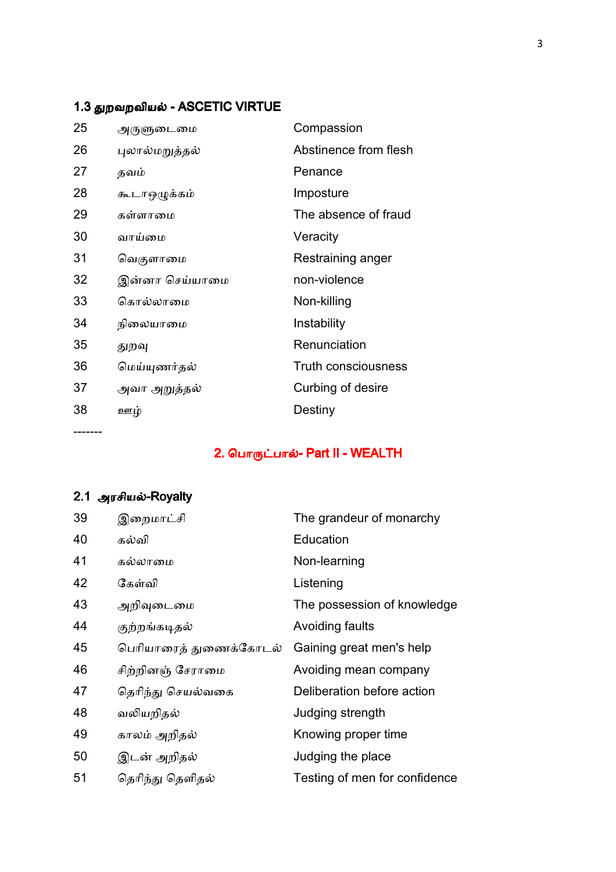# 1.3 துறவறவியல் - ASCETIC VIRTUE

| 25 | அருளுடைமை      | Compassion                 |
|----|----------------|----------------------------|
| 26 | புலால்மறுத்தல் | Abstinence from flesh      |
| 27 | தவம்           | Penance                    |
| 28 | கூடாஒழுக்கம்   | Imposture                  |
| 29 | கள்ளாமை        | The absence of fraud       |
| 30 | வாய்மை         | Veracity                   |
| 31 | வெகுளாமை       | Restraining anger          |
| 32 | இன்னா செய்யாமை | non-violence               |
| 33 | கொல்லாமை       | Non-killing                |
| 34 | நிலையாமை       | Instability                |
| 35 | துறவு          | Renunciation               |
| 36 | மெய்யுணர்தல்   | <b>Truth consciousness</b> |
| 37 | அவா அறுத்தல்   | Curbing of desire          |
| 38 | ஊழ்            | Destiny                    |
|    |                |                            |

2. பொருட்பால்- Part II - WEALTH

# 2.1 அரசியல்-Royalty

-------

| 39 | இறைமாட்சி              | The grandeur of monarchy      |
|----|------------------------|-------------------------------|
| 40 | கல்வி                  | Education                     |
| 41 | கல்லாமை                | Non-learning                  |
| 42 | கேள்வி                 | Listening                     |
| 43 | அறிவுடைமை              | The possession of knowledge   |
| 44 | குற்றங்கடிதல்          | Avoiding faults               |
| 45 | பெரியாரைத் துணைக்கோடல் | Gaining great men's help      |
| 46 | சிற்றினஞ் சேராமை       | Avoiding mean company         |
| 47 | தெரிந்து செயல்வகை      | Deliberation before action    |
| 48 | வலியறிதல்              | Judging strength              |
| 49 | காலம் அறிதல்           | Knowing proper time           |
| 50 | இடன் அறிதல்            | Judging the place             |
| 51 | தெரிந்து தெளிதல்       | Testing of men for confidence |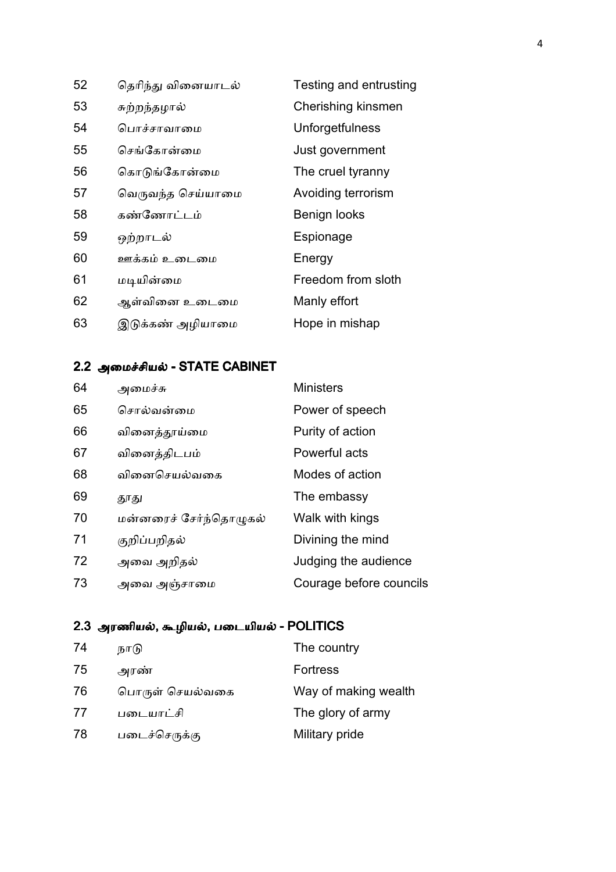| 52 | தெரிந்து வினையாடல்     | Testing and entrusting |
|----|------------------------|------------------------|
| 53 | சுற்றந்தழால்           | Cherishing kinsmen     |
| 54 | பொச்சாவாமை             | Unforgetfulness        |
| 55 | செங்கோன்மை             | Just government        |
| 56 | கொடுங்கோன்மை           | The cruel tyranny      |
| 57 | வெருவந்த செய்யாமை      | Avoiding terrorism     |
| 58 | கண்ணோட்டம்             | Benign looks           |
| 59 | ஒற்றாடல்               | Espionage              |
| 60 | <u>ஊக்கம் உடைமை</u>    | Energy                 |
| 61 | மடியின்மை              | Freedom from sloth     |
| 62 | ஆள்வினை உடைமை          | Manly effort           |
| 63 | டுக்கண் அழியாமை<br>(୭) | Hope in mishap         |
|    |                        |                        |

# 2.2 அமைச்சியல் - STATE CABINET

| 64 | அமைச்சு                | <b>Ministers</b>        |
|----|------------------------|-------------------------|
| 65 | சொல்வன்மை              | Power of speech         |
| 66 | வினைத்தூய்மை           | Purity of action        |
| 67 | வினைத்திடபம்           | Powerful acts           |
| 68 | வினைசெயல்வகை           | Modes of action         |
| 69 | தூது                   | The embassy             |
| 70 | மன்னரைச் சேர்ந்தொழுகல் | Walk with kings         |
| 71 | குறிப்பறிதல்           | Divining the mind       |
| 72 | அவை அறிதல்             | Judging the audience    |
| 73 | அவை அஞ்சாமை            | Courage before councils |

# 2.3 அரணியல், கூழியல், படையியல் - POLITICS

| 74 | நாடு            | The country          |
|----|-----------------|----------------------|
| 75 | அரண்            | <b>Fortress</b>      |
| 76 | பொருள் செயல்வகை | Way of making wealth |
| 77 | படையாட்சி       | The glory of army    |
| 78 | படைச்செருக்கு   | Military pride       |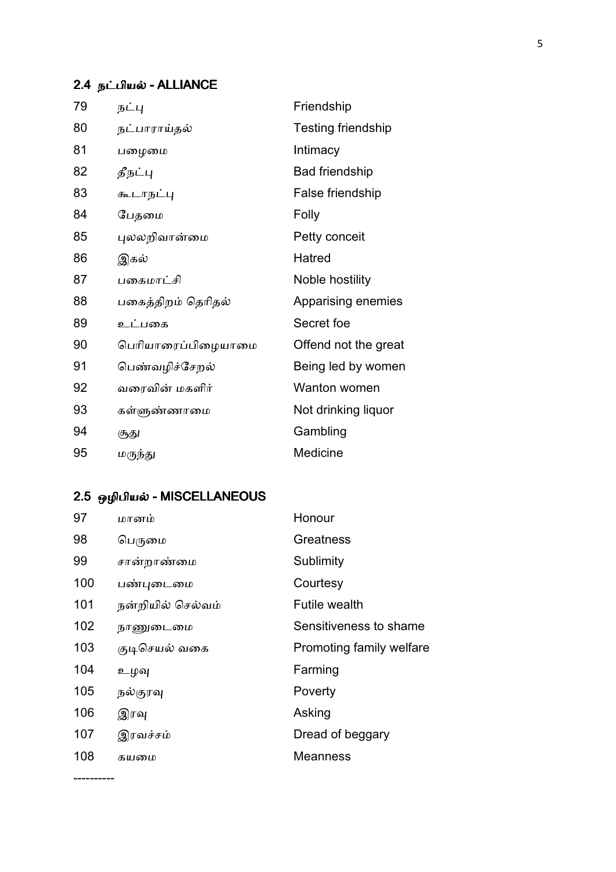# 2.4 நட்பியல் - ALLIANCE

| 79 | நட்பு              | Friendship                |
|----|--------------------|---------------------------|
| 80 | நட்பாராய்தல்       | <b>Testing friendship</b> |
| 81 | பழைமை              | Intimacy                  |
| 82 | தீநட்பு            | <b>Bad friendship</b>     |
| 83 | கூடாநட்பு          | False friendship          |
| 84 | பேதமை              | Folly                     |
| 85 | புலலறிவான்மை       | Petty conceit             |
| 86 | இகல்               | Hatred                    |
| 87 | பகைமாட்சி          | Noble hostility           |
| 88 | பகைத்திறம் தெரிதல் | Apparising enemies        |
| 89 | உட்பகை             | Secret foe                |
| 90 | பெரியாரைப்பிழையாமை | Offend not the great      |
| 91 | பெண்வழிச்சேறல்     | Being led by women        |
| 92 | வரைவின் மகளிர்     | Wanton women              |
| 93 | கள்ளுண்ணாமை        | Not drinking liquor       |
| 94 | சூது               | Gambling                  |
| 95 | மருந்து            | Medicine                  |

# 2.5 ஒழிபியல் - MISCELLANEOUS

----------

| 97  | மானம்             | Honour                   |
|-----|-------------------|--------------------------|
| 98  | பெருமை            | Greatness                |
| 99  | சான்றாண்மை        | Sublimity                |
| 100 | பண்புடைமை         | Courtesy                 |
| 101 | நன்றியில் செல்வம் | <b>Futile wealth</b>     |
| 102 | நாணுடைமை          | Sensitiveness to shame   |
| 103 | குடிசெயல் வகை     | Promoting family welfare |
| 104 | உழவு              | Farming                  |
| 105 | நல்குரவு          | Poverty                  |
| 106 | இரவு              | Asking                   |
| 107 | இரவச்சம்          | Dread of beggary         |
| 108 | கயமை              | <b>Meanness</b>          |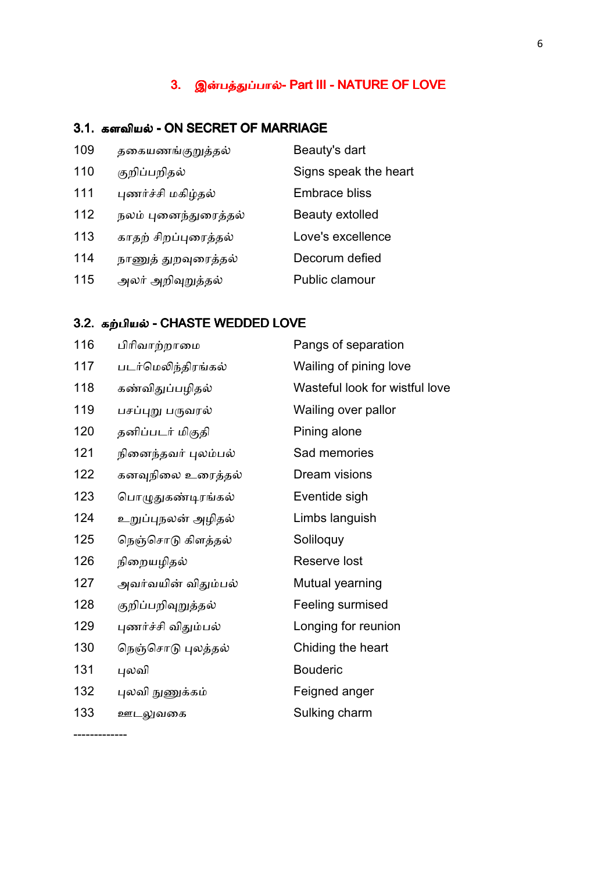### 3. இன்பத்துப்பால்- Part III - NATURE OF LOVE

### 3.1. களவியல் - ON SECRET OF MARRIAGE

| 109 | தகையணங்குறுத்தல்     | Beauty's dart          |
|-----|----------------------|------------------------|
| 110 | குறிப்பறிதல்         | Signs speak the heart  |
| 111 | புணர்ச்சி மகிழ்தல்   | <b>Embrace bliss</b>   |
| 112 | நலம் புனைந்துரைத்தல் | <b>Beauty extolled</b> |
| 113 | காதற் சிறப்புரைத்தல் | Love's excellence      |
| 114 | நாணுத் துறவுரைத்தல்  | Decorum defied         |
| 115 | அலர் அறிவுறுத்தல்    | Public clamour         |

### 3.2. கற்பியல் - CHASTE WEDDED LOVE

-------------

| 116 | பிரிவாற்றாமை        | Pangs of separation            |
|-----|---------------------|--------------------------------|
| 117 | படர்மெலிந்திரங்கல்  | Wailing of pining love         |
| 118 | கண்விதுப்பழிதல்     | Wasteful look for wistful love |
| 119 | பசப்புறு பருவரல்    | Wailing over pallor            |
| 120 | தனிப்படர் மிகுதி    | Pining alone                   |
| 121 | நினைந்தவர் புலம்பல் | Sad memories                   |
| 122 | கனவுநிலை உரைத்தல்   | Dream visions                  |
| 123 | பொழுதுகண்டிரங்கல்   | Eventide sigh                  |
| 124 | உறுப்புநலன் அழிதல்  | Limbs languish                 |
| 125 | நெஞ்சொடு கிளத்தல்   | Soliloquy                      |
| 126 | நிறையழிதல்          | Reserve lost                   |
| 127 | அவர்வயின் விதும்பல் | Mutual yearning                |
| 128 | குறிப்பறிவுறுத்தல்  | Feeling surmised               |
| 129 | புணர்ச்சி விதும்பல் | Longing for reunion            |
| 130 | நெஞ்சொடு புலத்தல்   | Chiding the heart              |
| 131 | புலவி               | <b>Bouderic</b>                |
| 132 | புலவி நுணுக்கம்     | Feigned anger                  |
| 133 | ஊடலுவகை             | Sulking charm                  |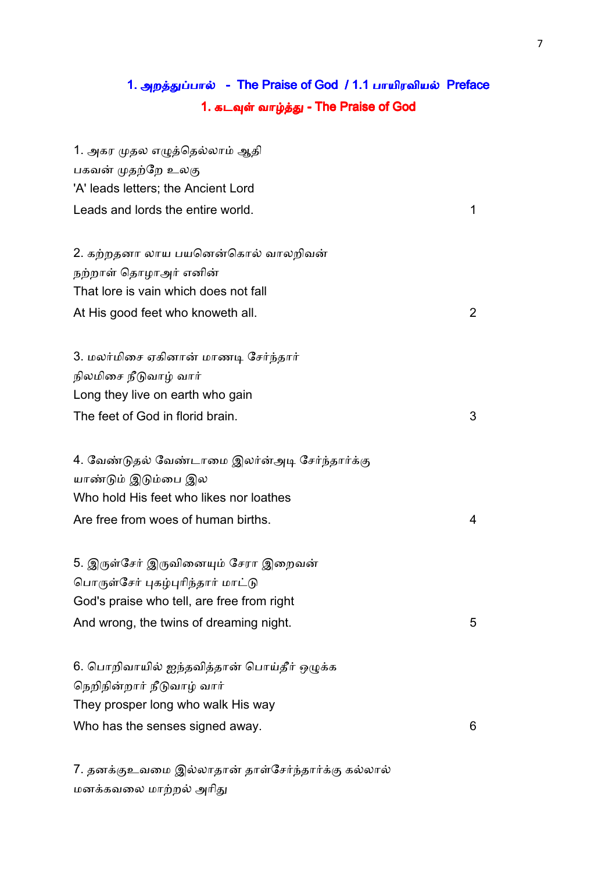# 1. அறத்துப்பால் - The Praise of God / 1.1 பாயிரவியல் Preface 1. கடவுள் வாழ்த்து - The Praise of God

| 1. அகர முதல எழுத்தெல்லாம் ஆதி                  |              |
|------------------------------------------------|--------------|
| பகவன் முதற்றே உலகு                             |              |
| 'A' leads letters; the Ancient Lord            |              |
| Leads and lords the entire world.              | 1            |
| 2. கற்றதனா லாய பயனென்கொல் வாலறிவன்             |              |
| நற்றாள் தொழாஅர் எனின்                          |              |
| That lore is vain which does not fall          |              |
| At His good feet who knoweth all.              | $\mathbf{2}$ |
| 3. மலர்மிசை ஏகினான் மாணடி சேர்ந்தார்           |              |
| நிலமிசை நீடுவாழ் வார்                          |              |
| Long they live on earth who gain               |              |
| The feet of God in florid brain.               | 3            |
| 4. வேண்டுதல் வேண்டாமை இலர்ன்அடி சேர்ந்தார்க்கு |              |
| யாண்டும் இடும்பை இல                            |              |
| Who hold His feet who likes nor loathes        |              |
| Are free from woes of human births.            | 4            |
| 5. இருள்சேர் இருவினையும் சேரா இறைவன்           |              |
| பொருள்சேர் புகழ்புரிந்தார் மாட்டு              |              |
| God's praise who tell, are free from right     |              |
| And wrong, the twins of dreaming night.        | 5            |
| 6. பொறிவாயில் ஐந்தவித்தான் பொய்தீர் ஒழுக்க     |              |
| நெறிநின்றார் நீடுவாழ் வார்                     |              |
| They prosper long who walk His way             |              |
| Who has the senses signed away.                | 6            |
|                                                |              |

7. தனக்குஉவமை இல்லாதான் தாள்சேர்ந்தார்க்கு கல்லால் மனக்கவலை மாற்றல் அரிது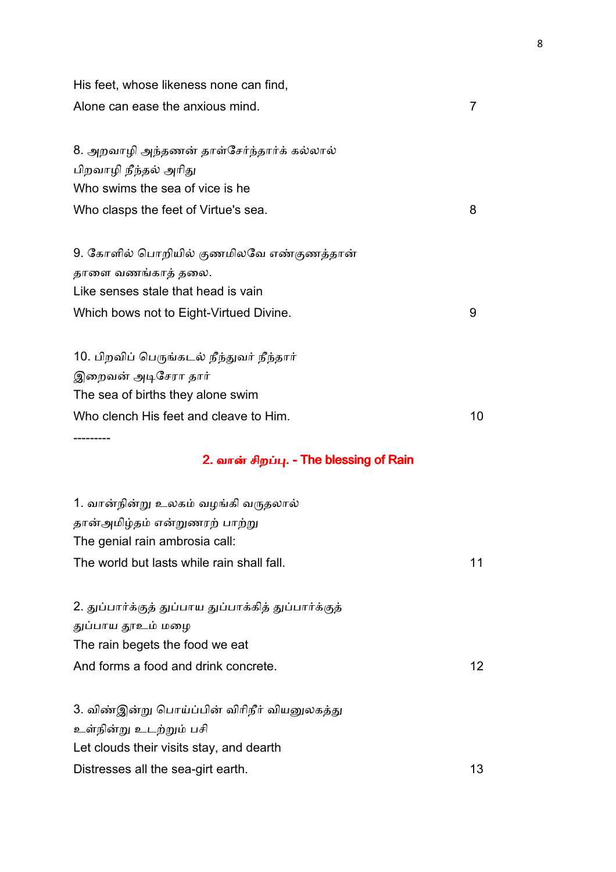| His feet, whose likeness none can find,                             |                 |
|---------------------------------------------------------------------|-----------------|
| Alone can ease the anxious mind.                                    | 7               |
| 8. அறவாழி அந்தணன் தாள்சேர்ந்தார்க் கல்லால்<br>பிறவாழி நீந்தல் அரிது |                 |
| Who swims the sea of vice is he                                     |                 |
| Who clasps the feet of Virtue's sea.                                | 8               |
| 9. கோளில் பொறியில் குணமிலவே எண்குணத்தான்                            |                 |
| தாளை வணங்காத் தலை.                                                  |                 |
| Like senses stale that head is vain                                 |                 |
| Which bows not to Eight-Virtued Divine.                             | 9               |
| 10. பிறவிப் பெருங்கடல் நீந்துவர் நீந்தார்                           |                 |
| இறைவன் அடிசேரா தார்                                                 |                 |
| The sea of births they alone swim                                   |                 |
| Who clench His feet and cleave to Him.                              | 10              |
|                                                                     |                 |
| 2. வான் சிறப்பு. - The blessing of Rain                             |                 |
| 1. வான்நின்று உலகம் வழங்கி வருதலால்                                 |                 |
| தான்அமிழ்தம் என்றுணரற் பாற்று                                       |                 |
| The genial rain ambrosia call:                                      |                 |
| The world but lasts while rain shall fall.                          | 11              |
| 2. துப்பார்க்குத் துப்பாய துப்பாக்கித் துப்பார்க்குத்               |                 |
| துப்பாய தூஉம் மழை                                                   |                 |
| The rain begets the food we eat                                     |                 |
| And forms a food and drink concrete.                                | 12 <sup>2</sup> |
| 3. விண்இன்று பொய்ப்பின் விரிநீர் வியனுலகத்து                        |                 |
| உள்நின்று உடற்றும் பசி                                              |                 |
| Let clouds their visits stay, and dearth                            |                 |
| Distresses all the sea-girt earth.                                  | 13              |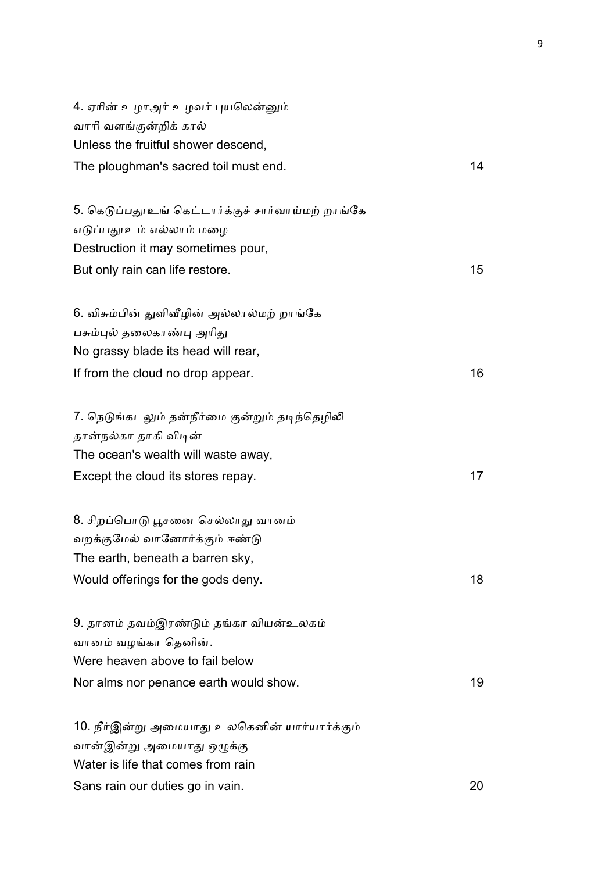| 4. ஏரின் உழாஅர் உழவர் புயலென்னும்                 |                 |
|---------------------------------------------------|-----------------|
| வாரி வளங்குன்றிக் கால்                            |                 |
| Unless the fruitful shower descend,               |                 |
| The ploughman's sacred toil must end.             | 14              |
| 5. கெடுப்பதூஉங் கெட்டார்க்குச் சார்வாய்மற் றாங்கே |                 |
| எடுப்பதூஉம் எல்லாம் மழை                           |                 |
| Destruction it may sometimes pour,                |                 |
| But only rain can life restore.                   | 15 <sub>1</sub> |
| 6. விசும்பின் துளிவீழின் அல்லால்மற் றாங்கே        |                 |
| பசும்புல் தலைகாண்பு அரிது                         |                 |
| No grassy blade its head will rear,               |                 |
| If from the cloud no drop appear.                 | 16              |
| 7. நெடுங்கடலும் தன்நீர்மை குன்றும் தடிந்தெழிலி    |                 |
| தான்நல்கா தாகி விடின்                             |                 |
| The ocean's wealth will waste away,               |                 |
| Except the cloud its stores repay.                | 17              |
| 8. சிறப்பொடு பூசனை செல்லாது வானம்                 |                 |
| வறக்குமேல் வானோர்க்கும் ஈண்டு                     |                 |
| The earth, beneath a barren sky,                  |                 |
| Would offerings for the gods deny.                | 18              |
| 9. தானம் தவம்இரண்டும் தங்கா வியன்உலகம்            |                 |
| வானம் வழங்கா தெனின்.                              |                 |
| Were heaven above to fail below                   |                 |
| Nor alms nor penance earth would show.            | 19              |
| 10. நீர்இன்று அமையாது உலகெனின் யார்யார்க்கும்     |                 |
| வான்இன்று அமையாது ஒழுக்கு                         |                 |
| Water is life that comes from rain                |                 |
| Sans rain our duties go in vain.                  | 20              |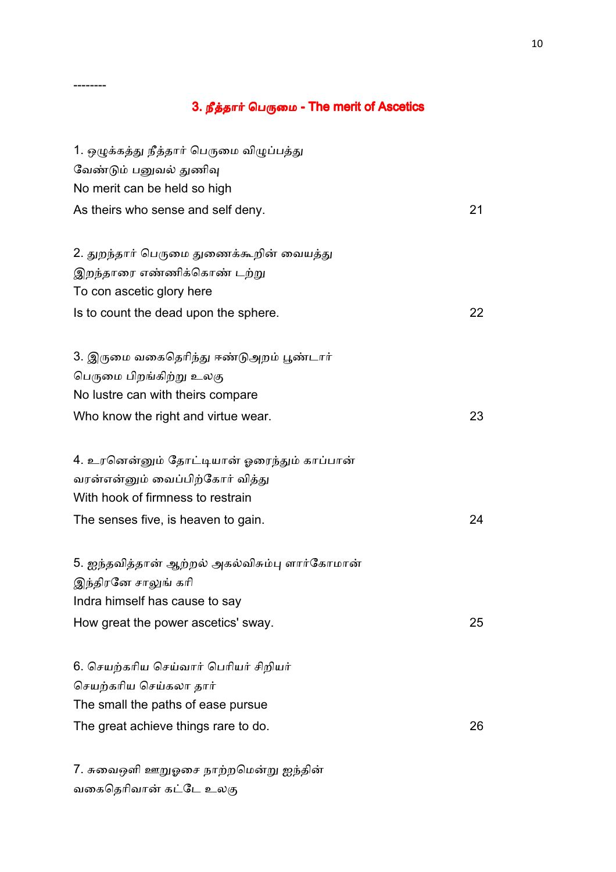# 3. நீத்தார் பெருமை - The merit of Ascetics

--------

| 1. ஒழுக்கத்து நீத்தார் பெருமை விழுப்பத்து                                                                                                                                                                                                                                                                                                         |    |
|---------------------------------------------------------------------------------------------------------------------------------------------------------------------------------------------------------------------------------------------------------------------------------------------------------------------------------------------------|----|
| வேண்டும் பனுவல் துணிவு                                                                                                                                                                                                                                                                                                                            |    |
| No merit can be held so high                                                                                                                                                                                                                                                                                                                      |    |
| As theirs who sense and self deny.                                                                                                                                                                                                                                                                                                                | 21 |
| 2. துறந்தார் பெருமை துணைக்கூறின் வையத்து                                                                                                                                                                                                                                                                                                          |    |
| இறந்தாரை எண்ணிக்கொண் டற்று                                                                                                                                                                                                                                                                                                                        |    |
| To con ascetic glory here                                                                                                                                                                                                                                                                                                                         |    |
| Is to count the dead upon the sphere.                                                                                                                                                                                                                                                                                                             | 22 |
| 3. இருமை வகைதெரிந்து ஈண்டுஅறம் பூண்டார்                                                                                                                                                                                                                                                                                                           |    |
| பெருமை பிறங்கிற்று உலகு                                                                                                                                                                                                                                                                                                                           |    |
| No lustre can with theirs compare                                                                                                                                                                                                                                                                                                                 |    |
| Who know the right and virtue wear.                                                                                                                                                                                                                                                                                                               | 23 |
| 4. உரனென்னும் தோட்டியான் ஓரைந்தும் காப்பான்                                                                                                                                                                                                                                                                                                       |    |
| வரன்என்னும் வைப்பிற்கோர் வித்து                                                                                                                                                                                                                                                                                                                   |    |
| With hook of firmness to restrain                                                                                                                                                                                                                                                                                                                 |    |
| The senses five, is heaven to gain.                                                                                                                                                                                                                                                                                                               | 24 |
| 5. ஐந்தவித்தான் ஆற்றல் அகல்விசும்பு ளார்கோமான்                                                                                                                                                                                                                                                                                                    |    |
| இந்திரனே சாலுங் கரி                                                                                                                                                                                                                                                                                                                               |    |
| Indra himself has cause to say                                                                                                                                                                                                                                                                                                                    |    |
| How great the power ascetics' sway.                                                                                                                                                                                                                                                                                                               | 25 |
| 6. செயற்கரிய செய்வார் பெரியர் சிறியர்                                                                                                                                                                                                                                                                                                             |    |
| செயற்கரிய செய்கலா தார்                                                                                                                                                                                                                                                                                                                            |    |
| The small the paths of ease pursue                                                                                                                                                                                                                                                                                                                |    |
| The great achieve things rare to do.                                                                                                                                                                                                                                                                                                              | 26 |
| $7$ $\pm$ $\infty$ $\infty$ $\pi$ <sup>0</sup> $\infty$ $\infty$ $\pi$ $\infty$ $\infty$ $\infty$ $\infty$ $\infty$ $\infty$ $\infty$ $\infty$ $\infty$ $\infty$ $\infty$ $\infty$ $\infty$ $\infty$ $\infty$ $\infty$ $\infty$ $\infty$ $\infty$ $\infty$ $\infty$ $\infty$ $\infty$ $\infty$ $\infty$ $\infty$ $\infty$ $\infty$ $\infty$ $\in$ |    |

7. சுவைஒளி ஊறுஓசை நாற்றமென்று ஐந்தின் வகைதெரிவான் கட்டே உலகு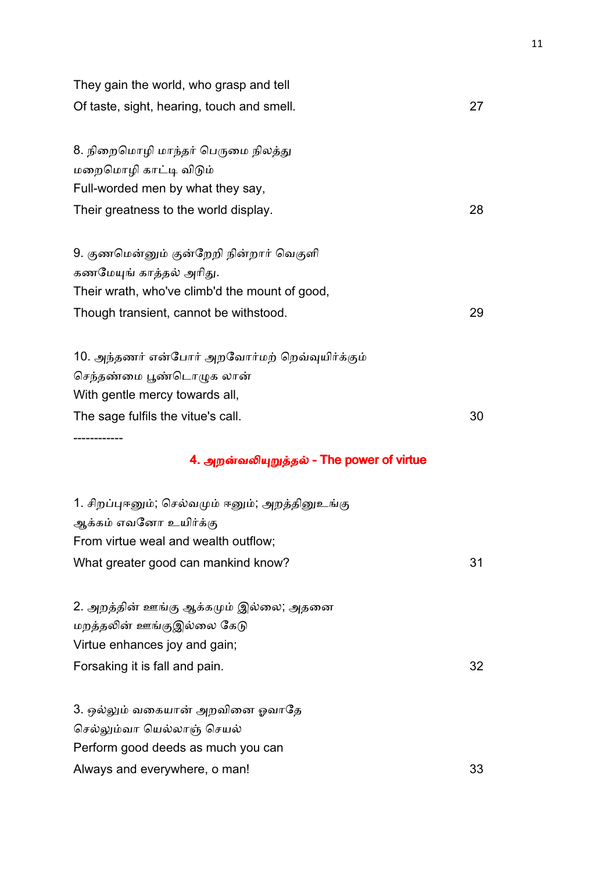| They gain the world, who grasp and tell<br>Of taste, sight, hearing, touch and smell. | 27 |
|---------------------------------------------------------------------------------------|----|
| 8. நிறைமொழி மாந்தர் பெருமை நிலத்து                                                    |    |
| மறைமொழி காட்டி விடும்                                                                 |    |
| Full-worded men by what they say,                                                     |    |
| Their greatness to the world display.                                                 | 28 |
| 9. குணமென்னும் குன்றேறி நின்றார் வெகுளி                                               |    |
| கணமேயுங் காத்தல் அரிது.                                                               |    |
| Their wrath, who've climb'd the mount of good,                                        |    |
| Though transient, cannot be withstood.                                                | 29 |
| 10. அந்தணர் என்போர் அறவோர்மற் றெவ்வுயிர்க்கும்                                        |    |
| செந்தண்மை பூண்டொழுக லான்                                                              |    |
| With gentle mercy towards all,                                                        |    |
| The sage fulfils the vitue's call.                                                    | 30 |
| ----------                                                                            |    |
| 4. அறன்வலியுறுத்தல் - The power of virtue                                             |    |
| 1. சிறப்புஈனும்; செல்வமும் ஈனும்; அறத்தினுஉங்கு                                       |    |
| ஆக்கம் எவனோ உயிர்க்கு                                                                 |    |
| From virtue weal and wealth outflow;                                                  |    |
| What greater good can mankind know?                                                   | 31 |
| 2. அறத்தின் ஊங்கு ஆக்கமும் இல்லை; அதனை                                                |    |
| மறத்தலின் ஊங்குஇல்லை கேடு                                                             |    |
| Virtue enhances joy and gain;                                                         |    |
| Forsaking it is fall and pain.                                                        | 32 |
| 3. ஒல்லும் வகையான் அறவினை ஓவாதே                                                       |    |
| செல்லும்வா யெல்லாஞ் செயல்                                                             |    |
| Perform good deeds as much you can                                                    |    |
| Always and everywhere, o man!                                                         | 33 |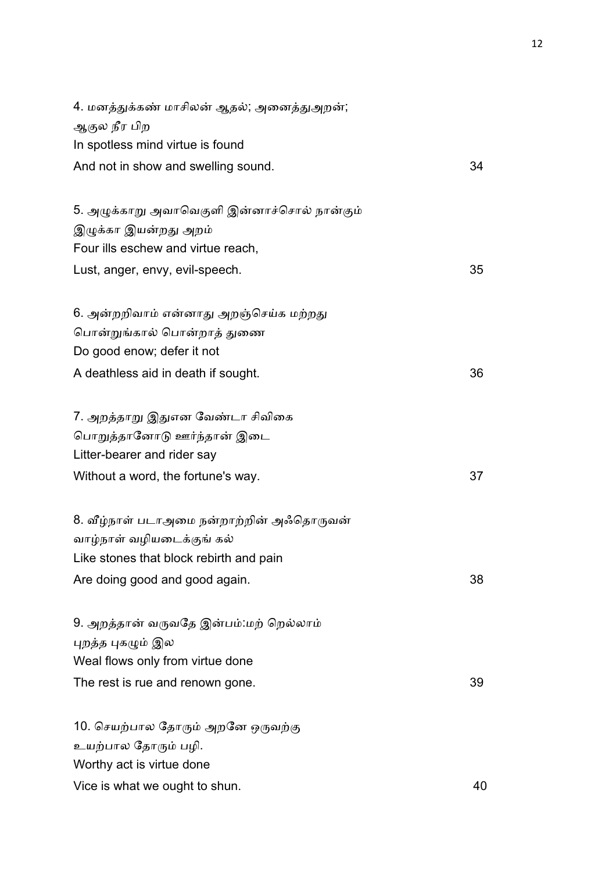| 4. மனத்துக்கண் மாசிலன் ஆதல்; அனைத்துஅறன்;   |    |
|---------------------------------------------|----|
| ஆகுல நீர பிற                                |    |
| In spotless mind virtue is found            |    |
| And not in show and swelling sound.         | 34 |
| 5. அழுக்காறு அவாவெகுளி இன்னாச்சொல் நான்கும் |    |
| இழுக்கா இயன்றது அறம்                        |    |
| Four ills eschew and virtue reach,          |    |
| Lust, anger, envy, evil-speech.             | 35 |
| 6. அன்றறிவாம் என்னாது அறஞ்செய்க மற்றது      |    |
| பொன்றுங்கால் பொன்றாத் துணை                  |    |
| Do good enow; defer it not                  |    |
| A deathless aid in death if sought.         | 36 |
| 7. அறத்தாறு இதுஎன வேண்டா சிவிகை             |    |
| பொறுத்தானோடு ஊர்ந்தான் இடை                  |    |
| Litter-bearer and rider say                 |    |
| Without a word, the fortune's way.          | 37 |
| 8. வீழ்நாள் படாஅமை நன்றாற்றின் அஃதொருவன்    |    |
| வாழ்நாள் வழியடைக்குங் கல்                   |    |
| Like stones that block rebirth and pain     |    |
| Are doing good and good again.              | 38 |
| 9. அறத்தான் வருவதே இன்பம்:மற் றெல்லாம்      |    |
| புறத்த புகழும் இல                           |    |
| Weal flows only from virtue done            |    |
| The rest is rue and renown gone.            | 39 |
| 10. செயற்பால தோரும் அறனே ஒருவற்கு           |    |
| உயற்பால தோரும் பழி.                         |    |
| Worthy act is virtue done                   |    |
| Vice is what we ought to shun.              | 40 |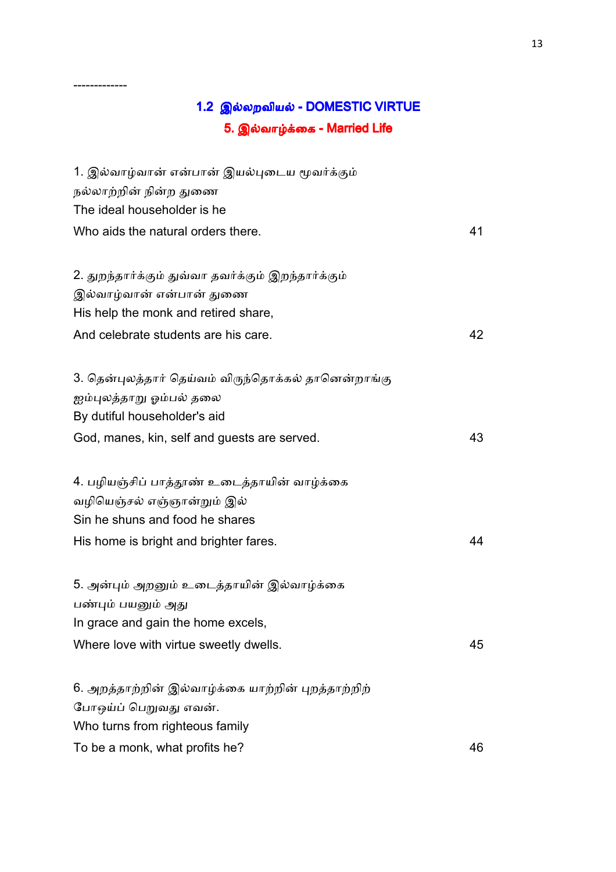# 1.2 இல்லறவியல் - DOMESTIC VIRTUE 5. இல்வாழ்க்கை - Married Life

-------------

| 1. இல்வாழ்வான் என்பான் இயல்புடைய மூவர்க்கும்        |    |
|-----------------------------------------------------|----|
| நல்லாற்றின் நின்ற துணை                              |    |
| The ideal householder is he                         |    |
| Who aids the natural orders there.                  | 41 |
|                                                     |    |
| 2. துறந்தார்க்கும் துவ்வா தவர்க்கும் இறந்தார்க்கும் |    |
| இல்வாழ்வான் என்பான் துணை                            |    |
| His help the monk and retired share,                |    |
| And celebrate students are his care.                | 42 |
|                                                     |    |
| 3. தென்புலத்தார் தெய்வம் விருந்தொக்கல் தானென்றாங்கு |    |
| ஐம்புலத்தாறு ஓம்பல் தலை                             |    |
| By dutiful householder's aid                        |    |
| God, manes, kin, self and guests are served.        | 43 |
|                                                     |    |
| 4. பழியஞ்சிப் பாத்தூண் உடைத்தாயின் வாழ்க்கை         |    |
| வழியெஞ்சல் எஞ்ஞான்றும் இல்                          |    |
| Sin he shuns and food he shares                     |    |
| His home is bright and brighter fares.              | 44 |
| 5. அன்பும் அறனும் உடைத்தாயின் இல்வாழ்க்கை           |    |
| பண்பும் பயனும் அது                                  |    |
| In grace and gain the home excels,                  |    |
| Where love with virtue sweetly dwells.              | 45 |
|                                                     |    |
| 6. அறத்தாற்றின் இல்வாழ்க்கை யாற்றின் புறத்தாற்றிற்  |    |
| போஒய்ப் பெறுவது எவன்.                               |    |
| Who turns from righteous family                     |    |
| To be a monk, what profits he?                      | 46 |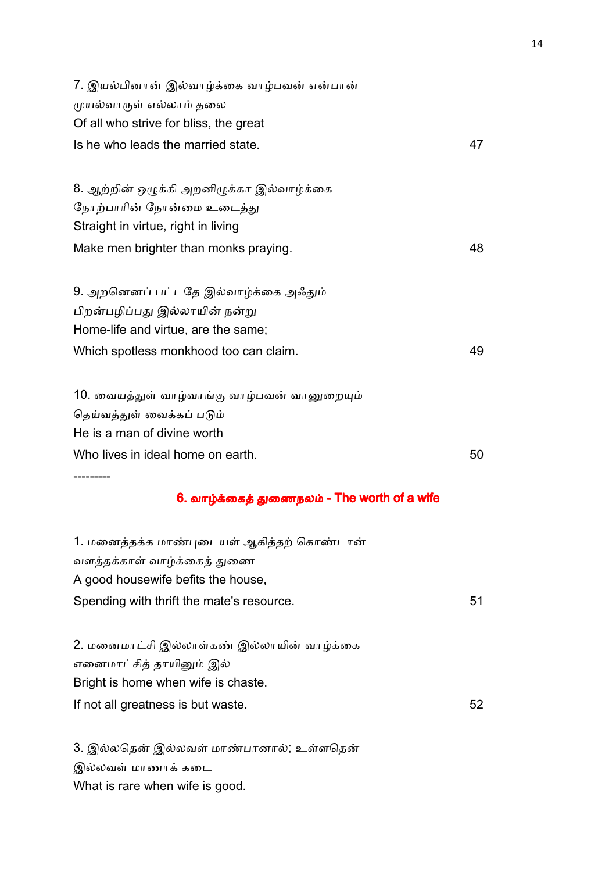| 7. இயல்பினான் இல்வாழ்க்கை வாழ்பவன் என்பான்   |    |
|----------------------------------------------|----|
| முயல்வாருள் எல்லாம் தலை                      |    |
| Of all who strive for bliss, the great       |    |
| Is he who leads the married state.           | 47 |
| 8. ஆற்றின் ஒழுக்கி அறனிழுக்கா இல்வாழ்க்கை    |    |
| நோற்பாரின் நோன்மை உடைத்து                    |    |
| Straight in virtue, right in living          |    |
| Make men brighter than monks praying.        | 48 |
| 9. அறனெனப் பட்டதே இல்வாழ்க்கை அஃதும்         |    |
| பிறன்பழிப்பது இல்லாயின் நன்று                |    |
| Home-life and virtue, are the same;          |    |
| Which spotless monkhood too can claim.       | 49 |
| 10. வையத்துள் வாழ்வாங்கு வாழ்பவன் வானுறையும் |    |
| தெய்வத்துள் வைக்கப் படும்                    |    |
| He is a man of divine worth                  |    |
| Who lives in ideal home on earth.            | 50 |
| 6. வாழ்க்கைத் துணைநலம் - The worth of a wife |    |
| 1. மனைத்தக்க மாண்புடையள் ஆகித்தற் கொண்டான்   |    |
| வளத்தக்காள் வாழ்க்கைத் துணை                  |    |
| A good housewife befits the house,           |    |
| Spending with thrift the mate's resource.    | 51 |
| 2. மனைமாட்சி இல்லாள்கண் இல்லாயின் வாழ்க்கை   |    |
| எனைமாட்சித் தாயினும் இல்                     |    |
| Bright is home when wife is chaste.          |    |
| If not all greatness is but waste.           | 52 |
| 3. இல்லதென் இல்லவள் மாண்பானால்; உள்ளதென்     |    |

இல்லவள் மாணாக் கடை

What is rare when wife is good.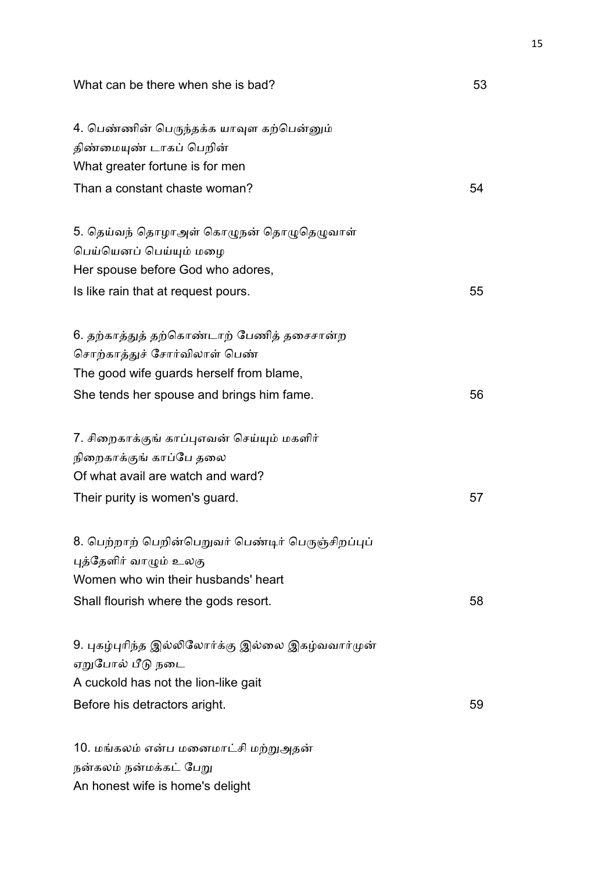| What can be there when she is bad?                                  | 53 |
|---------------------------------------------------------------------|----|
| 4. பெண்ணின் பெருந்தக்க யாவுள கற்பென்னும்<br>திண்மையுண் டாகப் பெறின் |    |
| What greater fortune is for men                                     |    |
| Than a constant chaste woman?                                       | 54 |
| 5. தெய்வந் தொழாஅள் கொழுநன் தொழுதெழுவாள்                             |    |
| பெய்யெனப் பெய்யும் மழை                                              |    |
| Her spouse before God who adores,                                   |    |
| Is like rain that at request pours.                                 | 55 |
| 6. தற்காத்துத் தற்கொண்டாற் பேணித் தசைசான்ற                          |    |
| சொற்காத்துச் சோர்விலாள் பெண்                                        |    |
| The good wife guards herself from blame,                            |    |
| She tends her spouse and brings him fame.                           | 56 |
| 7. சிறைகாக்குங் காப்புஎவன் செய்யும் மகளிர்                          |    |
| நிறைகாக்குங் காப்பே தலை                                             |    |
| Of what avail are watch and ward?                                   |    |
| Their purity is women's guard.                                      | 57 |
| 8. பெற்றாற் பெறின்பெறுவர் பெண்டிர் பெருஞ்சிறப்புப்                  |    |
| புத்தேளிர் வாழும் உலகு                                              |    |
| Women who win their husbands' heart                                 |    |
| Shall flourish where the gods resort.                               | 58 |
| 9. புகழ்புரிந்த இல்லிலோர்க்கு இல்லை இகழ்வவார்முன்                   |    |
| ஏறுபோல் பீடு நடை                                                    |    |
| A cuckold has not the lion-like gait                                |    |
| Before his detractors aright.                                       | 59 |
| 10. மங்கலம் என்ப மனைமாட்சி மற்றுஅதன்                                |    |
| நன்கலம் நன்மக்கட் பேறு                                              |    |

An honest wife is home's delight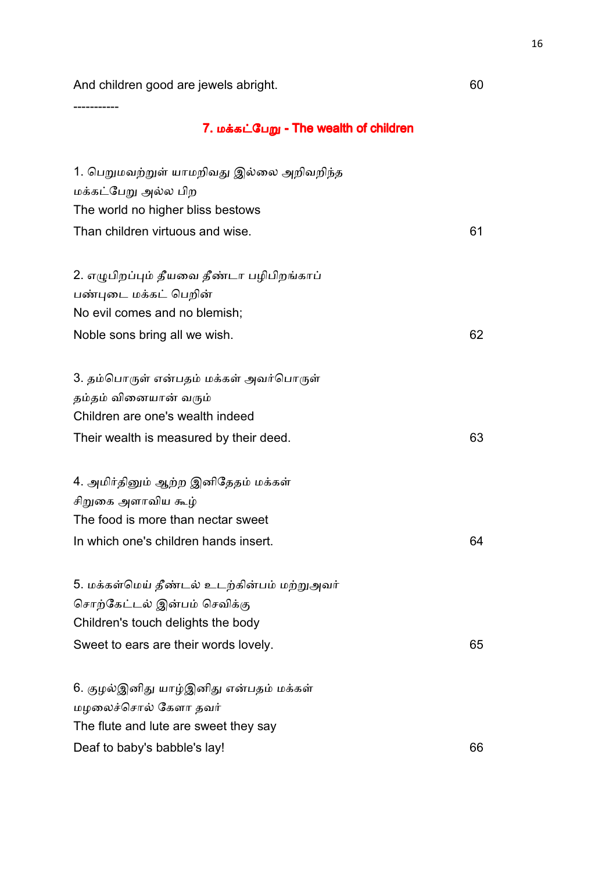And children good are jewels abright. The many control of the many control of the many control of the many control of the many control of the many control of the many control of the many control of the many control of the

-----------

# 7. மக்கட்பேறு - The wealth of children

| 1. பெறுமவற்றுள் யாமறிவது இல்லை அறிவறிந்த<br>மக்கட்பேறு அல்ல பிற |    |
|-----------------------------------------------------------------|----|
| The world no higher bliss bestows                               |    |
| Than children virtuous and wise.                                | 61 |
| 2. எழுபிறப்பும் தீயவை தீண்டா பழிபிறங்காப்                       |    |
| பண்புடை மக்கட் பெறின்                                           |    |
| No evil comes and no blemish;                                   |    |
| Noble sons bring all we wish.                                   | 62 |
| 3. தம்பொருள் என்பதம் மக்கள் அவர்பொருள்                          |    |
| தம்தம் வினையான் வரும்                                           |    |
| Children are one's wealth indeed                                |    |
| Their wealth is measured by their deed.                         | 63 |
| 4. அமிர்தினும் ஆற்ற இனிதேதம் மக்கள்                             |    |
| சிறுகை அளாவிய கூழ்                                              |    |
| The food is more than nectar sweet                              |    |
| In which one's children hands insert.                           | 64 |
| 5. மக்கள்மெய் தீண்டல் உடற்கின்பம் மற்றுஅவர்                     |    |
| சொற்கேட்டல் இன்பம் செவிக்கு                                     |    |
| Children's touch delights the body                              |    |
| Sweet to ears are their words lovely.                           | 65 |
| 6. குழல்இனிது யாழ்இனிது என்பதம் மக்கள்                          |    |
| மழலைச்சொல் கேளா தவர்                                            |    |
| The flute and lute are sweet they say                           |    |
| Deaf to baby's babble's lay!                                    | 66 |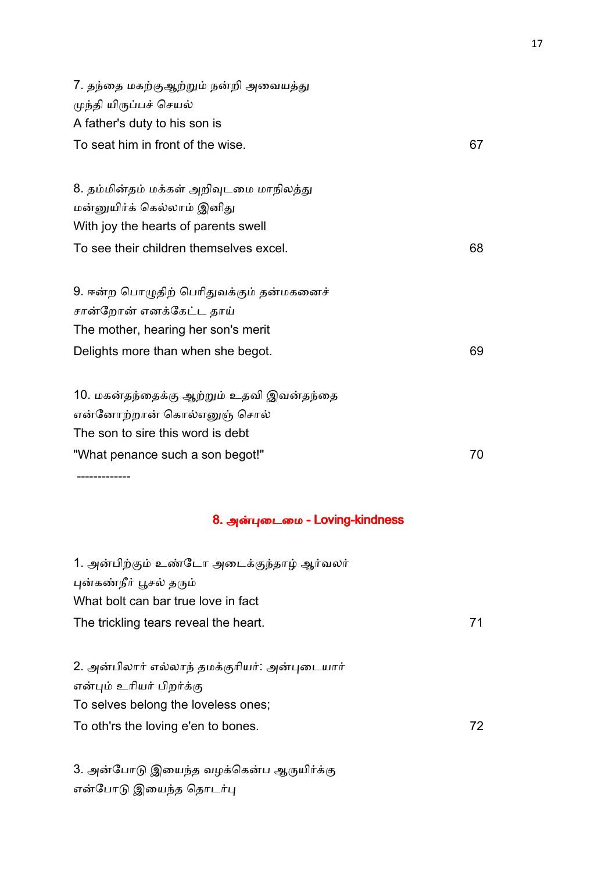7. தந்தை மகற்குஆற்றும் நன்றி அவையத்து முந்தி யிருப்பச் செயல் A father's duty to his son is To seat him in front of the wise. 67 8. தம்மின்தம் மக்கள் அறிவுடமை மாநிலத்து மன்னுயிர்க் கெல்லாம் இனிது With joy the hearts of parents swell To see their children themselves excel. To see their children themselves excel. 9. ஈன்ற பொழுதிற் பெரிதுவக்கும் தன்மகனைச் சான்றோன் எனக்கேட்ட தாய் The mother, hearing her son's merit Delights more than when she begot. 69 10. மகன்தந்தைக்கு ஆற்றும் உதவி இவன்தந்தை என்னோற்றான் கொல்எனுள் சொல் The son to sire this word is debt "What penance such a son begot!" 70 -------------

#### 8. அன்புடைமை - Loving-kindness

| 1. அன்பிற்கும் உண்டோ அடைக்குந்தாழ் ஆர்வலர்    |     |
|-----------------------------------------------|-----|
| புன்கண்நீர் பூசல் தரும்                       |     |
| What bolt can bar true love in fact           |     |
| The trickling tears reveal the heart.<br>71   |     |
|                                               |     |
| 2. அன்பிலார் எல்லாந் தமக்குரியர்: அன்புடையார் |     |
| என்பும் உரியர் பிறர்க்கு                      |     |
| To selves belong the loveless ones;           |     |
| To oth'rs the loving e'en to bones.           | 72. |
|                                               |     |

3. அன்போடு இயைந்த வழக்கென்ப ஆருயிர்க்கு என்போடு இயைந்த தொடர்பு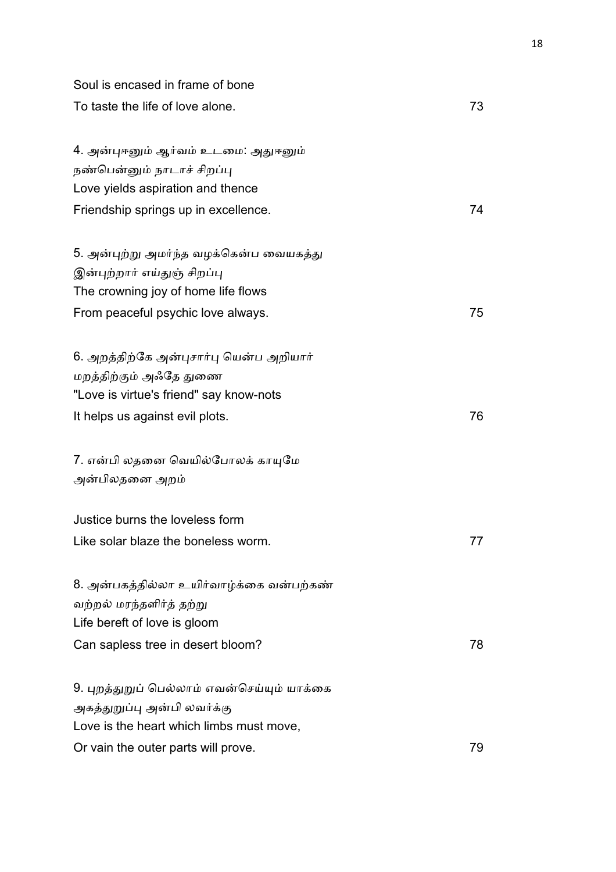| Soul is encased in frame of bone                                  |    |
|-------------------------------------------------------------------|----|
| To taste the life of love alone.                                  | 73 |
| 4. அன்புஈனும் ஆர்வம் உடமை: அதுஈனும்<br>நண்பென்னும் நாடாச் சிறப்பு |    |
| Love yields aspiration and thence                                 |    |
| Friendship springs up in excellence.                              | 74 |
| 5. அன்புற்று அமர்ந்த வழக்கென்ப வையகத்து                           |    |
| இன்புற்றார் எய்துஞ் சிறப்பு                                       |    |
| The crowning joy of home life flows                               |    |
| From peaceful psychic love always.                                | 75 |
| 6. அறத்திற்கே அன்புசார்பு யென்ப அறியார்                           |    |
| மறத்திற்கும் அஃதே துணை                                            |    |
| "Love is virtue's friend" say know-nots                           |    |
| It helps us against evil plots.                                   | 76 |
| 7. என்பி லதனை வெயில்போலக் காயுமே                                  |    |
| அன்பிலதனை அறம்                                                    |    |
| Justice burns the loveless form                                   |    |
| Like solar blaze the boneless worm.                               | 77 |
| 8. அன்பகத்தில்லா உயிர்வாழ்க்கை வன்பற்கண்                          |    |
| வற்றல் மரந்தளிர்த் தற்று                                          |    |
| Life bereft of love is gloom                                      |    |
| Can sapless tree in desert bloom?                                 | 78 |
| 9. புறத்துறுப் பெல்லாம் எவன்செய்யும் யாக்கை                       |    |
| அகத்துறுப்பு அன்பி லவர்க்கு                                       |    |
| Love is the heart which limbs must move,                          |    |
| Or vain the outer parts will prove.                               | 79 |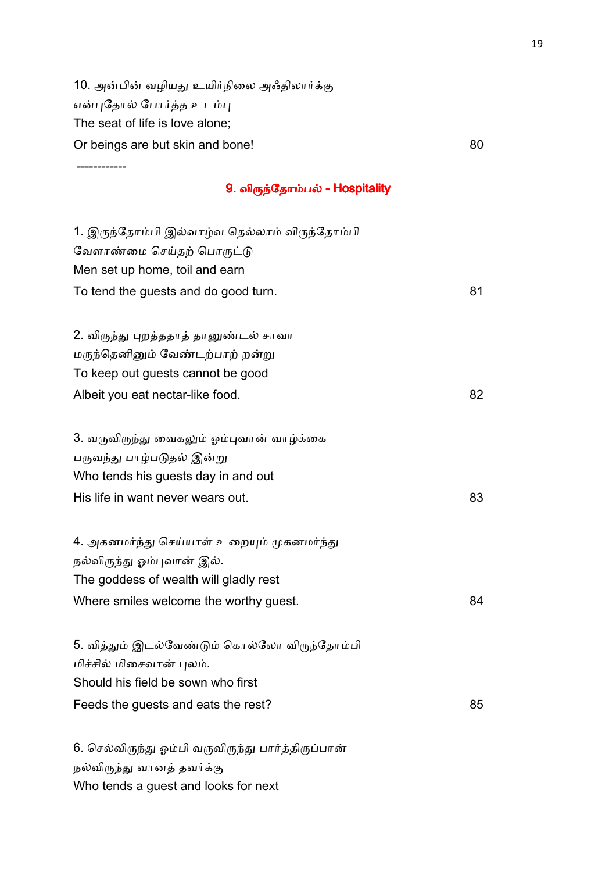10. அன்பின் வழியது உயிர்நிலை அஃதிலார்க்கு என்புதோல் போர்த்த உடம்பு The seat of life is love alone; Or beings are but skin and bone! 80

------------

### 9. விருந்தோம்பல் - Hospitality

| 1. இருந்தோம்பி இல்வாழ்வ தெல்லாம் விருந்தோம்பி<br>வேளாண்மை செய்தற் பொருட்டு |    |
|----------------------------------------------------------------------------|----|
| Men set up home, toil and earn                                             |    |
| To tend the guests and do good turn.                                       | 81 |
|                                                                            |    |
| 2. விருந்து புறத்ததாத் தானுண்டல் சாவா                                      |    |
| மருந்தெனினும் வேண்டற்பாற் றன்று                                            |    |
| To keep out guests cannot be good                                          |    |
| Albeit you eat nectar-like food.                                           | 82 |
|                                                                            |    |
| 3. வருவிருந்து வைகலும் ஓம்புவான் வாழ்க்கை                                  |    |
| பருவந்து பாழ்படுதல் இன்று                                                  |    |
| Who tends his guests day in and out                                        |    |
| His life in want never wears out.                                          | 83 |
|                                                                            |    |
| 4. அகனமர்ந்து செய்யாள் உறையும் முகனமர்ந்து                                 |    |
| நல்விருந்து ஓம்புவான் இல்.                                                 |    |
| The goddess of wealth will gladly rest                                     |    |
| Where smiles welcome the worthy guest.                                     | 84 |
|                                                                            |    |
| 5. வித்தும் இடல்வேண்டும் கொல்லோ விருந்தோம்பி                               |    |
| மிச்சில் மிசைவான் புலம்.                                                   |    |
| Should his field be sown who first                                         |    |
| Feeds the guests and eats the rest?                                        | 85 |
|                                                                            |    |
| 6. செல்விருந்து ஓம்பி வருவிருந்து பார்த்திருப்பான்                         |    |
| நல்விருந்து வானத் தவர்க்கு                                                 |    |

Who tends a guest and looks for next

19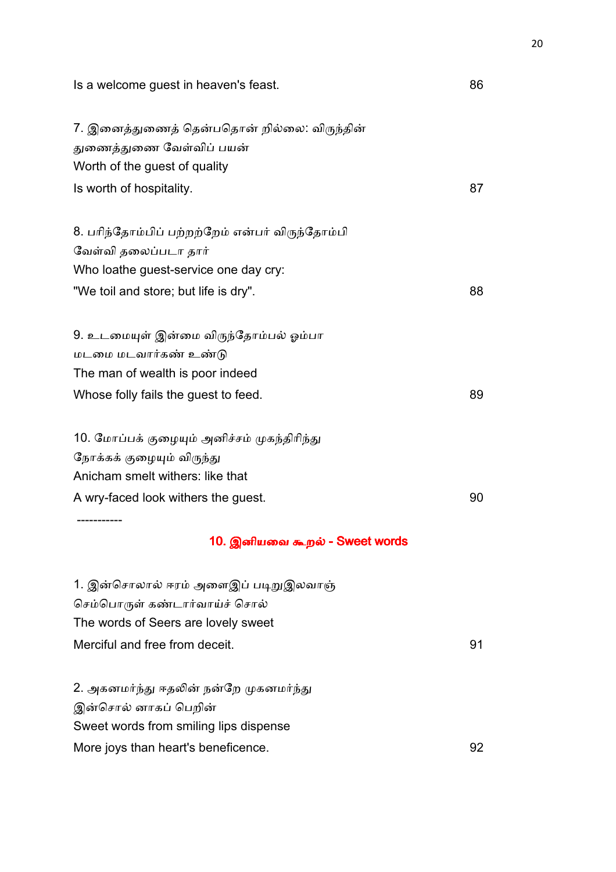Is a welcome guest in heaven's feast. The same state of the set of  $\sim 86$ 

| 7. இனைத்துணைத் தென்பதொன் றில்லை: விருந்தின்     |    |
|-------------------------------------------------|----|
| துணைத்துணை வேள்விப் பயன்                        |    |
| Worth of the guest of quality                   |    |
| Is worth of hospitality.                        | 87 |
| 8. பரிந்தோம்பிப் பற்றற்றேம் என்பர் விருந்தோம்பி |    |
| வேள்வி தலைப்படா தார்                            |    |
| Who loathe guest-service one day cry:           |    |
| "We toil and store; but life is dry".           | 88 |
| 9. உடமையுள் இன்மை விருந்தோம்பல் ஓம்பா           |    |
| மடமை மடவார்கண் உண்டு                            |    |
| The man of wealth is poor indeed                |    |
| Whose folly fails the guest to feed.            | 89 |
| 10. மோப்பக் குழையும் அனிச்சம் முகந்திரிந்து     |    |
| நோக்கக் குழையும் விருந்து                       |    |
| Anicham smelt withers: like that                |    |
| A wry-faced look withers the guest.             | 90 |
|                                                 |    |
| 10. இனியவை கூறல் - Sweet words                  |    |
| 1. இன்சொலால் ஈரம் அளைஇப் படிறுஇலவாஞ்            |    |
| செம்பொருள் கண்டார்வாய்ச் சொல்                   |    |
| The words of Seers are lovely sweet             |    |
| Merciful and free from deceit.                  | 91 |
| 2. அகனமர்ந்து ஈதலின் நன்றே முகனமர்ந்து          |    |
| இன்சொல் னாகப் பெறின்                            |    |
| Sweet words from smiling lips dispense          |    |

More joys than heart's beneficence. The same state of the state of the state of the state of the state of the state of the state of the state of the state of the state of the state of the state of the state of the state of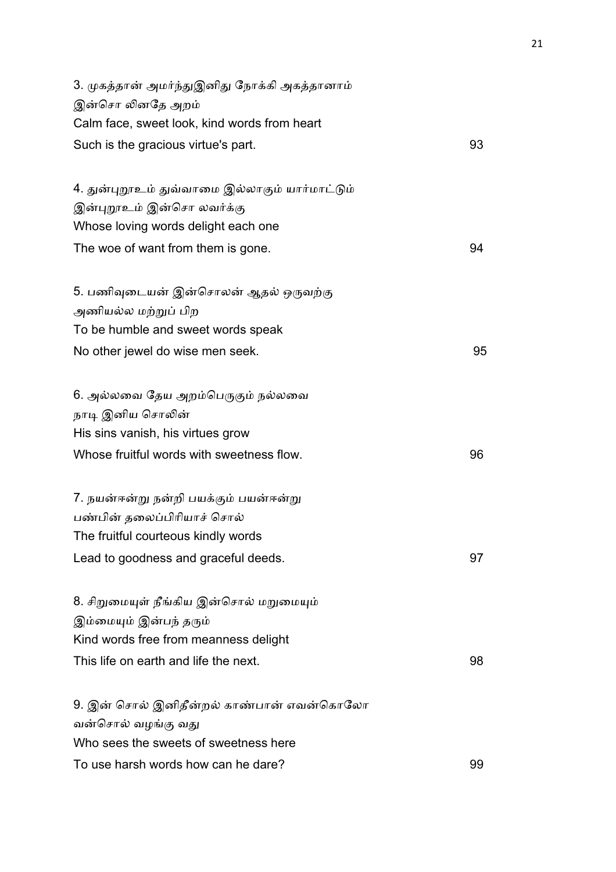| 3. முகத்தான் அமர்ந்துஇனிது நோக்கி அகத்தானாம்<br>இன்சொ லினதே அறம் |    |
|------------------------------------------------------------------|----|
| Calm face, sweet look, kind words from heart                     |    |
| Such is the gracious virtue's part.                              | 93 |
| 4. துன்புறூஉம் துவ்வாமை இல்லாகும் யார்மாட்டும்                   |    |
| இன்புறூஉம் இன்சொ லவர்க்கு                                        |    |
| Whose loving words delight each one                              |    |
| The woe of want from them is gone.                               | 94 |
| 5. பணிவுடையன் இன்சொலன் ஆதல் ஒருவற்கு                             |    |
| அணியல்ல மற்றுப் பிற                                              |    |
| To be humble and sweet words speak                               |    |
| No other jewel do wise men seek.                                 | 95 |
| 6. அல்லவை தேய அறம்பெருகும் நல்லவை                                |    |
| நாடி இனிய சொலின்                                                 |    |
| His sins vanish, his virtues grow                                |    |
| Whose fruitful words with sweetness flow.                        | 96 |
| 7. நயன்ஈன்று நன்றி பயக்கும் பயன்ஈன்று                            |    |
| பண்பின் தலைப்பிரியாச் சொல்                                       |    |
| The fruitful courteous kindly words                              |    |
| Lead to goodness and graceful deeds.                             | 97 |
| 8. சிறுமையுள் நீங்கிய இன்சொல் மறுமையும்                          |    |
| இம்மையும் இன்பந் தரும்                                           |    |
| Kind words free from meanness delight                            |    |
| This life on earth and life the next.                            | 98 |
| 9. இன் சொல் இனிதீன்றல் காண்பான் எவன்கொலோ                         |    |
| வன்சொல் வழங்கு வது                                               |    |
| Who sees the sweets of sweetness here                            |    |
| To use harsh words how can he dare?                              | 99 |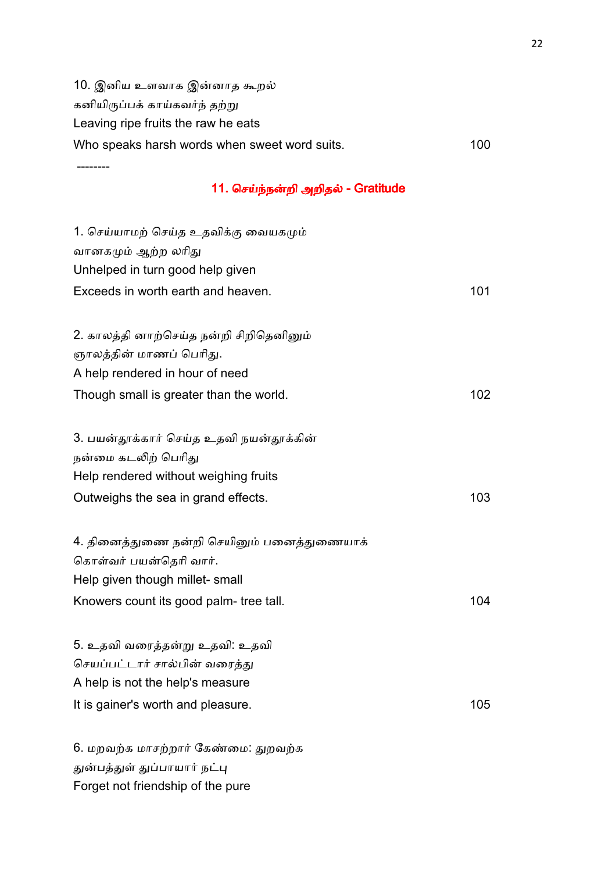10. இனிய உளவாக இன்னாத கூறல் கனியிருப்பக் காய்கவர்ந் தற்று Leaving ripe fruits the raw he eats Who speaks harsh words when sweet word suits. 400

### 11. செய்ந்நன்றி அறிதல் - Gratitude

| 1. செய்யாமற் செய்த உதவிக்கு வையகமும்       |     |
|--------------------------------------------|-----|
| வானகமும் ஆற்ற லரிது                        |     |
| Unhelped in turn good help given           |     |
| Exceeds in worth earth and heaven.         | 101 |
|                                            |     |
| 2. காலத்தி னாற்செய்த நன்றி சிறிதெனினும்    |     |
| ஞாலத்தின் மாணப் பெரிது.                    |     |
| A help rendered in hour of need            |     |
| Though small is greater than the world.    | 102 |
|                                            |     |
| 3. பயன்தூக்கார் செய்த உதவி நயன்தூக்கின்    |     |
| நன்மை கடலிற் பெரிது                        |     |
| Help rendered without weighing fruits      |     |
| Outweighs the sea in grand effects.        | 103 |
|                                            |     |
| 4. தினைத்துணை நன்றி செயினும் பனைத்துணையாக் |     |
| கொள்வர் பயன்தெரி வார்.                     |     |
| Help given though millet- small            |     |
| Knowers count its good palm- tree tall.    | 104 |
|                                            |     |
| 5. உதவி வரைத்தன்று உதவி: உதவி              |     |
| செயப்பட்டார் சால்பின் வரைத்து              |     |
| A help is not the help's measure           |     |
| It is gainer's worth and pleasure.         | 105 |
|                                            |     |
| 6. மறவற்க மாசற்றார் கேண்மை: துறவற்க        |     |
|                                            |     |

துன்பத்துள் துப்பாயார் நட்பு

--------

Forget not friendship of the pure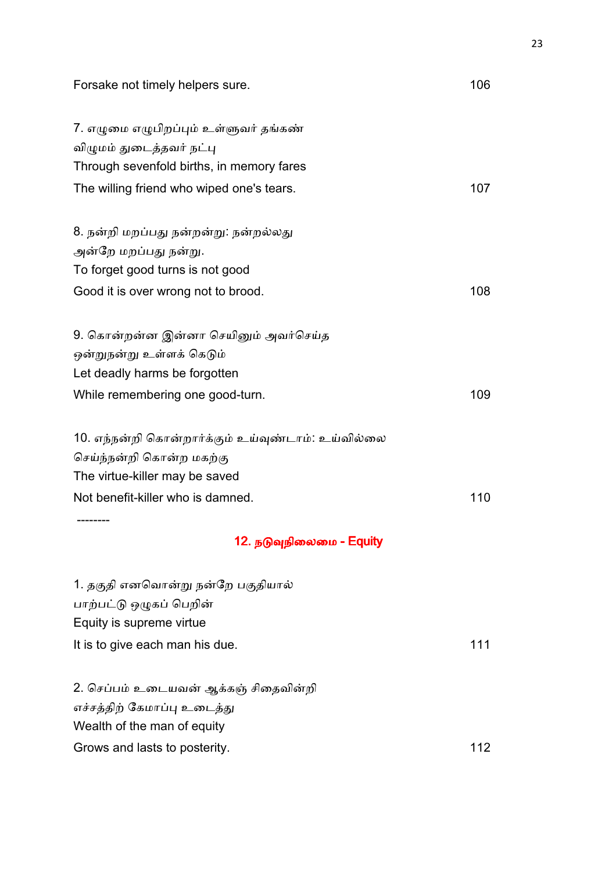| Forsake not timely helpers sure.                   | 106 |
|----------------------------------------------------|-----|
| 7. எழுமை எழுபிறப்பும் உள்ளுவர் தங்கண்              |     |
| விழுமம் துடைத்தவர் நட்பு                           |     |
| Through sevenfold births, in memory fares          |     |
| The willing friend who wiped one's tears.          | 107 |
| 8. நன்றி மறப்பது நன்றன்று: நன்றல்லது               |     |
| அன்றே மறப்பது நன்று.                               |     |
| To forget good turns is not good                   |     |
| Good it is over wrong not to brood.                | 108 |
| 9. கொன்றன்ன இன்னா செயினும் அவர்செய்த               |     |
| ஒன்றுநன்று உள்ளக் கெடும்                           |     |
| Let deadly harms be forgotten                      |     |
| While remembering one good-turn.                   | 109 |
| 10. எந்நன்றி கொன்றார்க்கும் உய்வுண்டாம்: உய்வில்லை |     |
| செய்ந்நன்றி கொன்ற மகற்கு                           |     |
| The virtue-killer may be saved                     |     |
| Not benefit-killer who is damned.                  | 110 |
| 12. நடுவுநிலைமை - Equity                           |     |
| 1. தகுதி எனவொன்று நன்றே பகுதியால்                  |     |
| பாற்பட்டு ஒழுகப் பெறின்                            |     |
| Equity is supreme virtue                           |     |
| It is to give each man his due.                    | 111 |
| 2. செப்பம் உடையவன் ஆக்கஞ் சிதைவின்றி               |     |
| எச்சத்திற் கேமாப்பு உடைத்து                        |     |
| Wealth of the man of equity                        |     |
| Grows and lasts to posterity.                      | 112 |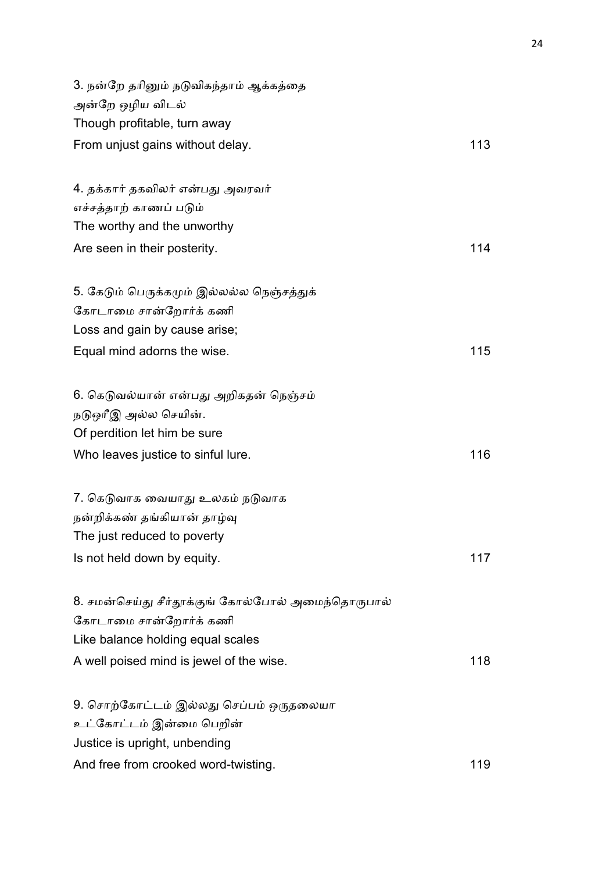| 3. நன்றே தரினும் நடுவிகந்தாம் ஆக்கத்தை            |     |
|---------------------------------------------------|-----|
| அன்றே ஒழிய விடல்<br>Though profitable, turn away  |     |
|                                                   |     |
| From unjust gains without delay.                  | 113 |
| 4. தக்கார் தகவிலர் என்பது அவரவர்                  |     |
| எச்சத்தாற் காணப் படும்                            |     |
| The worthy and the unworthy                       |     |
| Are seen in their posterity.                      | 114 |
| 5. கேடும் பெருக்கமும் இல்லல்ல நெஞ்சத்துக்         |     |
| கோடாமை சான்றோர்க் கணி                             |     |
| Loss and gain by cause arise;                     |     |
| Equal mind adorns the wise.                       | 115 |
| 6. கெடுவல்யான் என்பது அறிகதன் நெஞ்சம்             |     |
| நடுஒரீஇ அல்ல செயின்.                              |     |
| Of perdition let him be sure                      |     |
| Who leaves justice to sinful lure.                | 116 |
| 7. கெடுவாக வையாது உலகம் நடுவாக                    |     |
| நன்றிக்கண் தங்கியான் தாழ்வு                       |     |
| The just reduced to poverty                       |     |
| Is not held down by equity.                       | 117 |
| 8. சமன்செய்து சீர்தூக்குங் கோல்போல் அமைந்தொருபால் |     |
| கோடாமை சான்றோர்க் கணி                             |     |
| Like balance holding equal scales                 |     |
| A well poised mind is jewel of the wise.          | 118 |
| 9. சொற்கோட்டம் இல்லது செப்பம் ஒருதலையா            |     |
| உட்கோட்டம் இன்மை பெறின்                           |     |
| Justice is upright, unbending                     |     |
| And free from crooked word-twisting.              | 119 |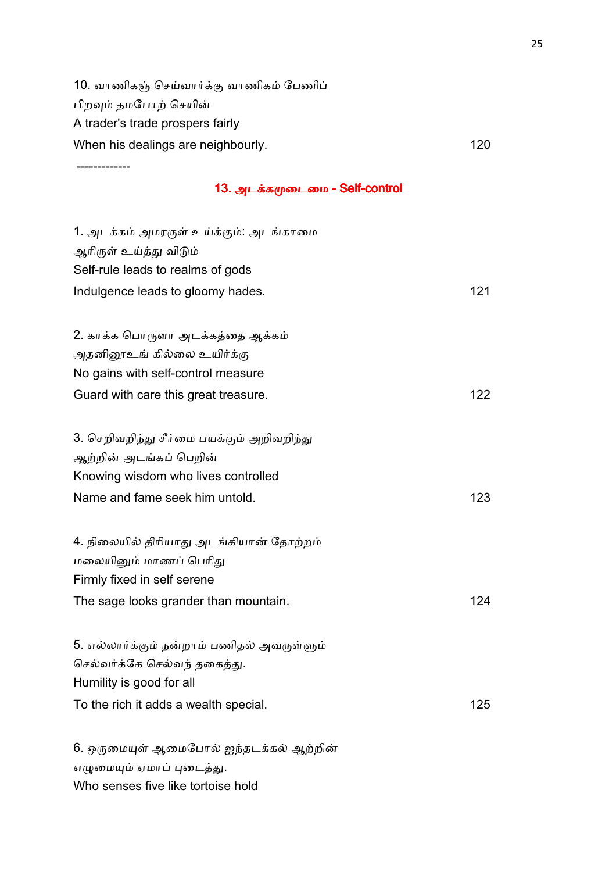10. வாணிகஞ் செய்வார்க்கு வாணிகம் பேணிப் பிறவும் தமபோற் செயின் A trader's trade prospers fairly When his dealings are neighbourly. The matrix of the matrix of the 120

-------------

### 13. அடக்கமுடைமை - Self-control

| 1. அடக்கம் அமரருள் உய்க்கும்: அடங்காமை     |     |
|--------------------------------------------|-----|
| ஆரிருள் உய்த்து விடும்                     |     |
| Self-rule leads to realms of gods          |     |
| Indulgence leads to gloomy hades.          | 121 |
| 2. காக்க பொருளா அடக்கத்தை ஆக்கம்           |     |
| அதனினூஉங் கில்லை உயிர்க்கு                 |     |
| No gains with self-control measure         |     |
|                                            |     |
| Guard with care this great treasure.       | 122 |
| 3. செறிவறிந்து சீர்மை பயக்கும் அறிவறிந்து  |     |
| ஆற்றின் அடங்கப் பெறின்                     |     |
| Knowing wisdom who lives controlled        |     |
| Name and fame seek him untold.             | 123 |
| 4. நிலையில் திரியாது அடங்கியான் தோற்றம்    |     |
| மலையினும் மாணப் பெரிது                     |     |
| Firmly fixed in self serene                |     |
| The sage looks grander than mountain.      | 124 |
| 5. எல்லார்க்கும் நன்றாம் பணிதல் அவருள்ளும் |     |
| செல்வர்க்கே செல்வந் தகைத்து.               |     |
| Humility is good for all                   |     |
| To the rich it adds a wealth special.      | 125 |
|                                            |     |
| 6. ஒருமையுள் ஆமைபோல் ஐந்தடக்கல் ஆற்றின்    |     |
| எழுமையும் ஏமாப் புடைத்து.                  |     |

Who senses five like tortoise hold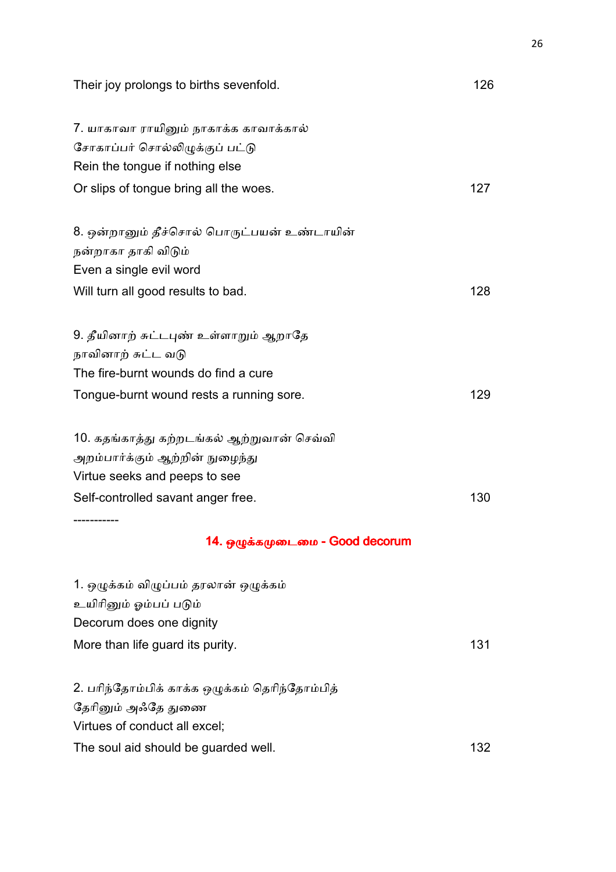| Their joy prolongs to births sevenfold.        | 126 |
|------------------------------------------------|-----|
| 7. யாகாவா ராயினும் நாகாக்க காவாக்கால்          |     |
| சோகாப்பர் சொல்லிழுக்குப் பட்டு                 |     |
| Rein the tongue if nothing else                |     |
| Or slips of tongue bring all the woes.         | 127 |
| 8. ஒன்றானும் தீச்சொல் பொருட்பயன் உண்டாயின்     |     |
| நன்றாகா தாகி விடும்                            |     |
| Even a single evil word                        |     |
| Will turn all good results to bad.             | 128 |
| 9. தீயினாற் சுட்டபுண் உள்ளாறும் ஆறாதே          |     |
| நாவினாற் சுட்ட வடு                             |     |
| The fire-burnt wounds do find a cure           |     |
| Tongue-burnt wound rests a running sore.       | 129 |
| 10. கதங்காத்து கற்றடங்கல் ஆற்றுவான் செவ்வி     |     |
| அறம்பார்க்கும் ஆற்றின் நுழைந்து                |     |
| Virtue seeks and peeps to see                  |     |
| Self-controlled savant anger free.             | 130 |
|                                                |     |
| 14. ஒழுக்கமுடைமை - Good decorum                |     |
| 1. ஒழுக்கம் விழுப்பம் தரலான் ஒழுக்கம்          |     |
| உயிரினும் ஓம்பப் படும்                         |     |
| Decorum does one dignity                       |     |
| More than life guard its purity.               | 131 |
| 2. பரிந்தோம்பிக் காக்க ஒழுக்கம் தெரிந்தோம்பித் |     |
| தேரினும் அஃதே துணை                             |     |
| Virtues of conduct all excel;                  |     |
| The soul aid should be guarded well.           | 132 |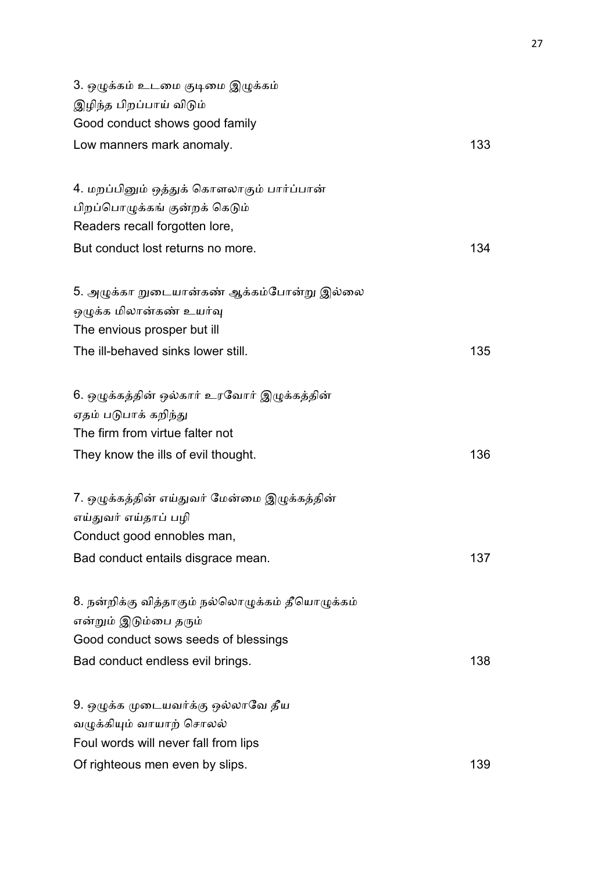| 3. ஒழுக்கம் உடமை குடிமை இழுக்கம்<br>இழிந்த பிறப்பாய் விடும்<br>Good conduct shows good family                                                         |     |
|-------------------------------------------------------------------------------------------------------------------------------------------------------|-----|
| Low manners mark anomaly.                                                                                                                             | 133 |
| 4. மறப்பினும் ஒத்துக் கொளலாகும் பார்ப்பான்<br>பிறப்பொழுக்கங் குன்றக் கெடும்                                                                           |     |
| Readers recall forgotten lore,<br>But conduct lost returns no more.                                                                                   | 134 |
| 5. அழுக்கா றுடையான்கண் ஆக்கம்போன்று இல்லை<br>ஒழுக்க மிலான்கண் உயர்வு<br>The envious prosper but ill<br>The ill-behaved sinks lower still.             | 135 |
| 6. ஒழுக்கத்தின் ஒல்கார் உரவோர் இழுக்கத்தின்<br>ஏதம் படுபாக் கறிந்து<br>The firm from virtue falter not<br>They know the ills of evil thought.         | 136 |
| 7. ஒழுக்கத்தின் எய்துவர் மேன்மை இழுக்கத்தின்<br>எய்துவர் எய்தாப் பழி<br>Conduct good ennobles man,<br>Bad conduct entails disgrace mean.              | 137 |
| 8. நன்றிக்கு வித்தாகும் நல்லொழுக்கம் தீயொழுக்கம்<br>என்றும் இடும்பை தரும்<br>Good conduct sows seeds of blessings<br>Bad conduct endless evil brings. | 138 |
| 9. ஒழுக்க முடையவர்க்கு ஒல்லாவே தீய<br>வழுக்கியும் வாயாற் சொலல்<br>Foul words will never fall from lips<br>Of righteous men even by slips.             | 139 |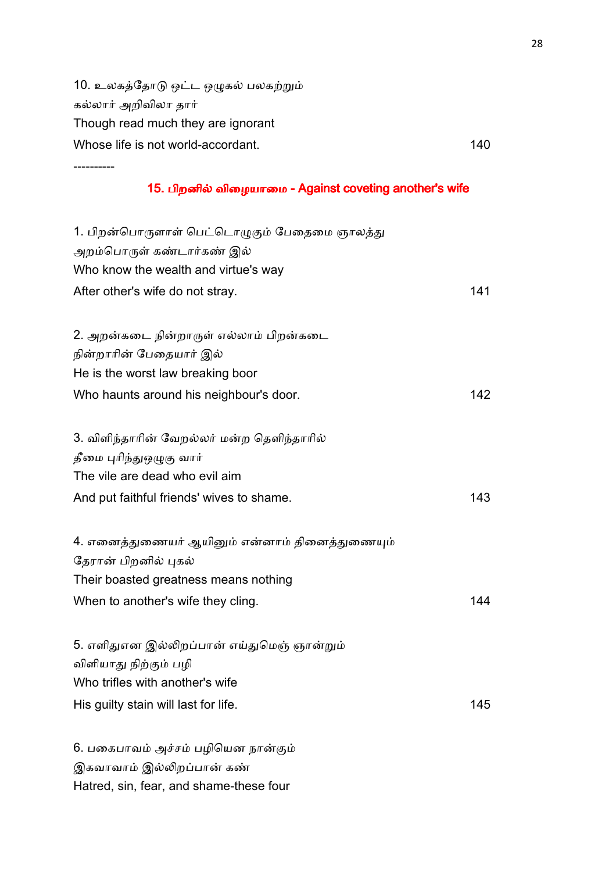10. உலகத்தோடு ஒட்ட ஒழுகல் பலகற்றும் கல்லார் அறிவிலா தார் Though read much they are ignorant Whose life is not world-accordant. 140

----------

### 15. பிறனில் விழையாமை - Against coveting another's wife

| 1. பிறன்பொருளாள் பெட்டொழுகும் பேதைமை ஞாலத்து<br>அறம்பொருள் கண்டார்கண் இல் |     |
|---------------------------------------------------------------------------|-----|
| Who know the wealth and virtue's way                                      |     |
| After other's wife do not stray.                                          | 141 |
|                                                                           |     |
| 2. அறன்கடை நின்றாருள் எல்லாம் பிறன்கடை                                    |     |
| நின்றாரின் பேதையார் இல்                                                   |     |
| He is the worst law breaking boor                                         |     |
| Who haunts around his neighbour's door.                                   | 142 |
|                                                                           |     |
| 3. விளிந்தாரின் வேறல்லர் மன்ற தெளிந்தாரில்                                |     |
| தீமை புரிந்துஒழுகு வார்                                                   |     |
| The vile are dead who evil aim                                            |     |
| And put faithful friends' wives to shame.                                 | 143 |
|                                                                           |     |
| 4. எனைத்துணையர் ஆயினும் என்னாம் தினைத்துணையும்                            |     |
| தேரான் பிறனில் புகல்                                                      |     |
| Their boasted greatness means nothing                                     |     |
| When to another's wife they cling.                                        | 144 |
|                                                                           |     |
| 5. எளிதுஎன இல்லிறப்பான் எய்துமெஞ் ஞான்றும்                                |     |
| விளியாது நிற்கும் பழி                                                     |     |
| Who trifles with another's wife                                           |     |
| His guilty stain will last for life.                                      | 145 |
|                                                                           |     |
| 6. பகைபாவம் அச்சம் பழியென நான்கும்                                        |     |

இகவாவாம் இல்லிறப்பான் கண்

Hatred, sin, fear, and shame-these four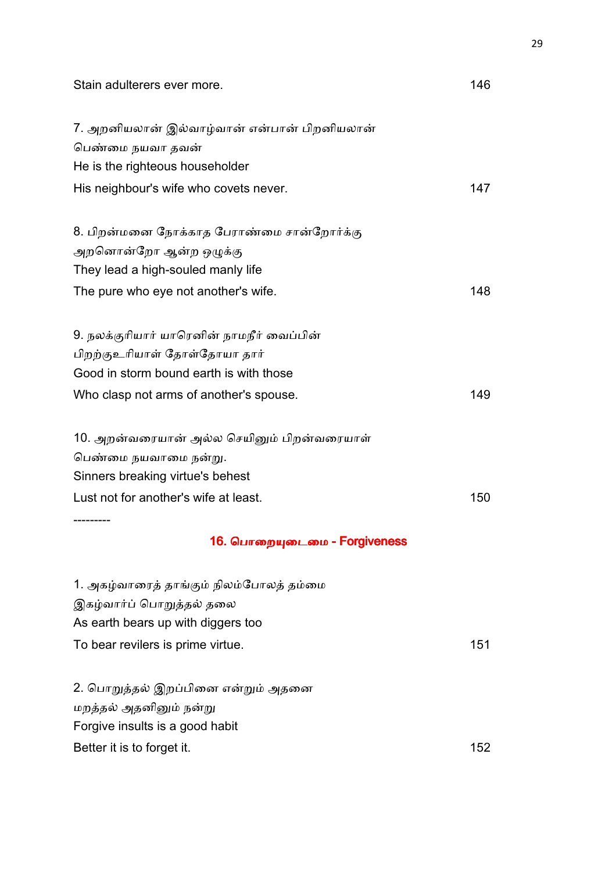| Stain adulterers ever more.                 | 146 |
|---------------------------------------------|-----|
| 7. அறனியலான் இல்வாழ்வான் என்பான் பிறனியலான் |     |
| பெண்மை நயவா தவன்                            |     |
| He is the righteous householder             |     |
| His neighbour's wife who covets never.      | 147 |
| 8. பிறன்மனை நோக்காத பேராண்மை சான்றோர்க்கு   |     |
| அறனொன்றோ ஆன்ற ஒழுக்கு                       |     |
| They lead a high-souled manly life          |     |
| The pure who eye not another's wife.        | 148 |
| 9. நலக்குரியார் யாரெனின் நாமநீர் வைப்பின்   |     |
| பிறற்குஉரியாள் தோள்தோயா தார்                |     |
| Good in storm bound earth is with those     |     |
| Who clasp not arms of another's spouse.     | 149 |
| 10. அறன்வரையான் அல்ல செயினும் பிறன்வரையாள்  |     |
| பெண்மை நயவாமை நன்று.                        |     |
| Sinners breaking virtue's behest            |     |
| Lust not for another's wife at least.       | 150 |
| 16. பொறையுடைமை - Forgiveness                |     |
|                                             |     |
| 1. அகழ்வாரைத் தாங்கும் நிலம்போலத் தம்மை     |     |
| இகழ்வார்ப் பொறுத்தல் தலை                    |     |
| As earth bears up with diggers too          |     |
| To bear revilers is prime virtue.           | 151 |
| 2. பொறுத்தல் இறப்பினை என்றும் அதனை          |     |
| மறத்தல் அதனினும் நன்று                      |     |
| Forgive insults is a good habit             |     |
| Better it is to forget it.                  | 152 |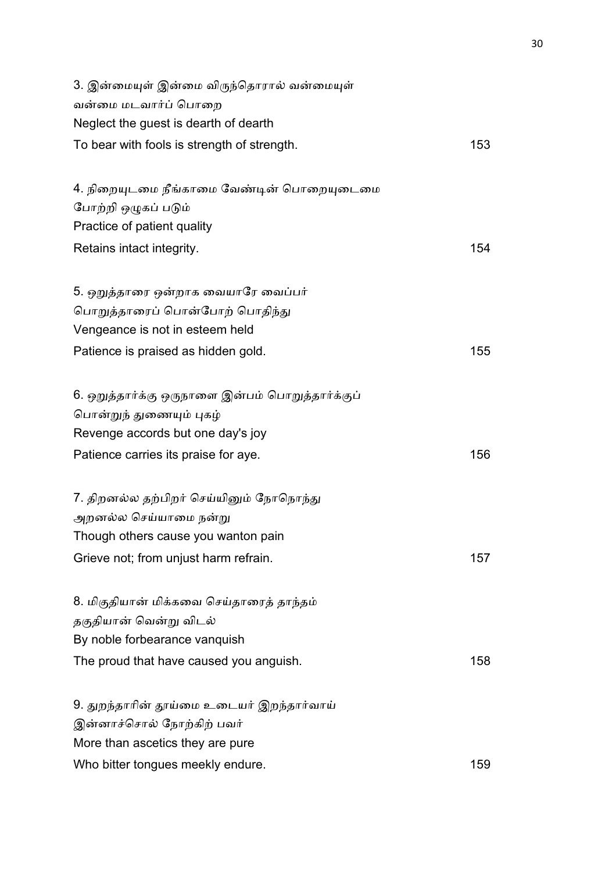| 3. இன்மையுள் இன்மை விருந்தொரால் வன்மையுள்<br>வன்மை மடவார்ப் பொறை                                                                               |     |
|------------------------------------------------------------------------------------------------------------------------------------------------|-----|
| Neglect the guest is dearth of dearth                                                                                                          |     |
| To bear with fools is strength of strength.                                                                                                    | 153 |
| 4. நிறையுடமை நீங்காமை வேண்டின் பொறையுடைமை<br>போற்றி ஒழுகப் படும்<br>Practice of patient quality                                                |     |
| Retains intact integrity.                                                                                                                      | 154 |
| 5. ஒறுத்தாரை ஒன்றாக வையாரே வைப்பர்<br>பொறுத்தாரைப் பொன்போற் பொதிந்து<br>Vengeance is not in esteem held<br>Patience is praised as hidden gold. | 155 |
|                                                                                                                                                |     |
| 6. ஒறுத்தார்க்கு ஒருநாளை இன்பம் பொறுத்தார்க்குப்                                                                                               |     |
| பொன்றுந் துணையும் புகழ்                                                                                                                        |     |
| Revenge accords but one day's joy                                                                                                              |     |
| Patience carries its praise for aye.                                                                                                           | 156 |
| 7. திறனல்ல தற்பிறர் செய்யினும் நோநொந்து<br>அறனல்ல செய்யாமை நன்று<br>Though others cause you wanton pain                                        |     |
| Grieve not; from unjust harm refrain.                                                                                                          | 157 |
| 8. மிகுதியான் மிக்கவை செய்தாரைத் தாந்தம்<br>தகுதியான் வென்று விடல்<br>By noble forbearance vanquish                                            |     |
| The proud that have caused you anguish.                                                                                                        | 158 |
| 9. துறந்தாரின் தூய்மை உடையர் இறந்தார்வாய்<br>இன்னாச்சொல் நோற்கிற் பவர்<br>More than ascetics they are pure                                     |     |
|                                                                                                                                                |     |
| Who bitter tongues meekly endure.                                                                                                              | 159 |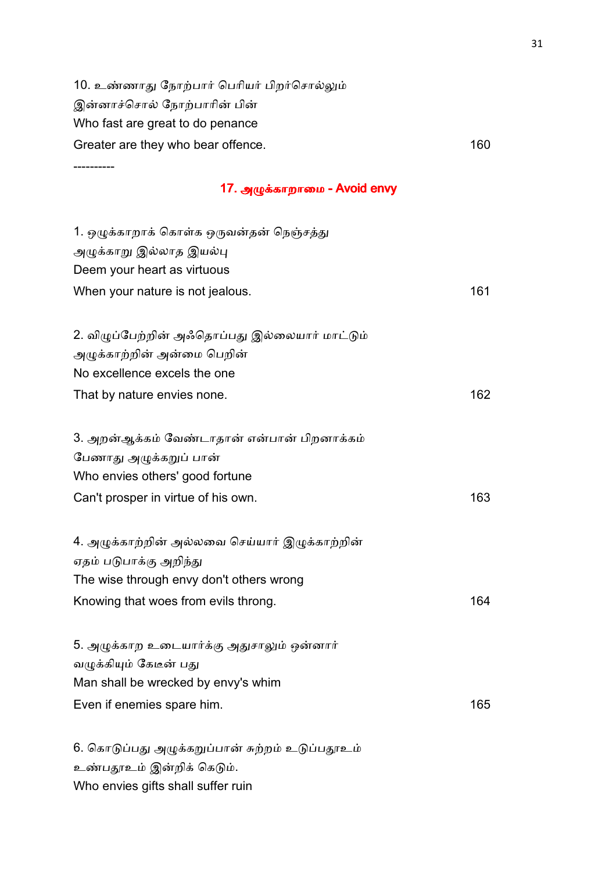10. உண்ணாது நோற்பார் பெரியர் பிறர்சொல்லும் இன்னாச்சொல் நோற்பாரின் பின் Who fast are great to do penance Greater are they who bear offence. The contract of the state of the state of the state of the state of the state of the state of the state of the state of the state of the state of the state of the state of the state of th

----------

### 17. அழுக்காறாமை - Avoid envy

| 1. ஒழுக்காறாக் கொள்க ஒருவன்தன் நெஞ்சத்து        |     |
|-------------------------------------------------|-----|
| அழுக்காறு இல்லாத இயல்பு                         |     |
| Deem your heart as virtuous                     |     |
| When your nature is not jealous.                | 161 |
|                                                 |     |
| 2. விழுப்பேற்றின் அஃதொப்பது இல்லையார் மாட்டும்  |     |
| அழுக்காற்றின் அன்மை பெறின்                      |     |
| No excellence excels the one                    |     |
| That by nature envies none.                     | 162 |
|                                                 |     |
| 3. அறன்ஆக்கம் வேண்டாதான் என்பான் பிறனாக்கம்     |     |
| பேணாது அழுக்கறுப் பான்                          |     |
| Who envies others' good fortune                 |     |
| Can't prosper in virtue of his own.             | 163 |
|                                                 |     |
| 4. அழுக்காற்றின் அல்லவை செய்யார் இழுக்காற்றின்  |     |
| ஏதம் படுபாக்கு அறிந்து                          |     |
| The wise through envy don't others wrong        |     |
| Knowing that woes from evils throng.            | 164 |
|                                                 |     |
| 5. அழுக்காற உடையார்க்கு அதுசாலும் ஒன்னார்       |     |
| வழுக்கியும் கேடீன் பது                          |     |
| Man shall be wrecked by envy's whim             |     |
| Even if enemies spare him.                      | 165 |
|                                                 |     |
| 6. கொடுப்பது அழுக்கறுப்பான் சுற்றம் உடுப்பதூஉம் |     |
| உண்பதூஉம் இன்றிக் கெடும்.                       |     |

Who envies gifts shall suffer ruin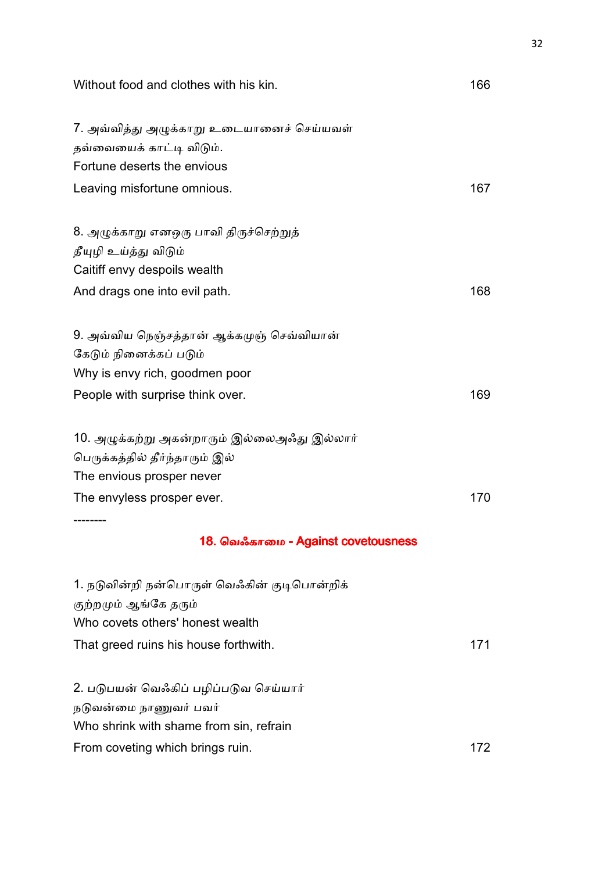Without food and clothes with his kin. 166

| 7. அவ்வித்து அழுக்காறு உடையானைச் செய்யவள்   |     |
|---------------------------------------------|-----|
| தவ்வையைக் காட்டி விடும்.                    |     |
| Fortune deserts the envious                 |     |
| Leaving misfortune omnious.                 | 167 |
| 8. அழுக்காறு எனஒரு பாவி திருச்செற்றுத்      |     |
| தீயுழி உய்த்து விடும்                       |     |
| Caitiff envy despoils wealth                |     |
|                                             |     |
| And drags one into evil path.               | 168 |
| 9. அவ்விய நெஞ்சத்தான் ஆக்கமுஞ் செவ்வியான்   |     |
| கேடும் நினைக்கப் படும்                      |     |
| Why is envy rich, goodmen poor              |     |
| People with surprise think over.            | 169 |
| 10. அழுக்கற்று அகன்றாரும் இல்லைஅஃது இல்லார் |     |
| பெருக்கத்தில் தீர்ந்தாரும் இல்              |     |
| The envious prosper never                   |     |
| The envyless prosper ever.                  | 170 |
|                                             |     |
| 18. வெஃகாமை - Against covetousness          |     |
| 1. நடுவின்றி நன்பொருள் வெஃகின் குடிபொன்றிக் |     |
| குற்றமும் ஆங்கே தரும்                       |     |
| Who covets others' honest wealth            |     |
| That greed ruins his house forthwith.       | 171 |
|                                             |     |
| 2. படுபயன் வெஃகிப் பழிப்படுவ செய்யார்       |     |
| நடுவன்மை நாணுவர் பவர்                       |     |

Who shrink with shame from sin, refrain

From coveting which brings ruin. The matrix of the state of the state of the state of the state of the state of the state of the state of the state of the state of the state of the state of the state of the state of the st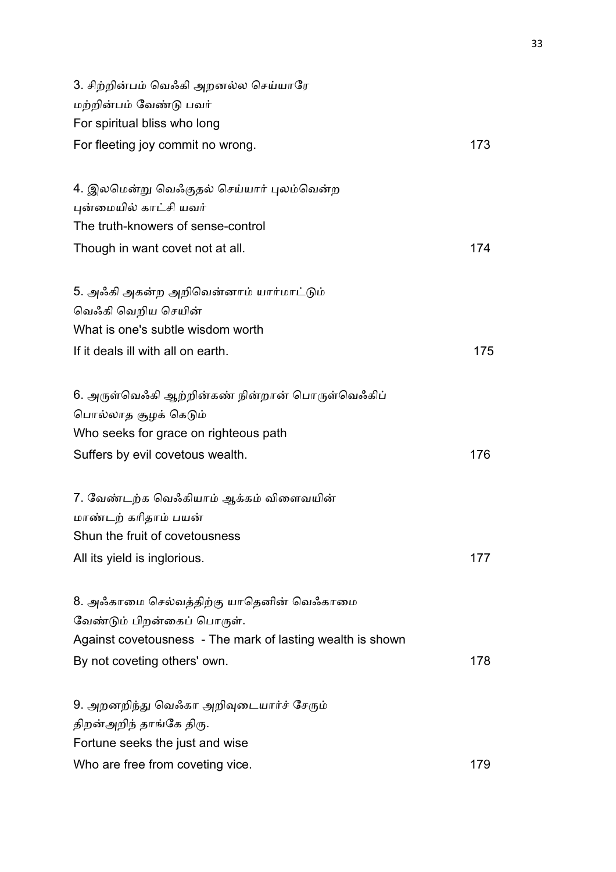| 3. சிற்றின்பம் வெஃகி அறனல்ல செய்யாரே<br>மற்றின்பம் வேண்டு பவர் |     |  |
|----------------------------------------------------------------|-----|--|
| For spiritual bliss who long                                   |     |  |
| For fleeting joy commit no wrong.                              | 173 |  |
| 4. இலமென்று வெஃகுதல் செய்யார் புலம்வென்ற                       |     |  |
| புன்மையில் காட்சி யவர்                                         |     |  |
| The truth-knowers of sense-control                             |     |  |
| Though in want covet not at all.                               | 174 |  |
| 5. அஃகி அகன்ற அறிவென்னாம் யார்மாட்டும்                         |     |  |
| வெஃகி வெறிய செயின்                                             |     |  |
| What is one's subtle wisdom worth                              |     |  |
| If it deals ill with all on earth.                             | 175 |  |
| 6. அருள்வெஃகி ஆற்றின்கண் நின்றான் பொருள்வெஃகிப்                |     |  |
| பொல்லாத சூழக் கெடும்                                           |     |  |
| Who seeks for grace on righteous path                          |     |  |
| Suffers by evil covetous wealth.                               | 176 |  |
| 7. வேண்டற்க வெஃகியாம் ஆக்கம் விளைவயின்                         |     |  |
| மாண்டற் கரிதாம் பயன்                                           |     |  |
| Shun the fruit of covetousness                                 |     |  |
| All its yield is inglorious.                                   | 177 |  |
| 8. அஃகாமை செல்வத்திற்கு யாதெனின் வெஃகாமை                       |     |  |
| வேண்டும் பிறன்கைப் பொருள்.                                     |     |  |
| Against covetousness - The mark of lasting wealth is shown     |     |  |
| By not coveting others' own.                                   | 178 |  |
| 9. அறனறிந்து வெஃகா அறிவுடையார்ச் சேரும்                        |     |  |
| திறன்அறிந் தாங்கே திரு.                                        |     |  |
| Fortune seeks the just and wise                                |     |  |
| Who are free from coveting vice.                               | 179 |  |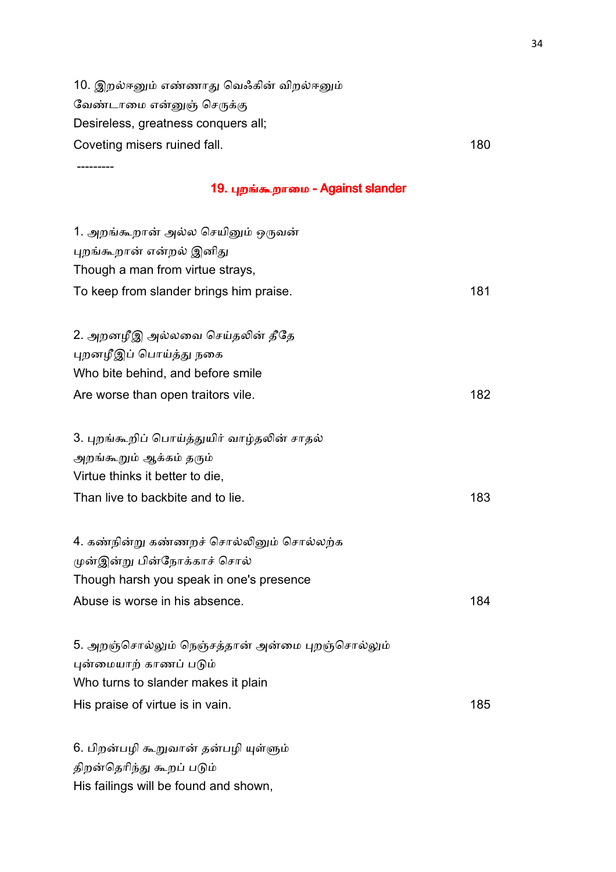10. இறல்ஈனும் எண்ணாது வெஃகின் விறல்ஈனும் வேண்டாமை என்னுஞ் செருக்கு Desireless, greatness conquers all; Coveting misers ruined fall. 180

---------

### 19. புறங்கூறாமை - Against slander

| 1. அறங்கூறான் அல்ல செயினும் ஒருவன்              |     |
|-------------------------------------------------|-----|
| புறங்கூறான் என்றல் இனிது                        |     |
| Though a man from virtue strays,                |     |
| To keep from slander brings him praise.         | 181 |
| 2. அறனழீஇ அல்லவை செய்தலின் தீதே                 |     |
| புறனழீஇப் பொய்த்து நகை                          |     |
| Who bite behind, and before smile               |     |
| Are worse than open traitors vile.              | 182 |
| 3. புறங்கூறிப் பொய்த்துயிர் வாழ்தலின் சாதல்     |     |
| அறங்கூறும் ஆக்கம் தரும்                         |     |
| Virtue thinks it better to die,                 |     |
| Than live to backbite and to lie.               | 183 |
| 4. கண்நின்று கண்ணறச் சொல்லினும் சொல்லற்க        |     |
| முன்இன்று பின்நோக்காச் சொல்                     |     |
| Though harsh you speak in one's presence        |     |
| Abuse is worse in his absence.                  | 184 |
| 5. அறஞ்சொல்லும் நெஞ்சத்தான் அன்மை புறஞ்சொல்லும் |     |
| புன்மையாற் காணப் படும்                          |     |
| Who turns to slander makes it plain             |     |
| His praise of virtue is in vain.                | 185 |
| 6. பிறன்பழி கூறுவான் தன்பழி யுள்ளும்            |     |
| திறன்தெரிந்து கூறப் படும்                       |     |

His failings will be found and shown,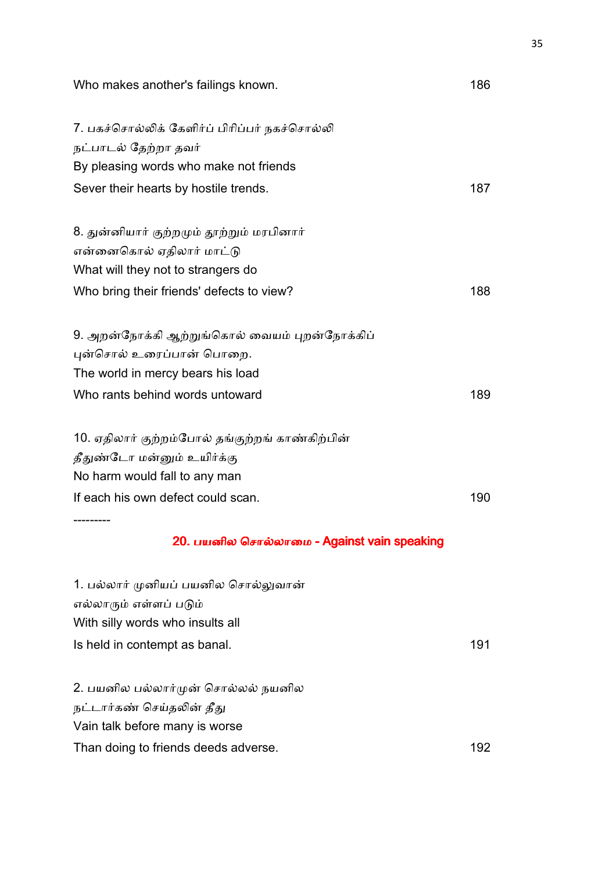| Who makes another's failings known.                    | 186 |
|--------------------------------------------------------|-----|
| 7. பகச்சொல்லிக் கேளிர்ப் பிரிப்பர் நகச்சொல்லி          |     |
| நட்பாடல் தேற்றா தவர்                                   |     |
| By pleasing words who make not friends                 |     |
| Sever their hearts by hostile trends.                  | 187 |
| 8. துன்னியார் குற்றமும் தூற்றும் மரபினார்              |     |
| என்னைகொல் ஏதிலார் மாட்டு                               |     |
| What will they not to strangers do                     |     |
| Who bring their friends' defects to view?              | 188 |
| 9. அறன்நோக்கி ஆற்றுங்கொல் வையம் புறன்நோக்கிப்          |     |
| புன்சொல் உரைப்பான் பொறை.                               |     |
| The world in mercy bears his load                      |     |
| Who rants behind words untoward                        | 189 |
| 10. ஏதிலார் குற்றம்போல் தங்குற்றங் காண்கிற்பின்        |     |
| தீதுண்டோ மன்னும் உயிர்க்கு                             |     |
| No harm would fall to any man                          |     |
| If each his own defect could scan.                     | 190 |
| --------<br>20. பயனில சொல்லாமை - Against vain speaking |     |
| 1. பல்லார் முனியப் பயனில சொல்லுவான்                    |     |
| எல்லாரும் எள்ளப் படும்                                 |     |
| With silly words who insults all                       |     |
| Is held in contempt as banal.                          | 191 |
| 2. பயனில பல்லார்முன் சொல்லல் நயனில                     |     |
| நட்டார்கண் செய்தலின் தீது                              |     |
| Vain talk before many is worse                         |     |
| Than doing to friends deeds adverse.                   | 192 |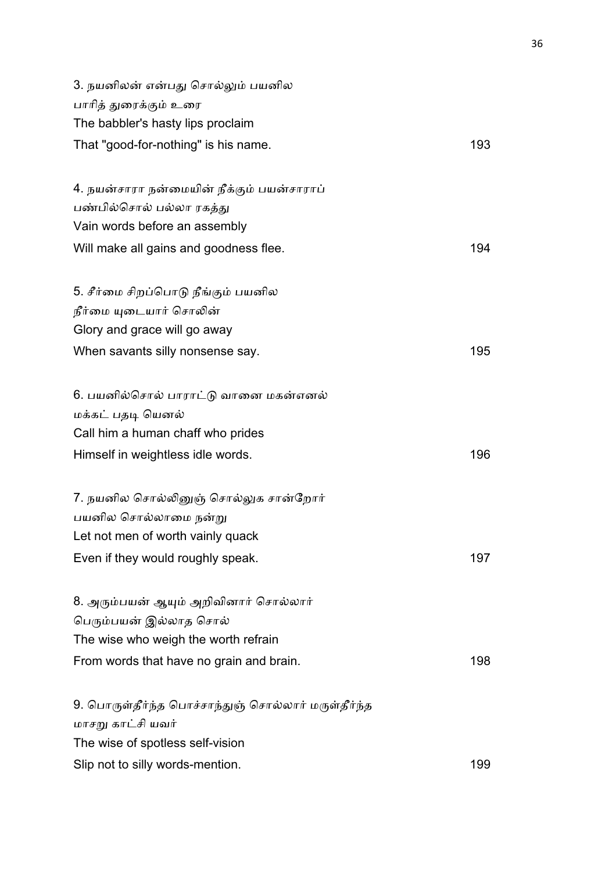| 3. நயனிலன் என்பது சொல்லும் பயனில                    |     |
|-----------------------------------------------------|-----|
| பாரித் துரைக்கும் உரை                               |     |
| The babbler's hasty lips proclaim                   |     |
| That "good-for-nothing" is his name.                | 193 |
| 4. நயன்சாரா நன்மையின் நீக்கும் பயன்சாராப்           |     |
| பண்பில்சொல் பல்லா ரகத்து                            |     |
| Vain words before an assembly                       |     |
| Will make all gains and goodness flee.              | 194 |
| 5. சீர்மை சிறப்பொடு நீங்கும் பயனில                  |     |
| நீர்மை யுடையார் சொலின்                              |     |
| Glory and grace will go away                        |     |
| When savants silly nonsense say.                    | 195 |
| 6. பயனில்சொல் பாராட்டு வானை மகன்எனல்                |     |
| மக்கட் பதடி யெனல்                                   |     |
| Call him a human chaff who prides                   |     |
| Himself in weightless idle words.                   | 196 |
| 7. நயனில சொல்லினுஞ் சொல்லுக சான்றோர்                |     |
| பயனில சொல்லாமை நன்று                                |     |
| Let not men of worth vainly quack                   |     |
| Even if they would roughly speak.                   | 197 |
| 8. அரும்பயன் ஆயும் அறிவினார் சொல்லார்               |     |
| பெரும்பயன் இல்லாத சொல்                              |     |
| The wise who weigh the worth refrain                |     |
| From words that have no grain and brain.            | 198 |
| 9. பொருள்தீர்ந்த பொச்சாந்துஞ் சொல்லார் மருள்தீர்ந்த |     |
| மாசறு காட்சி யவர்                                   |     |
| The wise of spotless self-vision                    |     |
| Slip not to silly words-mention.                    | 199 |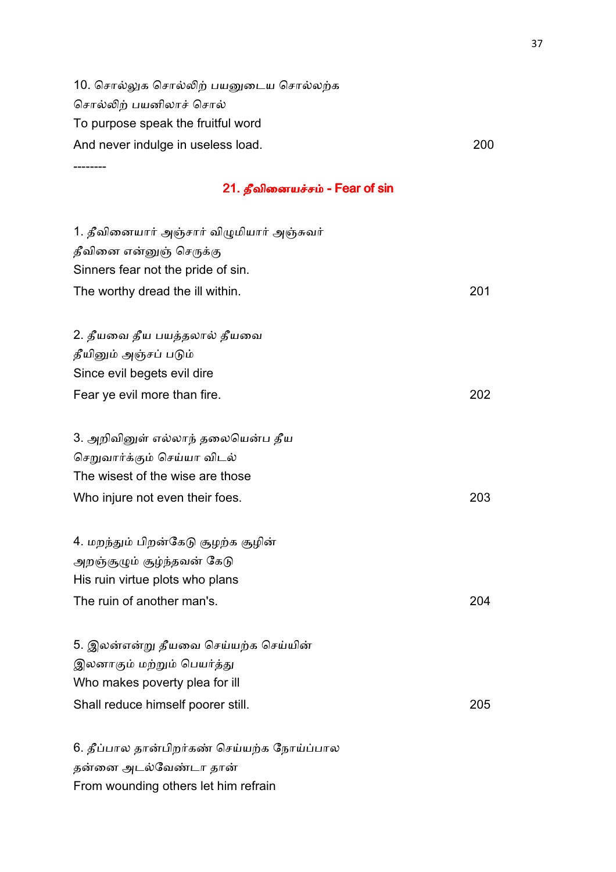10. சொல்லுக சொல்லிற் பயனுடைய சொல்லற்க சொல்லிற் பயனிலாச் சொல் To purpose speak the fruitful word And never indulge in useless load. The same state of the state of the state of the state of the state of the state of the state of the state of the state of the state of the state of the state of the state of the state of --------

### 21. தீவினையச்சம் - Fear of sin

| 1. தீவினையார் அஞ்சார் விழுமியார் அஞ்சுவர்                              |     |
|------------------------------------------------------------------------|-----|
| தீவினை என்னுஞ் செருக்கு                                                |     |
| Sinners fear not the pride of sin.                                     |     |
| The worthy dread the ill within.                                       | 201 |
|                                                                        |     |
| 2. தீயவை தீய பயத்தலால் தீயவை                                           |     |
| தீயினும் அஞ்சப் படும்                                                  |     |
| Since evil begets evil dire                                            |     |
| Fear ye evil more than fire.                                           | 202 |
|                                                                        |     |
| 3. அறிவினுள் எல்லாந் தலையென்ப தீய                                      |     |
| செறுவார்க்கும் செய்யா விடல்                                            |     |
| The wisest of the wise are those                                       |     |
| Who injure not even their foes.                                        | 203 |
|                                                                        |     |
| 4. மறந்தும் பிறன்கேடு சூழற்க சூழின்                                    |     |
| அறஞ்சூழும் சூழ்ந்தவன் கேடு                                             |     |
| His ruin virtue plots who plans                                        |     |
| The ruin of another man's.                                             | 204 |
|                                                                        |     |
| 5. இலன்என்று தீயவை செய்யற்க செய்யின்                                   |     |
| இலனாகும் மற்றும் பெயர்த்து                                             |     |
| Who makes poverty plea for ill                                         |     |
| Shall reduce himself poorer still.                                     | 205 |
|                                                                        |     |
| $6.$ $8.4$ $(1.50)$ $7.7$ $(1.00)$ $(1.00)$ $(1.00)$ $(1.00)$ $(1.00)$ |     |

6. தீப்பால தான்பிறர்கண் செய்யற்க நோய்ப்பால தன்னை அடல்வேண்டா தான் From wounding others let him refrain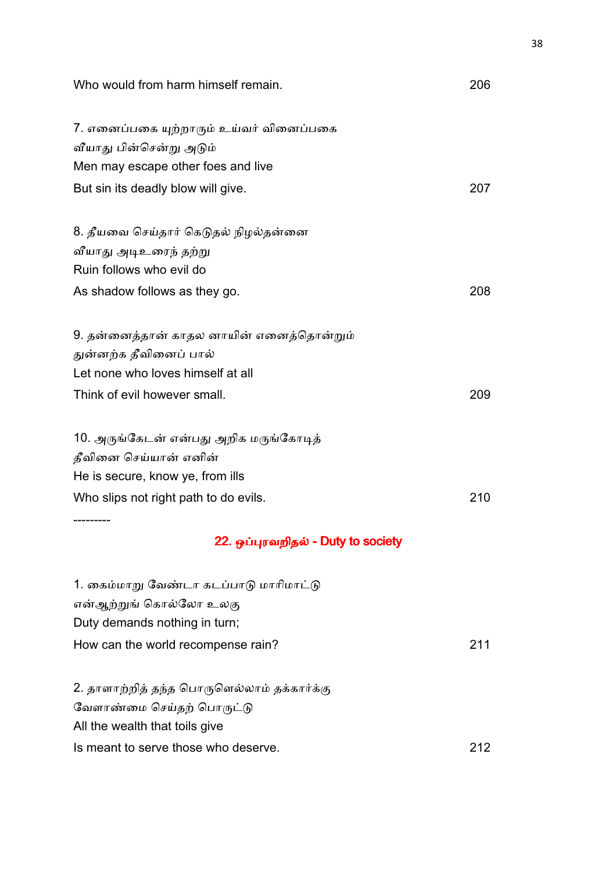| Who would from harm himself remain.         | 206 |
|---------------------------------------------|-----|
| 7. எனைப்பகை யுற்றாரும் உய்வர் வினைப்பகை     |     |
| வீயாது பின்சென்று அடும்                     |     |
| Men may escape other foes and live          |     |
| But sin its deadly blow will give.          | 207 |
| 8. தீயவை செய்தார் கெடுதல் நிழல்தன்னை        |     |
| வீயாது அடிஉரைந் தற்று                       |     |
| Ruin follows who evil do                    |     |
| As shadow follows as they go.               | 208 |
| 9. தன்னைத்தான் காதல னாயின் எனைத்தொன்றும்    |     |
| துன்னற்க தீவினைப் பால்                      |     |
| Let none who loves himself at all           |     |
| Think of evil however small.                | 209 |
| 10. அருங்கேடன் என்பது அறிக மருங்கோடித்      |     |
| தீவினை செய்யான் எனின்                       |     |
| He is secure, know ye, from ills            |     |
| Who slips not right path to do evils.       | 210 |
| 22. ஓப்புரவறிதல் - Duty to society          |     |
| 1. கைம்மாறு வேண்டா கடப்பாடு மாரிமாட்டு      |     |
| என்ஆற்றுங் கொல்லோ உலகு                      |     |
| Duty demands nothing in turn;               |     |
| How can the world recompense rain?          | 211 |
| 2. தாளாற்றித் தந்த பொருளெல்லாம் தக்கார்க்கு |     |
| வேளாண்மை செய்தற் பொருட்டு                   |     |
| All the wealth that toils give              |     |
| Is meant to serve those who deserve.        | 212 |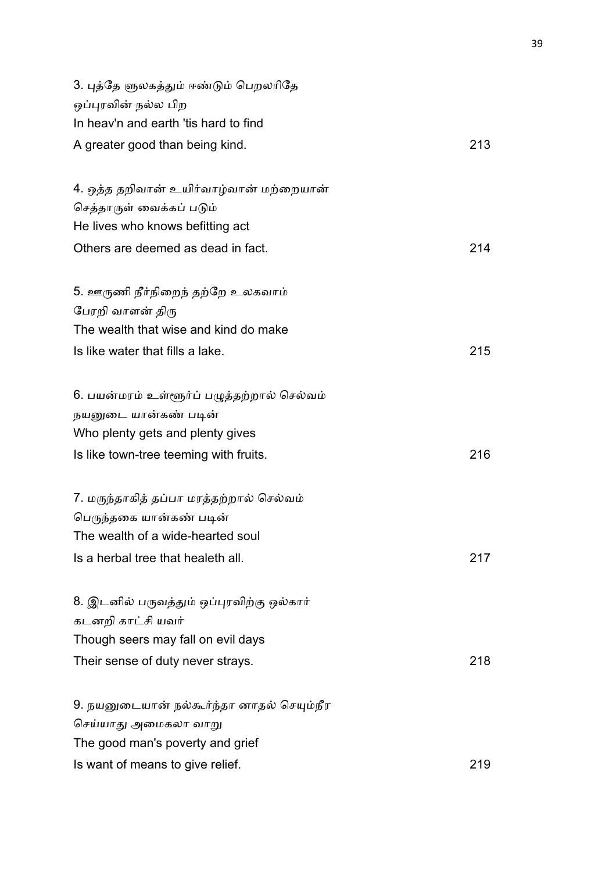| 3. புத்தே ளுலகத்தும் ஈண்டும் பெறலரிதே<br>ஒப்புரவின் நல்ல பிற |     |
|--------------------------------------------------------------|-----|
| In heav'n and earth 'tis hard to find                        |     |
| A greater good than being kind.                              | 213 |
| 4. ஒத்த தறிவான் உயிர்வாழ்வான் மற்றையான்                      |     |
| செத்தாருள் வைக்கப் படும்                                     |     |
| He lives who knows befitting act                             |     |
| Others are deemed as dead in fact.                           | 214 |
| 5. ஊருணி நீர்நிறைந் தற்றே உலகவாம்                            |     |
| பேரறி வாளன் திரு                                             |     |
| The wealth that wise and kind do make                        |     |
| Is like water that fills a lake.                             | 215 |
| 6. பயன்மரம் உள்ளூர்ப் பழுத்தற்றால் செல்வம்                   |     |
| நயனுடை யான்கண் படின்                                         |     |
| Who plenty gets and plenty gives                             |     |
| Is like town-tree teeming with fruits.                       | 216 |
| 7. மருந்தாகித் தப்பா மரத்தற்றால் செல்வம்                     |     |
| பெருந்தகை யான்கண் படின்                                      |     |
| The wealth of a wide-hearted soul                            |     |
| Is a herbal tree that healeth all.                           | 217 |
| 8. இடனில் பருவத்தும் ஒப்புரவிற்கு ஒல்கார்                    |     |
| கடனறி காட்சி யவர்                                            |     |
| Though seers may fall on evil days                           |     |
| Their sense of duty never strays.                            | 218 |
| 9. நயனுடையான் நல்கூர்ந்தா னாதல் செயும்நீர                    |     |
| செய்யாது அமைகலா வாறு                                         |     |
| The good man's poverty and grief                             |     |
| Is want of means to give relief.                             | 219 |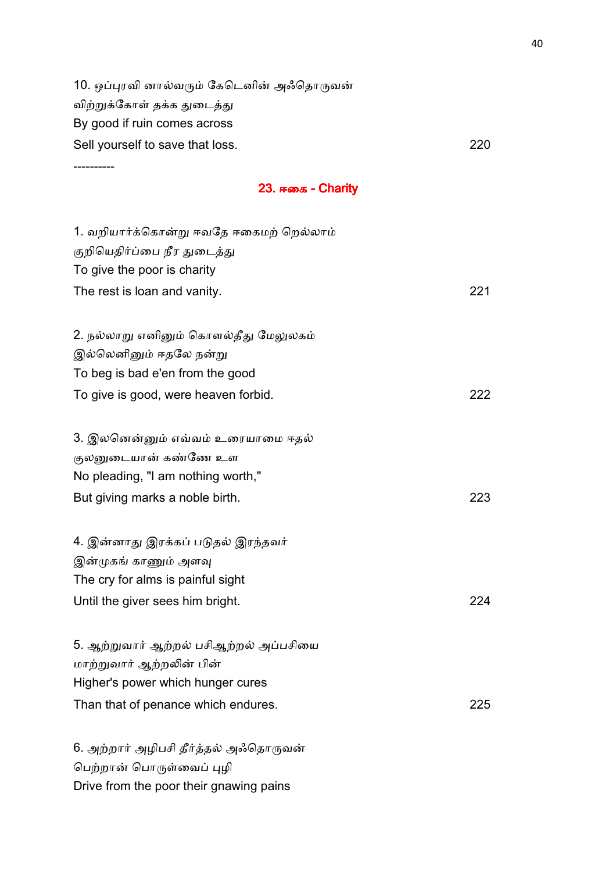10. ஒப்புரவி னால்வரும் கேடெனின் அஃதொருவன் விற்றுக்கோள் தக்க துடைத்து By good if ruin comes across Sell yourself to save that loss. 220

----------

#### 23. ஈகை - Charity

| 1. வறியார்க்கொன்று ஈவதே ஈகைமற் றெல்லாம் |     |
|-----------------------------------------|-----|
| குறியெதிர்ப்பை நீர துடைத்து             |     |
| To give the poor is charity             |     |
| The rest is loan and vanity.            | 221 |
|                                         |     |
| 2. நல்லாறு எனினும் கொளல்தீது மேலுலகம்   |     |
| இல்லெனினும் ஈதலே நன்று                  |     |
| To beg is bad e'en from the good        |     |
| To give is good, were heaven forbid.    | 222 |
|                                         |     |
| 3. இலனென்னும் எவ்வம் உரையாமை ஈதல்       |     |
| குலனுடையான் கண்ணே உள                    |     |
| No pleading, "I am nothing worth,"      |     |
| But giving marks a noble birth.         | 223 |
|                                         |     |
| 4. இன்னாது இரக்கப் படுதல் இரந்தவர்      |     |
| இன்முகங் காணும் அளவு                    |     |
| The cry for alms is painful sight       |     |
| Until the giver sees him bright.        | 224 |
|                                         |     |
| 5. ஆற்றுவார் ஆற்றல் பசிஆற்றல் அப்பசியை  |     |
| மாற்றுவார் ஆற்றலின் பின்                |     |
| Higher's power which hunger cures       |     |
| Than that of penance which endures.     | 225 |
|                                         |     |
| 6. அற்றார் அழிபசி தீர்த்தல் அஃதொருவன்   |     |

பெற்றான் பொருள்வைப் புழி

Drive from the poor their gnawing pains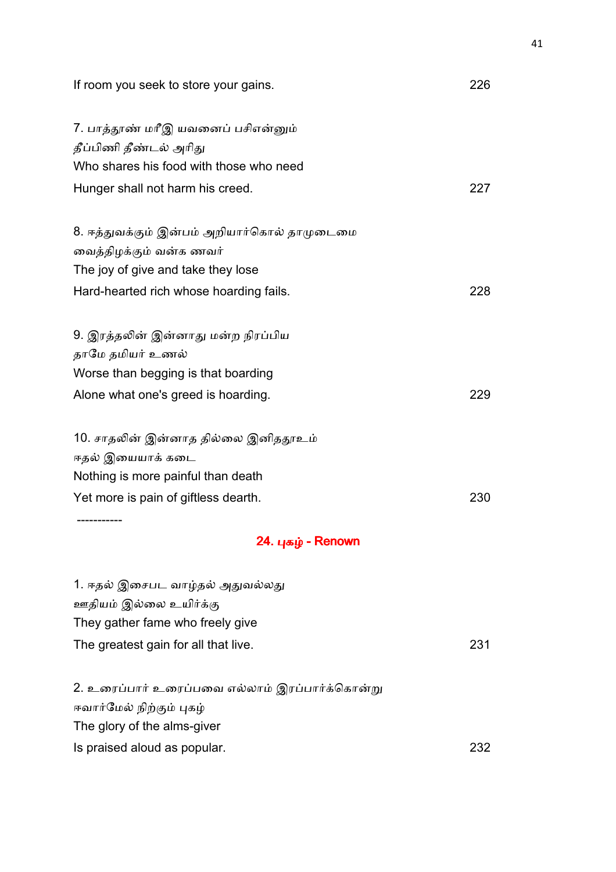| If room you seek to store your gains.                                                                                                 | 226 |
|---------------------------------------------------------------------------------------------------------------------------------------|-----|
| 7. பாத்தூண் மரீஇ யவனைப் பசிஎன்னும்<br>தீப்பிணி தீண்டல் அரிது<br>Who shares his food with those who need                               |     |
| Hunger shall not harm his creed.                                                                                                      | 227 |
| 8. ஈத்துவக்கும் இன்பம் அறியார்கொல் தாமுடைமை<br>வைத்திழக்கும் வன்க ணவர்<br>The joy of give and take they lose                          |     |
| Hard-hearted rich whose hoarding fails.                                                                                               | 228 |
| 9. இரத்தலின் இன்னாது மன்ற நிரப்பிய<br>தாமே தமியர் உணல்<br>Worse than begging is that boarding                                         |     |
| Alone what one's greed is hoarding.                                                                                                   | 229 |
| 10. சாதலின் இன்னாத தில்லை இனிததூஉம்<br>ஈதல் இயையாக் கடை<br>Nothing is more painful than death                                         |     |
| Yet more is pain of giftless dearth.                                                                                                  | 230 |
| 24. புகழ் - Renown                                                                                                                    |     |
| 1. ஈதல் இசைபட வாழ்தல் அதுவல்லது<br>ஊதியம் இல்லை உயிர்க்கு<br>They gather fame who freely give<br>The greatest gain for all that live. | 231 |
| 2. உரைப்பார் உரைப்பவை எல்லாம் இரப்பார்க்கொன்று<br>ஈவார்மேல் நிற்கும் புகழ்<br>The glory of the alms-giver                             |     |
| Is praised aloud as popular.                                                                                                          | 232 |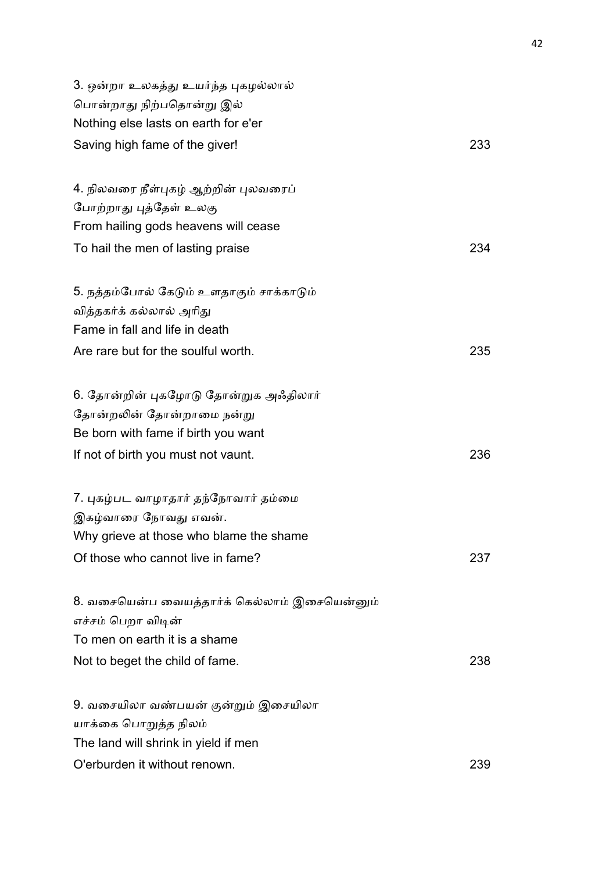| 3. ஒன்றா உலகத்து உயர்ந்த புகழல்லால்<br>பொன்றாது நிற்பதொன்று இல்<br>Nothing else lasts on earth for e'er |     |
|---------------------------------------------------------------------------------------------------------|-----|
| Saving high fame of the giver!                                                                          | 233 |
| 4. நிலவரை நீள்புகழ் ஆற்றின் புலவரைப்                                                                    |     |
| போற்றாது புத்தேள் உலகு                                                                                  |     |
| From hailing gods heavens will cease                                                                    |     |
| To hail the men of lasting praise                                                                       | 234 |
| 5. நத்தம்போல் கேடும் உளதாகும் சாக்காடும்                                                                |     |
| வித்தகர்க் கல்லால் அரிது                                                                                |     |
| Fame in fall and life in death                                                                          |     |
| Are rare but for the soulful worth.                                                                     | 235 |
| 6. தோன்றின் புகழோடு தோன்றுக அஃதிலார்                                                                    |     |
| தோன்றலின் தோன்றாமை நன்று                                                                                |     |
| Be born with fame if birth you want                                                                     |     |
| If not of birth you must not vaunt.                                                                     | 236 |
| 7. புகழ்பட வாழாதார் தந்நோவார் தம்மை                                                                     |     |
| இகழ்வாரை நோவது எவன்.                                                                                    |     |
| Why grieve at those who blame the shame                                                                 |     |
| Of those who cannot live in fame?                                                                       | 237 |
| 8. வசையென்ப வையத்தார்க் கெல்லாம் இசையென்னும்                                                            |     |
| எச்சம் பெறா விடின்                                                                                      |     |
| To men on earth it is a shame                                                                           |     |
| Not to beget the child of fame.                                                                         | 238 |
| 9. வசையிலா வண்பயன் குன்றும் இசையிலா                                                                     |     |
| யாக்கை பொறுத்த நிலம்                                                                                    |     |
| The land will shrink in yield if men                                                                    |     |
| O'erburden it without renown.                                                                           | 239 |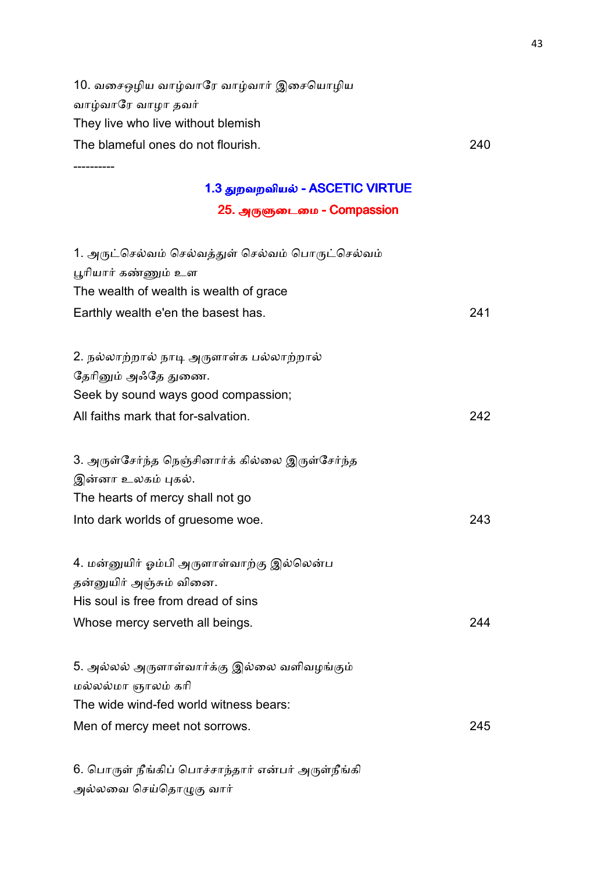10. வசைஒழிய வாழ்வாரே வாழ்வார் இசையொழிய வாழ்வாரே வாழா தவர் They live who live without blemish The blameful ones do not flourish. 240

----------

## 1.3 துறவறவியல் - ASCETIC VIRTUE

25. அருளுடைமை - Compassion

| 1. அருட்செல்வம் செல்வத்துள் செல்வம் பொருட்செல்வம்              |      |
|----------------------------------------------------------------|------|
| பூரியார் கண்ணும் உள<br>The wealth of wealth is wealth of grace |      |
|                                                                |      |
| Earthly wealth e'en the basest has.                            | 241  |
| 2. நல்லாற்றால் நாடி அருளாள்க பல்லாற்றால்                       |      |
| தேரினும் அஃதே துணை.                                            |      |
| Seek by sound ways good compassion;                            |      |
| All faiths mark that for-salvation.                            | 242. |
| 3. அருள்சேர்ந்த நெஞ்சினார்க் கில்லை இருள்சேர்ந்த               |      |
| இன்னா உலகம் புகல்.                                             |      |
| The hearts of mercy shall not go                               |      |
| Into dark worlds of gruesome woe.                              | 243  |
| 4. மன்னுயிர் ஓம்பி அருளாள்வாற்கு இல்லென்ப                      |      |
| தன்னுயிர் அஞ்சும் வினை.                                        |      |
| His soul is free from dread of sins                            |      |
| Whose mercy serveth all beings.                                | 244  |
| 5. அல்லல் அருளாள்வார்க்கு இல்லை வளிவழங்கும்                    |      |
| மல்லல்மா ஞாலம் கரி                                             |      |
| The wide wind-fed world witness bears:                         |      |
| Men of mercy meet not sorrows.                                 | 245  |
|                                                                |      |

6. பொருள் நீங்கிப் பொச்சாந்தார் என்பர் அருள்நீங்கி அல்லவை செய்தொழுகு வார்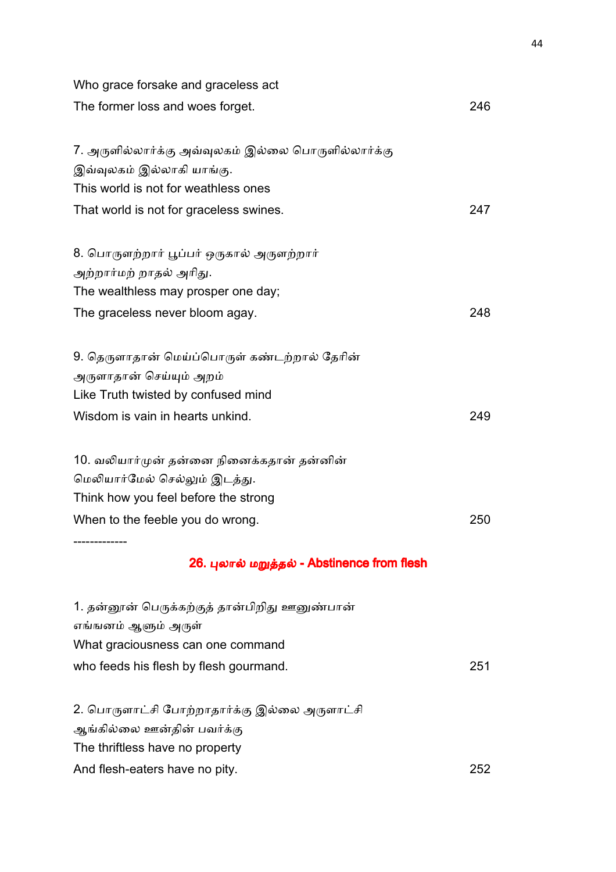| Who grace forsake and graceless act                                                                                                                    |     |
|--------------------------------------------------------------------------------------------------------------------------------------------------------|-----|
| The former loss and woes forget.                                                                                                                       | 246 |
| 7. அருளில்லார்க்கு அவ்வுலகம் இல்லை பொருளில்லார்க்கு<br>இவ்வுலகம் இல்லாகி யாங்கு.<br>This world is not for weathless ones                               |     |
| That world is not for graceless swines.                                                                                                                | 247 |
| 8. பொருளற்றார் பூப்பர் ஒருகால் அருளற்றார்<br>அற்றார்மற் றாதல் அரிது.<br>The wealthless may prosper one day;                                            |     |
| The graceless never bloom agay.                                                                                                                        | 248 |
| 9. தெருளாதான் மெய்ப்பொருள் கண்டற்றால் தேரின்<br>அருளாதான் செய்யும் அறம்<br>Like Truth twisted by confused mind<br>Wisdom is vain in hearts unkind.     | 249 |
|                                                                                                                                                        |     |
| 10. வலியார்முன் தன்னை நினைக்கதான் தன்னின்<br>மெலியார்மேல் செல்லும் இடத்து.<br>Think how you feel before the strong<br>When to the feeble you do wrong. | 250 |
| 26. புலால் மறுத்தல் - Abstinence from flesh                                                                                                            |     |
| 1. தன்னூன் பெருக்கற்குத் தான்பிறிது ஊனுண்பான்<br>எங்ஙனம் ஆளும் அருள்<br>What graciousness can one command<br>who feeds his flesh by flesh gourmand.    | 251 |
| 2. பொருளாட்சி போற்றாதார்க்கு இல்லை அருளாட்சி<br>ஆங்கில்லை ஊன்தின் பவர்க்கு<br>The thriftless have no property<br>And flesh-eaters have no pity.        | 252 |
|                                                                                                                                                        |     |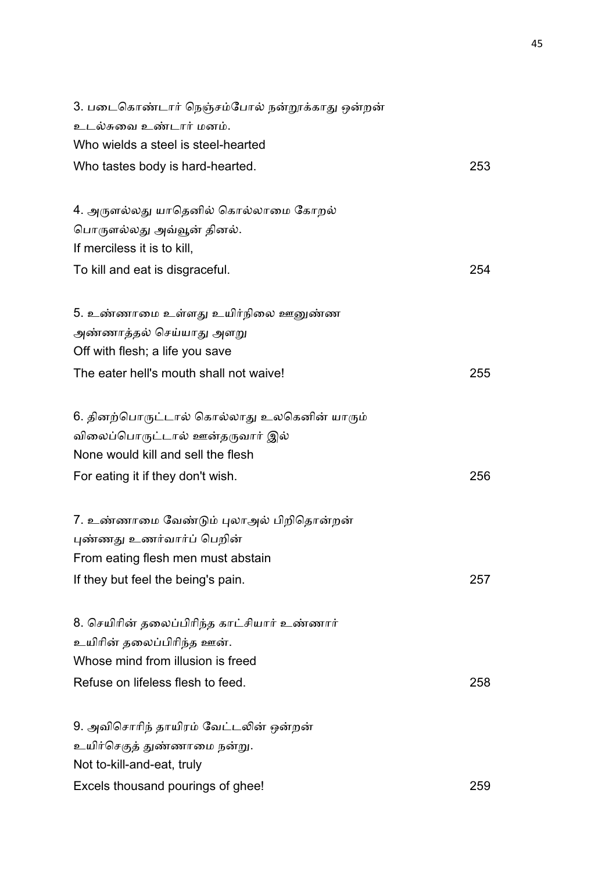| 3. படைகொண்டார் நெஞ்சம்போல் நன்றூக்காது ஒன்றன் |     |
|-----------------------------------------------|-----|
| உடல்சுவை உண்டார் மனம்.                        |     |
| Who wields a steel is steel-hearted           |     |
| Who tastes body is hard-hearted.              | 253 |
| 4. அருளல்லது யாதெனில் கொல்லாமை கோறல்          |     |
| பொருளல்லது அவ்வூன் தினல்.                     |     |
| If merciless it is to kill,                   |     |
| To kill and eat is disgraceful.               | 254 |
| 5. உண்ணாமை உள்ளது உயிர்நிலை ஊனுண்ண            |     |
| அண்ணாத்தல் செய்யாது அளறு                      |     |
| Off with flesh; a life you save               |     |
| The eater hell's mouth shall not waive!       | 255 |
| 6. தினற்பொருட்டால் கொல்லாது உலகெனின் யாரும்   |     |
| விலைப்பொருட்டால் ஊன்தருவார் இல்               |     |
| None would kill and sell the flesh            |     |
| For eating it if they don't wish.             | 256 |
| 7. உண்ணாமை வேண்டும் புலாஅல் பிறிதொன்றன்       |     |
| புண்ணது உணர்வார்ப் பெறின்                     |     |
| From eating flesh men must abstain            |     |
| If they but feel the being's pain.            | 257 |
| 8. செயிரின் தலைப்பிரிந்த காட்சியார் உண்ணார்   |     |
| உயிரின் தலைப்பிரிந்த ஊன்.                     |     |
| Whose mind from illusion is freed             |     |
| Refuse on lifeless flesh to feed.             | 258 |
| 9. அவிசொரிந் தாயிரம் வேட்டலின் ஒன்றன்         |     |
| உயிர்செகுத் துண்ணாமை நன்று.                   |     |
| Not to-kill-and-eat, truly                    |     |
| Excels thousand pourings of ghee!             | 259 |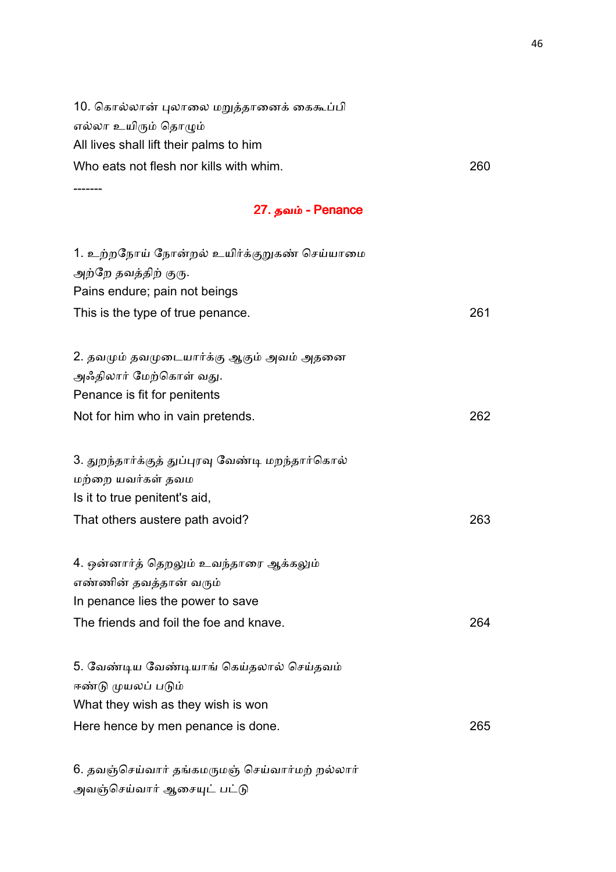| Who eats not flesh nor kills with whim.  | 260 |
|------------------------------------------|-----|
| All lives shall lift their palms to him  |     |
| எல்லா உயிரும் தொழும்                     |     |
| 10. கொல்லான் புலாலை மறுத்தானைக் கைகூப்பி |     |

# 27. தவம் - Penance

| 1. உற்றநோய் நோன்றல் உயிர்க்குறுகண் செய்யாமை<br>அற்றே தவத்திற் குரு. |     |
|---------------------------------------------------------------------|-----|
| Pains endure; pain not beings                                       |     |
| This is the type of true penance.                                   | 261 |
|                                                                     |     |
| 2. தவமும் தவமுடையார்க்கு ஆகும் அவம் அதனை                            |     |
| அஃதிலார் மேற்கொள் வது.                                              |     |
| Penance is fit for penitents                                        |     |
| Not for him who in vain pretends.                                   | 262 |
|                                                                     |     |
| 3. துறந்தார்க்குத் துப்புரவு வேண்டி மறந்தார்கொல்                    |     |
| மற்றை யவர்கள் தவம                                                   |     |
| Is it to true penitent's aid,                                       |     |
| That others austere path avoid?                                     | 263 |
|                                                                     |     |
| 4. ஒன்னார்த் தெறலும் உவந்தாரை ஆக்கலும்                              |     |
| எண்ணின் தவத்தான் வரும்                                              |     |
| In penance lies the power to save                                   |     |
| The friends and foil the foe and knave.                             | 264 |
|                                                                     |     |
| 5. வேண்டிய வேண்டியாங் கெய்தலால் செய்தவம்                            |     |
| ஈண்டு முயலப் படும்                                                  |     |
| What they wish as they wish is won                                  |     |
| Here hence by men penance is done.                                  | 265 |
|                                                                     |     |
|                                                                     |     |

6. தவஞ்செய்வார் தங்கமருமஞ் செய்வார்மற் றல்லார் அவஞ்செய்வார் ஆசையுட் பட்டு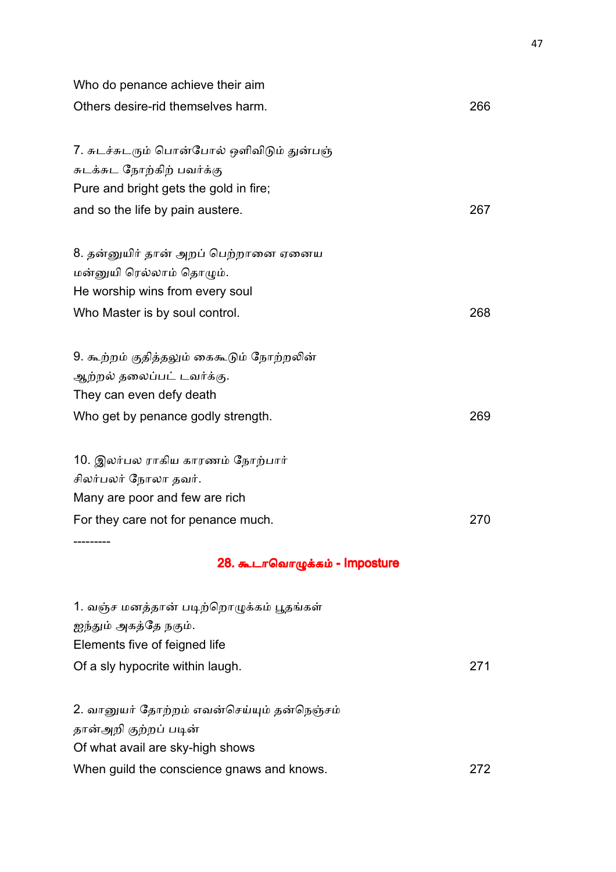| Who do penance achieve their aim                                         |     |
|--------------------------------------------------------------------------|-----|
| Others desire-rid themselves harm.                                       | 266 |
| 7. சுடச்சுடரும் பொன்போல் ஒளிவிடும் துன்பஞ்<br>சுடக்சுட நோற்கிற் பவர்க்கு |     |
| Pure and bright gets the gold in fire;                                   |     |
| and so the life by pain austere.                                         | 267 |
| 8. தன்னுயிர் தான் அறப் பெற்றானை ஏனைய                                     |     |
| மன்னுயி ரெல்லாம் தொழும்.                                                 |     |
| He worship wins from every soul                                          |     |
| Who Master is by soul control.                                           | 268 |
| 9. கூற்றம் குதித்தலும் கைகூடும் நோற்றலின்                                |     |
| ஆற்றல் தலைப்பட் டவர்க்கு.                                                |     |
| They can even defy death                                                 |     |
| Who get by penance godly strength.                                       | 269 |
| 10. இலர்பல ராகிய காரணம் நோற்பார்                                         |     |
| சிலர்பலர் நோலா தவர்.                                                     |     |
| Many are poor and few are rich                                           |     |
| For they care not for penance much.                                      | 270 |
| 28. கூடாவொழுக்கம் - Imposture                                            |     |
| 1. வஞ்ச மனத்தான் படிற்றொழுக்கம் பூதங்கள்                                 |     |
| ஐந்தும் அகத்தே நகும்.<br>Elements five of feigned life                   |     |
| Of a sly hypocrite within laugh.                                         | 271 |
| 2. வானுயர் தோற்றம் எவன்செய்யும் தன்நெஞ்சம்                               |     |
| தான்அறி குற்றப் படின்                                                    |     |
| Of what avail are sky-high shows                                         |     |
| When guild the conscience gnaws and knows.                               | 272 |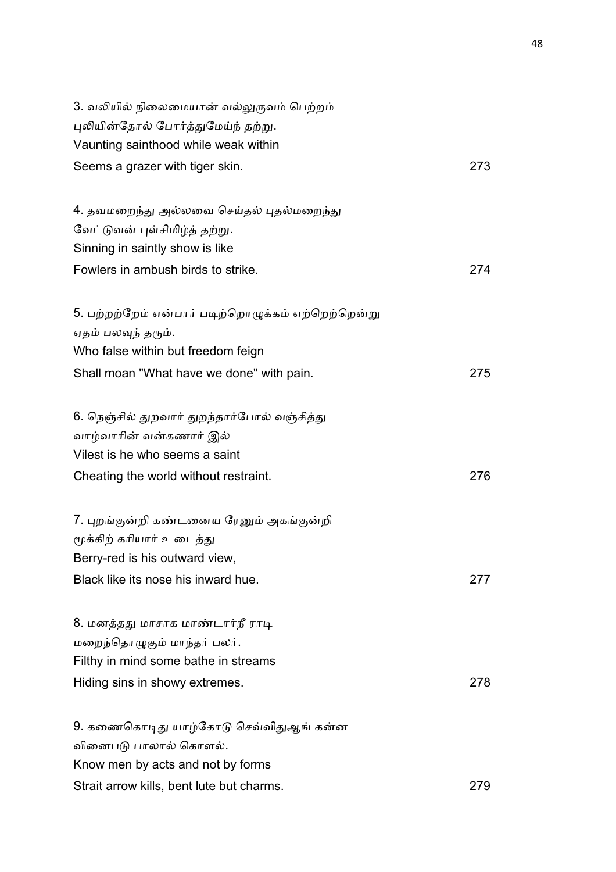| 3. வலியில் நிலைமையான் வல்லுருவம் பெற்றம்           |     |
|----------------------------------------------------|-----|
| புலியின்தோல் போர்த்துமேய்ந் தற்று.                 |     |
| Vaunting sainthood while weak within               |     |
| Seems a grazer with tiger skin.                    | 273 |
| 4. தவமறைந்து அல்லவை செய்தல் புதல்மறைந்து           |     |
| வேட்டுவன் புள்சிமிழ்த் தற்று.                      |     |
| Sinning in saintly show is like                    |     |
| Fowlers in ambush birds to strike.                 | 274 |
| 5. பற்றற்றேம் என்பார் படிற்றொழுக்கம் எற்றெற்றென்று |     |
| ஏதம் பலவுந் தரும்.                                 |     |
| Who false within but freedom feign                 |     |
| Shall moan "What have we done" with pain.          | 275 |
| 6. நெஞ்சில் துறவார் துறந்தார்போல் வஞ்சித்து        |     |
| வாழ்வாரின் வன்கணார் இல்                            |     |
| Vilest is he who seems a saint                     |     |
| Cheating the world without restraint.              | 276 |
| 7. புறங்குன்றி கண்டனைய ரேனும் அகங்குன்றி           |     |
| மூக்கிற் கரியார் உடைத்து                           |     |
| Berry-red is his outward view,                     |     |
| Black like its nose his inward hue.                | 277 |
| 8. மனத்தது மாசாக மாண்டார்நீ ராடி                   |     |
| மறைந்தொழுகும் மாந்தர் பலர்.                        |     |
| Filthy in mind some bathe in streams               |     |
| Hiding sins in showy extremes.                     | 278 |
| 9. கணைகொடிது யாழ்கோடு செவ்விதுஆங் கன்ன             |     |
| வினைபடு பாலால் கொளல்.                              |     |
| Know men by acts and not by forms                  |     |
| Strait arrow kills, bent lute but charms.          | 279 |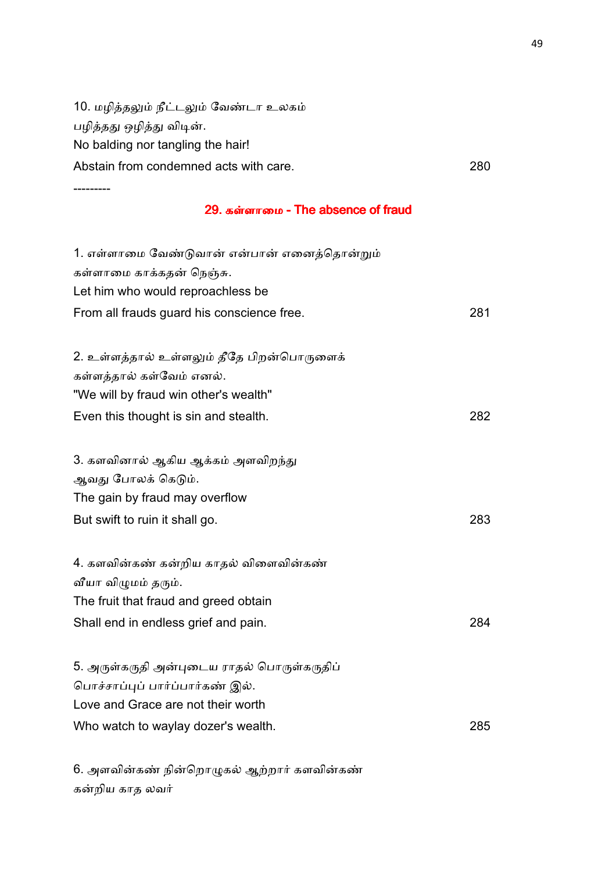10. மழித்தலும் நீட்டலும் வேண்டா உலகம் பழித்தது ஒழித்து விடின். No balding nor tangling the hair! Abstain from condemned acts with care.<br>
280 ---------

#### 29. கள்ளாமை - The absence of fraud

| 1. எள்ளாமை வேண்டுவான் என்பான் எனைத்தொன்றும்<br>கள்ளாமை காக்கதன் நெஞ்சு.<br>Let him who would reproachless be<br>From all frauds guard his conscience free. | 281 |
|------------------------------------------------------------------------------------------------------------------------------------------------------------|-----|
| 2. உள்ளத்தால் உள்ளலும் தீதே பிறன்பொருளைக்<br>கள்ளத்தால் கள்வேம் எனல்.<br>"We will by fraud win other's wealth"<br>Even this thought is sin and stealth.    | 282 |
| 3. களவினால் ஆகிய ஆக்கம் அளவிறந்து<br>ஆவது போலக் கெடும்.<br>The gain by fraud may overflow<br>But swift to ruin it shall go.                                | 283 |
| 4. களவின்கண் கன்றிய காதல் விளைவின்கண்<br>வீயா விழுமம் தரும்.<br>The fruit that fraud and greed obtain<br>Shall end in endless grief and pain.              | 284 |
| 5. அருள்கருதி அன்புடைய ராதல் பொருள்கருதிப்<br>பொச்சாப்புப் பார்ப்பார்கண் இல்.<br>Love and Grace are not their worth<br>Who watch to waylay dozer's wealth. | 285 |

6. அளவின்கண் நின்றொழுகல் ஆற்றார் களவின்கண் கறிய காத லவ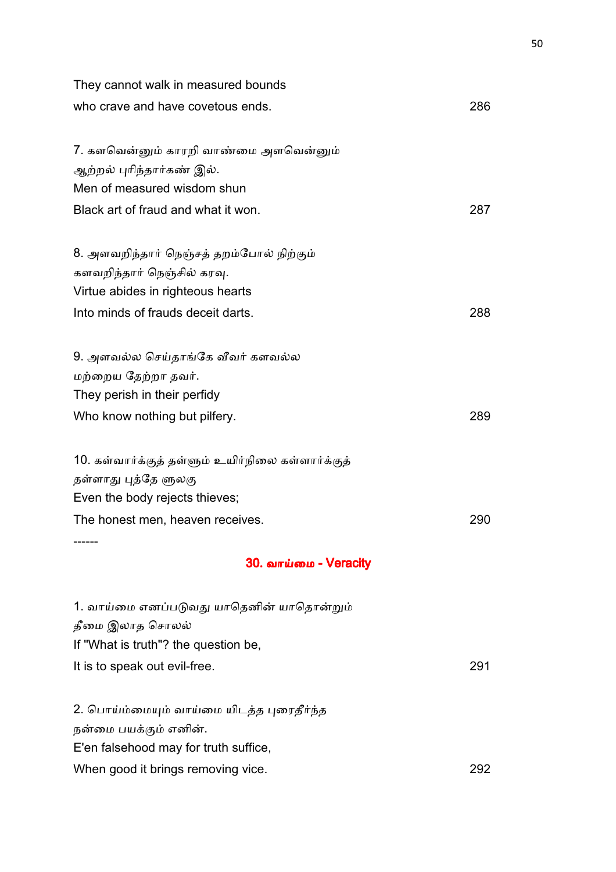| They cannot walk in measured bounds               |     |
|---------------------------------------------------|-----|
| who crave and have covetous ends.                 | 286 |
| 7. களவென்னும் காரறி வாண்மை அளவென்னும்             |     |
| ஆற்றல் புரிந்தார்கண் இல்.                         |     |
| Men of measured wisdom shun                       |     |
| Black art of fraud and what it won.               | 287 |
| 8. அளவறிந்தார் நெஞ்சத் தறம்போல் நிற்கும்          |     |
| களவறிந்தார் நெஞ்சில் கரவு.                        |     |
| Virtue abides in righteous hearts                 |     |
| Into minds of frauds deceit darts.                | 288 |
| 9. அளவல்ல செய்தாங்கே வீவர் களவல்ல                 |     |
| மற்றைய தேற்றா தவர்.                               |     |
| They perish in their perfidy                      |     |
| Who know nothing but pilfery.                     | 289 |
| 10. கள்வார்க்குத் தள்ளும் உயிர்நிலை கள்ளார்க்குத் |     |
| தள்ளாது புத்தே ளுலகு                              |     |
| Even the body rejects thieves;                    |     |
| The honest men, heaven receives.                  | 290 |
| 30. வாய்மை - Veracity                             |     |
| 1. வாய்மை எனப்படுவது யாதெனின் யாதொன்றும்          |     |
| தீமை இலாத சொலல்                                   |     |
| If "What is truth"? the question be,              |     |
| It is to speak out evil-free.                     | 291 |
| 2. பொய்ம்மையும் வாய்மை யிடத்த புரைதீர்ந்த         |     |
| நன்மை பயக்கும் எனின்.                             |     |
| E'en falsehood may for truth suffice,             |     |
| When good it brings removing vice.                | 292 |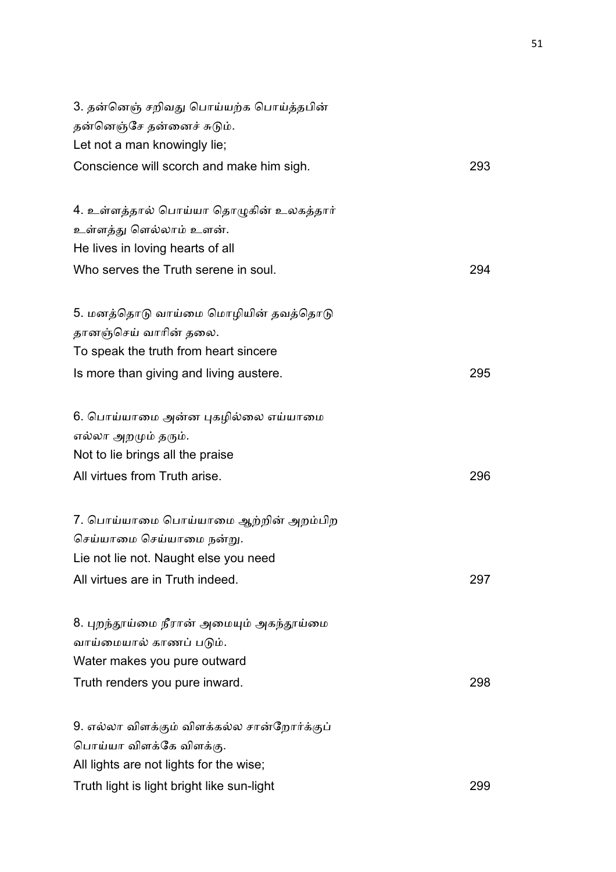| 3. தன்னெஞ் சறிவது பொய்யற்க பொய்த்தபின்      |     |
|---------------------------------------------|-----|
| தன்னெஞ்சே தன்னைச் சுடும்.                   |     |
| Let not a man knowingly lie;                |     |
| Conscience will scorch and make him sigh.   | 293 |
| 4. உள்ளத்தால் பொய்யா தொழுகின் உலகத்தார்     |     |
| உள்ளத்து ளெல்லாம் உளன்.                     |     |
| He lives in loving hearts of all            |     |
| Who serves the Truth serene in soul.        | 294 |
| 5. மனத்தொடு வாய்மை மொழியின் தவத்தொடு        |     |
| தானஞ்செய் வாரின் தலை.                       |     |
| To speak the truth from heart sincere       |     |
| Is more than giving and living austere.     | 295 |
| 6. பொய்யாமை அன்ன புகழில்லை எய்யாமை          |     |
| எல்லா அறமும் தரும்.                         |     |
| Not to lie brings all the praise            |     |
| All virtues from Truth arise.               | 296 |
| 7. பொய்யாமை பொய்யாமை ஆற்றின் அறம்பிற        |     |
| செய்யாமை செய்யாமை நன்று.                    |     |
| Lie not lie not. Naught else you need       |     |
| All virtues are in Truth indeed.            | 297 |
| 8. புறந்தூய்மை நீரான் அமையும் அகந்தூய்மை    |     |
| வாய்மையால் காணப் படும்.                     |     |
| Water makes you pure outward                |     |
| Truth renders you pure inward.              | 298 |
| 9. எல்லா விளக்கும் விளக்கல்ல சான்றோர்க்குப் |     |
| பொய்யா விளக்கே விளக்கு.                     |     |
| All lights are not lights for the wise;     |     |
| Truth light is light bright like sun-light  | 299 |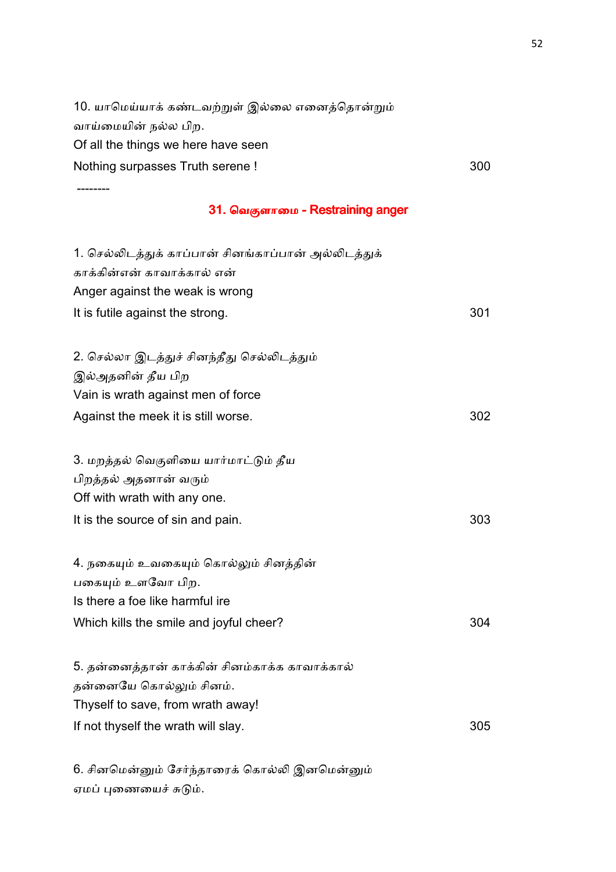10. யாமெய்யாக் கண்டவற்றுள் இல்லை எனைத்தொன்றும் வாய்மையின் நல்ல பிற. Of all the things we here have seen Nothing surpasses Truth serene ! 300 --------

#### 31. வெகுளாமை - Restraining anger

| 1. செல்லிடத்துக் காப்பான் சினங்காப்பான் அல்லிடத்துக்<br>காக்கின்என் காவாக்கால் என்<br>Anger against the weak is wrong<br>It is futile against the strong. | 301 |
|-----------------------------------------------------------------------------------------------------------------------------------------------------------|-----|
| 2. செல்லா இடத்துச் சினந்தீது செல்லிடத்தும்<br>இல்அதனின் தீய பிற                                                                                           |     |
| Vain is wrath against men of force<br>Against the meek it is still worse.                                                                                 | 302 |
| 3. மறத்தல் வெகுளியை யார்மாட்டும் தீய<br>பிறத்தல் அதனான் வரும்<br>Off with wrath with any one.<br>It is the source of sin and pain.                        | 303 |
| 4. நகையும் உவகையும் கொல்லும் சினத்தின்<br>பகையும் உளவோ பிற.<br>Is there a foe like harmful ire<br>Which kills the smile and joyful cheer?                 | 304 |
| 5. தன்னைத்தான் காக்கின் சினம்காக்க காவாக்கால்<br>தன்னையே கொல்லும் சினம்.<br>Thyself to save, from wrath away!<br>If not thyself the wrath will slay.      | 305 |

6. சினமென்னும் சேர்ந்தாரைக் கொல்லி இனமென்னும் ஏமப் புணையைச் சுடும்.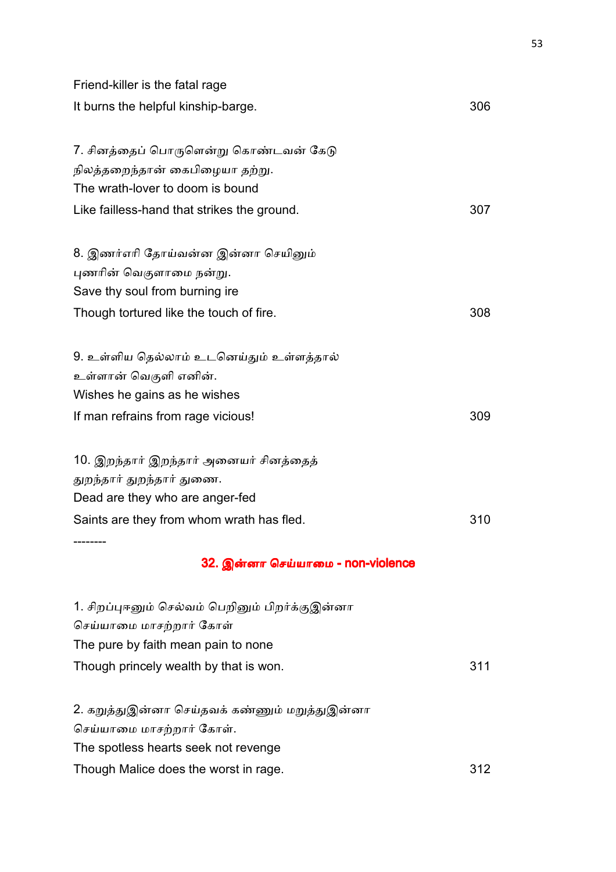| Friend-killer is the fatal rage                 |     |
|-------------------------------------------------|-----|
| It burns the helpful kinship-barge.             | 306 |
| 7. சினத்தைப் பொருளென்று கொண்டவன் கேடு           |     |
| நிலத்தறைந்தான் கைபிழையா தற்று.                  |     |
| The wrath-lover to doom is bound                |     |
| Like failless-hand that strikes the ground.     | 307 |
| 8. இணர்எரி தோய்வன்ன இன்னா செயினும்              |     |
| புணரின் வெகுளாமை நன்று.                         |     |
| Save thy soul from burning ire                  |     |
| Though tortured like the touch of fire.         | 308 |
| 9. உள்ளிய தெல்லாம் உடனெய்தும் உள்ளத்தால்        |     |
| உள்ளான் வெகுளி எனின்.                           |     |
| Wishes he gains as he wishes                    |     |
| If man refrains from rage vicious!              | 309 |
| 10. இறந்தார் இறந்தார் அனையர் சினத்தைத்          |     |
| துறந்தார் துறந்தார் துணை.                       |     |
| Dead are they who are anger-fed                 |     |
| Saints are they from whom wrath has fled.       | 310 |
|                                                 |     |
| 32. இன்னா செய்யாமை - non-violence               |     |
| 1. சிறப்புஈனும் செல்வம் பெறினும் பிறர்க்குஇன்னா |     |
| செய்யாமை மாசற்றார் கோள்                         |     |
| The pure by faith mean pain to none             |     |
| Though princely wealth by that is won.          | 311 |
| 2. கறுத்துஇன்னா செய்தவக் கண்ணும் மறுத்துஇன்னா   |     |
| செய்யாமை மாசற்றார் கோள்.                        |     |
| The spotless hearts seek not revenge            |     |
| Though Malice does the worst in rage.           | 312 |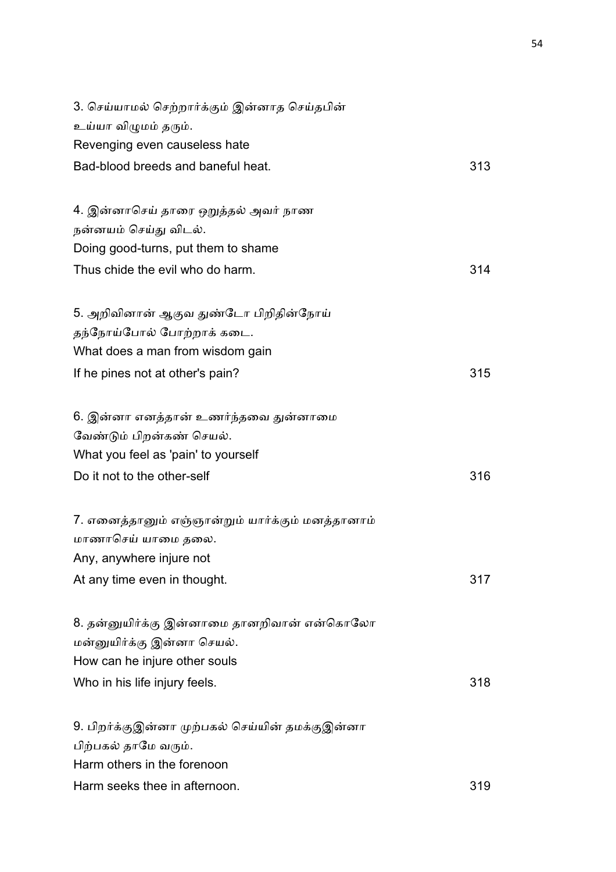| 3. செய்யாமல் செற்றார்க்கும் இன்னாத செய்தபின்     |     |
|--------------------------------------------------|-----|
| உய்யா விழுமம் தரும்.                             |     |
| Revenging even causeless hate                    |     |
| Bad-blood breeds and baneful heat.               | 313 |
| 4. இன்னாசெய் தாரை ஒறுத்தல் அவர் நாண              |     |
| நன்னயம் செய்து விடல்.                            |     |
| Doing good-turns, put them to shame              |     |
| Thus chide the evil who do harm.                 | 314 |
| 5. அறிவினான் ஆகுவ துண்டோ பிறிதின்நோய்            |     |
| தந்நோய்போல் போற்றாக் கடை.                        |     |
| What does a man from wisdom gain                 |     |
| If he pines not at other's pain?                 | 315 |
| 6. இன்னா எனத்தான் உணர்ந்தவை துன்னாமை             |     |
| வேண்டும் பிறன்கண் செயல்.                         |     |
| What you feel as 'pain' to yourself              |     |
| Do it not to the other-self                      | 316 |
| 7. எனைத்தானும் எஞ்ஞான்றும் யார்க்கும் மனத்தானாம் |     |
| மாணாசெய் யாமை தலை.                               |     |
| Any, anywhere injure not                         |     |
| At any time even in thought.                     | 317 |
| 8. தன்னுயிர்க்கு இன்னாமை தானறிவான் என்கொலோ       |     |
| மன்னுயிர்க்கு இன்னா செயல்.                       |     |
| How can he injure other souls                    |     |
| Who in his life injury feels.                    | 318 |
| 9. பிறர்க்குஇன்னா முற்பகல் செய்யின் தமக்குஇன்னா  |     |
| பிற்பகல் தாமே வரும்.                             |     |
| Harm others in the forenoon                      |     |
| Harm seeks thee in afternoon.                    | 319 |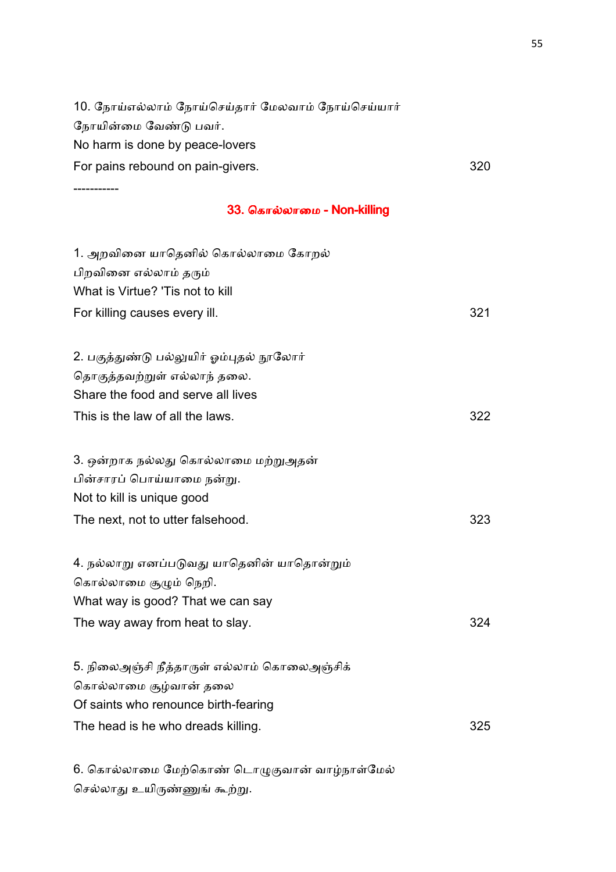10. நோய்எல்லாம் நோய்செய்தார் மேலவாம் நோய்செய்யார் நோயின்மை வேண்டு பவர். No harm is done by peace-lovers For pains rebound on pain-givers. The state of the state of the state of the state of the state of the state of the state of the state of the state of the state of the state of the state of the state of the state of the st -----------

### 33. கொல்லாமை - Non-killing

| 1. அறவினை யாதெனில் கொல்லாமை கோறல்           |     |
|---------------------------------------------|-----|
| பிறவினை எல்லாம் தரும்                       |     |
| What is Virtue? 'Tis not to kill            |     |
| For killing causes every ill.               | 321 |
| 2. பகுத்துண்டு பல்லுயிர் ஓம்புதல் நூலோர்    |     |
| தொகுத்தவற்றுள் எல்லாந் தலை.                 |     |
| Share the food and serve all lives          |     |
| This is the law of all the laws.            | 322 |
| 3. ஒன்றாக நல்லது கொல்லாமை மற்றுஅதன்         |     |
| பின்சாரப் பொய்யாமை நன்று.                   |     |
| Not to kill is unique good                  |     |
| The next, not to utter falsehood.           | 323 |
| 4. நல்லாறு எனப்படுவது யாதெனின் யாதொன்றும்   |     |
| கொல்லாமை சூழும் நெறி.                       |     |
| What way is good? That we can say           |     |
| The way away from heat to slay.             | 324 |
| 5. நிலைஅஞ்சி நீத்தாருள் எல்லாம் கொலைஅஞ்சிக் |     |
| கொல்லாமை சூழ்வான் தலை                       |     |
| Of saints who renounce birth-fearing        |     |
| The head is he who dreads killing.          | 325 |
|                                             |     |

6. கொல்லாமை மேற்கொண் டொழுகுவான் வாழ்நாள்மேல் செல்லாது உயிருண்ணுங் கூற்று.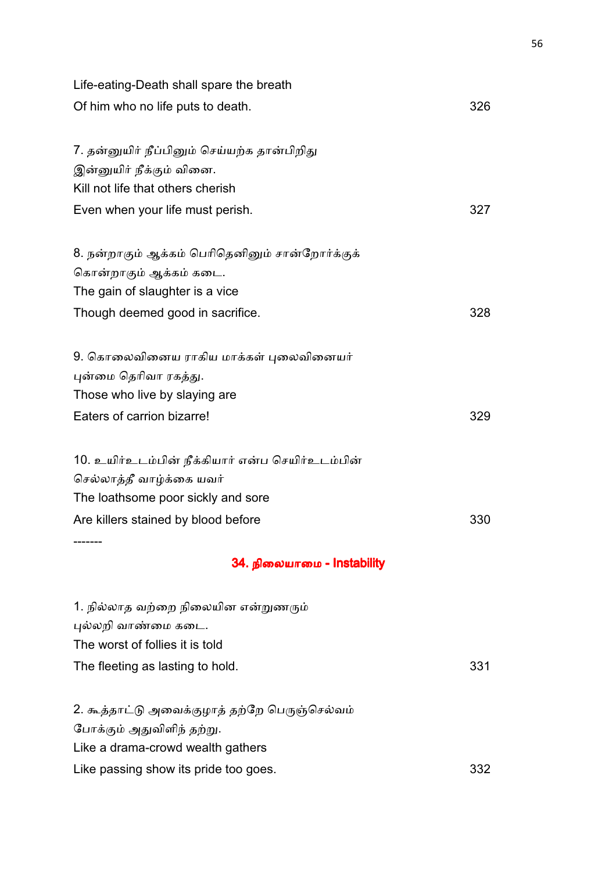| Life-eating-Death shall spare the breath         |     |
|--------------------------------------------------|-----|
| Of him who no life puts to death.                | 326 |
| 7. தன்னுயிர் நீப்பினும் செய்யற்க தான்பிறிது      |     |
| இன்னுயிர் நீக்கும் வினை.                         |     |
| Kill not life that others cherish                |     |
| Even when your life must perish.                 | 327 |
| 8. நன்றாகும் ஆக்கம் பெரிதெனினும் சான்றோர்க்குக்  |     |
| கொன்றாகும் ஆக்கம் கடை.                           |     |
| The gain of slaughter is a vice                  |     |
| Though deemed good in sacrifice.                 | 328 |
| 9. கொலைவினைய ராகிய மாக்கள் புலைவினையர்           |     |
| புன்மை தெரிவா ரகத்து.                            |     |
| Those who live by slaying are                    |     |
| Eaters of carrion bizarre!                       | 329 |
| 10. உயிர்உடம்பின் நீக்கியார் என்ப செயிர்உடம்பின் |     |
| செல்லாத்தீ வாழ்க்கை யவர்                         |     |
| The loathsome poor sickly and sore               |     |
| Are killers stained by blood before              | 330 |
| 34. நிலையாமை - Instability                       |     |
| 1. நில்லாத வற்றை நிலையின என்றுணரும்              |     |
| புல்லறி வாண்மை கடை.                              |     |
| The worst of follies it is told                  |     |
| The fleeting as lasting to hold.                 | 331 |
| 2. கூத்தாட்டு அவைக்குழாத் தற்றே பெருஞ்செல்வம்    |     |
| போக்கும் அதுவிளிந் தற்று.                        |     |
| Like a drama-crowd wealth gathers                |     |
| Like passing show its pride too goes.            | 332 |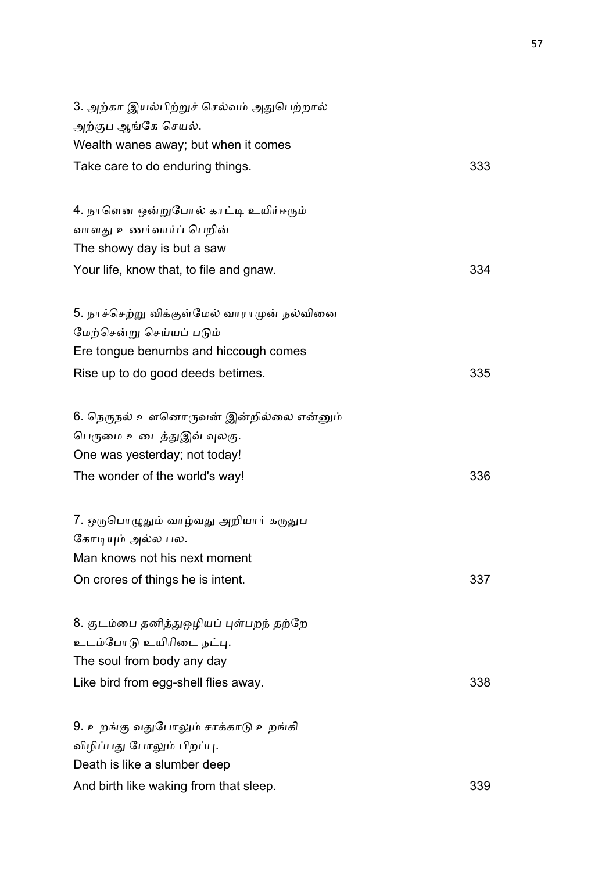| 3. அற்கா இயல்பிற்றுச் செல்வம் அதுபெற்றால்   |     |
|---------------------------------------------|-----|
| அற்குப ஆங்கே செயல்.                         |     |
| Wealth wanes away; but when it comes        |     |
| Take care to do enduring things.            | 333 |
| 4. நாளென ஒன்றுபோல் காட்டி உயிர்ஈரும்        |     |
| வாளது உணர்வார்ப் பெறின்                     |     |
| The showy day is but a saw                  |     |
| Your life, know that, to file and gnaw.     | 334 |
| 5. நாச்செற்று விக்குள்மேல் வாராமுன் நல்வினை |     |
| மேற்சென்று செய்யப் படும்                    |     |
| Ere tongue benumbs and hiccough comes       |     |
| Rise up to do good deeds betimes.           | 335 |
| 6. நெருநல் உளனொருவன் இன்றில்லை என்னும்      |     |
| பெருமை உடைத்துஇவ் வுலகு.                    |     |
| One was yesterday; not today!               |     |
| The wonder of the world's way!              | 336 |
| 7. ஒருபொழுதும் வாழ்வது அறியார் கருதுப       |     |
| கோடியும் அல்ல பல.                           |     |
| Man knows not his next moment               |     |
| On crores of things he is intent.           | 337 |
| 8. குடம்பை தனித்துஒழியப் புள்பறந் தற்றே     |     |
| உடம்போடு உயிரிடை நட்பு.                     |     |
| The soul from body any day                  |     |
| Like bird from egg-shell flies away.        | 338 |
| 9. உறங்கு வதுபோலும் சாக்காடு உறங்கி         |     |
| விழிப்பது போலும் பிறப்பு.                   |     |
| Death is like a slumber deep                |     |
| And birth like waking from that sleep.      | 339 |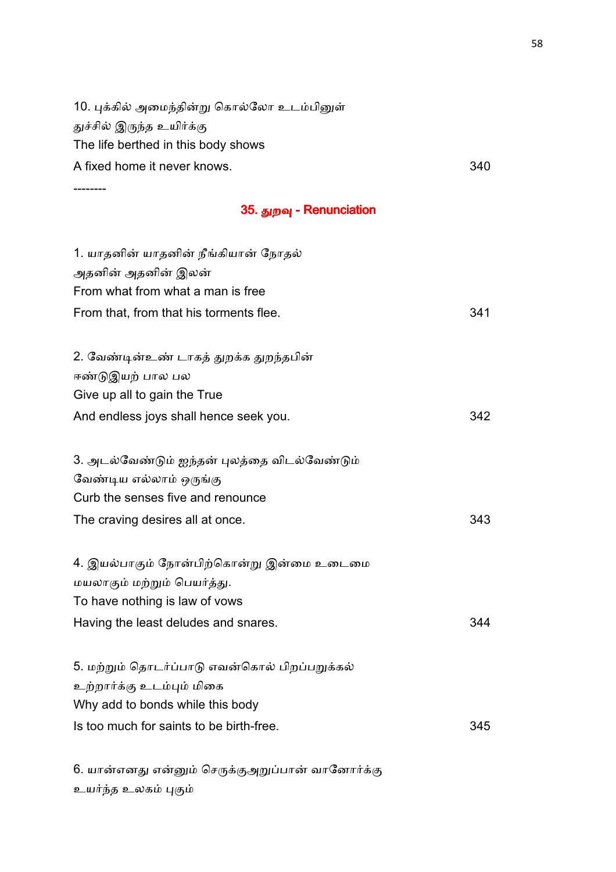| துச்சில் இருந்த உயிர்க்கு                     |     |
|-----------------------------------------------|-----|
| The life berthed in this body shows           |     |
| A fixed home it never knows.                  | 340 |
|                                               |     |
| 35. துறவு - Renunciation                      |     |
| 1. யாதனின் யாதனின் நீங்கியான் நோதல்           |     |
| அதனின் அதனின் இலன்                            |     |
| From what from what a man is free             |     |
| From that, from that his torments flee.       | 341 |
| 2. வேண்டின்உண் டாகத் துறக்க துறந்தபின்        |     |
| ஈண்டுஇயற் பால பல                              |     |
| Give up all to gain the True                  |     |
| And endless joys shall hence seek you.        | 342 |
| 3. அடல்வேண்டும் ஐந்தன் புலத்தை விடல்வேண்டும்  |     |
| வேண்டிய எல்லாம் ஒருங்கு                       |     |
| Curb the senses five and renounce             |     |
| The craving desires all at once.              | 343 |
| 4. இயல்பாகும் நோன்பிற்கொன்று இன்மை உடைமை      |     |
| மயலாகும் மற்றும் பெயர்த்து.                   |     |
| To have nothing is law of vows                |     |
| Having the least deludes and snares.          | 344 |
| 5. மற்றும் தொடர்ப்பாடு எவன்கொல் பிறப்பறுக்கல் |     |
| உற்றார்க்கு உடம்பும் மிகை                     |     |
| Why add to bonds while this body              |     |
| Is too much for saints to be birth-free.      | 345 |
|                                               |     |

10. புக்கில் அமைந்தின்று கொல்லோ உடம்பினுள்

6. யான்எனது என்னும் செருக்குஅறுப்பான் வானோர்க்கு உயர்ந்த உலகம் புகும்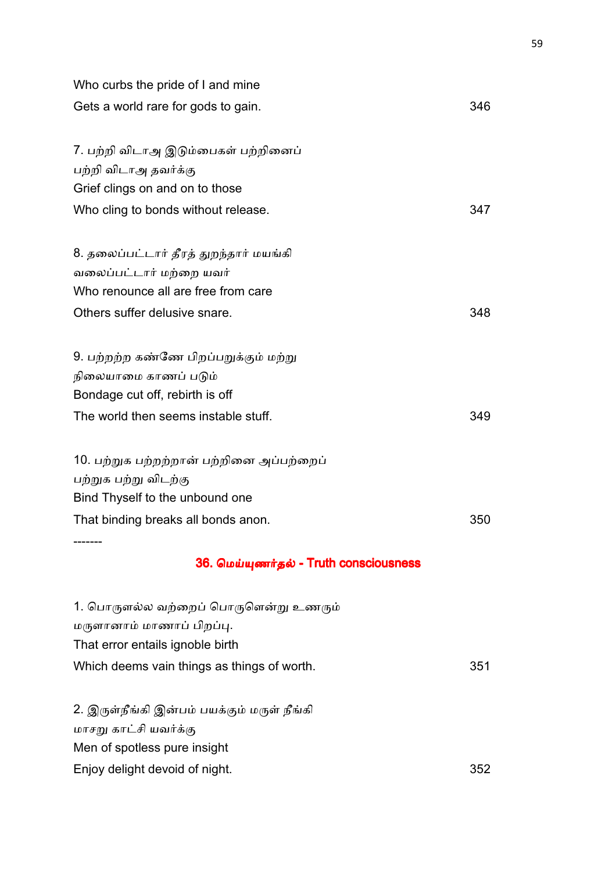| Who curbs the pride of I and mine           |     |
|---------------------------------------------|-----|
| Gets a world rare for gods to gain.         | 346 |
| 7. பற்றி விடாஅ இடும்பைகள் பற்றினைப்         |     |
| பற்றி விடாஅ தவர்க்கு                        |     |
| Grief clings on and on to those             |     |
| Who cling to bonds without release.         | 347 |
| 8. தலைப்பட்டார் தீரத் துறந்தார் மயங்கி      |     |
| வலைப்பட்டார் மற்றை யவர்                     |     |
| Who renounce all are free from care         |     |
| Others suffer delusive snare.               | 348 |
| 9. பற்றற்ற கண்ணே பிறப்பறுக்கும் மற்று       |     |
| நிலையாமை காணப் படும்                        |     |
| Bondage cut off, rebirth is off             |     |
| The world then seems instable stuff.        | 349 |
| 10. பற்றுக பற்றற்றான் பற்றினை அப்பற்றைப்    |     |
| பற்றுக பற்று விடற்கு                        |     |
| Bind Thyself to the unbound one             |     |
| That binding breaks all bonds anon.         | 350 |
| 36. மெய்யுணர்தல் - Truth consciousness      |     |
| 1. பொருளல்ல வற்றைப் பொருளென்று உணரும்       |     |
| மருளானாம் மாணாப் பிறப்பு.                   |     |
| That error entails ignoble birth            |     |
| Which deems vain things as things of worth. | 351 |
| 2. இருள்நீங்கி இன்பம் பயக்கும் மருள் நீங்கி |     |
| மாசறு காட்சி யவர்க்கு                       |     |
| Men of spotless pure insight                |     |
| Enjoy delight devoid of night.              | 352 |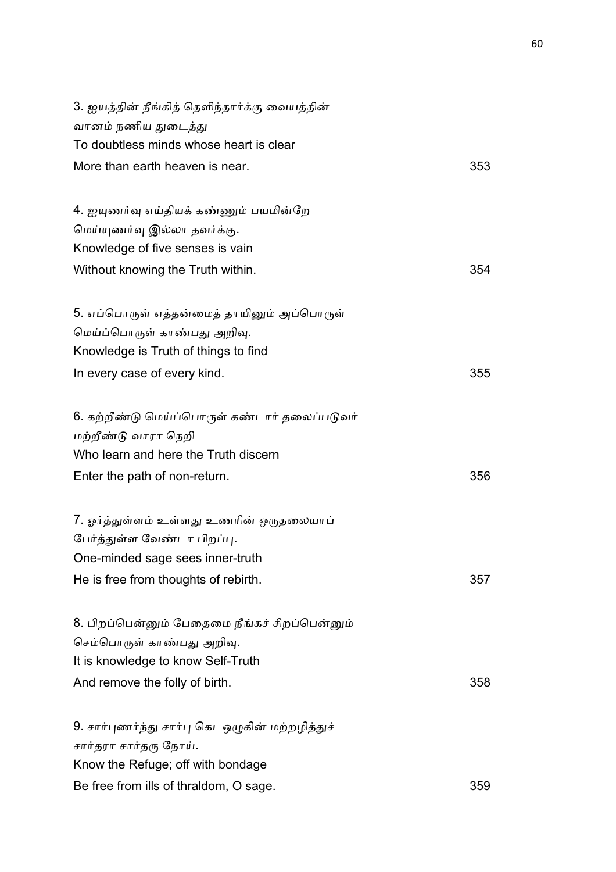| 3. ஐயத்தின் நீங்கித் தெளிந்தார்க்கு வையத்தின்   |     |
|-------------------------------------------------|-----|
| வானம் நணிய துடைத்து                             |     |
| To doubtless minds whose heart is clear         |     |
| More than earth heaven is near.                 | 353 |
| 4. ஐயுணர்வு எய்தியக் கண்ணும் பயமின்றே           |     |
| மெய்யுணர்வு இல்லா தவர்க்கு.                     |     |
| Knowledge of five senses is vain                |     |
| Without knowing the Truth within.               | 354 |
| 5. எப்பொருள் எத்தன்மைத் தாயினும் அப்பொருள்      |     |
| மெய்ப்பொருள் காண்பது அறிவு.                     |     |
| Knowledge is Truth of things to find            |     |
| In every case of every kind.                    | 355 |
| 6. கற்றீண்டு மெய்ப்பொருள் கண்டார் தலைப்படுவர்   |     |
| மற்றீண்டு வாரா நெறி                             |     |
| Who learn and here the Truth discern            |     |
| Enter the path of non-return.                   | 356 |
| 7. ஓர்த்துள்ளம் உள்ளது உணரின் ஒருதலையாப்        |     |
| பேர்த்துள்ள வேண்டா பிறப்பு.                     |     |
| One-minded sage sees inner-truth                |     |
| He is free from thoughts of rebirth.            | 357 |
| 8. பிறப்பென்னும் பேதைமை நீங்கச் சிறப்பென்னும்   |     |
| செம்பொருள் காண்பது அறிவு.                       |     |
| It is knowledge to know Self-Truth              |     |
| And remove the folly of birth.                  | 358 |
| 9. சார்புணர்ந்து சார்பு கெடஒழுகின் மற்றழித்துச் |     |
| சார்தரா சார்தரு நோய்.                           |     |
| Know the Refuge; off with bondage               |     |
| Be free from ills of thraldom, O sage.          | 359 |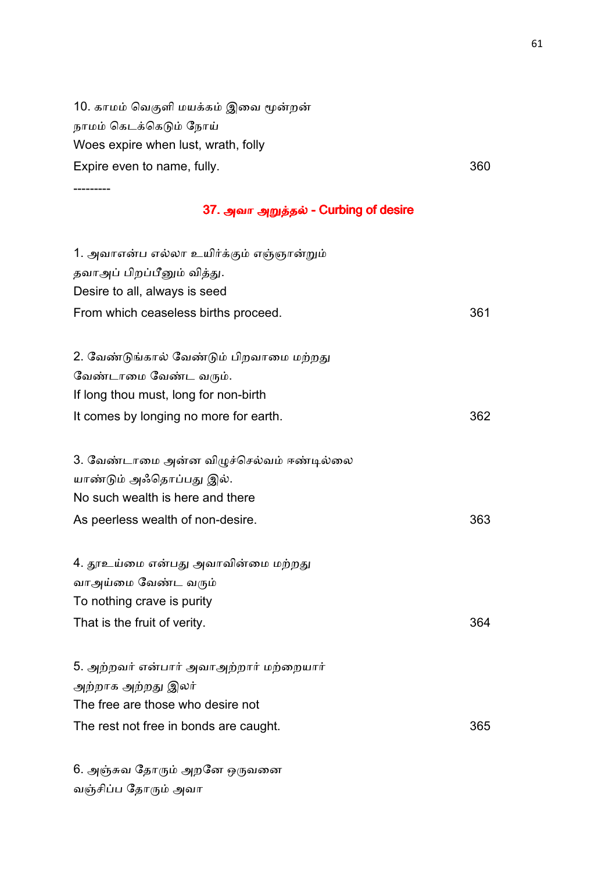10. காமம் வெகுளி மயக்கம் இவை மூன்றன் நாமம் கெடக்கெடும் நோய் Woes expire when lust, wrath, folly Expire even to name, fully. The same of the state of the state of the state of the state of the state of the state of the state of the state of the state of the state of the state of the state of the state of the state of

---------

வஞ்சிப்ப தோரும் அவா

#### 37. அவா அறுத்தல் - Curbing of desire

| 1. அவாஎன்ப எல்லா உயிர்க்கும் எஞ்ஞான்றும் |     |
|------------------------------------------|-----|
| தவாஅப் பிறப்பீனும் வித்து.               |     |
| Desire to all, always is seed            |     |
| From which ceaseless births proceed.     | 361 |
|                                          |     |
| 2. வேண்டுங்கால் வேண்டும் பிறவாமை மற்றது  |     |
| வேண்டாமை வேண்ட வரும்.                    |     |
| If long thou must, long for non-birth    |     |
| It comes by longing no more for earth.   | 362 |
|                                          |     |
| 3. வேண்டாமை அன்ன விழுச்செல்வம் ஈண்டில்லை |     |
| யாண்டும் அஃதொப்பது இல்.                  |     |
| No such wealth is here and there         |     |
| As peerless wealth of non-desire.        | 363 |
| 4. தூஉய்மை என்பது அவாவின்மை மற்றது       |     |
| வாஅய்மை வேண்ட வரும்                      |     |
| To nothing crave is purity               |     |
| That is the fruit of verity.             | 364 |
|                                          |     |
| 5. அற்றவர் என்பார் அவாஅற்றார் மற்றையார்  |     |
| அற்றாக அற்றது இலர்                       |     |
| The free are those who desire not        |     |
| The rest not free in bonds are caught.   | 365 |
|                                          |     |
| 6. அஞ்சுவ தோரும் அறனே ஒருவனை             |     |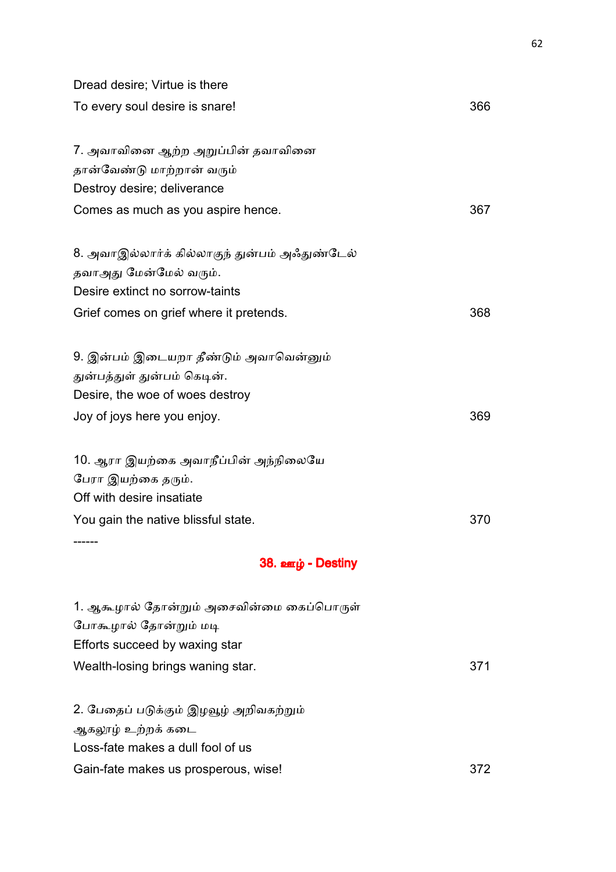| Dread desire; Virtue is there                 |     |
|-----------------------------------------------|-----|
| To every soul desire is snare!                | 366 |
| 7. அவாவினை ஆற்ற அறுப்பின் தவாவினை             |     |
| தான்வேண்டு மாற்றான் வரும்                     |     |
| Destroy desire; deliverance                   |     |
| Comes as much as you aspire hence.            | 367 |
| 8. அவாஇல்லார்க் கில்லாகுந் துன்பம் அஃதுண்டேல் |     |
| தவாஅது மேன்மேல் வரும்.                        |     |
| Desire extinct no sorrow-taints               |     |
| Grief comes on grief where it pretends.       | 368 |
| 9. இன்பம் இடையறா தீண்டும் அவாவென்னும்         |     |
| துன்பத்துள் துன்பம் கெடின்.                   |     |
| Desire, the woe of woes destroy               |     |
| Joy of joys here you enjoy.                   | 369 |
| 10. ஆரா இயற்கை அவாநீப்பின் அந்நிலையே          |     |
| பேரா இயற்கை தரும்.                            |     |
| Off with desire insatiate                     |     |
| You gain the native blissful state.           | 370 |
| 38. ஊழ் - Destiny                             |     |
| 1. ஆகூழால் தோன்றும் அசைவின்மை கைப்பொருள்      |     |
| போகூழால் தோன்றும் மடி                         |     |
| Efforts succeed by waxing star                |     |
| Wealth-losing brings waning star.             | 371 |
| 2. பேதைப் படுக்கும் இழவூழ் அறிவகற்றும்        |     |
| ஆகலூழ் உற்றக் கடை                             |     |
| Loss-fate makes a dull fool of us             |     |
| Gain-fate makes us prosperous, wise!          | 372 |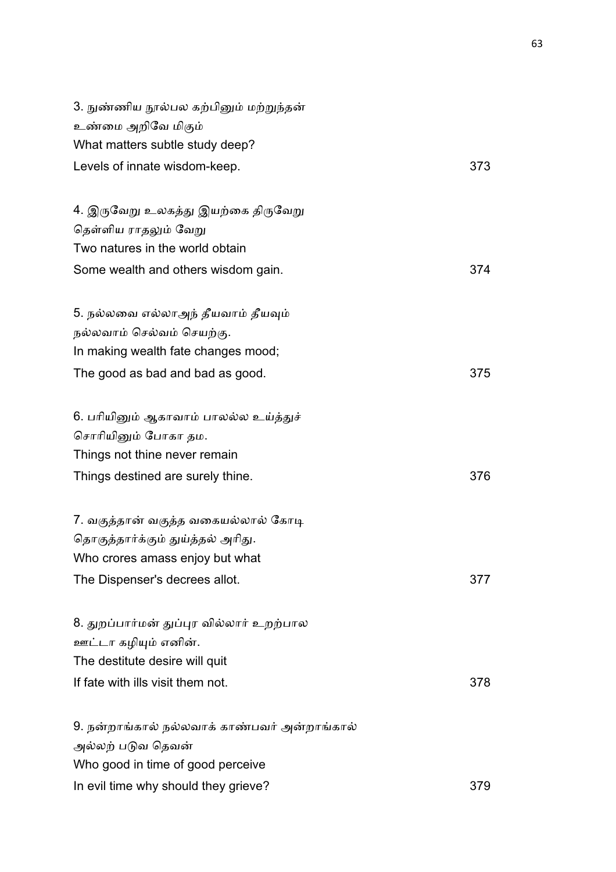| 3. நுண்ணிய நூல்பல கற்பினும் மற்றுந்தன்       |     |
|----------------------------------------------|-----|
| உண்மை அறிவே மிகும்                           |     |
| What matters subtle study deep?              |     |
| Levels of innate wisdom-keep.                | 373 |
|                                              |     |
| 4. இருவேறு உலகத்து இயற்கை திருவேறு           |     |
| தெள்ளிய ராதலும் வேறு                         |     |
| Two natures in the world obtain              |     |
| Some wealth and others wisdom gain.          | 374 |
| 5. நல்லவை எல்லாஅந் தீயவாம் தீயவும்           |     |
| நல்லவாம் செல்வம் செயற்கு.                    |     |
| In making wealth fate changes mood;          |     |
| The good as bad and bad as good.             | 375 |
| 6. பரியினும் ஆகாவாம் பாலல்ல உய்த்துச்        |     |
| சொரியினும் போகா தம.                          |     |
| Things not thine never remain                |     |
| Things destined are surely thine.            | 376 |
| 7. வகுத்தான் வகுத்த வகையல்லால் கோடி          |     |
| தொகுத்தார்க்கும் துய்த்தல் அரிது.            |     |
| Who crores amass enjoy but what              |     |
| The Dispenser's decrees allot.               | 377 |
| 8. துறப்பார்மன் துப்புர வில்லார் உறற்பால     |     |
| ஊட்டா கழியும் எனின்.                         |     |
| The destitute desire will quit               |     |
| If fate with ills visit them not.            | 378 |
| 9. நன்றாங்கால் நல்லவாக் காண்பவர் அன்றாங்கால் |     |
| அல்லற் படுவ தெவன்                            |     |
| Who good in time of good perceive            |     |
| In evil time why should they grieve?         | 379 |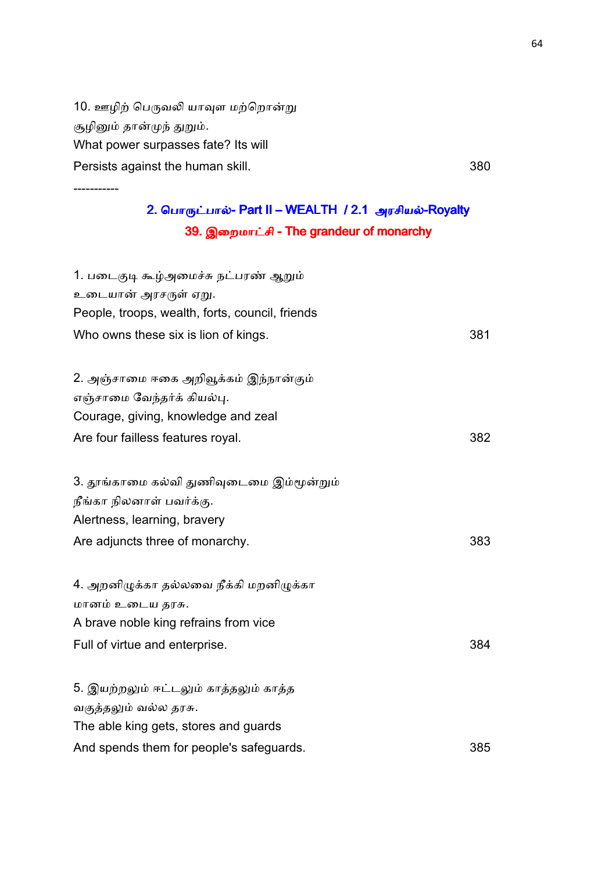10. ஊழிற் பெருவலி யாவுள மற்றொன்று சூழினும் தான்முந் துறும். What power surpasses fate? Its will Persists against the human skill. **380** and the set of the set of the set of the set of the set of the set of the set of the set of the set of the set of the set of the set of the set of the set of the set of the set of th

-----------

# 2. பொருட்பால்- Part II – WEALTH / 2.1 அரசியல்-Royalty 39. இறைமாட்சி - The grandeur of monarchy

| 1. படைகுடி கூழ்அமைச்சு நட்பரண் ஆறும்            |     |
|-------------------------------------------------|-----|
| உடையான் அரசருள் ஏறு.                            |     |
| People, troops, wealth, forts, council, friends |     |
| Who owns these six is lion of kings.            | 381 |
|                                                 |     |
| 2. அஞ்சாமை ஈகை அறிவூக்கம் இந்நான்கும்           |     |
| எஞ்சாமை வேந்தர்க் கியல்பு.                      |     |
| Courage, giving, knowledge and zeal             |     |
| Are four failless features royal.               | 382 |
| 3. தூங்காமை கல்வி துணிவுடைமை இம்மூன்றும்        |     |
| நீங்கா நிலனாள் பவர்க்கு.                        |     |
| Alertness, learning, bravery                    |     |
| Are adjuncts three of monarchy.                 | 383 |
| 4. அறனிழுக்கா தல்லவை நீக்கி மறனிழுக்கா          |     |
| மானம் உடைய தரசு.                                |     |
| A brave noble king refrains from vice           |     |
| Full of virtue and enterprise.                  | 384 |
| 5. இயற்றலும் ஈட்டலும் காத்தலும் காத்த           |     |
| வகுத்தலும் வல்ல தரசு.                           |     |
| The able king gets, stores and guards           |     |
| And spends them for people's safeguards.        | 385 |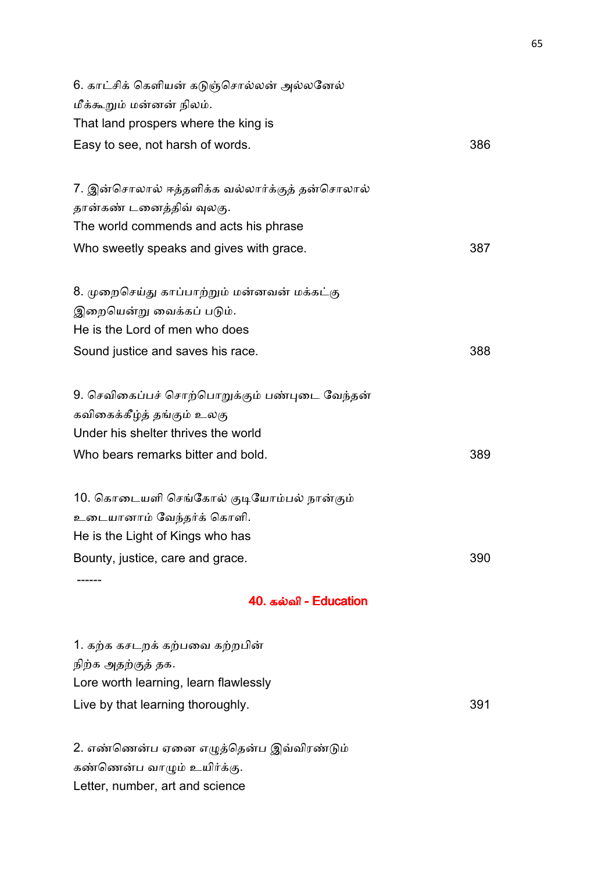| 40. கல்வி - Education                                                       |     |
|-----------------------------------------------------------------------------|-----|
| Bounty, justice, care and grace.                                            | 390 |
| He is the Light of Kings who has                                            |     |
| உடையானாம் வேந்தர்க் கொளி.                                                   |     |
| 10. கொடையளி செங்கோல் குடியோம்பல் நான்கும்                                   |     |
| Who bears remarks bitter and bold.                                          | 389 |
| Under his shelter thrives the world                                         |     |
| 9. செவிகைப்பச் சொற்பொறுக்கும் பண்புடை வேந்தன்<br>கவிகைக்கீழ்த் தங்கும் உலகு |     |
| Sound justice and saves his race.                                           | 388 |
| He is the Lord of men who does                                              |     |
| இறையென்று வைக்கப் படும்.                                                    |     |
| 8. முறைசெய்து காப்பாற்றும் மன்னவன் மக்கட்கு                                 |     |
| Who sweetly speaks and gives with grace.                                    | 387 |
| The world commends and acts his phrase                                      |     |
| 7. இன்சொலால் ஈத்தளிக்க வல்லார்க்குத் தன்சொலால்<br>தான்கண் டனைத்திவ் வுலகு.  |     |
| Easy to see, not harsh of words.                                            | 386 |
| That land prospers where the king is                                        |     |
| மீக்கூறும் மன்னன் நிலம்.                                                    |     |
| 6. காட்சிக் கெளியன் கடுஞ்சொல்லன் அல்லனேல்                                   |     |

1. கற்க கசடறக் கற்பவை கற்றபின் நிற்க அதற்குத் தக. Lore worth learning, learn flawlessly Live by that learning thoroughly. The same state of the state of the state of the state of the state of the state of the state of the state of the state of the state of the state of the state of the state of the state of t

2. எண்ணென்ப ஏனை எழுத்தென்ப இவ்விரண்டும் கண்ணென்ப வாழும் உயிர்க்கு. Letter, number, art and science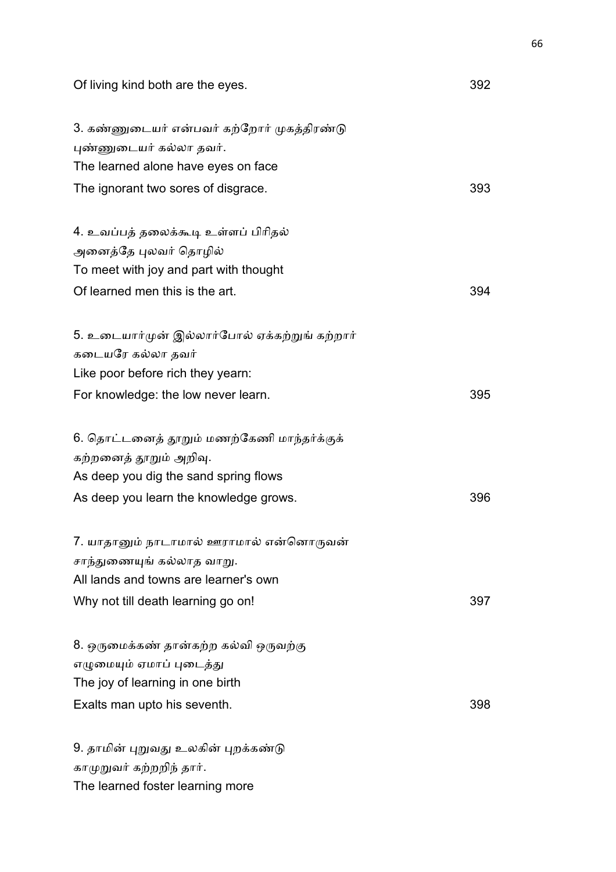Of living kind both are the eyes. 392

| 3. கண்ணுடையர் என்பவர் கற்றோர் முகத்திரண்டு    |     |
|-----------------------------------------------|-----|
| புண்ணுடையர் கல்லா தவர்.                       |     |
| The learned alone have eyes on face           |     |
| The ignorant two sores of disgrace.           | 393 |
|                                               |     |
| 4. உவப்பத் தலைக்கூடி உள்ளப் பிரிதல்           |     |
| அனைத்தே புலவர் தொழில்                         |     |
| To meet with joy and part with thought        |     |
| Of learned men this is the art.               | 394 |
| 5. உடையார்முன் இல்லார்போல் ஏக்கற்றுங் கற்றார் |     |
| கடையரே கல்லா தவர்                             |     |
| Like poor before rich they yearn:             |     |
| For knowledge: the low never learn.           | 395 |
|                                               |     |
| 6. தொட்டனைத் தூறும் மணற்கேணி மாந்தர்க்குக்    |     |
| கற்றனைத் தூறும் அறிவு.                        |     |
| As deep you dig the sand spring flows         |     |
| As deep you learn the knowledge grows.        | 396 |
|                                               |     |
| 7. யாதானும் நாடாமால் ஊராமால் என்னொருவன்       |     |
| சாந்துணையுங் கல்லாத வாறு.                     |     |
| All lands and towns are learner's own         |     |
| Why not till death learning go on!            | 397 |
| 8. ஒருமைக்கண் தான்கற்ற கல்வி ஒருவற்கு         |     |
| எழுமையும் ஏமாப் புடைத்து                      |     |
| The joy of learning in one birth              |     |
| Exalts man upto his seventh.                  | 398 |
|                                               |     |
| 9. தாமின் புறுவது உலகின் புறக்கண்டு           |     |
| காமுறுவர் கற்றறிந் தார்.                      |     |

The learned foster learning more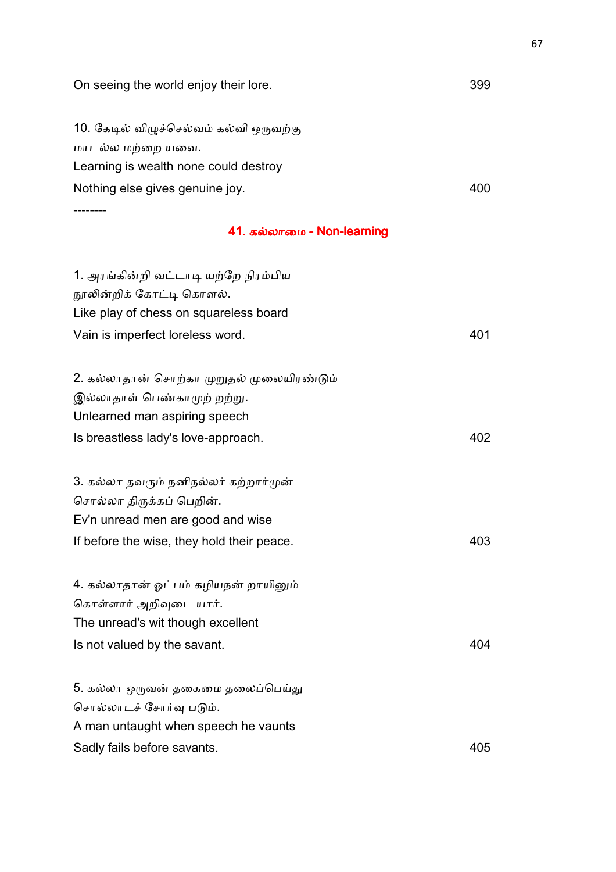| On seeing the world enjoy their lore.      | 399 |
|--------------------------------------------|-----|
| 10. கேடில் விழுச்செல்வம் கல்வி ஒருவற்கு    |     |
| மாடல்ல மற்றை யவை.                          |     |
| Learning is wealth none could destroy      |     |
| Nothing else gives genuine joy.            | 400 |
| 41. கல்லாமை - Non-learning                 |     |
|                                            |     |
| 1. அரங்கின்றி வட்டாடி யற்றே நிரம்பிய       |     |
| நூலின்றிக் கோட்டி கொளல்.                   |     |
| Like play of chess on squareless board     |     |
| Vain is imperfect loreless word.           | 401 |
| 2. கல்லாதான் சொற்கா முறுதல் முலையிரண்டும்  |     |
| இல்லாதாள் பெண்காமுற் றற்று.                |     |
| Unlearned man aspiring speech              |     |
| Is breastless lady's love-approach.        | 402 |
| 3. கல்லா தவரும் நனிநல்லர் கற்றார்முன்      |     |
| சொல்லா திருக்கப் பெறின்.                   |     |
| Ev'n unread men are good and wise          |     |
| If before the wise, they hold their peace. | 403 |
| 4. கல்லாதான் ஓட்பம் கழியநன் றாயினும்       |     |
| கொள்ளார் அறிவுடை யார்.                     |     |
| The unread's wit though excellent          |     |
| Is not valued by the savant.               | 404 |
| 5. கல்லா ஒருவன் தகைமை தலைப்பெய்து          |     |
| சொல்லாடச் சோர்வு படும்.                    |     |
| A man untaught when speech he vaunts       |     |
| Sadly fails before savants.                | 405 |
|                                            |     |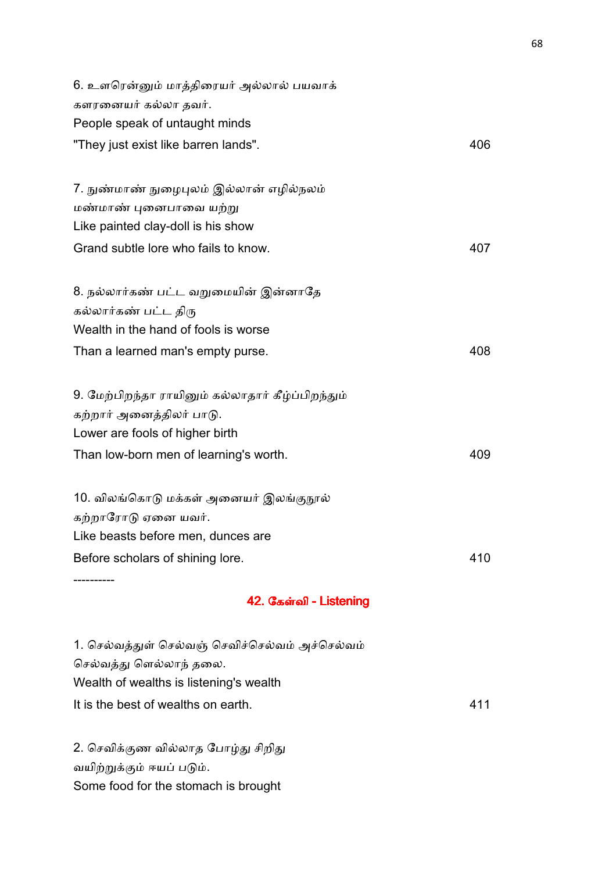| 6. உளரென்னும் மாத்திரையர் அல்லால் பயவாக்          |     |
|---------------------------------------------------|-----|
| களரனையர் கல்லா தவர்.                              |     |
| People speak of untaught minds                    |     |
| "They just exist like barren lands".              | 406 |
| 7. நுண்மாண் நுழைபுலம் இல்லான் எழில்நலம்           |     |
| மண்மாண் புனைபாவை யற்று                            |     |
| Like painted clay-doll is his show                |     |
|                                                   |     |
| Grand subtle lore who fails to know.              | 407 |
| 8. நல்லார்கண் பட்ட வறுமையின் இன்னாதே              |     |
| கல்லார்கண் பட்ட திரு                              |     |
| Wealth in the hand of fools is worse              |     |
| Than a learned man's empty purse.                 | 408 |
| 9. மேற்பிறந்தா ராயினும் கல்லாதார் கீழ்ப்பிறந்தும் |     |
| கற்றார் அனைத்திலர் பாடு.                          |     |
| Lower are fools of higher birth                   |     |
| Than low-born men of learning's worth.            | 409 |
| 10. விலங்கொடு மக்கள் அனையர் இலங்குநூல்            |     |
| கற்றாரோடு ஏனை யவர்.                               |     |
| Like beasts before men, dunces are                |     |
| Before scholars of shining lore.                  | 410 |
| 42. கேள்வி - Listening                            |     |
|                                                   |     |
| 1. செல்வத்துள் செல்வஞ் செவிச்செல்வம் அச்செல்வம்   |     |
| செல்வத்து ளெல்லாந் தலை.                           |     |

It is the best of wealths on earth. 411

Wealth of wealths is listening's wealth

2. செவிக்குண வில்லாத போழ்து சிறிது

Some food for the stomach is brought

வயிற்றுக்கும் ஈயப் படும்.

68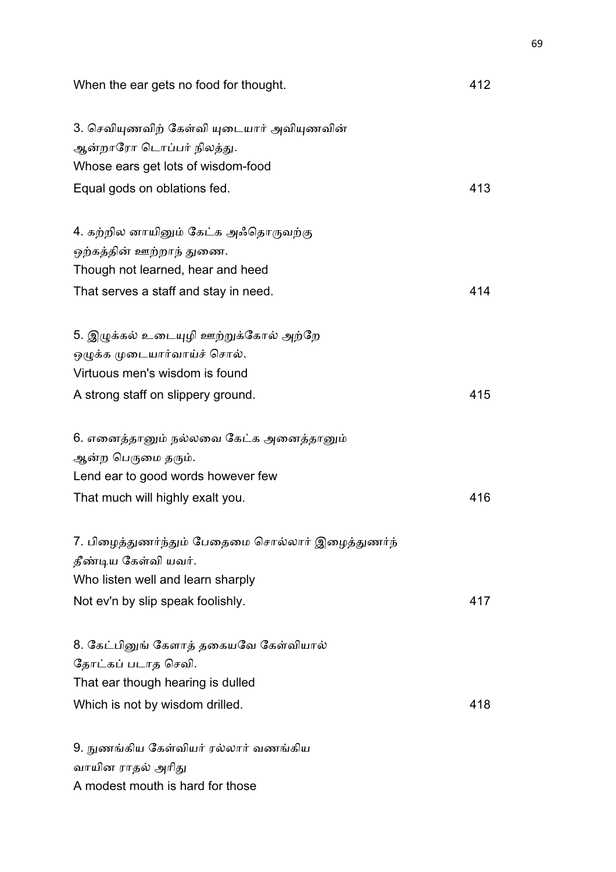| When the ear gets no food for thought.                                                                                                  | 412 |
|-----------------------------------------------------------------------------------------------------------------------------------------|-----|
| 3. செவியுணவிற் கேள்வி யுடையார் அவியுணவின்<br>ஆன்றாரோ டொப்பர் நிலத்து.<br>Whose ears get lots of wisdom-food                             |     |
| Equal gods on oblations fed.                                                                                                            | 413 |
| 4. கற்றில னாயினும் கேட்க அஃதொருவற்கு<br>ஒற்கத்தின் ஊற்றாந் துணை.<br>Though not learned, hear and heed                                   |     |
| That serves a staff and stay in need.                                                                                                   | 414 |
| 5. இழுக்கல் உடையுழி ஊற்றுக்கோல் அற்றே<br>ஒழுக்க முடையார்வாய்ச் சொல்.<br>Virtuous men's wisdom is found                                  |     |
| A strong staff on slippery ground.                                                                                                      | 415 |
| 6. எனைத்தானும் நல்லவை கேட்க அனைத்தானும்<br>ஆன்ற பெருமை தரும்.<br>Lend ear to good words however few<br>That much will highly exalt you. | 416 |
| 7. பிழைத்துணர்ந்தும் பேதைமை சொல்லார் இழைத்துணர்ந்<br>தீண்டிய கேள்வி யவர்.<br>Who listen well and learn sharply                          |     |
| Not ev'n by slip speak foolishly.                                                                                                       | 417 |
| 8. கேட்பினுங் கேளாத் தகையவே கேள்வியால்<br>தோட்கப் படாத செவி.<br>That ear though hearing is dulled<br>Which is not by wisdom drilled.    | 418 |
| 9. நுணங்கிய கேள்வியர் ரல்லார் வணங்கிய<br>வாயின ராதல் அரிது                                                                              |     |

A modest mouth is hard for those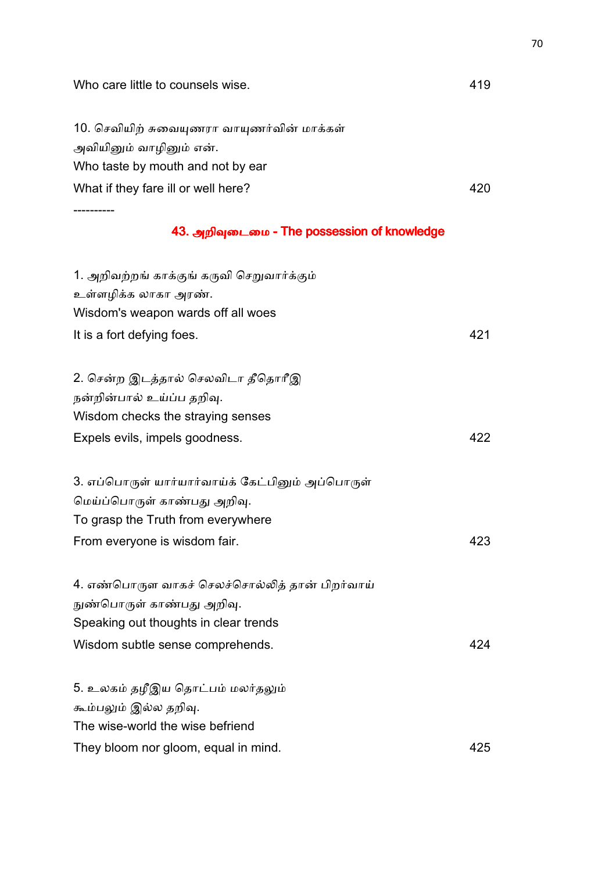| Who care little to counsels wise.                | 419 |
|--------------------------------------------------|-----|
| 10. செவியிற் சுவையுணரா வாயுணர்வின் மாக்கள்       |     |
| அவியினும் வாழினும் என்.                          |     |
| Who taste by mouth and not by ear                |     |
| What if they fare ill or well here?              | 420 |
| ---------                                        |     |
| 43. அறிவுடைமை - The possession of knowledge      |     |
| 1. அறிவற்றங் காக்குங் கருவி செறுவார்க்கும்       |     |
| உள்ளழிக்க லாகா அரண்.                             |     |
| Wisdom's weapon wards off all woes               |     |
| It is a fort defying foes.                       | 421 |
| 2. சென்ற இடத்தால் செலவிடா தீதொரீஇ                |     |
| நன்றின்பால் உய்ப்ப தறிவு.                        |     |
| Wisdom checks the straying senses                |     |
| Expels evils, impels goodness.                   | 422 |
| 3. எப்பொருள் யார்யார்வாய்க் கேட்பினும் அப்பொருள் |     |
| மெய்ப்பொருள் காண்பது அறிவு.                      |     |
| To grasp the Truth from everywhere               |     |
| From everyone is wisdom fair.                    | 423 |
| 4. எண்பொருள வாகச் செலச்சொல்லித் தான் பிறர்வாய்   |     |
| நுண்பொருள் காண்பது அறிவு.                        |     |
| Speaking out thoughts in clear trends            |     |
| Wisdom subtle sense comprehends.                 | 424 |
| 5. உலகம் தழீஇய தொட்பம் மலர்தலும்                 |     |
| கூம்பலும் இல்ல தறிவு.                            |     |
| The wise-world the wise befriend                 |     |
| They bloom nor gloom, equal in mind.             | 425 |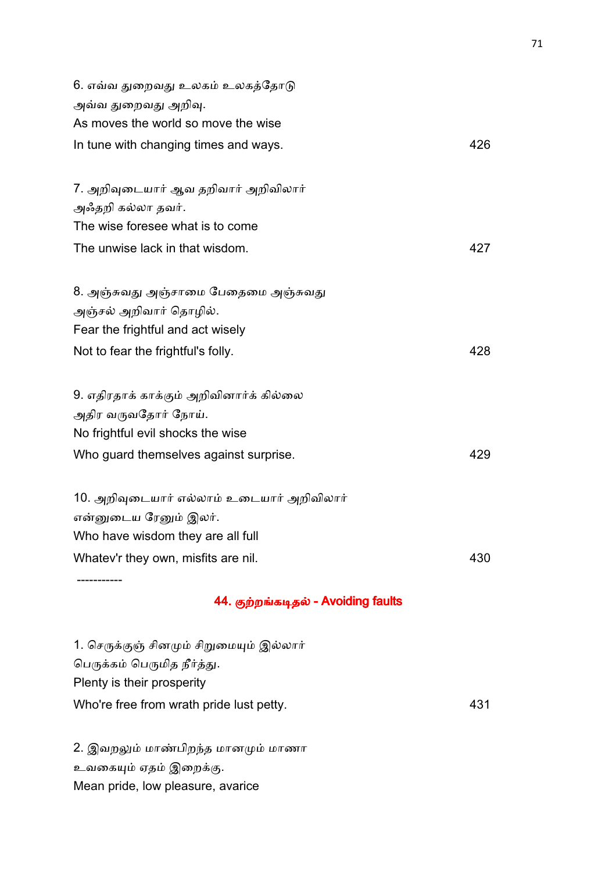| 6. எவ்வ துறைவது உலகம் உலகத்தோடு           |     |
|-------------------------------------------|-----|
| அவ்வ துறைவது அறிவு.                       |     |
| As moves the world so move the wise       |     |
| In tune with changing times and ways.     | 426 |
|                                           |     |
| 7. அறிவுடையார் ஆவ தறிவார் அறிவிலார்       |     |
| அஃதறி கல்லா தவர்.                         |     |
| The wise foresee what is to come          |     |
| The unwise lack in that wisdom.           | 427 |
|                                           |     |
| 8. அஞ்சுவது அஞ்சாமை பேதைமை அஞ்சுவது       |     |
| அஞ்சல் அறிவார் தொழில்.                    |     |
| Fear the frightful and act wisely         |     |
| Not to fear the frightful's folly.        | 428 |
|                                           |     |
| 9. எதிரதாக் காக்கும் அறிவினார்க் கில்லை   |     |
| அதிர வருவதோர் நோய்.                       |     |
| No frightful evil shocks the wise         |     |
| Who guard themselves against surprise.    | 429 |
|                                           |     |
| 10. அறிவுடையார் எல்லாம் உடையார் அறிவிலார் |     |
| என்னுடைய ரேனும் இலர்.                     |     |
| Who have wisdom they are all full         |     |
| Whatev'r they own, misfits are nil.       | 430 |

## 44. குற்றங்கடிதல் - Avoiding faults

1. செருக்குஞ் சினமும் சிறுமையும் இல்லார் பெருக்கம் பெருமித நீர்த்து. Plenty is their prosperity Who're free from wrath pride lust petty. 431

2. இவறலும் மாண்பிறந்த மானமும் மாணா உவகையும் ஏதம் இறைக்கு. Mean pride, low pleasure, avarice

-----------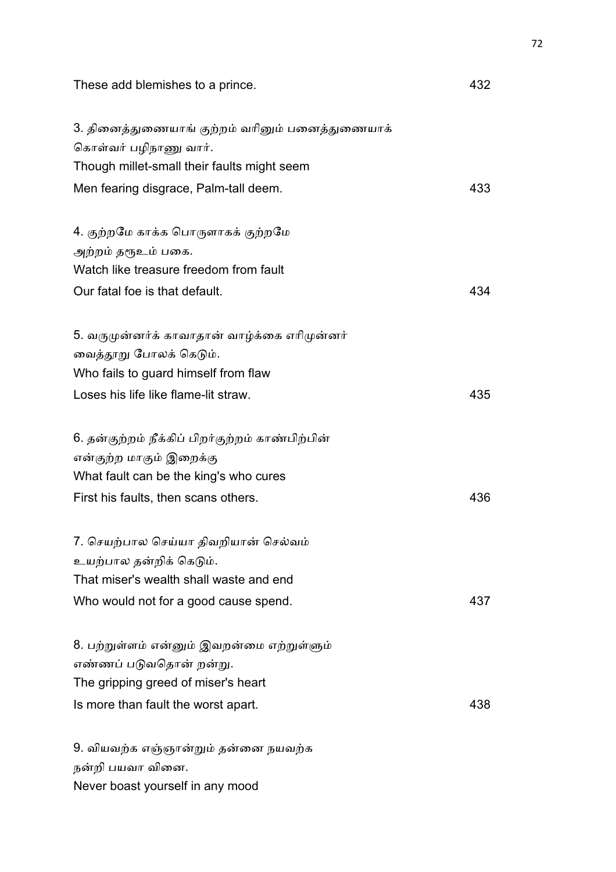| These add blemishes to a prince.                                         | 432 |
|--------------------------------------------------------------------------|-----|
| 3. தினைத்துணையாங் குற்றம் வரினும் பனைத்துணையாக்<br>கொள்வர் பழிநாணு வார். |     |
| Though millet-small their faults might seem                              |     |
| Men fearing disgrace, Palm-tall deem.                                    | 433 |
| 4. குற்றமே காக்க பொருளாகக் குற்றமே                                       |     |
| அற்றம் தரூஉம் பகை.                                                       |     |
| Watch like treasure freedom from fault                                   |     |
| Our fatal foe is that default.                                           | 434 |
| 5. வருமுன்னர்க் காவாதான் வாழ்க்கை எரிமுன்னர்                             |     |
| வைத்தூறு போலக் கெடும்.                                                   |     |
| Who fails to guard himself from flaw                                     |     |
| Loses his life like flame-lit straw.                                     | 435 |
| 6. தன்குற்றம் நீக்கிப் பிறர்குற்றம் காண்பிற்பின்                         |     |
| என்குற்ற மாகும் இறைக்கு                                                  |     |
| What fault can be the king's who cures                                   |     |
| First his faults, then scans others.                                     | 436 |
| 7. செயற்பால செய்யா திவறியான் செல்வம்                                     |     |
| உயற்பால தன்றிக் கெடும்.                                                  |     |
| That miser's wealth shall waste and end                                  |     |
| Who would not for a good cause spend.                                    | 437 |
| 8. பற்றுள்ளம் என்னும் இவறன்மை எற்றுள்ளும்                                |     |
| எண்ணப் படுவதொன் றன்று.                                                   |     |
| The gripping greed of miser's heart                                      |     |
| Is more than fault the worst apart.                                      | 438 |
| 9. வியவற்க எஞ்ஞான்றும் தன்னை நயவற்க                                      |     |
| நன்றி பயவா வினை.                                                         |     |
| Never boast yourself in any mood                                         |     |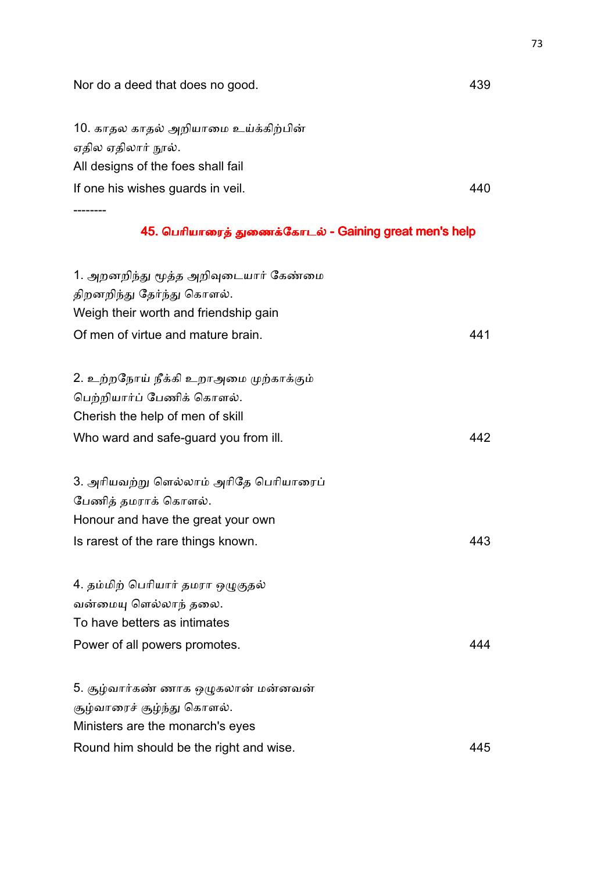|  | Nor do a deed that does no good. | 439 |
|--|----------------------------------|-----|
|--|----------------------------------|-----|

10. காதல காதல் அறியாமை உய்க்கிற்பின் ஏதில ஏதிலார் நூல். All designs of the foes shall fail If one his wishes guards in veil. 440 --------

## 45. பெரியாரைத் துணைக்கோடல் - Gaining great men's help

| 1. அறனறிந்து மூத்த அறிவுடையார் கேண்மை   |     |
|-----------------------------------------|-----|
| திறனறிந்து தேர்ந்து கொளல்.              |     |
| Weigh their worth and friendship gain   |     |
| Of men of virtue and mature brain.      | 441 |
|                                         |     |
| 2. உற்றநோய் நீக்கி உறாஅமை முற்காக்கும்  |     |
| பெற்றியார்ப் பேணிக் கொளல்.              |     |
| Cherish the help of men of skill        |     |
| Who ward and safe-guard you from ill.   | 442 |
| 3. அரியவற்று ளெல்லாம் அரிதே பெரியாரைப்  |     |
| பேணித் தமராக் கொளல்.                    |     |
| Honour and have the great your own      |     |
| Is rarest of the rare things known.     | 443 |
| 4. தம்மிற் பெரியார் தமரா ஒழுகுதல்       |     |
| வன்மையு ளெல்லாந் தலை.                   |     |
| To have betters as intimates            |     |
| Power of all powers promotes.           | 444 |
| 5. சூழ்வார்கண் ணாக ஒழுகலான் மன்னவன்     |     |
| சூழ்வாரைச் சூழ்ந்து கொளல்.              |     |
| Ministers are the monarch's eyes        |     |
| Round him should be the right and wise. | 445 |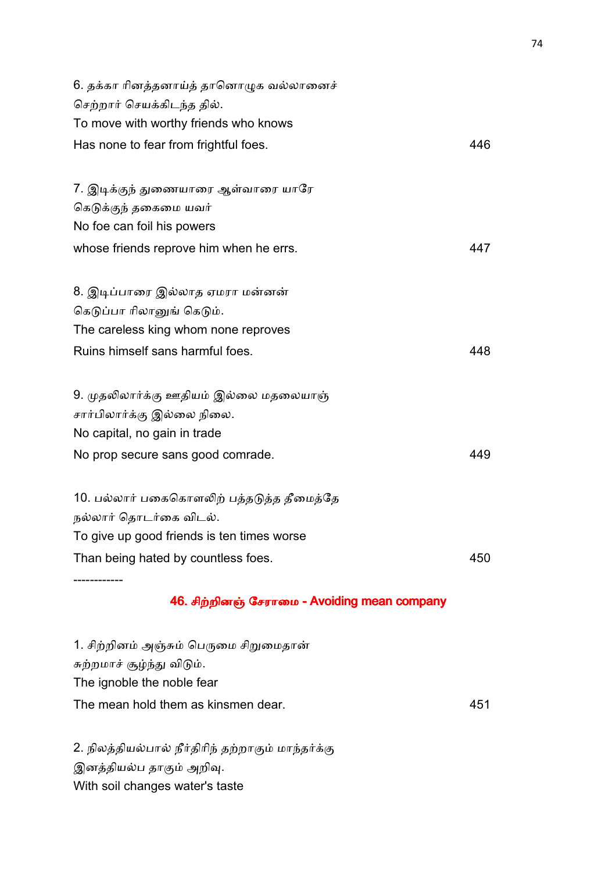| 6. தக்கா ரினத்தனாய்த் தானொழுக வல்லானைச்    |     |
|--------------------------------------------|-----|
| செற்றார் செயக்கிடந்த தில்.                 |     |
| To move with worthy friends who knows      |     |
| Has none to fear from frightful foes.      | 446 |
|                                            |     |
| 7. இடிக்குந் துணையாரை ஆள்வாரை யாரே         |     |
| கெடுக்குந் தகைமை யவர்                      |     |
| No foe can foil his powers                 |     |
| whose friends reprove him when he errs.    | 447 |
|                                            |     |
| 8. இடிப்பாரை இல்லாத ஏமரா மன்னன்            |     |
| கெடுப்பா ரிலானுங் கெடும்.                  |     |
| The careless king whom none reproves       |     |
| Ruins himself sans harmful foes.           | 448 |
|                                            |     |
| 9. முதலிலார்க்கு ஊதியம் இல்லை மதலையாஞ்     |     |
| சார்பிலார்க்கு இல்லை நிலை.                 |     |
| No capital, no gain in trade               |     |
| No prop secure sans good comrade.          | 449 |
|                                            |     |
| 10. பல்லார் பகைகொளலிற் பத்தடுத்த தீமைத்தே  |     |
| நல்லார் தொடர்கை விடல்.                     |     |
| To give up good friends is ten times worse |     |
| Than being hated by countless foes.        | 450 |
|                                            |     |

## 46. சிற்றினஞ் சேராமை - Avoiding mean company

1. சிற்றினம் அஞ்சும் பெருமை சிறுமைதான் சுற்றமாச் சூழ்ந்து விடும். The ignoble the noble fear The mean hold them as kinsmen dear. 451

2. நிலத்தியல்பால் நீர்திரிந் தற்றாகும் மாந்தர்க்கு இனத்தியல்ப தாகும் அறிவு. With soil changes water's taste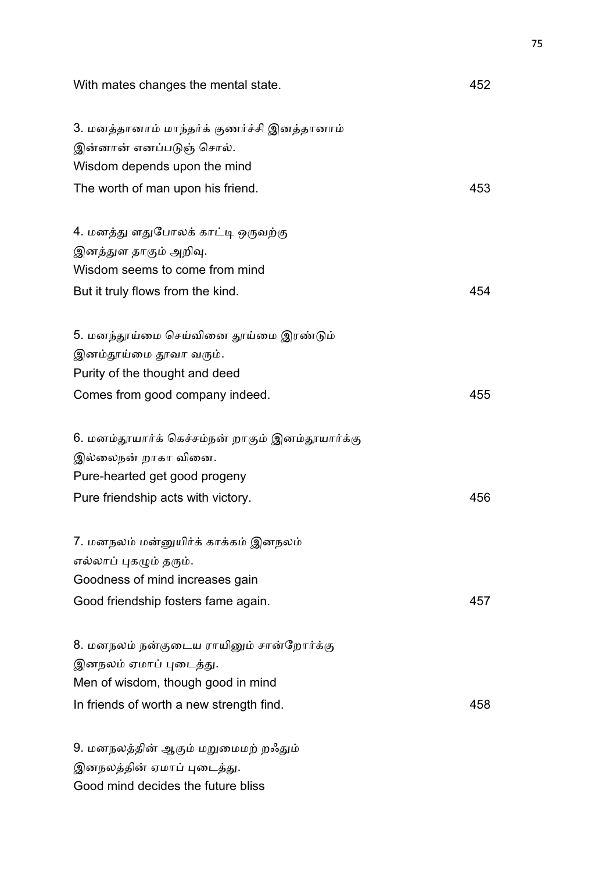With mates changes the mental state. **All and State** and Mith mates changes the mental state.

| 3. மனத்தானாம் மாந்தர்க் குணர்ச்சி இனத்தானாம்     |     |
|--------------------------------------------------|-----|
| இன்னான் எனப்படுஞ் சொல்.                          |     |
| Wisdom depends upon the mind                     |     |
| The worth of man upon his friend.                | 453 |
|                                                  |     |
| 4. மனத்து ளதுபோலக் காட்டி ஒருவற்கு               |     |
| இனத்துள தாகும் அறிவு.                            |     |
| Wisdom seems to come from mind                   |     |
| But it truly flows from the kind.                | 454 |
|                                                  |     |
| 5. மனந்தூய்மை செய்வினை தூய்மை இரண்டும்           |     |
| இனம்தூய்மை தூவா வரும்.                           |     |
| Purity of the thought and deed                   |     |
| Comes from good company indeed.                  | 455 |
|                                                  |     |
| 6. மனம்தூயார்க் கெச்சம்நன் றாகும் இனம்தூயார்க்கு |     |
| இல்லைநன் றாகா வினை.                              |     |
| Pure-hearted get good progeny                    |     |
| Pure friendship acts with victory.               | 456 |
|                                                  |     |
| 7. மனநலம் மன்னுயிர்க் காக்கம் இனநலம்             |     |
| எல்லாப் புகழும் தரும்.                           |     |
| Goodness of mind increases gain                  |     |
| Good friendship fosters fame again.              | 457 |
|                                                  |     |
| 8. மனநலம் நன்குடைய ராயினும் சான்றோர்க்கு         |     |
| இனநலம் ஏமாப் புடைத்து.                           |     |
| Men of wisdom, though good in mind               |     |
| In friends of worth a new strength find.         | 458 |
|                                                  |     |
| 9. மனநலத்தின் ஆகும் மறுமைமற் றஃதும்              |     |
| இனநலத்தின் ஏமாப் புடைத்து.                       |     |

Good mind decides the future bliss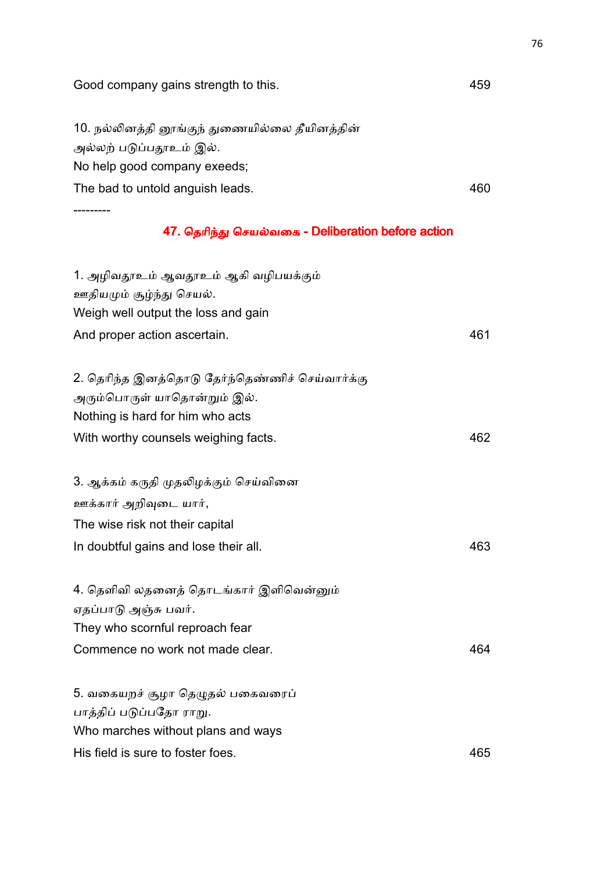| Good company gains strength to this.               | 459 |
|----------------------------------------------------|-----|
| 10. நல்லினத்தி னூங்குந் துணையில்லை தீயினத்தின்     |     |
| அல்லற் படுப்பதூஉம் இல்.                            |     |
| No help good company exeeds;                       |     |
| The bad to untold anguish leads.                   | 460 |
|                                                    |     |
| 47. தெரிந்து செயல்வகை - Deliberation before action |     |
| 1. அழிவதூஉம் ஆவதூஉம் ஆகி வழிபயக்கும்               |     |
| ஊதியமும் சூழ்ந்து செயல்.                           |     |
| Weigh well output the loss and gain                |     |
| And proper action ascertain.                       | 461 |
| 2. தெரிந்த இனத்தொடு தேர்ந்தெண்ணிச் செய்வார்க்கு    |     |
| அரும்பொருள் யாதொன்றும் இல்.                        |     |
| Nothing is hard for him who acts                   |     |
| With worthy counsels weighing facts.               | 462 |
| 3. ஆக்கம் கருதி முதலிழக்கும் செய்வினை              |     |
| ஊக்கார் அறிவுடை யார்,                              |     |
| The wise risk not their capital                    |     |
| In doubtful gains and lose their all.              | 463 |
| 4. தெளிவி லதனைத் தொடங்கார் இளிவென்னும்             |     |
| ஏதப்பாடு அஞ்சு பவர்.                               |     |
| They who scornful reproach fear                    |     |
| Commence no work not made clear.                   | 464 |
| 5. வகையறச் சூழா தெழுதல் பகைவரைப்                   |     |
| பாத்திப் படுப்பதோ ராறு.                            |     |
| Who marches without plans and ways                 |     |
| His field is sure to foster foes.                  | 465 |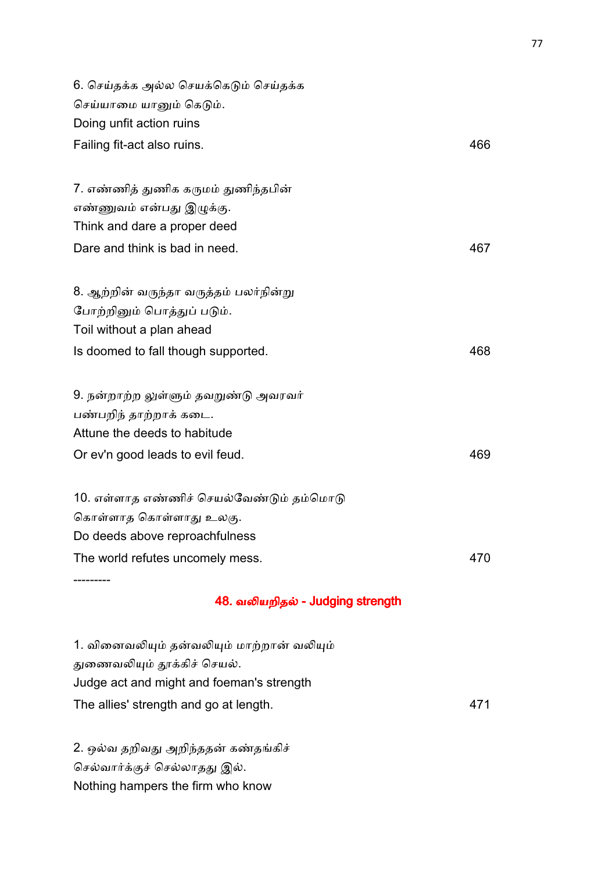| 6. செய்தக்க அல்ல செயக்கெடும் செய்தக்க    |     |
|------------------------------------------|-----|
| செய்யாமை யானும் கெடும்.                  |     |
| Doing unfit action ruins                 |     |
| Failing fit-act also ruins.              | 466 |
|                                          |     |
| 7. எண்ணித் துணிக கருமம் துணிந்தபின்      |     |
| எண்ணுவம் என்பது இழுக்கு.                 |     |
| Think and dare a proper deed             |     |
| Dare and think is bad in need.           | 467 |
|                                          |     |
| 8. ஆற்றின் வருந்தா வருத்தம் பலர்நின்று   |     |
| போற்றினும் பொத்துப் படும்.               |     |
| Toil without a plan ahead                |     |
| Is doomed to fall though supported.      | 468 |
|                                          |     |
| 9. நன்றாற்ற லுள்ளும் தவறுண்டு அவரவர்     |     |
| பண்பறிந் தாற்றாக் கடை.                   |     |
| Attune the deeds to habitude             |     |
| Or ev'n good leads to evil feud.         | 469 |
|                                          |     |
| 10. எள்ளாத எண்ணிச் செயல்வேண்டும் தம்மொடு |     |
| கொள்ளாத கொள்ளாது உலகு.                   |     |
| Do deeds above reproachfulness           |     |
| The world refutes uncomely mess.         | 470 |

# 48. வலியறிதல் - Judging strength

1. வினைவலியும் தன்வலியும் மாற்றான் வலியும் துணைவலியும் தூக்கிச் செயல். Judge act and might and foeman's strength The allies' strength and go at length. 471

2. ஒல்வ தறிவது அறிந்ததன் கண்தங்கிச் செல்வார்க்குச் செல்லாதது இல். Nothing hampers the firm who know

---------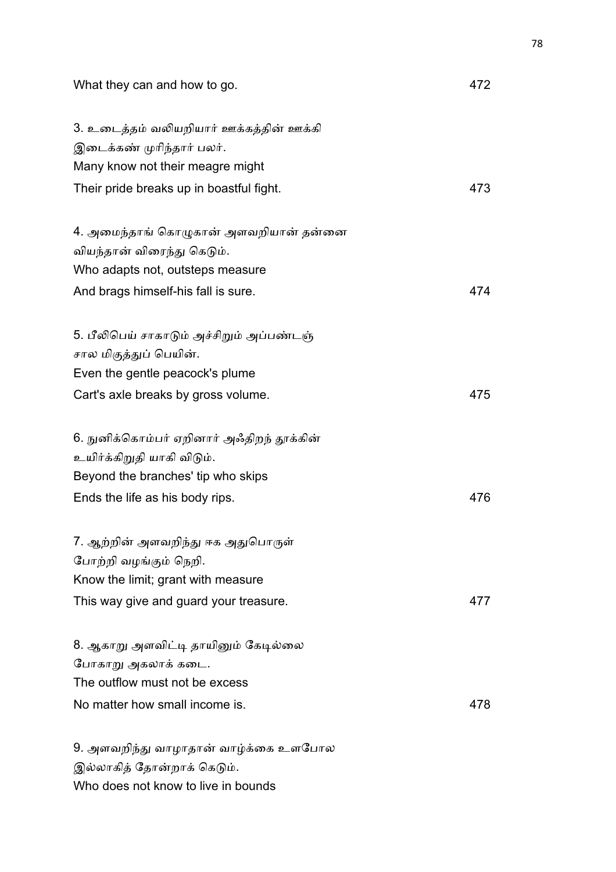| What they can and how to go.              | 472 |
|-------------------------------------------|-----|
| 3. உடைத்தம் வலியறியார் ஊக்கத்தின் ஊக்கி   |     |
| இடைக்கண் முரிந்தார் பலர்.                 |     |
| Many know not their meagre might          |     |
| Their pride breaks up in boastful fight.  | 473 |
| 4. அமைந்தாங் கொழுகான் அளவறியான் தன்னை     |     |
| வியந்தான் விரைந்து கெடும்.                |     |
| Who adapts not, outsteps measure          |     |
| And brags himself-his fall is sure.       | 474 |
| 5. பீலிபெய் சாகாடும் அச்சிறும் அப்பண்டஞ்  |     |
| சால மிகுத்துப் பெயின்.                    |     |
| Even the gentle peacock's plume           |     |
| Cart's axle breaks by gross volume.       | 475 |
| 6. நுனிக்கொம்பர் ஏறினார் அஃதிறந் தூக்கின் |     |
| உயிர்க்கிறுதி யாகி விடும்.                |     |
| Beyond the branches' tip who skips        |     |
| Ends the life as his body rips.           | 476 |
| 7. ஆற்றின் அளவறிந்து ஈக அதுபொருள்         |     |
| போற்றி வழங்கும் நெறி.                     |     |
| Know the limit; grant with measure        |     |
| This way give and guard your treasure.    | 477 |
| 8. ஆகாறு அளவிட்டி தாயினும் கேடில்லை       |     |
| போகாறு அகலாக் கடை.                        |     |
| The outflow must not be excess            |     |
| No matter how small income is.            | 478 |
| 9. அளவறிந்து வாழாதான் வாழ்க்கை உளபோல      |     |
| இல்லாகித் தோன்றாக் கெடும்.                |     |
| Who does not know to live in bounds       |     |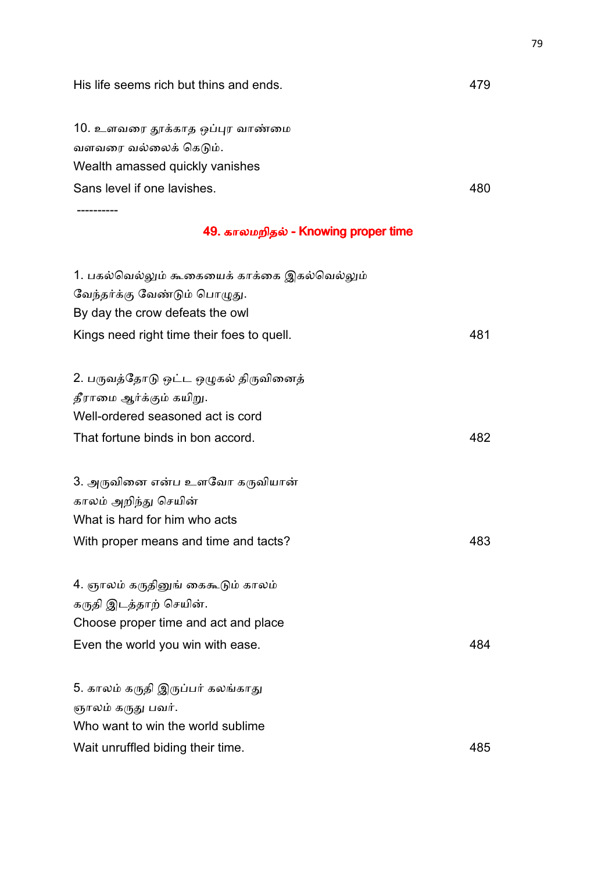| His life seems rich but thins and ends.      | 479 |
|----------------------------------------------|-----|
| 10. உளவரை தூக்காத ஒப்புர வாண்மை              |     |
| வளவரை வல்லைக் கெடும்.                        |     |
| Wealth amassed quickly vanishes              |     |
| Sans level if one lavishes.                  | 480 |
|                                              |     |
| 49. காலமறிதல் - Knowing proper time          |     |
| 1. பகல்வெல்லும் கூகையைக் காக்கை இகல்வெல்லும் |     |
| வேந்தர்க்கு வேண்டும் பொழுது.                 |     |
| By day the crow defeats the owl              |     |
| Kings need right time their foes to quell.   | 481 |
| 2. பருவத்தோடு ஒட்ட ஒழுகல் திருவினைத்         |     |
| தீராமை ஆர்க்கும் கயிறு.                      |     |
| Well-ordered seasoned act is cord            |     |
| That fortune binds in bon accord.            | 482 |
| 3. அருவினை என்ப உளவோ கருவியான்               |     |
| காலம் அறிந்து செயின்                         |     |
| What is hard for him who acts                |     |
| With proper means and time and tacts?        | 483 |
| 4. ஞாலம் கருதினுங் கைகூடும் காலம்            |     |
| கருதி இடத்தாற் செயின்.                       |     |
| Choose proper time and act and place         |     |
| Even the world you win with ease.            | 484 |
| 5. காலம் கருதி இருப்பர் கலங்காது             |     |
| ஞாலம் கருது பவர்.                            |     |
| Who want to win the world sublime            |     |
| Wait unruffled biding their time.            | 485 |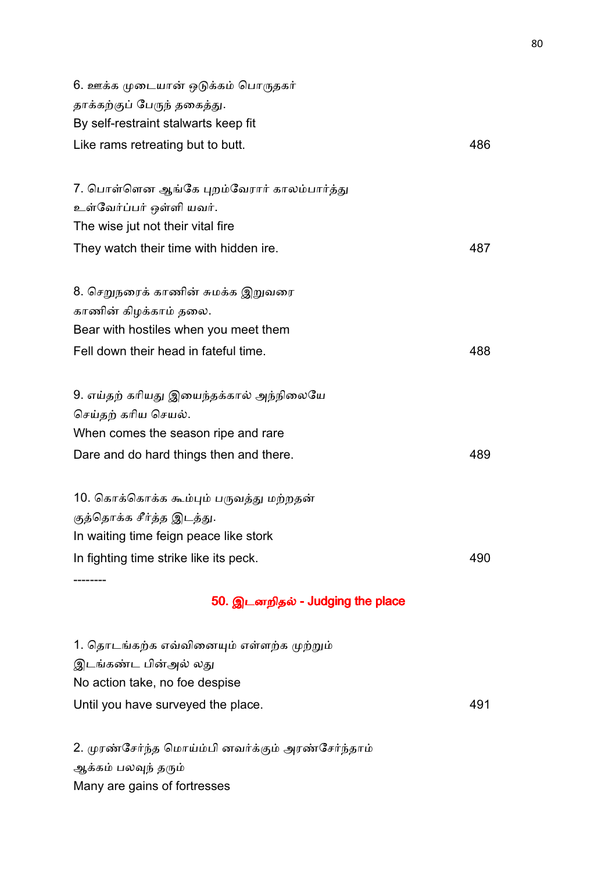| 6. ஊக்க முடையான் ஒடுக்கம் பொருதகர்         |     |
|--------------------------------------------|-----|
| தாக்கற்குப் பேருந் தகைத்து.                |     |
| By self-restraint stalwarts keep fit       |     |
| Like rams retreating but to butt.          | 486 |
| 7. பொள்ளென ஆங்கே புறம்வேரார் காலம்பார்த்து |     |
| உள்வேர்ப்பர் ஒள்ளி யவர்.                   |     |
| The wise jut not their vital fire          |     |
| They watch their time with hidden ire.     | 487 |
| 8. செறுநரைக் காணின் சுமக்க இறுவரை          |     |
| காணின் கிழக்காம் தலை.                      |     |
| Bear with hostiles when you meet them      |     |
| Fell down their head in fateful time.      | 488 |
| 9. எய்தற் கரியது இயைந்தக்கால் அந்நிலையே    |     |
| செய்தற் கரிய செயல்.                        |     |
| When comes the season ripe and rare        |     |
| Dare and do hard things then and there.    | 489 |
| 10. கொக்கொக்க கூம்பும் பருவத்து மற்றதன்    |     |
| குத்தொக்க சீர்த்த இடத்து.                  |     |
| In waiting time feign peace like stork     |     |
| In fighting time strike like its peck.     | 490 |
|                                            |     |

# 50. இடனறிதல் - Judging the place

| 1. தொடங்கற்க எவ்வினையும் எள்ளற்க முற்றும் |     |
|-------------------------------------------|-----|
| இடங்கண்ட பின்அல் லது                      |     |
| No action take, no foe despise            |     |
| Until you have surveyed the place.        | 491 |

2. முரண்சேர்ந்த மொய்ம்பி னவர்க்கும் அரண்சேர்ந்தாம் ஆக்கம் பலவுந் தரும் Many are gains of fortresses

--------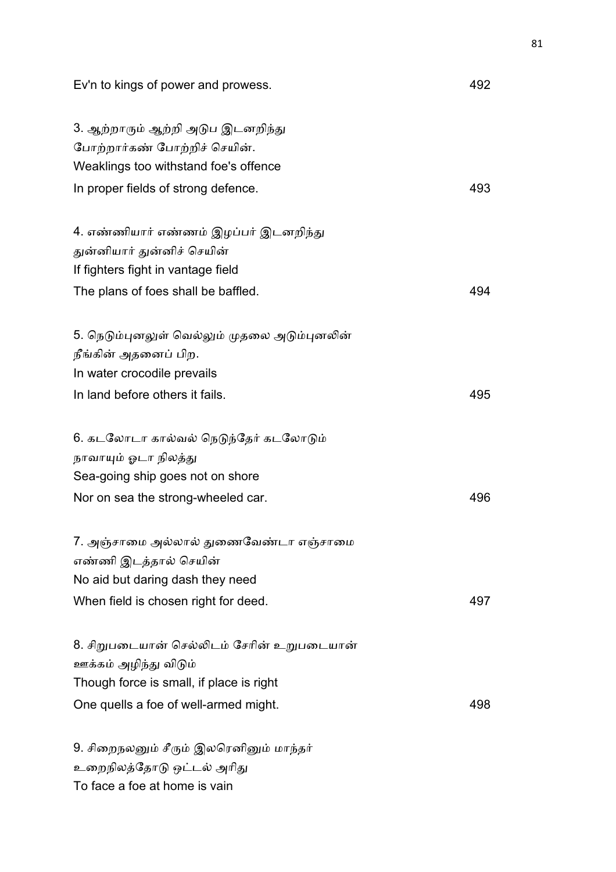| Ev'n to kings of power and prowess.                            | 492 |
|----------------------------------------------------------------|-----|
| 3. ஆற்றாரும் ஆற்றி அடுப இடனறிந்து                              |     |
| போற்றார்கண் போற்றிச் செயின்.                                   |     |
| Weaklings too withstand foe's offence                          |     |
| In proper fields of strong defence.                            | 493 |
| 4. எண்ணியார் எண்ணம் இழப்பர் இடனறிந்து                          |     |
| துன்னியார் துன்னிச் செயின்                                     |     |
| If fighters fight in vantage field                             |     |
| The plans of foes shall be baffled.                            | 494 |
| 5. நெடும்புனலுள் வெல்லும் முதலை அடும்புனலின்                   |     |
| நீங்கின் அதனைப் பிற.                                           |     |
| In water crocodile prevails                                    |     |
| In land before others it fails.                                | 495 |
| 6. கடலோடா கால்வல் நெடுந்தேர் கடலோடும்                          |     |
| நாவாயும் ஓடா நிலத்து                                           |     |
| Sea-going ship goes not on shore                               |     |
| Nor on sea the strong-wheeled car.                             | 496 |
| 7. அஞ்சாமை அல்லால் துணைவேண்டா எஞ்சாமை<br>எண்ணி இடத்தால் செயின் |     |
| No aid but daring dash they need                               |     |
| When field is chosen right for deed.                           | 497 |
| 8. சிறுபடையான் செல்லிடம் சேரின் உறுபடையான்                     |     |
| ஊக்கம் அழிந்து விடும்                                          |     |
| Though force is small, if place is right                       |     |
| One quells a foe of well-armed might.                          | 498 |
| 9. சிறைநலனும் சீரும் இலரெனினும் மாந்தர்                        |     |
| உறைநிலத்தோடு ஒட்டல் அரிது                                      |     |

To face a foe at home is vain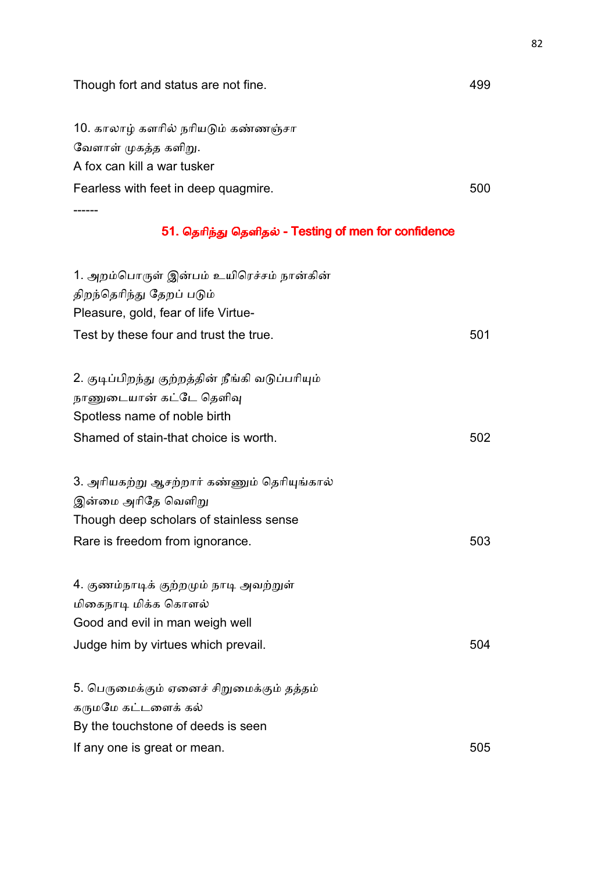| Though fort and status are not fine.                 | 499 |
|------------------------------------------------------|-----|
| 10. காலாழ் களரில் நரியடும் கண்ணஞ்சா                  |     |
| வேளாள் முகத்த களிறு.                                 |     |
| A fox can kill a war tusker                          |     |
| Fearless with feet in deep quagmire.                 | 500 |
|                                                      |     |
| 51. தெரிந்து தெளிதல் - Testing of men for confidence |     |
| 1. அறம்பொருள் இன்பம் உயிரெச்சம் நான்கின்             |     |
| திறந்தெரிந்து தேறப் படும்                            |     |
| Pleasure, gold, fear of life Virtue-                 |     |
| Test by these four and trust the true.               | 501 |
| 2. குடிப்பிறந்து குற்றத்தின் நீங்கி வடுப்பரியும்     |     |
| நாணுடையான் கட்டே தெளிவு                              |     |
| Spotless name of noble birth                         |     |
| Shamed of stain-that choice is worth.                | 502 |
| 3. அரியகற்று ஆசற்றார் கண்ணும் தெரியுங்கால்           |     |
| இன்மை அரிதே வெளிறு                                   |     |
| Though deep scholars of stainless sense              |     |
| Rare is freedom from ignorance.                      | 503 |
| 4. குணம்நாடிக் குற்றமும் நாடி அவற்றுள்               |     |
| மிகைநாடி மிக்க கொளல்                                 |     |
| Good and evil in man weigh well                      |     |
| Judge him by virtues which prevail.                  | 504 |
| 5. பெருமைக்கும் ஏனைச் சிறுமைக்கும் தத்தம்            |     |
| கருமமே கட்டளைக் கல்                                  |     |
| By the touchstone of deeds is seen                   |     |
| If any one is great or mean.                         | 505 |
|                                                      |     |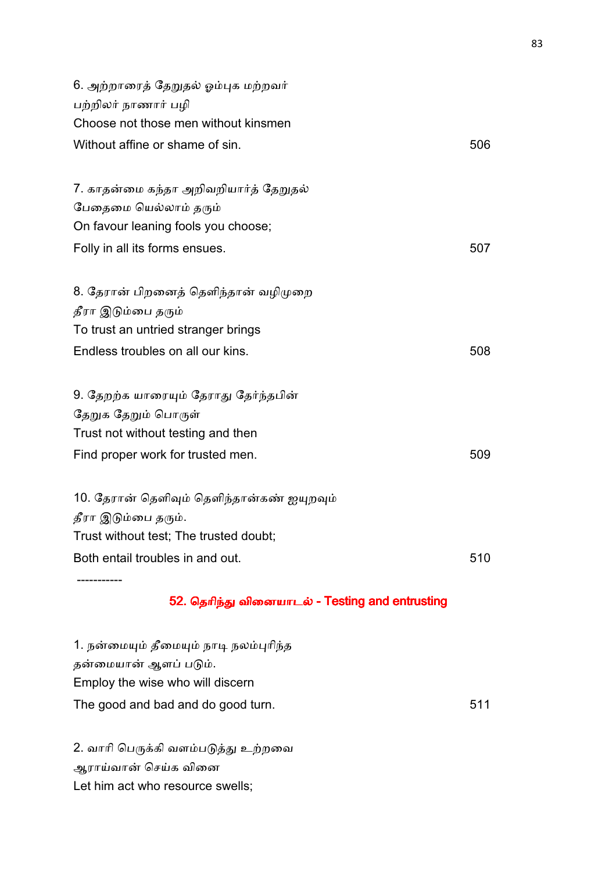| 6. அற்றாரைத் தேறுதல் ஓம்புக மற்றவர்        |     |
|--------------------------------------------|-----|
| பற்றிலர் நாணார் பழி                        |     |
| Choose not those men without kinsmen       |     |
| Without affine or shame of sin.            | 506 |
|                                            |     |
| 7. காதன்மை கந்தா அறிவறியார்த் தேறுதல்      |     |
| பேதைமை யெல்லாம் தரும்                      |     |
| On favour leaning fools you choose;        |     |
| Folly in all its forms ensues.             | 507 |
| 8. தேரான் பிறனைத் தெளிந்தான் வழிமுறை       |     |
| தீரா இடும்பை தரும்                         |     |
| To trust an untried stranger brings        |     |
| Endless troubles on all our kins.          | 508 |
| 9. தேறற்க யாரையும் தேராது தேர்ந்தபின்      |     |
| தேறுக தேறும் பொருள்                        |     |
| Trust not without testing and then         |     |
| Find proper work for trusted men.          | 509 |
| 10. தேரான் தெளிவும் தெளிந்தான்கண் ஐயுறவும் |     |
| தீரா இடும்பை தரும்.                        |     |
| Trust without test; The trusted doubt;     |     |
| Both entail troubles in and out.           | 510 |
|                                            |     |

## 52. தெரிந்து வினையாடல் - Testing and entrusting

1. நன்மையும் தீமையும் நாடி நலம்புரிந்த தன்மையான் ஆளப் படும். Employ the wise who will discern The good and bad and do good turn. The good and bad and do good turn.

2. வாரி பெருக்கி வளம்படுத்து உற்றவை ஆராய்வான் செய்க வினை Let him act who resource swells;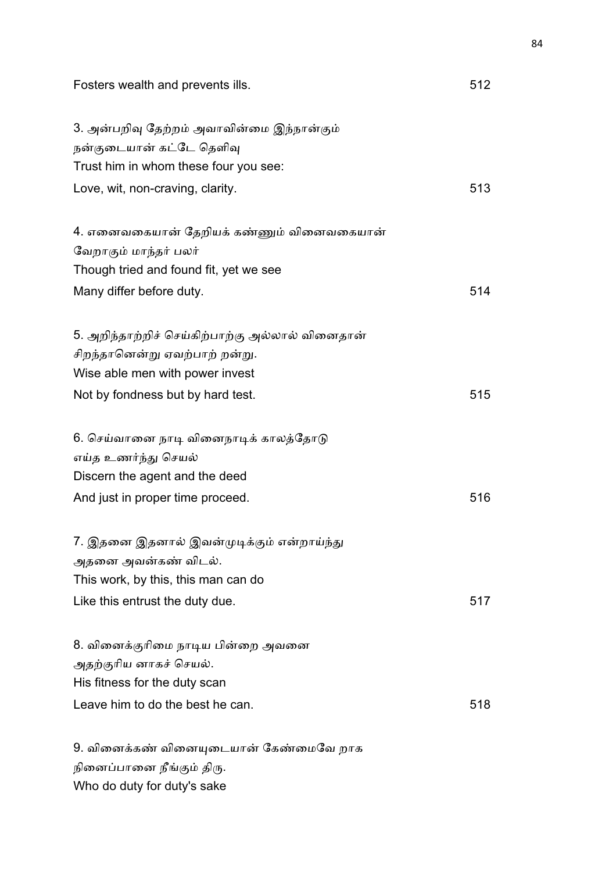| Fosters wealth and prevents ills.                                     | 512 |
|-----------------------------------------------------------------------|-----|
| 3. அன்பறிவு தேற்றம் அவாவின்மை இந்நான்கும்<br>நன்குடையான் கட்டே தெளிவு |     |
| Trust him in whom these four you see:                                 |     |
| Love, wit, non-craving, clarity.                                      | 513 |
| 4. எனைவகையான் தேறியக் கண்ணும் வினைவகையான்                             |     |
| வேறாகும் மாந்தர் பலர்                                                 |     |
| Though tried and found fit, yet we see                                |     |
| Many differ before duty.                                              | 514 |
| 5. அறிந்தாற்றிச் செய்கிற்பாற்கு அல்லால் வினைதான்                      |     |
| சிறந்தானென்று ஏவற்பாற் றன்று.                                         |     |
| Wise able men with power invest                                       |     |
| Not by fondness but by hard test.                                     | 515 |
| 6. செய்வானை நாடி வினைநாடிக் காலத்தோடு                                 |     |
| எய்த உணர்ந்து செயல்                                                   |     |
| Discern the agent and the deed                                        |     |
| And just in proper time proceed.                                      | 516 |
| 7. இதனை இதனால் இவன்முடிக்கும் என்றாய்ந்து                             |     |
| அதனை அவன்கண் விடல்.                                                   |     |
| This work, by this, this man can do                                   |     |
| Like this entrust the duty due.                                       | 517 |
| 8. வினைக்குரிமை நாடிய பின்றை அவனை                                     |     |
| அதற்குரிய னாகச் செயல்.                                                |     |
| His fitness for the duty scan                                         |     |
| Leave him to do the best he can.                                      | 518 |
| 9. வினைக்கண் வினையுடையான் கேண்மைவே றாக                                |     |
| நினைப்பானை நீங்கும் திரு.                                             |     |
| Who do duty for duty's sake                                           |     |

84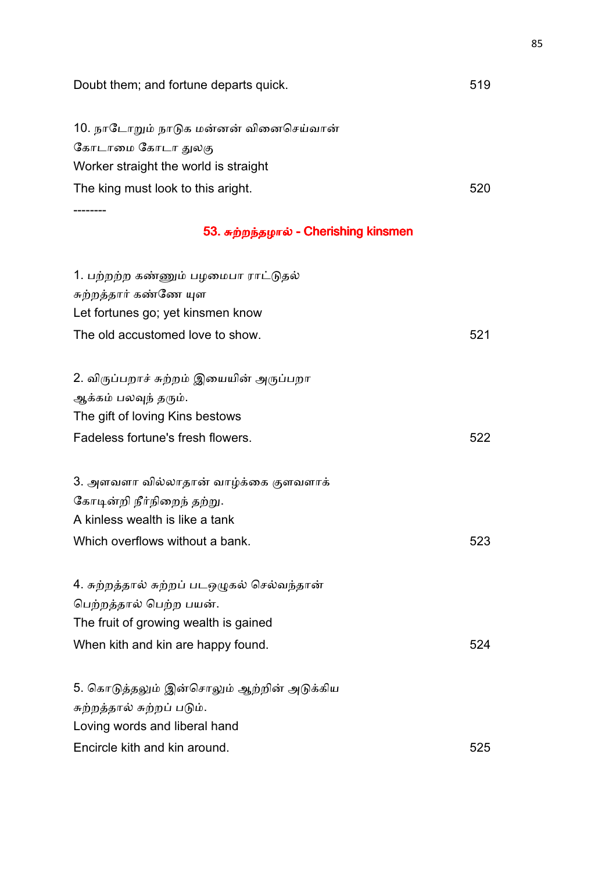| Doubt them; and fortune departs quick.      | 519 |
|---------------------------------------------|-----|
| 10. நாடோறும் நாடுக மன்னன் வினைசெய்வான்      |     |
| கோடாமை கோடா துலகு                           |     |
| Worker straight the world is straight       |     |
| The king must look to this aright.          | 520 |
| 53. சுற்றந்தழால் - Cherishing kinsmen       |     |
| 1. பற்றற்ற கண்ணும் பழமைபா ராட்டுதல்         |     |
| சுற்றத்தார் கண்ணே யுள                       |     |
| Let fortunes go; yet kinsmen know           |     |
| The old accustomed love to show.            | 521 |
| 2. விருப்பறாச் சுற்றம் இயையின் அருப்பறா     |     |
| ஆக்கம் பலவுந் தரும்.                        |     |
| The gift of loving Kins bestows             |     |
| Fadeless fortune's fresh flowers.           | 522 |
| 3. அளவளா வில்லாதான் வாழ்க்கை குளவளாக்       |     |
| கோடின்றி நீர்நிறைந் தற்று.                  |     |
| A kinless wealth is like a tank             |     |
| Which overflows without a bank.             | 523 |
| 4. சுற்றத்தால் சுற்றப் படஒழுகல் செல்வந்தான் |     |
| பெற்றத்தால் பெற்ற பயன்.                     |     |
| The fruit of growing wealth is gained       |     |
| When kith and kin are happy found.          | 524 |
| 5. கொடுத்தலும் இன்சொலும் ஆற்றின் அடுக்கிய   |     |
| சுற்றத்தால் சுற்றப் படும்.                  |     |
| Loving words and liberal hand               |     |
| Encircle kith and kin around.               | 525 |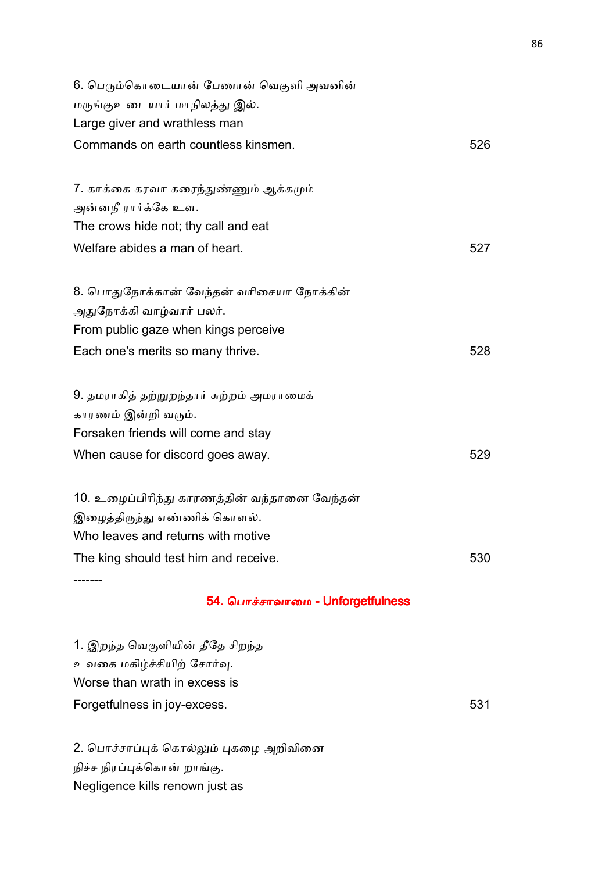| 6. பெரும்கொடையான் பேணான் வெகுளி அவனின்       |     |
|----------------------------------------------|-----|
| மருங்குஉடையார் மாநிலத்து இல்.                |     |
| Large giver and wrathless man                |     |
| Commands on earth countless kinsmen.         | 526 |
|                                              |     |
| 7. காக்கை கரவா கரைந்துண்ணும் ஆக்கமும்        |     |
| அன்னநீ ரார்க்கே உள.                          |     |
| The crows hide not; thy call and eat         |     |
| Welfare abides a man of heart.               | 527 |
|                                              |     |
| 8. பொதுநோக்கான் வேந்தன் வரிசையா நோக்கின்     |     |
| அதுநோக்கி வாழ்வார் பலர்.                     |     |
| From public gaze when kings perceive         |     |
| Each one's merits so many thrive.            | 528 |
| 9. தமராகித் தற்றுறந்தார் சுற்றம் அமராமைக்    |     |
| காரணம் இன்றி வரும்.                          |     |
| Forsaken friends will come and stay          |     |
| When cause for discord goes away.            | 529 |
|                                              |     |
| 10. உழைப்பிரிந்து காரணத்தின் வந்தானை வேந்தன் |     |
| இழைத்திருந்து எண்ணிக் கொளல்.                 |     |
| Who leaves and returns with motive           |     |
| The king should test him and receive.        | 530 |
|                                              |     |

## 54. பொச்சாவாமை - Unforgetfulness

1. இறந்த வெகுளியின் தீதே சிறந்த உவகை மகிழ்ச்சியிற் சோர்வு. Worse than wrath in excess is Forgetfulness in joy-excess. The state of the state of the state of the state of the state of the state of the state of the state of the state of the state of the state of the state of the state of the state of the state o

2. பொச்சாப்புக் கொல்லும் புகழை அறிவினை நிச்ச நிரப்புக்கொன் றாங்கு. Negligence kills renown just as

-------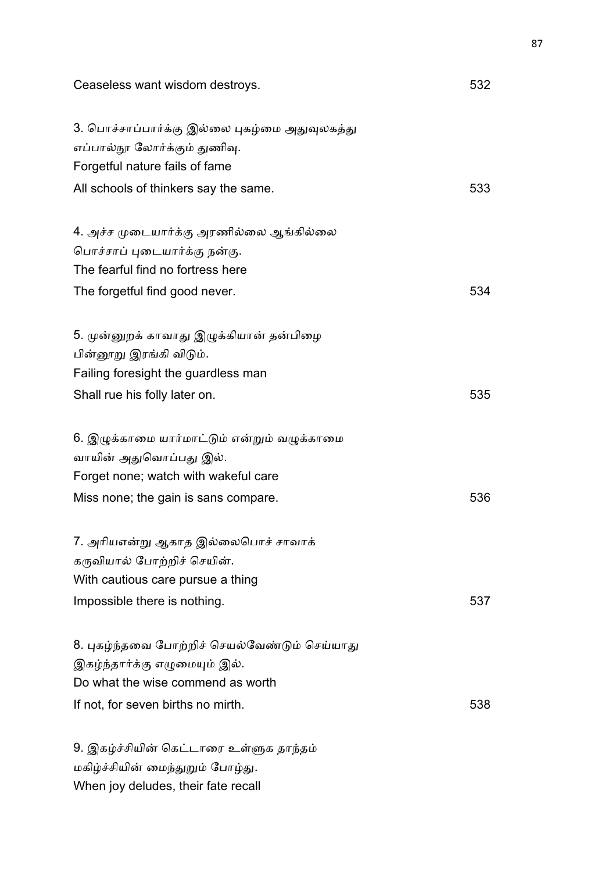| Ceaseless want wisdom destroys.                                                                                     | 532 |
|---------------------------------------------------------------------------------------------------------------------|-----|
| 3. பொச்சாப்பார்க்கு இல்லை புகழ்மை அதுவுலகத்து<br>எப்பால்நூ லோர்க்கும் துணிவு.<br>Forgetful nature fails of fame     |     |
| All schools of thinkers say the same.                                                                               | 533 |
| 4. அச்ச முடையார்க்கு அரணில்லை ஆங்கில்லை<br>பொச்சாப் புடையார்க்கு நன்கு.                                             |     |
| The fearful find no fortress here<br>The forgetful find good never.                                                 | 534 |
| 5. முன்னுறக் காவாது இழுக்கியான் தன்பிழை<br>பின்னூறு இரங்கி விடும்.                                                  |     |
| Failing foresight the guardless man                                                                                 |     |
| Shall rue his folly later on.                                                                                       | 535 |
| 6. இழுக்காமை யார்மாட்டும் என்றும் வழுக்காமை                                                                         |     |
| வாயின் அதுவொப்பது இல்.                                                                                              |     |
| Forget none; watch with wakeful care                                                                                |     |
| Miss none; the gain is sans compare.                                                                                | 536 |
| 7. அரியஎன்று ஆகாத இல்லைபொச் சாவாக்<br>கருவியால் போற்றிச் செயின்.                                                    |     |
| With cautious care pursue a thing                                                                                   |     |
| Impossible there is nothing.                                                                                        | 537 |
| 8. புகழ்ந்தவை போற்றிச் செயல்வேண்டும் செய்யாது<br>இகழ்ந்தார்க்கு எழுமையும் இல்.<br>Do what the wise commend as worth |     |
| If not, for seven births no mirth.                                                                                  | 538 |
| 9. இகழ்ச்சியின் கெட்டாரை உள்ளுக தாந்தம்                                                                             |     |
|                                                                                                                     |     |

மகிழ்ச்சியின் மைந்துறும் போழ்து. When joy deludes, their fate recall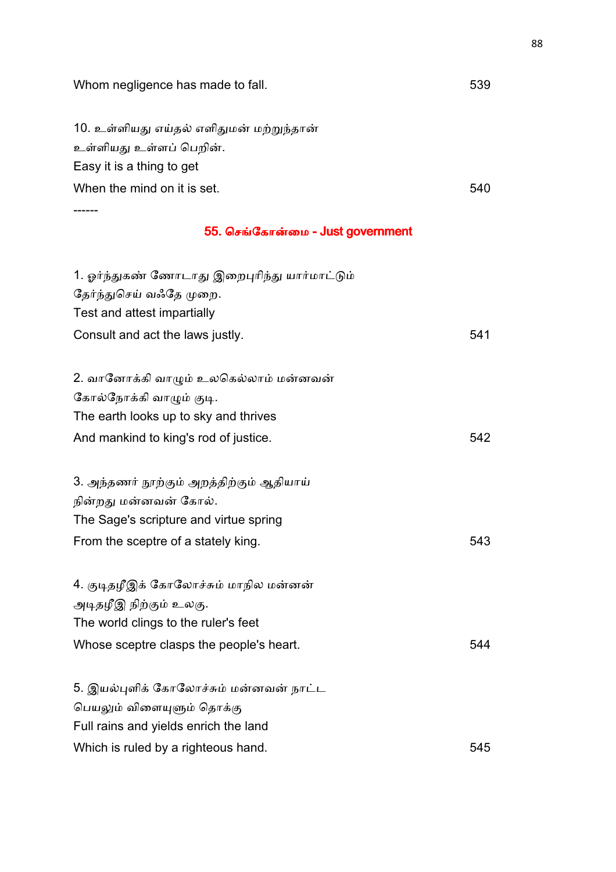| Whom negligence has made to fall.             | 539 |
|-----------------------------------------------|-----|
| 10. உள்ளியது எய்தல் எளிதுமன் மற்றுந்தான்      |     |
| உள்ளியது உள்ளப் பெறின்.                       |     |
| Easy it is a thing to get                     |     |
| When the mind on it is set.                   | 540 |
|                                               |     |
| 55. செங்கோன்மை - Just government              |     |
| 1. ஓர்ந்துகண் ணோடாது இறைபுரிந்து யார்மாட்டும் |     |
| தேர்ந்துசெய் வஃதே முறை.                       |     |
| Test and attest impartially                   |     |
| Consult and act the laws justly.              | 541 |
| 2. வானோக்கி வாழும் உலகெல்லாம் மன்னவன்         |     |
| கோல்நோக்கி வாழும் குடி.                       |     |
| The earth looks up to sky and thrives         |     |
| And mankind to king's rod of justice.         | 542 |
| 3. அந்தணர் நூற்கும் அறத்திற்கும் ஆதியாய்      |     |
| நின்றது மன்னவன் கோல்.                         |     |
| The Sage's scripture and virtue spring        |     |
| From the sceptre of a stately king.           | 543 |
| 4. குடிதழீஇக் கோலோச்சும் மாநில மன்னன்         |     |
| அடிதழீஇ நிற்கும் உலகு.                        |     |
| The world clings to the ruler's feet          |     |
| Whose sceptre clasps the people's heart.      | 544 |
| 5. இயல்புளிக் கோலோச்சும் மன்னவன் நாட்ட        |     |
| பெயலும் விளையுளும் தொக்கு                     |     |
| Full rains and yields enrich the land         |     |
| Which is ruled by a righteous hand.           | 545 |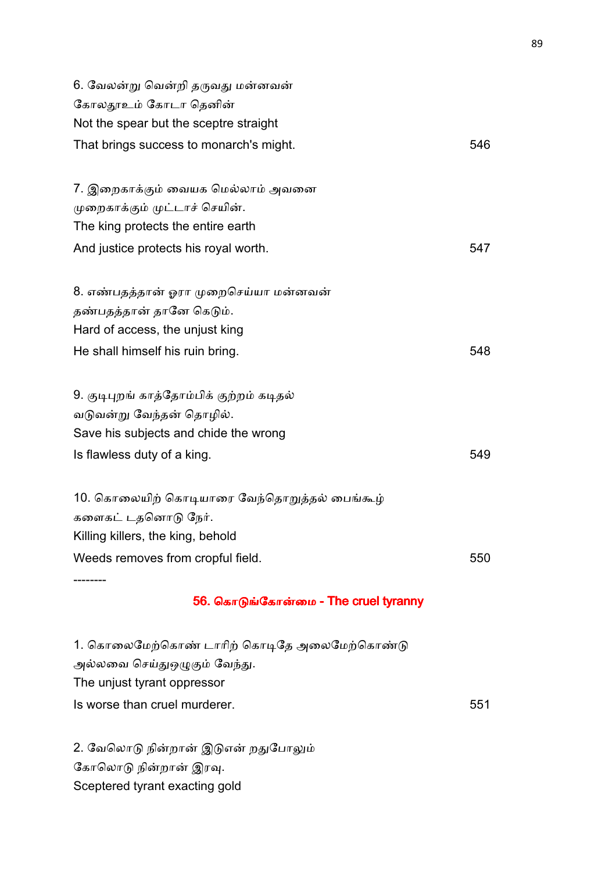| 6. வேலன்று வென்றி தருவது மன்னவன்             |     |
|----------------------------------------------|-----|
| கோலதூஉம் கோடா தெனின்                         |     |
| Not the spear but the sceptre straight       |     |
| That brings success to monarch's might.      | 546 |
|                                              |     |
| 7. இறைகாக்கும் வையக மெல்லாம் அவனை            |     |
| முறைகாக்கும் முட்டாச் செயின்.                |     |
| The king protects the entire earth           |     |
| And justice protects his royal worth.        | 547 |
|                                              |     |
| 8. எண்பதத்தான் ஓரா முறைசெய்யா மன்னவன்        |     |
| தண்பதத்தான் தானே கெடும்.                     |     |
| Hard of access, the unjust king              |     |
| He shall himself his ruin bring.             | 548 |
|                                              |     |
| 9. குடிபுறங் காத்தோம்பிக் குற்றம் கடிதல்     |     |
| வடுவன்று வேந்தன் தொழில்.                     |     |
| Save his subjects and chide the wrong        |     |
| Is flawless duty of a king.                  | 549 |
|                                              |     |
| 10. கொலையிற் கொடியாரை வேந்தொறுத்தல் பைங்கூழ் |     |
| களைகட் டதனொடு நேர்.                          |     |
| Killing killers, the king, behold            |     |
| Weeds removes from cropful field.            | 550 |
|                                              |     |

## 56. கொடுங்கோன்மை - The cruel tyranny

1. கொலைமேற்கொண் டாரிற் கொடிதே அலைமேற்கொண்டு அல்லவை செய்துஒழுகும் வேந்து. The unjust tyrant oppressor Is worse than cruel murderer. 551

2. வேலொடு நின்றான் இடுஎன் றதுபோலும் கோலொடு நின்றான் இரவு. Sceptered tyrant exacting gold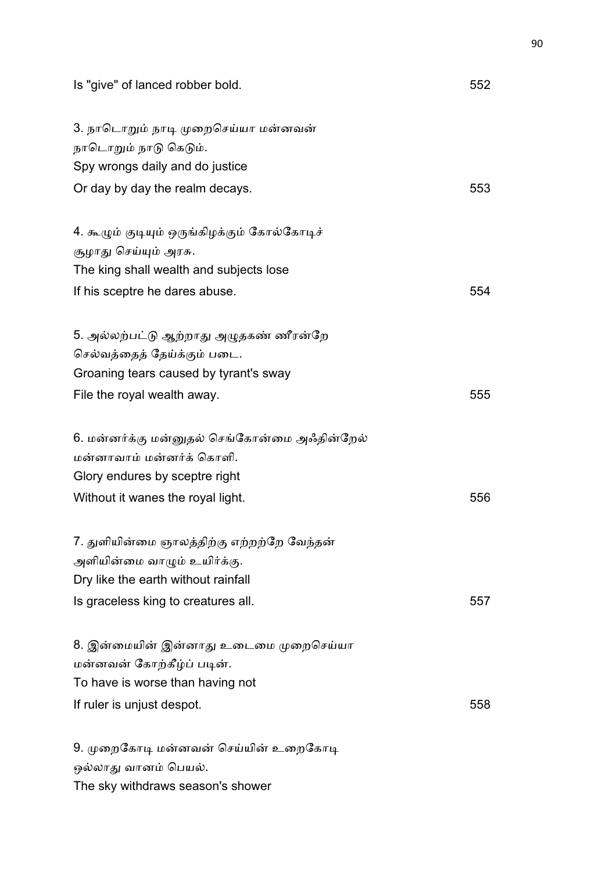| Is "give" of lanced robber bold.                                                                                                                        | 552 |
|---------------------------------------------------------------------------------------------------------------------------------------------------------|-----|
| 3. நாடொறும் நாடி முறைசெய்யா மன்னவன்<br>நாடொறும் நாடு கெடும்.<br>Spy wrongs daily and do justice                                                         |     |
| Or day by day the realm decays.                                                                                                                         | 553 |
| 4. கூழும் குடியும் ஒருங்கிழக்கும் கோல்கோடிச்<br>சூழாது செய்யும் அரசு.<br>The king shall wealth and subjects lose                                        |     |
| If his sceptre he dares abuse.                                                                                                                          | 554 |
| 5. அல்லற்பட்டு ஆற்றாது அழுதகண் ணீரன்றே<br>செல்வத்தைத் தேய்க்கும் படை.<br>Groaning tears caused by tyrant's sway<br>File the royal wealth away.          | 555 |
| 6. மன்னர்க்கு மன்னுதல் செங்கோன்மை அஃதின்றேல்<br>மன்னாவாம் மன்னர்க் கொளி.<br>Glory endures by sceptre right<br>Without it wanes the royal light.         | 556 |
| 7. துளியின்மை ஞாலத்திற்கு எற்றற்றே வேந்தன்<br>அளியின்மை வாழும் உயிர்க்கு.<br>Dry like the earth without rainfall<br>Is graceless king to creatures all. | 557 |
| 8. இன்மையின் இன்னாது உடைமை முறைசெய்யா<br>மன்னவன் கோற்கீழ்ப் படின்.<br>To have is worse than having not<br>If ruler is unjust despot.                    | 558 |
| 9. முறைகோடி மன்னவன் செய்யின் உறைகோடி<br>ஒல்லாது வானம் பெயல்.<br>The sky withdraws season's shower                                                       |     |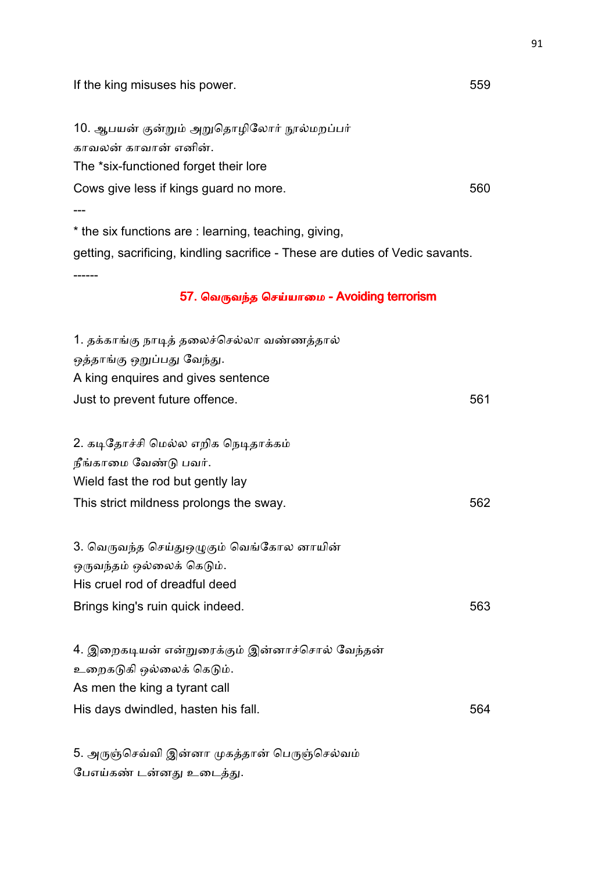If the king misuses his power. The same state of the state of  $559$ 10. ஆபயன் குன்றும் அறுதொழிலோர் நூல்மறப்பர் காவலன் காவான் எனின். The \*six-functioned forget their lore Cows give less if kings guard no more. 560 --- \* the six functions are : learning, teaching, giving, getting, sacrificing, kindling sacrifice - These are duties of Vedic savants. ------ 57. வெருவந்த செய்யாமை - Avoiding terrorism 1. தக்காங்கு நாடித் தலைச்செல்லா வண்ணத்தால் ஒத்தாங்கு ஒறுப்பது வேந்து. A king enquires and gives sentence Just to prevent future offence. 561 2. கடிதோச்சி மெல்ல எறிக நெடிதாக்கம் நீங்காமை வேண்டு பவர். Wield fast the rod but gently lay This strict mildness prolongs the sway. 562 3. வெருவந்த செய்துஒழுகும் வெங்கோல னாயின் ஒருவந்தம் ஒல்லைக் கெடும். His cruel rod of dreadful deed Brings king's ruin quick indeed. 563 4. இறைகடியன் என்றுரைக்கும் இன்னாச்சொல் வேந்தன் உறைகடுகி ஒல்லைக் கெடும். As men the king a tyrant call His days dwindled, hasten his fall. The same state of the state of the state of the state of the state of the state of the state of the state of the state of the state of the state of the state of the state of the state of

5. அருஞ்செவ்வி இன்னா முகத்தான் பெருஞ்செல்வம் பேஎய்கண் டன்னது உடைத்து.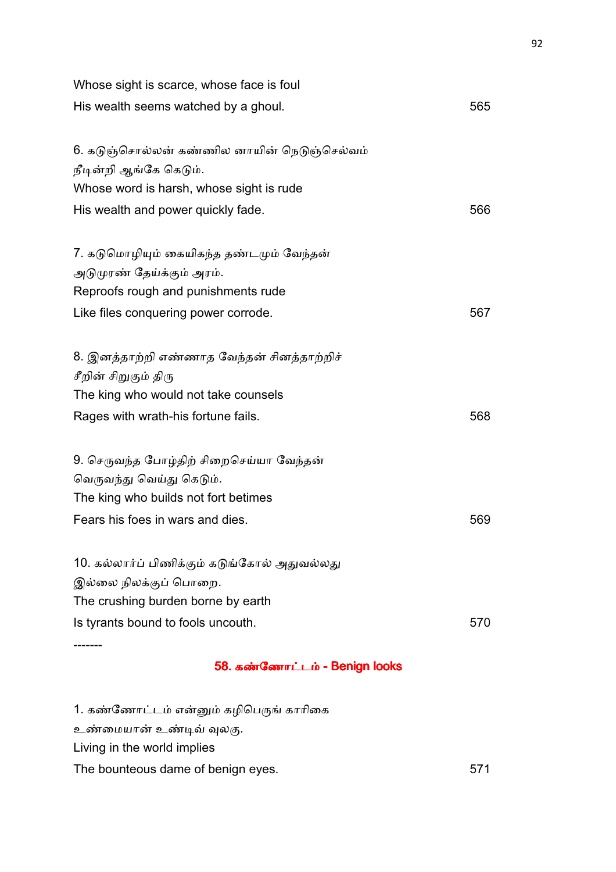| 58. கண்ணோட்டம் - Benign looks                |     |
|----------------------------------------------|-----|
|                                              |     |
| Is tyrants bound to fools uncouth.           | 570 |
| The crushing burden borne by earth           |     |
| இல்லை நிலக்குப் பொறை.                        |     |
| 10. கல்லார்ப் பிணிக்கும் கடுங்கோல் அதுவல்லது |     |
| Fears his foes in wars and dies.             | 569 |
| The king who builds not fort betimes         |     |
| வெருவந்து வெய்து கெடும்.                     |     |
| 9. செருவந்த போழ்திற் சிறைசெய்யா வேந்தன்      |     |
| Rages with wrath-his fortune fails.          | 568 |
| The king who would not take counsels         |     |
| சீறின் சிறுகும் திரு                         |     |
| 8. இனத்தாற்றி எண்ணாத வேந்தன் சினத்தாற்றிச்   |     |
| Like files conquering power corrode.         | 567 |
| Reproofs rough and punishments rude          |     |
| அடுமுரண் தேய்க்கும் அரம்.                    |     |
| 7. கடுமொழியும் கையிகந்த தண்டமும் வேந்தன்     |     |
| His wealth and power quickly fade.           | 566 |
| Whose word is harsh, whose sight is rude     |     |
| நீடின்றி ஆங்கே கெடும்.                       |     |
| 6. கடுஞ்சொல்லன் கண்ணில னாயின் நெடுஞ்செல்வம்  |     |
| His wealth seems watched by a ghoul.         | 565 |
| Whose sight is scarce, whose face is foul    |     |
|                                              |     |

1. கண்ணோட்டம் என்னும் கழிபெருங் காரிகை உண்மையான் உண்டிவ் வுலகு. Living in the world implies The bounteous dame of benign eyes. The bounteous dame of benign eyes. The state of  $571$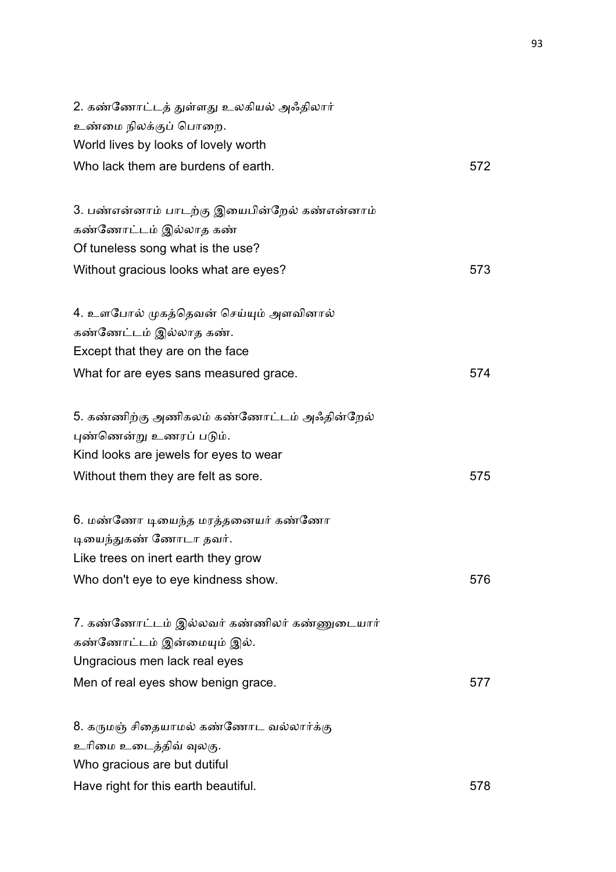| 2. கண்ணோட்டத் துள்ளது உலகியல் அஃதிலார்       |     |
|----------------------------------------------|-----|
| உண்மை நிலக்குப் பொறை.                        |     |
| World lives by looks of lovely worth         |     |
| Who lack them are burdens of earth.          | 572 |
| 3. பண்என்னாம் பாடற்கு இயைபின்றேல் கண்என்னாம் |     |
| கண்ணோட்டம் இல்லாத கண்                        |     |
| Of tuneless song what is the use?            |     |
| Without gracious looks what are eyes?        | 573 |
| 4. உளபோல் முகத்தெவன் செய்யும் அளவினால்       |     |
| கண்ணேட்டம் இல்லாத கண்.                       |     |
| Except that they are on the face             |     |
| What for are eyes sans measured grace.       | 574 |
| 5. கண்ணிற்கு அணிகலம் கண்ணோட்டம் அஃதின்றேல்   |     |
| புண்ணென்று உணரப் படும்.                      |     |
| Kind looks are jewels for eyes to wear       |     |
| Without them they are felt as sore.          | 575 |
| 6. மண்ணோ டியைந்த மரத்தனையர் கண்ணோ            |     |
| டியைந்துகண் ணோடா தவர்.                       |     |
| Like trees on inert earth they grow          |     |
| Who don't eye to eye kindness show.          | 576 |
| 7. கண்ணோட்டம் இல்லவர் கண்ணிலர் கண்ணுடையார்   |     |
| கண்ணோட்டம் இன்மையும் இல்.                    |     |
| Ungracious men lack real eyes                |     |
| Men of real eyes show benign grace.          | 577 |
| 8. கருமஞ் சிதையாமல் கண்ணோட வல்லார்க்கு       |     |
| உரிமை உடைத்திவ் வுலகு.                       |     |
| Who gracious are but dutiful                 |     |
| Have right for this earth beautiful.         | 578 |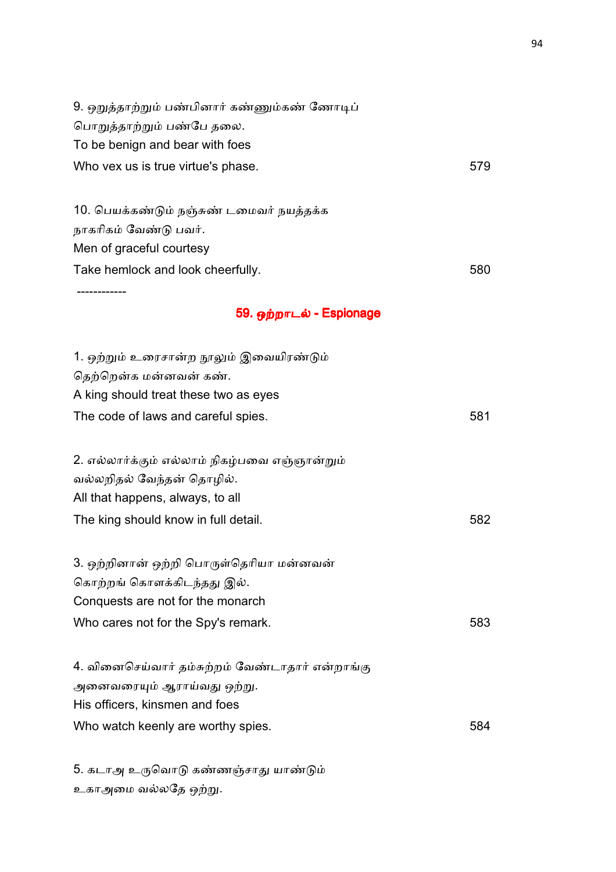| 9. ஒறுத்தாற்றும் பண்பினார் கண்ணும்கண் ணோடிப்    |     |
|-------------------------------------------------|-----|
| பொறுத்தாற்றும் பண்பே தலை.                       |     |
| To be benign and bear with foes                 |     |
| Who vex us is true virtue's phase.              | 579 |
|                                                 |     |
| 10. பெயக்கண்டும் நஞ்சுண் டமைவர் நயத்தக்க        |     |
| நாகரிகம் வேண்டு பவர்.                           |     |
| Men of graceful courtesy                        |     |
| Take hemlock and look cheerfully.               | 580 |
|                                                 |     |
| 59. ஒற்றாடல் - Espionage                        |     |
| 1. ஒற்றும் உரைசான்ற நூலும் இவையிரண்டும்         |     |
| தெற்றென்க மன்னவன் கண்.                          |     |
| A king should treat these two as eyes           |     |
| The code of laws and careful spies.             | 581 |
|                                                 |     |
| 2. எல்லார்க்கும் எல்லாம் நிகழ்பவை எஞ்ஞான்றும்   |     |
| வல்லறிதல் வேந்தன் தொழில்.                       |     |
| All that happens, always, to all                |     |
| The king should know in full detail.            | 582 |
| 3. ஒற்றினான் ஒற்றி பொருள்தெரியா மன்னவன்         |     |
| கொற்றங் கொளக்கிடந்தது இல்.                      |     |
| Conquests are not for the monarch               |     |
| Who cares not for the Spy's remark.             | 583 |
|                                                 |     |
| 4. வினைசெய்வார் தம்சுற்றம் வேண்டாதார் என்றாங்கு |     |
| அனைவரையும் ஆராய்வது ஒற்று.                      |     |
| His officers, kinsmen and foes                  |     |
| Who watch keenly are worthy spies.              | 584 |

5. கடாஅ உருவொடு கண்ணஞ்சாது யாண்டும் உகாஅமை வல்லதே ஒற்று.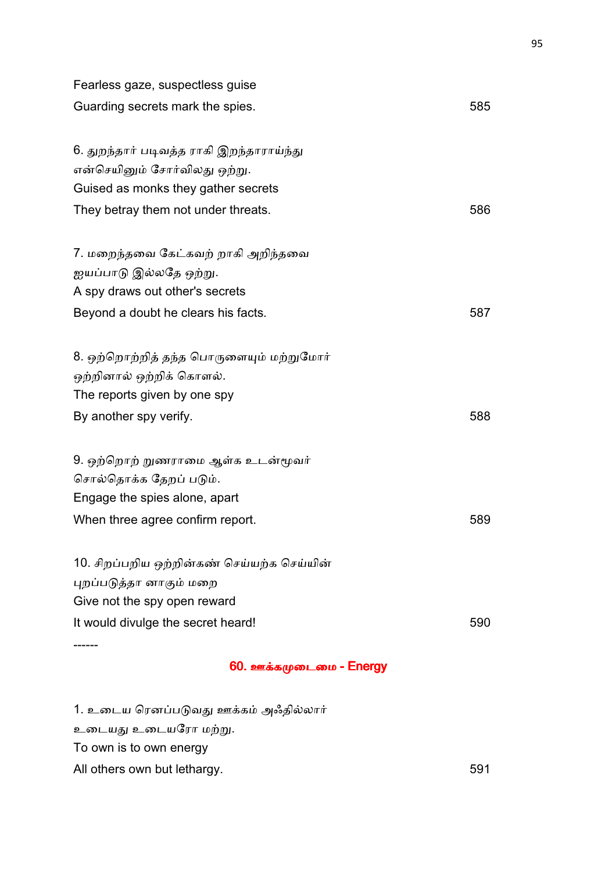| 60. ஊக்கமுடைமை - Energy                    |     |
|--------------------------------------------|-----|
|                                            |     |
| It would divulge the secret heard!         | 590 |
| Give not the spy open reward               |     |
| புறப்படுத்தா னாகும் மறை                    |     |
| 10. சிறப்பறிய ஒற்றின்கண் செய்யற்க செய்யின் |     |
| When three agree confirm report.           | 589 |
| Engage the spies alone, apart              |     |
| சொல்தொக்க தேறப் படும்.                     |     |
| 9. ஒற்றொற் றுணராமை ஆள்க உடன்மூவர்          |     |
| By another spy verify.                     | 588 |
| The reports given by one spy               |     |
| ஒற்றினால் ஒற்றிக் கொளல்.                   |     |
| 8. ஒற்றொற்றித் தந்த பொருளையும் மற்றுமோர்   |     |
|                                            |     |
| Beyond a doubt he clears his facts.        | 587 |
| A spy draws out other's secrets            |     |
| ஐயப்பாடு இல்லதே ஒற்று.                     |     |
| 7. மறைந்தவை கேட்கவற் றாகி அறிந்தவை         |     |
| They betray them not under threats.        | 586 |
| Guised as monks they gather secrets        |     |
| என்செயினும் சோர்விலது ஒற்று.               |     |
| 6. துறந்தார் படிவத்த ராகி இறந்தாராய்ந்து   |     |
| Guarding secrets mark the spies.           | 585 |
| Fearless gaze, suspectless guise           |     |
|                                            |     |

1. உடைய ரெனப்படுவது ஊக்கம் அஃதில்லார் உடையது உடையரோ மற்று. To own is to own energy All others own but lethargy. The same state of the state of the state of the state of the state of the state of the state of the state of the state of the state of the state of the state of the state of the state of the st 95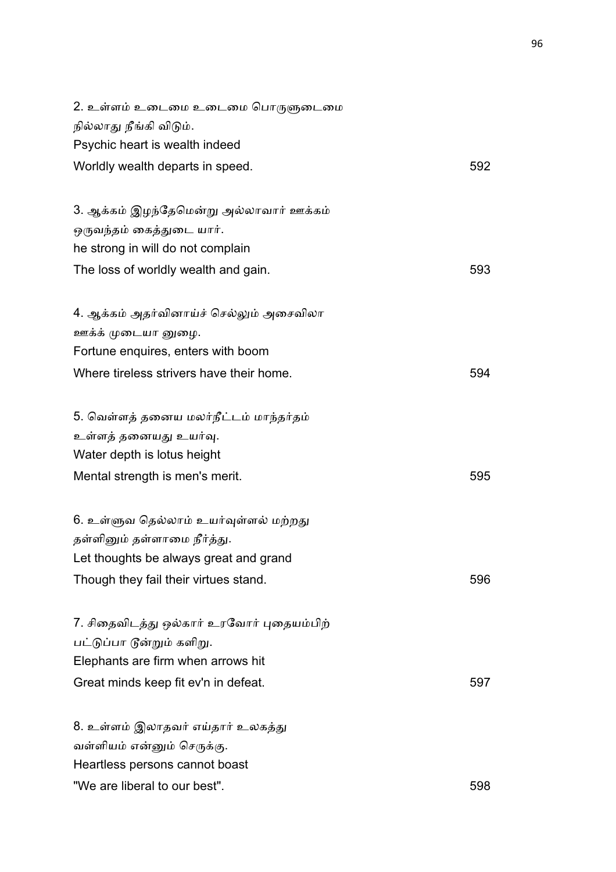| 2. உள்ளம் உடைமை உடைமை பொருளுடைமை          |     |
|-------------------------------------------|-----|
| நில்லாது நீங்கி விடும்.                   |     |
| Psychic heart is wealth indeed            |     |
| Worldly wealth departs in speed.          | 592 |
| 3. ஆக்கம் இழந்தேமென்று அல்லாவார் ஊக்கம்   |     |
| ஒருவந்தம் கைத்துடை யார்.                  |     |
| he strong in will do not complain         |     |
| The loss of worldly wealth and gain.      | 593 |
| 4. ஆக்கம் அதர்வினாய்ச் செல்லும் அசைவிலா   |     |
| ஊக்க் முடையா னுழை.                        |     |
| Fortune enquires, enters with boom        |     |
| Where tireless strivers have their home.  | 594 |
| 5. வெள்ளத் தனைய மலர்நீட்டம் மாந்தர்தம்    |     |
| உள்ளத் தனையது உயர்வு.                     |     |
| Water depth is lotus height               |     |
| Mental strength is men's merit.           | 595 |
| 6. உள்ளுவ தெல்லாம் உயர்வுள்ளல் மற்றது     |     |
| தள்ளினும் தள்ளாமை நீர்த்து.               |     |
| Let thoughts be always great and grand    |     |
| Though they fail their virtues stand.     | 596 |
| 7. சிதைவிடத்து ஒல்கார் உரவோர் புதையம்பிற் |     |
| பட்டுப்பா டூன்றும் களிறு.                 |     |
| Elephants are firm when arrows hit        |     |
| Great minds keep fit ev'n in defeat.      | 597 |
| 8. உள்ளம் இலாதவர் எய்தார் உலகத்து         |     |
| வள்ளியம் என்னும் செருக்கு.                |     |
| Heartless persons cannot boast            |     |
| "We are liberal to our best".             | 598 |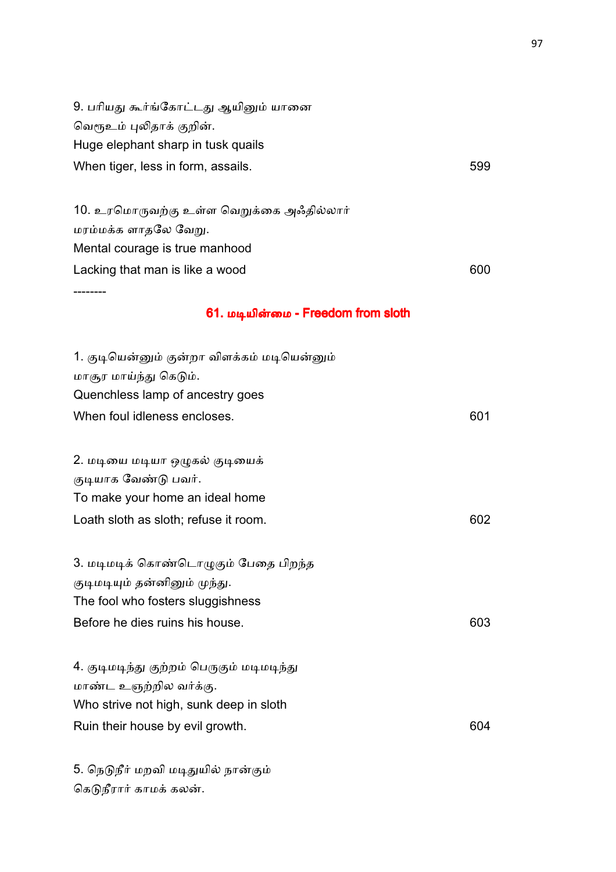| 9. பரியது கூர்ங்கோட்டது ஆயினும் யானை        |     |
|---------------------------------------------|-----|
| வெரூஉம் புலிதாக் குறின்.                    |     |
| Huge elephant sharp in tusk quails          |     |
| When tiger, less in form, assails.          | 599 |
|                                             |     |
| 10. உரமொருவற்கு உள்ள வெறுக்கை அஃதில்லார்    |     |
| மரம்மக்க ளாதலே வேறு.                        |     |
| Mental courage is true manhood              |     |
| Lacking that man is like a wood             | 600 |
|                                             |     |
| 61. மடியின்மை - Freedom from sloth          |     |
| 1. குடியென்னும் குன்றா விளக்கம் மடியென்னும் |     |
| மாசூர மாய்ந்து கெடும்.                      |     |
| Quenchless lamp of ancestry goes            |     |
| When foul idleness encloses.                | 601 |
| 2. மடியை மடியா ஒழுகல் குடியைக்              |     |
| குடியாக வேண்டு பவர்.                        |     |
| To make your home an ideal home             |     |
| Loath sloth as sloth; refuse it room.       | 602 |
|                                             |     |
| 3. மடிமடிக் கொண்டொழுகும் பேதை பிறந்த        |     |
| குடிமடியும் தன்னினும் முந்து.               |     |
| The fool who fosters sluggishness           |     |
| Before he dies ruins his house.             | 603 |
| 4. குடிமடிந்து குற்றம் பெருகும் மடிமடிந்து  |     |
| மாண்ட உஞற்றில வர்க்கு.                      |     |
| Who strive not high, sunk deep in sloth     |     |
| Ruin their house by evil growth.            | 604 |
|                                             |     |
| 5. நெடுநீர் மறவி மடிதுயில் நான்கும்         |     |

கெடுநீரார் காமக் கலன்.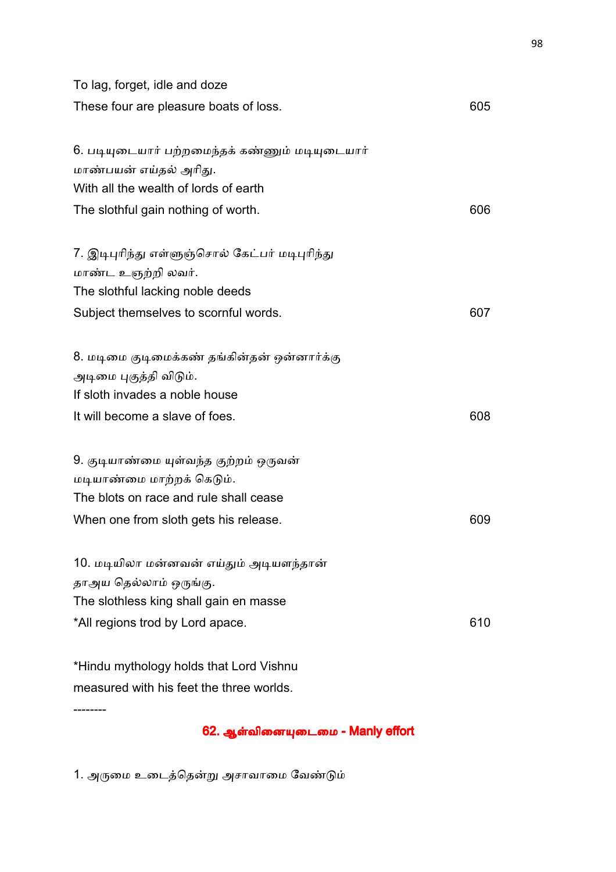| To lag, forget, idle and doze                                                                           |     |
|---------------------------------------------------------------------------------------------------------|-----|
| These four are pleasure boats of loss.                                                                  | 605 |
| 6. படியுடையார் பற்றமைந்தக் கண்ணும் மடியுடையார்                                                          |     |
| மாண்பயன் எய்தல் அரிது.                                                                                  |     |
| With all the wealth of lords of earth                                                                   |     |
| The slothful gain nothing of worth.                                                                     | 606 |
| 7. இடிபுரிந்து எள்ளுஞ்சொல் கேட்பர் மடிபுரிந்து<br>மாண்ட உஞற்றி லவர்.                                    |     |
| The slothful lacking noble deeds                                                                        |     |
| Subject themselves to scornful words.                                                                   | 607 |
| 8. மடிமை குடிமைக்கண் தங்கின்தன் ஒன்னார்க்கு<br>அடிமை புகுத்தி விடும்.<br>If sloth invades a noble house |     |
|                                                                                                         |     |
| It will become a slave of foes.                                                                         | 608 |
| 9. குடியாண்மை யுள்வந்த குற்றம் ஒருவன்                                                                   |     |
| மடியாண்மை மாற்றக் கெடும்.                                                                               |     |
| The blots on race and rule shall cease                                                                  |     |
| When one from sloth gets his release.                                                                   | 609 |
| 10. மடியிலா மன்னவன் எய்தும் அடியளந்தான்                                                                 |     |
| தாஅய தெல்லாம் ஒருங்கு.                                                                                  |     |
| The slothless king shall gain en masse                                                                  |     |
| *All regions trod by Lord apace.                                                                        | 610 |
| *Hindu mythology holds that Lord Vishnu                                                                 |     |
| measured with his feet the three worlds.                                                                |     |

62. ஆள்வினையுடைமை - Manly effort

1. அருமை உடைத்தென்று அசாவாமை வேண்டும்

--------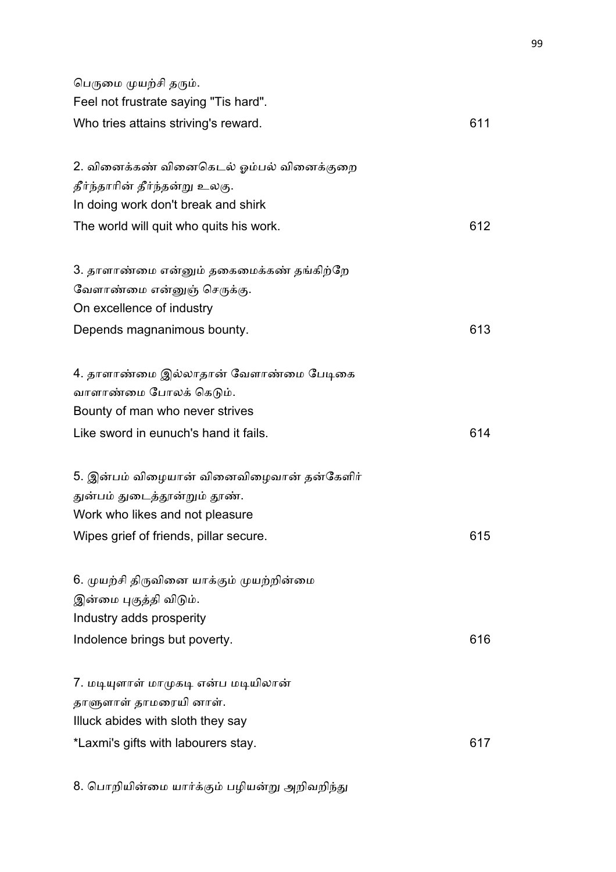| பெருமை முயற்சி தரும்.<br>Feel not frustrate saying "Tis hard".                                                                              |     |
|---------------------------------------------------------------------------------------------------------------------------------------------|-----|
| Who tries attains striving's reward.                                                                                                        | 611 |
| 2. வினைக்கண் வினைகெடல் ஓம்பல் வினைக்குறை<br>தீர்ந்தாரின் தீர்ந்தன்று உலகு.<br>In doing work don't break and shirk                           |     |
| The world will quit who quits his work.                                                                                                     | 612 |
| 3. தாளாண்மை என்னும் தகைமைக்கண் தங்கிற்றே<br>வேளாண்மை என்னுஞ் செருக்கு.<br>On excellence of industry                                         |     |
| Depends magnanimous bounty.                                                                                                                 | 613 |
| 4. தாளாண்மை இல்லாதான் வேளாண்மை பேடிகை<br>வாளாண்மை போலக் கெடும்.<br>Bounty of man who never strives<br>Like sword in eunuch's hand it fails. | 614 |
| 5. இன்பம் விழையான் வினைவிழைவான் தன்கேளிர்<br>துன்பம் துடைத்தூன்றும் தூண்.<br>Work who likes and not pleasure                                |     |
| Wipes grief of friends, pillar secure.                                                                                                      | 615 |
| 6. முயற்சி திருவினை யாக்கும் முயற்றின்மை<br>இன்மை புகுத்தி விடும்.<br>Industry adds prosperity                                              |     |
| Indolence brings but poverty.                                                                                                               | 616 |
| 7. மடியுளாள் மாமுகடி என்ப மடியிலான்<br>தாளுளாள் தாமரையி னாள்.<br>Illuck abides with sloth they say                                          |     |
| *Laxmi's gifts with labourers stay.                                                                                                         | 617 |

8. பொறியின்மை யார்க்கும் பழியன்று அறிவறிந்து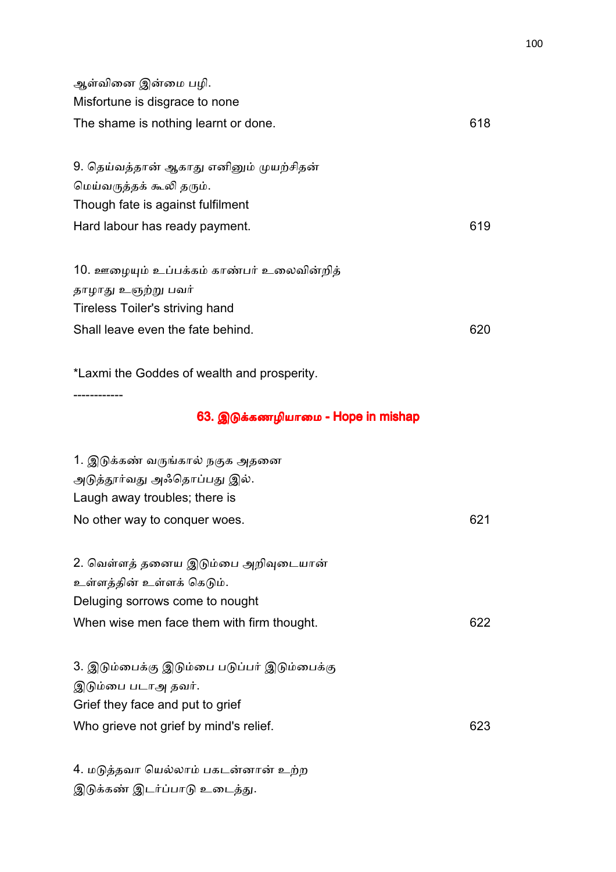| ஆள்வினை இன்மை பழி.                          |     |
|---------------------------------------------|-----|
| Misfortune is disgrace to none              |     |
| The shame is nothing learnt or done.        | 618 |
|                                             |     |
| 9. தெய்வத்தான் ஆகாது எனினும் முயற்சிதன்     |     |
| மெய்வருத்தக் கூலி தரும்.                    |     |
| Though fate is against fulfilment           |     |
| Hard labour has ready payment.              | 619 |
|                                             |     |
| 10. ஊழையும் உப்பக்கம் காண்பர் உலைவின்றித்   |     |
| தாழாது உஞற்று பவர்                          |     |
| Tireless Toiler's striving hand             |     |
| Shall leave even the fate behind.           | 620 |
|                                             |     |
| *Laxmi the Goddes of wealth and prosperity. |     |
|                                             |     |
| 63. இடுக்கணழியாமை - Hope in mishap          |     |
| 1. இடுக்கண் வருங்கால் நகுக அதனை             |     |

| அடுத்தூர்வது அஃதொப்பது இல்.<br>Laugh away troubles; there is      |     |
|-------------------------------------------------------------------|-----|
| No other way to conquer woes.                                     | 621 |
| 2. வெள்ளத் தனைய இடும்பை அறிவுடையான்<br>உள்ளத்தின் உள்ளக் கெடும்.  |     |
| Deluging sorrows come to nought                                   |     |
| When wise men face them with firm thought.                        | 622 |
| 3. இடும்பைக்கு இடும்பை படுப்பர் இடும்பைக்கு<br>இடும்பை படாஅ தவர். |     |
| Grief they face and put to grief                                  |     |
| Who grieve not grief by mind's relief.                            | 623 |
|                                                                   |     |

4. மடுத்தவா யெல்லாம் பகடன்னான் உற்ற இடுக்கண் இடர்ப்பாடு உடைத்து.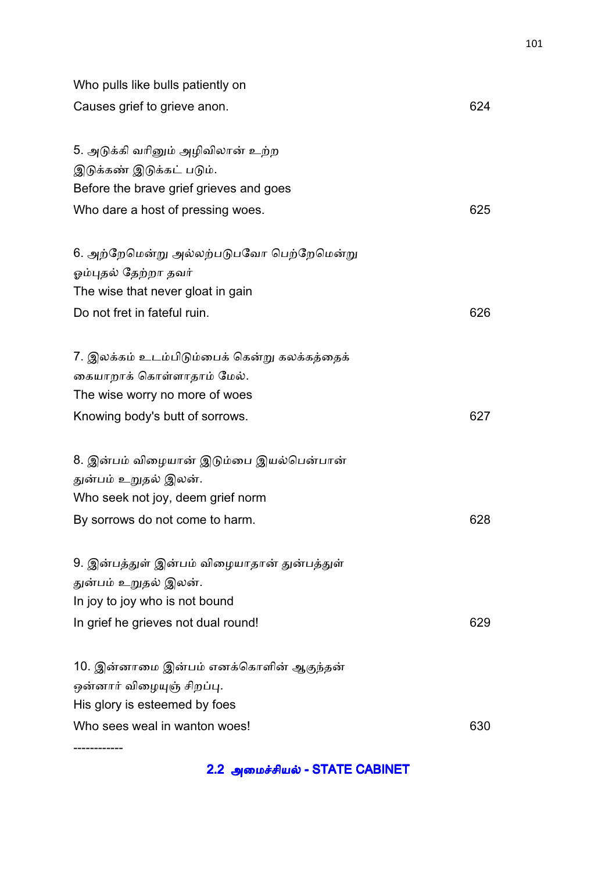| Who pulls like bulls patiently on            |     |
|----------------------------------------------|-----|
| Causes grief to grieve anon.                 | 624 |
| 5. அடுக்கி வரினும் அழிவிலான் உற்ற            |     |
| இடுக்கண் இடுக்கட் படும்.                     |     |
| Before the brave grief grieves and goes      |     |
| Who dare a host of pressing woes.            | 625 |
| 6. அற்றேமென்று அல்லற்படுபவோ பெற்றேமென்று     |     |
| ஓம்புதல் தேற்றா தவர்                         |     |
| The wise that never gloat in gain            |     |
| Do not fret in fateful ruin.                 | 626 |
| 7. இலக்கம் உடம்பிடும்பைக் கென்று கலக்கத்தைக் |     |
| கையாறாக் கொள்ளாதாம் மேல்.                    |     |
| The wise worry no more of woes               |     |
| Knowing body's butt of sorrows.              | 627 |
| 8. இன்பம் விழையான் இடும்பை இயல்பென்பான்      |     |
| துன்பம் உறுதல் இலன்.                         |     |
| Who seek not joy, deem grief norm            |     |
| By sorrows do not come to harm.              | 628 |
| 9. இன்பத்துள் இன்பம் விழையாதான் துன்பத்துள்  |     |
| துன்பம் உறுதல் இலன்.                         |     |
| In joy to joy who is not bound               |     |
| In grief he grieves not dual round!          | 629 |
| 10. இன்னாமை இன்பம் எனக்கொளின் ஆகுந்தன்       |     |
| ஒன்னார் விழையுஞ் சிறப்பு.                    |     |
| His glory is esteemed by foes                |     |
| Who sees weal in wanton woes!                | 630 |
|                                              |     |

2.2 அமைச்சியல் - STATE CABINET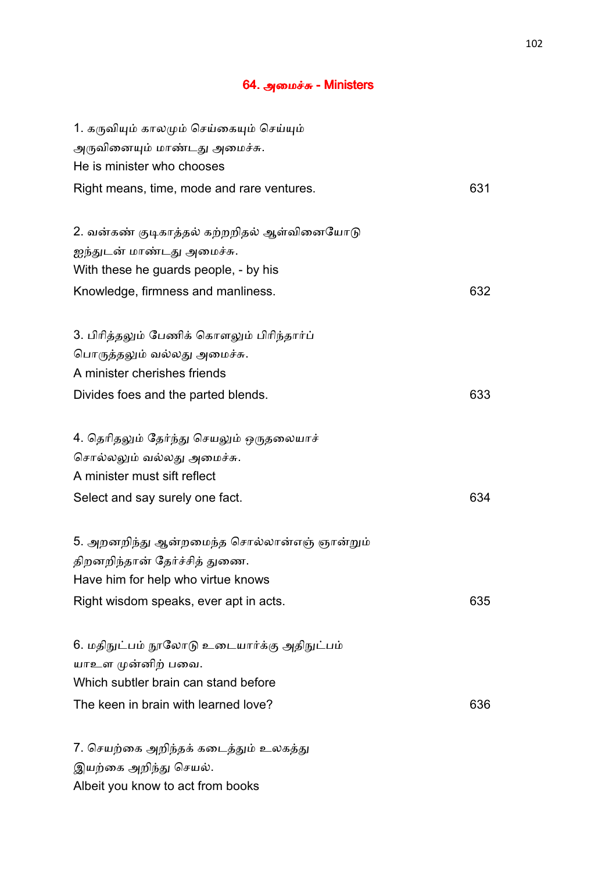#### 64. அமைச்சு - Ministers

| 1. கருவியும் காலமும் செய்கையும் செய்யும்                  |     |
|-----------------------------------------------------------|-----|
| அருவினையும் மாண்டது அமைச்சு.                              |     |
| He is minister who chooses                                |     |
| Right means, time, mode and rare ventures.                | 631 |
| 2. வன்கண் குடிகாத்தல் கற்றறிதல் ஆள்வினையோடு               |     |
| ஐந்துடன் மாண்டது அமைச்சு.                                 |     |
| With these he guards people, - by his                     |     |
|                                                           | 632 |
| Knowledge, firmness and manliness.                        |     |
| 3. பிரித்தலும் பேணிக் கொளலும் பிரிந்தார்ப்                |     |
| பொருத்தலும் வல்லது அமைச்சு.                               |     |
| A minister cherishes friends                              |     |
| Divides foes and the parted blends.                       | 633 |
| 4. தெரிதலும் தேர்ந்து செயலும் ஒருதலையாச்                  |     |
|                                                           |     |
| சொல்லலும் வல்லது அமைச்சு.<br>A minister must sift reflect |     |
|                                                           |     |
| Select and say surely one fact.                           | 634 |
| 5. அறனறிந்து ஆன்றமைந்த சொல்லான்எஞ் ஞான்றும்               |     |
| திறனறிந்தான் தேர்ச்சித் துணை.                             |     |
| Have him for help who virtue knows                        |     |
| Right wisdom speaks, ever apt in acts.                    | 635 |
| 6. மதிநுட்பம் நூலோடு உடையார்க்கு அதிநுட்பம்               |     |
| யாஉள முன்னிற் பவை.                                        |     |
| Which subtler brain can stand before                      |     |
|                                                           |     |
| The keen in brain with learned love?                      | 636 |
| 7. செயற்கை அறிந்தக் கடைத்தும் உலகத்து                     |     |
| இயற்கை அறிந்து செயல்.                                     |     |
| Albeit you know to act from books                         |     |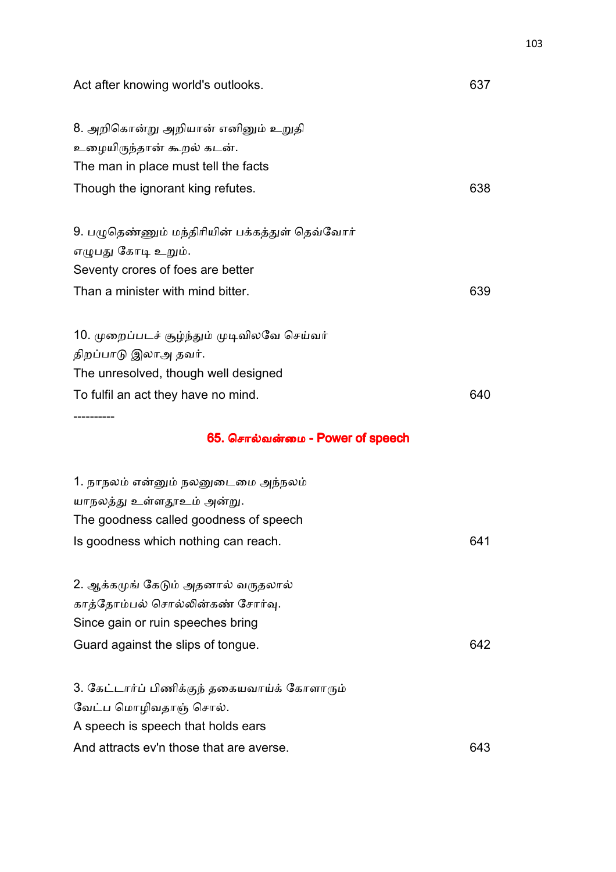| Act after knowing world's outlooks.            | 637 |
|------------------------------------------------|-----|
| 8. அறிகொன்று அறியான் எனினும் உறுதி             |     |
| உழையிருந்தான் கூறல் கடன்.                      |     |
| The man in place must tell the facts           |     |
| Though the ignorant king refutes.              | 638 |
| 9. பழுதெண்ணும் மந்திரியின் பக்கத்துள் தெவ்வோர் |     |
| எழுபது கோடி உறும்.                             |     |
| Seventy crores of foes are better              |     |
| Than a minister with mind bitter.              | 639 |
| 10. முறைப்படச் சூழ்ந்தும் முடிவிலவே செய்வர்    |     |
| திறப்பாடு இலாஅ தவர்.                           |     |
| The unresolved, though well designed           |     |
| To fulfil an act they have no mind.            | 640 |
|                                                |     |
| 65. சொல்வன்மை - Power of speech                |     |
| 1. நாநலம் என்னும் நலனுடைமை அந்நலம்             |     |
| யாநலத்து உள்ளதூஉம் அன்று.                      |     |
| The goodness called goodness of speech         |     |
| Is goodness which nothing can reach.           | 641 |
| 2. ஆக்கமுங் கேடும் அதனால் வருதலால்             |     |
| காத்தோம்பல் சொல்லின்கண் சோர்வு.                |     |
| Since gain or ruin speeches bring              |     |
| Guard against the slips of tongue.             | 642 |
| 3. கேட்டார்ப் பிணிக்குந் தகையவாய்க் கோளாரும்   |     |
| வேட்ப மொழிவதாஞ் சொல்.                          |     |
| A speech is speech that holds ears             |     |
| And attracts ev'n those that are averse.       | 643 |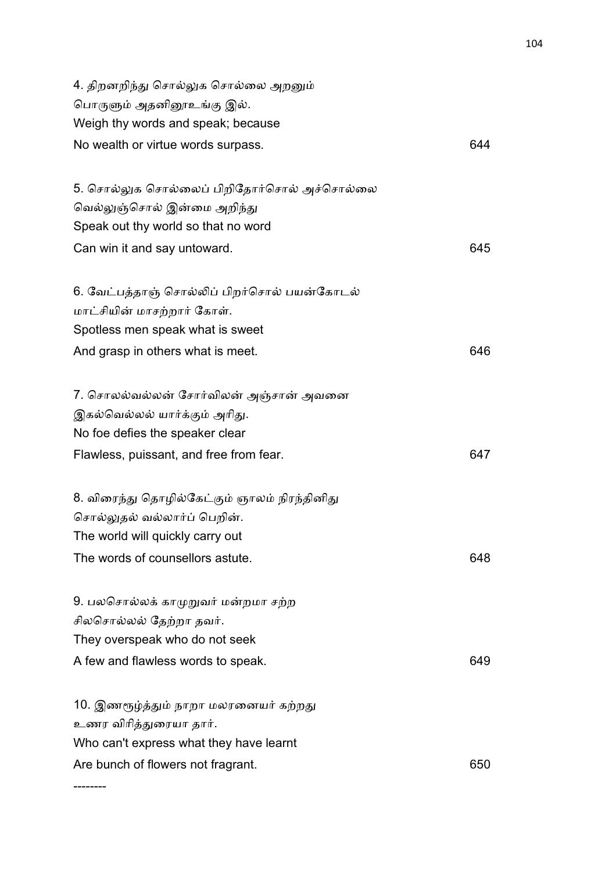| 4. திறனறிந்து சொல்லுக சொல்லை அறனும்<br>பொருளும் அதனினூஉங்கு இல்.<br>Weigh thy words and speak; because          |     |
|-----------------------------------------------------------------------------------------------------------------|-----|
| No wealth or virtue words surpass.                                                                              | 644 |
| 5. சொல்லுக சொல்லைப் பிறிதோர்சொல் அச்சொல்லை                                                                      |     |
| வெல்லுஞ்சொல் இன்மை அறிந்து<br>Speak out thy world so that no word                                               |     |
| Can win it and say untoward.                                                                                    | 645 |
| 6. வேட்பத்தாஞ் சொல்லிப் பிறர்சொல் பயன்கோடல்                                                                     |     |
| மாட்சியின் மாசற்றார் கோள்.<br>Spotless men speak what is sweet                                                  |     |
| And grasp in others what is meet.                                                                               | 646 |
| 7. சொலல்வல்லன் சோர்விலன் அஞ்சான் அவனை                                                                           |     |
| இகல்வெல்லல் யார்க்கும் அரிது.<br>No foe defies the speaker clear                                                |     |
| Flawless, puissant, and free from fear.                                                                         | 647 |
| 8. விரைந்து தொழில்கேட்கும் ஞாலம் நிரந்தினிது<br>சொல்லுதல் வல்லார்ப் பெறின்.<br>The world will quickly carry out |     |
| The words of counsellors astute.                                                                                | 648 |
| 9. பலசொல்லக் காமுறுவர் மன்றமா சற்ற<br>சிலசொல்லல் தேற்றா தவர்.<br>They overspeak who do not seek                 |     |
| A few and flawless words to speak.                                                                              | 649 |
| 10. இணரூழ்த்தும் நாறா மலரனையர் கற்றது<br>உணர விரித்துரையா தார்.                                                 |     |
| Who can't express what they have learnt<br>Are bunch of flowers not fragrant.                                   | 650 |
|                                                                                                                 |     |

--------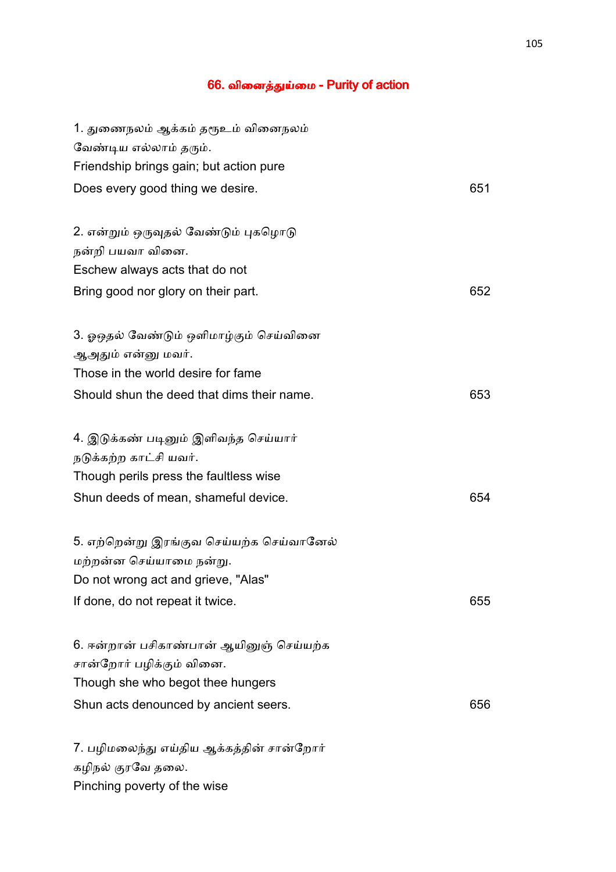# 66. வினைத்துய்மை - Purity of action

| 1. துணைநலம் ஆக்கம் தரூஉம் வினைநலம்         |     |
|--------------------------------------------|-----|
| வேண்டிய எல்லாம் தரும்.                     |     |
| Friendship brings gain; but action pure    |     |
| Does every good thing we desire.           | 651 |
| 2. என்றும் ஒருவுதல் வேண்டும் புகழொடு       |     |
| நன்றி பயவா வினை.                           |     |
| Eschew always acts that do not             |     |
| Bring good nor glory on their part.        | 652 |
|                                            |     |
| 3. ஓஒதல் வேண்டும் ஒளிமாழ்கும் செய்வினை     |     |
| ஆஅதும் என்னு மவர்.                         |     |
| Those in the world desire for fame         |     |
| Should shun the deed that dims their name. | 653 |
| 4. இடுக்கண் படினும் இளிவந்த செய்யார்       |     |
| நடுக்கற்ற காட்சி யவர்.                     |     |
| Though perils press the faultless wise     |     |
| Shun deeds of mean, shameful device.       | 654 |
| 5. எற்றென்று இரங்குவ செய்யற்க செய்வானேல்   |     |
| மற்றன்ன செய்யாமை நன்று.                    |     |
| Do not wrong act and grieve, "Alas"        |     |
| If done, do not repeat it twice.           | 655 |
| 6. ஈன்றான் பசிகாண்பான் ஆயினுஞ் செய்யற்க    |     |
| சான்றோர் பழிக்கும் வினை.                   |     |
| Though she who begot thee hungers          |     |
| Shun acts denounced by ancient seers.      | 656 |
|                                            |     |
| 7. பழிமலைந்து எய்திய ஆக்கத்தின் சான்றோர்   |     |
| கழிநல் குரவே தலை.                          |     |
| Pinching poverty of the wise               |     |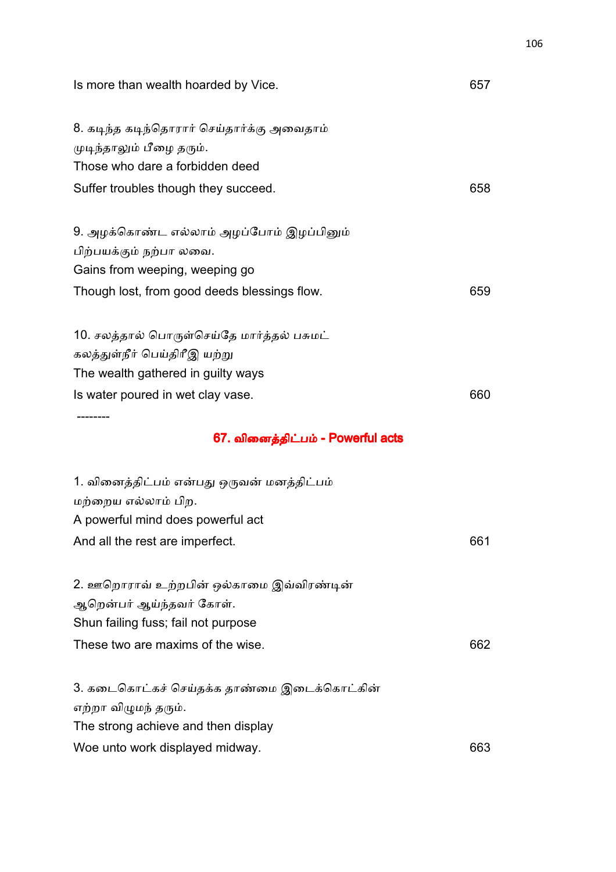| Is more than wealth hoarded by Vice.                                                                                                                                                       | 657 |
|--------------------------------------------------------------------------------------------------------------------------------------------------------------------------------------------|-----|
| 8. கடிந்த கடிந்தொரார் செய்தார்க்கு அவைதாம்<br>முடிந்தாலும் பீழை தரும்.<br>Those who dare a forbidden deed                                                                                  |     |
| Suffer troubles though they succeed.                                                                                                                                                       | 658 |
| 9. அழக்கொண்ட எல்லாம் அழப்போம் இழப்பினும்<br>பிற்பயக்கும் நற்பா லவை.<br>Gains from weeping, weeping go                                                                                      |     |
| Though lost, from good deeds blessings flow.                                                                                                                                               | 659 |
| 10. சலத்தால் பொருள்செய்தே மார்த்தல் பசுமட்<br>கலத்துள்நீர் பெய்திரீஇ யற்று<br>The wealth gathered in guilty ways<br>Is water poured in wet clay vase.<br>67. வினைத்திட்பம் - Powerful acts | 660 |
| 1. வினைத்திட்பம் என்பது ஒருவன் மனத்திட்பம்<br>மற்றைய எல்லாம் பிற.<br>A powerful mind does powerful act<br>And all the rest are imperfect.                                                  | 661 |
| 2. ஊறொராவ் உற்றபின் ஒல்காமை இவ்விரண்டின்<br>ஆறென்பர் ஆய்ந்தவர் கோள்.<br>Shun failing fuss; fail not purpose                                                                                |     |
| These two are maxims of the wise.                                                                                                                                                          | 662 |

3. கடைகொட்கச் செய்தக்க தாண்மை இடைக்கொட்கின் எற்றா விழுமந் தரும். The strong achieve and then display Woe unto work displayed midway. **663**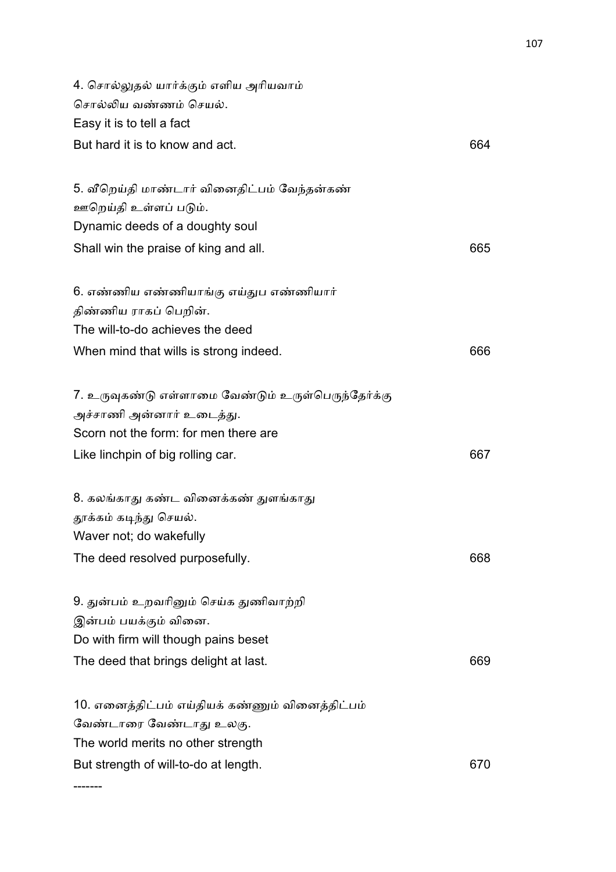| 4. சொல்லுதல் யார்க்கும் எளிய அரியவாம்              |     |
|----------------------------------------------------|-----|
| சொல்லிய வண்ணம் செயல்.                              |     |
| Easy it is to tell a fact                          |     |
| But hard it is to know and act.                    | 664 |
| 5. வீறெய்தி மாண்டார் வினைதிட்பம் வேந்தன்கண்        |     |
| ஊறெய்தி உள்ளப் படும்.                              |     |
| Dynamic deeds of a doughty soul                    |     |
| Shall win the praise of king and all.              | 665 |
| 6. எண்ணிய எண்ணியாங்கு எய்துப எண்ணியார்             |     |
| திண்ணிய ராகப் பெறின்.                              |     |
| The will-to-do achieves the deed                   |     |
| When mind that wills is strong indeed.             | 666 |
| 7. உருவுகண்டு எள்ளாமை வேண்டும் உருள்பெருந்தேர்க்கு |     |
| அச்சாணி அன்னார் உடைத்து.                           |     |
| Scorn not the form: for men there are              |     |
| Like linchpin of big rolling car.                  | 667 |
| 8. கலங்காது கண்ட வினைக்கண் துளங்காது               |     |
| தூக்கம் கடிந்து செயல்.                             |     |
| Waver not; do wakefully                            |     |
| The deed resolved purposefully.                    | 668 |
| 9. துன்பம் உறவரினும் செய்க துணிவாற்றி              |     |
| இன்பம் பயக்கும் வினை.                              |     |
| Do with firm will though pains beset               |     |
| The deed that brings delight at last.              | 669 |
| 10. எனைத்திட்பம் எய்தியக் கண்ணும் வினைத்திட்பம்    |     |
| வேண்டாரை வேண்டாது உலகு.                            |     |
| The world merits no other strength                 |     |
| But strength of will-to-do at length.              | 670 |
|                                                    |     |

-------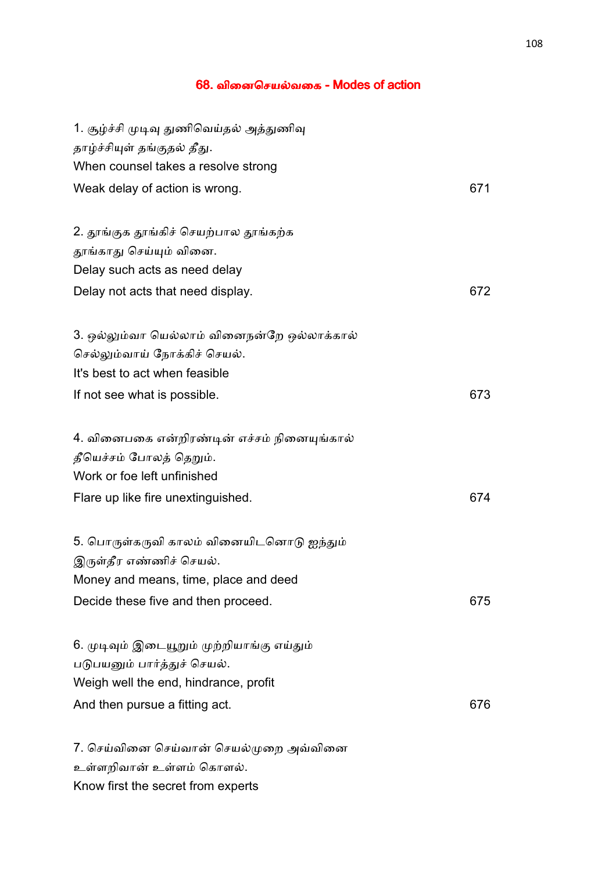#### 68. வினைசெயல்வகை - Modes of action

| 1. சூழ்ச்சி முடிவு துணிவெய்தல் அத்துணிவு    |     |
|---------------------------------------------|-----|
| தாழ்ச்சியுள் தங்குதல் தீது.                 |     |
| When counsel takes a resolve strong         |     |
| Weak delay of action is wrong.              | 671 |
|                                             |     |
| 2. தூங்குக தூங்கிச் செயற்பால தூங்கற்க       |     |
| தூங்காது செய்யும் வினை.                     |     |
| Delay such acts as need delay               |     |
| Delay not acts that need display.           | 672 |
| 3. ஒல்லும்வா யெல்லாம் வினைநன்றே ஒல்லாக்கால் |     |
| செல்லும்வாய் நோக்கிச் செயல்.                |     |
| It's best to act when feasible              |     |
| If not see what is possible.                | 673 |
|                                             |     |
| 4. வினைபகை என்றிரண்டின் எச்சம் நினையுங்கால் |     |
| தீயெச்சம் போலத் தெறும்.                     |     |
| Work or foe left unfinished                 |     |
| Flare up like fire unextinguished.          | 674 |
|                                             |     |
| 5. பொருள்கருவி காலம் வினையிடனொடு ஐந்தும்    |     |
| இருள்தீர எண்ணிச் செயல்.                     |     |
| Money and means, time, place and deed       |     |
| Decide these five and then proceed.         | 675 |
|                                             |     |
| 6. முடிவும் இடையூறும் முற்றியாங்கு எய்தும்  |     |
| படுபயனும் பார்த்துச் செயல்.                 |     |
| Weigh well the end, hindrance, profit       |     |
| And then pursue a fitting act.              | 676 |
|                                             |     |
| 7. செய்வினை செய்வான் செயல்முறை அவ்வினை      |     |
| உள்ளறிவான் உள்ளம் கொளல்.                    |     |
| Know first the secret from experts          |     |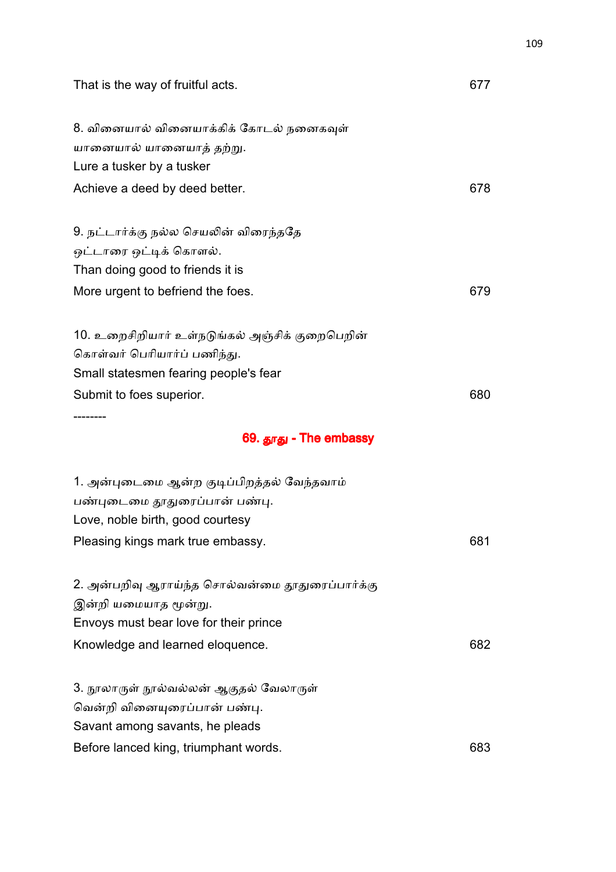| That is the way of fruitful acts.               | 677 |
|-------------------------------------------------|-----|
| 8. வினையால் வினையாக்கிக் கோடல் நனைகவுள்         |     |
| யானையால் யானையாத் தற்று.                        |     |
| Lure a tusker by a tusker                       |     |
| Achieve a deed by deed better.                  | 678 |
| 9. நட்டார்க்கு நல்ல செயலின் விரைந்ததே           |     |
| ஒட்டாரை ஒட்டிக் கொளல்.                          |     |
| Than doing good to friends it is                |     |
| More urgent to befriend the foes.               | 679 |
| 10. உறைசிறியார் உள்நடுங்கல் அஞ்சிக் குறைபெறின்  |     |
| கொள்வர் பெரியார்ப் பணிந்து.                     |     |
| Small statesmen fearing people's fear           |     |
| Submit to foes superior.                        | 680 |
| 69. தூது - The embassy                          |     |
| 1. அன்புடைமை ஆன்ற குடிப்பிறத்தல் வேந்தவாம்      |     |
| பண்புடைமை தூதுரைப்பான் பண்பு.                   |     |
| Love, noble birth, good courtesy                |     |
| Pleasing kings mark true embassy.               | 681 |
| 2. அன்பறிவு ஆராய்ந்த சொல்வன்மை தூதுரைப்பார்க்கு |     |
| இன்றி யமையாத மூன்று.                            |     |
| Envoys must bear love for their prince          |     |
| Knowledge and learned eloquence.                | 682 |
| 3. நூலாருள் நூல்வல்லன் ஆகுதல் வேலாருள்          |     |
| வென்றி வினையுரைப்பான் பண்பு.                    |     |
| Savant among savants, he pleads                 |     |
| Before lanced king, triumphant words.           | 683 |
|                                                 |     |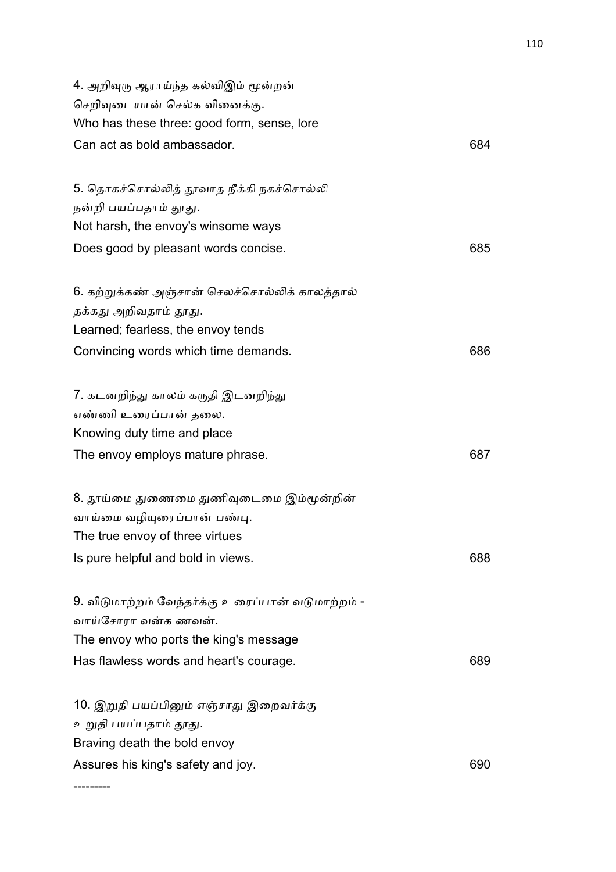| 4. அறிவுரு ஆராய்ந்த கல்விஇம் மூன்றன்                                     |     |
|--------------------------------------------------------------------------|-----|
| செறிவுடையான் செல்க வினைக்கு.                                             |     |
| Who has these three: good form, sense, lore                              |     |
| Can act as bold ambassador.                                              | 684 |
| 5. தொகச்சொல்லித் தூவாத நீக்கி நகச்சொல்லி                                 |     |
| நன்றி பயப்பதாம் தூது.                                                    |     |
| Not harsh, the envoy's winsome ways                                      |     |
| Does good by pleasant words concise.                                     | 685 |
| 6. கற்றுக்கண் அஞ்சான் செலச்சொல்லிக் காலத்தால்                            |     |
| தக்கது அறிவதாம் தூது.                                                    |     |
| Learned; fearless, the envoy tends                                       |     |
| Convincing words which time demands.                                     | 686 |
| 7. கடனறிந்து காலம் கருதி இடனறிந்து                                       |     |
| எண்ணி உரைப்பான் தலை.                                                     |     |
| Knowing duty time and place                                              |     |
| The envoy employs mature phrase.                                         | 687 |
| 8. தூய்மை துணைமை துணிவுடைமை இம்மூன்றின்                                  |     |
| வாய்மை வழியுரைப்பான் பண்பு.                                              |     |
| The true envoy of three virtues                                          |     |
| Is pure helpful and bold in views.                                       | 688 |
| 9. விடுமாற்றம் வேந்தர்க்கு உரைப்பான் வடுமாற்றம் -<br>வாய்சோரா வன்க ணவன். |     |
| The envoy who ports the king's message                                   |     |
| Has flawless words and heart's courage.                                  | 689 |
| 10. இறுதி பயப்பினும் எஞ்சாது இறைவர்க்கு<br>உறுதி பயப்பதாம் தூது.         |     |
| Braving death the bold envoy                                             |     |
| Assures his king's safety and joy.                                       | 690 |
|                                                                          |     |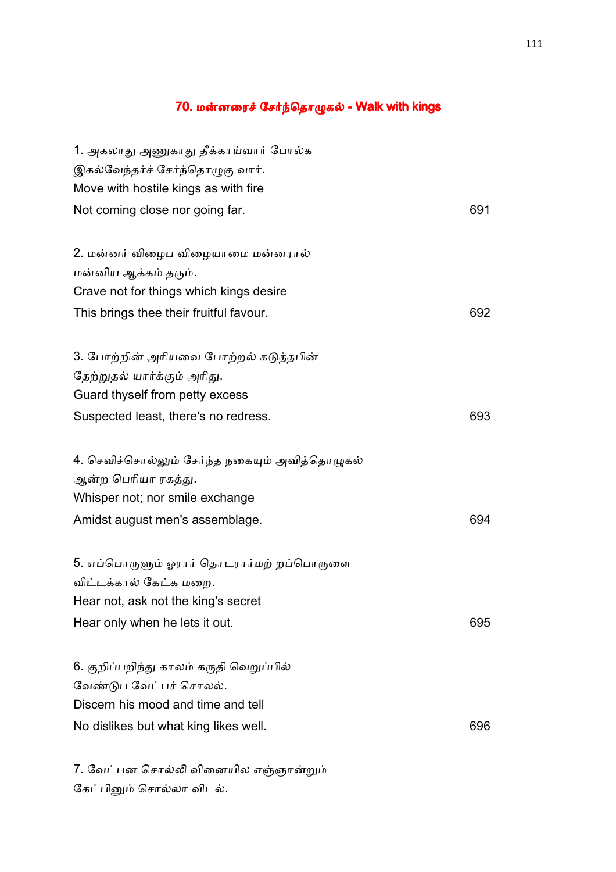### 70. மன்னரைச் சேர்ந்தொழுகல் - Walk with kings

| 1. அகலாது அணுகாது தீக்காய்வார் போல்க           |     |
|------------------------------------------------|-----|
| இகல்வேந்தர்ச் சேர்ந்தொழுகு வார்.               |     |
| Move with hostile kings as with fire           |     |
| Not coming close nor going far.                | 691 |
|                                                |     |
| 2. மன்னர் விழைப விழையாமை மன்னரால்              |     |
| மன்னிய ஆக்கம் தரும்.                           |     |
| Crave not for things which kings desire        |     |
| This brings thee their fruitful favour.        | 692 |
| 3. போற்றின் அரியவை போற்றல் கடுத்தபின்          |     |
| தேற்றுதல் யார்க்கும் அரிது.                    |     |
| Guard thyself from petty excess                |     |
| Suspected least, there's no redress.           | 693 |
| 4. செவிச்சொல்லும் சேர்ந்த நகையும் அவித்தொழுகல் |     |
| ஆன்ற பெரியா ரகத்து.                            |     |
| Whisper not; nor smile exchange                |     |
| Amidst august men's assemblage.                | 694 |
| 5. எப்பொருளும் ஓரார் தொடரார்மற் றப்பொருளை      |     |
| விட்டக்கால் கேட்க மறை.                         |     |
| Hear not, ask not the king's secret            |     |
| Hear only when he lets it out.                 | 695 |
| 6. குறிப்பறிந்து காலம் கருதி வெறுப்பில்        |     |
| வேண்டுப வேட்பச் சொலல்.                         |     |
| Discern his mood and time and tell             |     |
| No dislikes but what king likes well.          | 696 |
| 7. வேட்பன சொல்லி வினையில எஞ்ஞான்றும்           |     |
| கேட்பினும் சொல்லா விடல்.                       |     |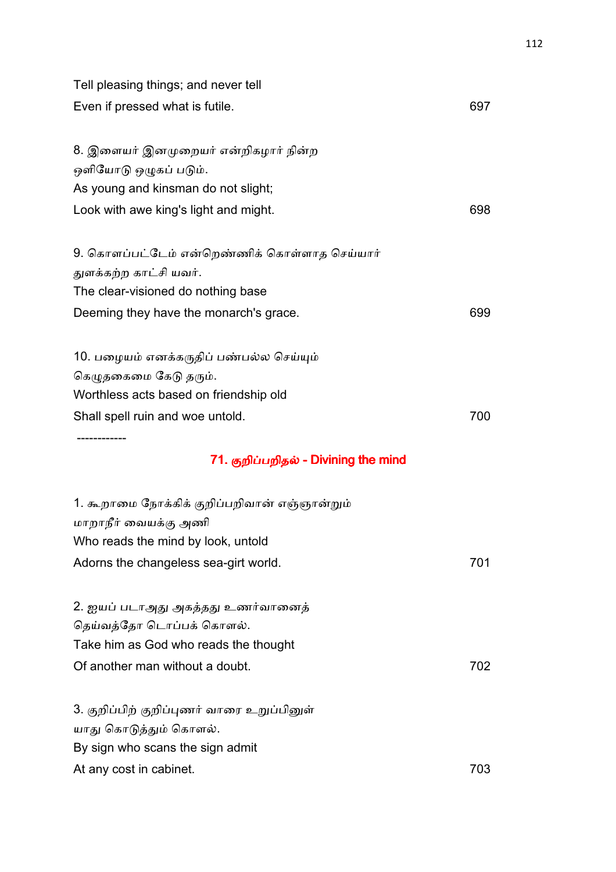| Tell pleasing things; and never tell         |     |
|----------------------------------------------|-----|
| Even if pressed what is futile.              | 697 |
|                                              |     |
| 8. இளையர் இனமுறையர் என்றிகழார் நின்ற         |     |
| ஒளியோடு ஒழுகப் படும்.                        |     |
| As young and kinsman do not slight;          |     |
| Look with awe king's light and might.        | 698 |
| 9. கொளப்பட்டேம் என்றெண்ணிக் கொள்ளாத செய்யார் |     |
| துளக்கற்ற காட்சி யவர்.                       |     |
| The clear-visioned do nothing base           |     |
| Deeming they have the monarch's grace.       | 699 |
|                                              |     |
| 10. பழையம் எனக்கருதிப் பண்பல்ல செய்யும்      |     |
| கெழுதகைமை கேடு தரும்.                        |     |
| Worthless acts based on friendship old       |     |
| Shall spell ruin and woe untold.             | 700 |
|                                              |     |
| 71. குறிப்பறிதல் - Divining the mind         |     |
| 1. கூறாமை நோக்கிக் குறிப்பறிவான் எஞ்ஞான்றும் |     |
| மாறாநீர் வையக்கு அணி                         |     |
| Who reads the mind by look, untold           |     |
| Adorns the changeless sea-girt world.        | 701 |
| 2. ஐயப் படாஅது அகத்தது உணர்வானைத்            |     |
| தெய்வத்தோ டொப்பக் கொளல்.                     |     |
| Take him as God who reads the thought        |     |
| Of another man without a doubt.              | 702 |
|                                              |     |
| 3. குறிப்பிற் குறிப்புணர் வாரை உறுப்பினுள்   |     |
| யாது கொடுத்தும் கொளல்.                       |     |
| By sign who scans the sign admit             |     |
| At any cost in cabinet.                      | 703 |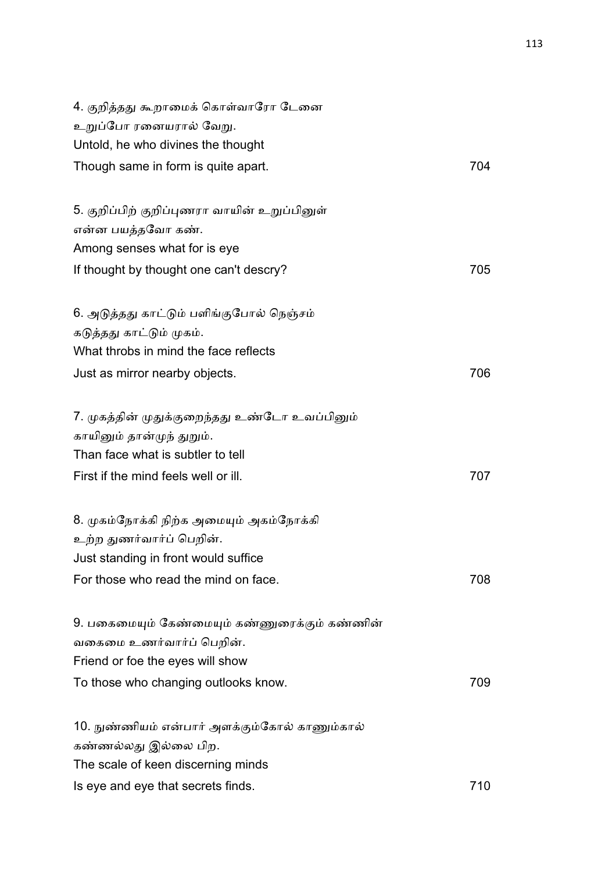| 4. குறித்தது கூறாமைக் கொள்வாரோ டேனை                               |     |
|-------------------------------------------------------------------|-----|
| உறுப்போ ரனையரால் வேறு.                                            |     |
| Untold, he who divines the thought                                |     |
| Though same in form is quite apart.                               | 704 |
| 5. குறிப்பிற் குறிப்புணரா வாயின் உறுப்பினுள்<br>என்ன பயத்தவோ கண். |     |
|                                                                   |     |
| Among senses what for is eye                                      |     |
| If thought by thought one can't descry?                           | 705 |
| 6. அடுத்தது காட்டும் பளிங்குபோல் நெஞ்சம்                          |     |
| கடுத்தது காட்டும் முகம்.                                          |     |
| What throbs in mind the face reflects                             |     |
| Just as mirror nearby objects.                                    | 706 |
| 7. முகத்தின் முதுக்குறைந்தது உண்டோ உவப்பினும்                     |     |
| காயினும் தான்முந் துறும்.                                         |     |
| Than face what is subtler to tell                                 |     |
| First if the mind feels well or ill.                              | 707 |
| 8. முகம்நோக்கி நிற்க அமையும் அகம்நோக்கி                           |     |
| உற்ற துணர்வார்ப் பெறின்.                                          |     |
| Just standing in front would suffice                              |     |
| For those who read the mind on face.                              | 708 |
| 9. பகைமையும் கேண்மையும் கண்ணுரைக்கும் கண்ணின்                     |     |
| வகைமை உணர்வார்ப் பெறின்.                                          |     |
| Friend or foe the eyes will show                                  |     |
| To those who changing outlooks know.                              | 709 |
| 10. நுண்ணியம் என்பார் அளக்கும்கோல் காணும்கால்                     |     |
| கண்ணல்லது இல்லை பிற.                                              |     |
| The scale of keen discerning minds                                |     |
| Is eye and eye that secrets finds.                                | 710 |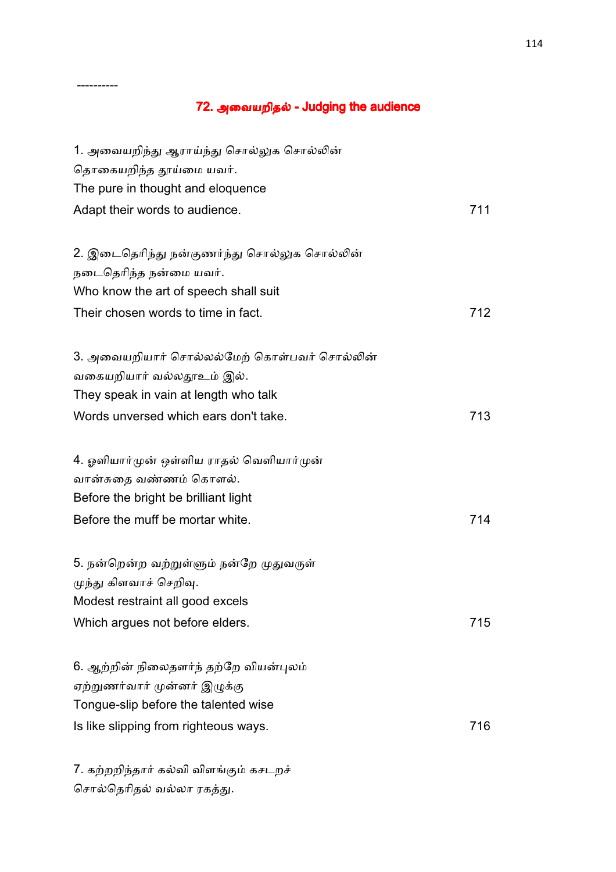### 72. அவையறிதல் - Judging the audience

| 1. அவையறிந்து ஆராய்ந்து சொல்லுக சொல்லின்<br>தொகையறிந்த தூய்மை யவர்.<br>The pure in thought and eloquence<br>Adapt their words to audience. | 711 |
|--------------------------------------------------------------------------------------------------------------------------------------------|-----|
|                                                                                                                                            |     |
| 2. இடைதெரிந்து நன்குணர்ந்து சொல்லுக சொல்லின்                                                                                               |     |
| நடைதெரிந்த நன்மை யவர்.                                                                                                                     |     |
| Who know the art of speech shall suit                                                                                                      |     |
| Their chosen words to time in fact.                                                                                                        | 712 |
| 3. அவையறியார் சொல்லல்மேற் கொள்பவர் சொல்லின்                                                                                                |     |
| வகையறியார் வல்லதூஉம் இல்.                                                                                                                  |     |
| They speak in vain at length who talk                                                                                                      |     |
| Words unversed which ears don't take.                                                                                                      | 713 |
| 4. ஓளியார்முன் ஒள்ளிய ராதல் வெளியார்முன்                                                                                                   |     |
| வான்சுதை வண்ணம் கொளல்.                                                                                                                     |     |
| Before the bright be brilliant light                                                                                                       |     |
| Before the muff be mortar white.                                                                                                           | 714 |
| 5. நன்றென்ற வற்றுள்ளும் நன்றே முதுவருள்                                                                                                    |     |
| முந்து கிளவாச் செறிவு.                                                                                                                     |     |
| Modest restraint all good excels                                                                                                           |     |
| Which argues not before elders.                                                                                                            | 715 |
| 6. ஆற்றின் நிலைதளர்ந் தற்றே வியன்புலம்                                                                                                     |     |
| ஏற்றுணர்வார் முன்னர் இழுக்கு                                                                                                               |     |
| Tongue-slip before the talented wise                                                                                                       |     |
| Is like slipping from righteous ways.                                                                                                      | 716 |
| 7. கற்றறிந்தார் கல்வி விளங்கும் கசடறச்                                                                                                     |     |

சொல்தெரிதல் வல்லா ரகத்து.

----------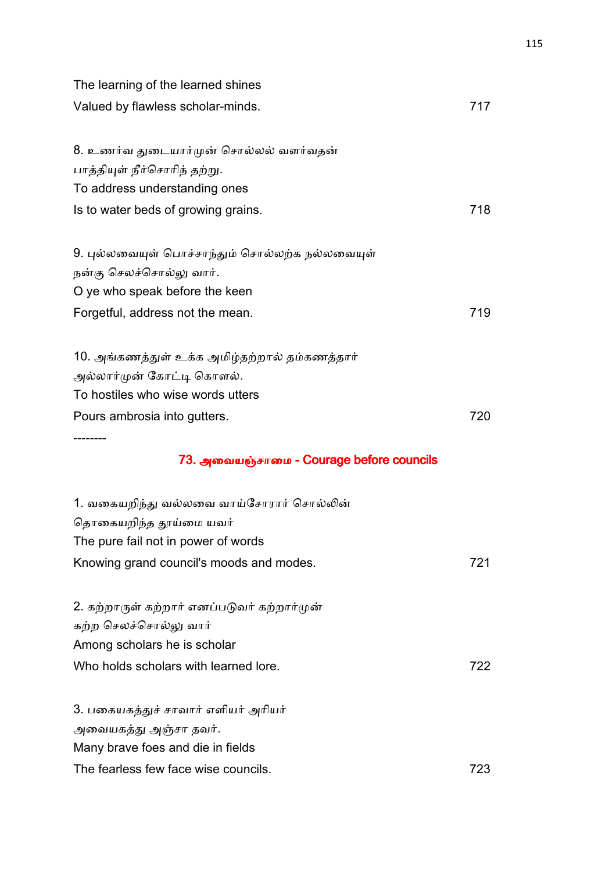| The learning of the learned shines              |     |
|-------------------------------------------------|-----|
| Valued by flawless scholar-minds.               | 717 |
| 8. உணர்வ துடையார்முன் சொல்லல் வளர்வதன்          |     |
| பாத்தியுள் நீர்சொரிந் தற்று.                    |     |
| To address understanding ones                   |     |
| Is to water beds of growing grains.             | 718 |
| 9. புல்லவையுள் பொச்சாந்தும் சொல்லற்க நல்லவையுள் |     |
| நன்கு செலச்சொல்லு வார்.                         |     |
| O ye who speak before the keen                  |     |
| Forgetful, address not the mean.                | 719 |
| 10. அங்கணத்துள் உக்க அமிழ்தற்றால் தம்கணத்தார்   |     |
| அல்லார்முன் கோட்டி கொளல்.                       |     |
| To hostiles who wise words utters               |     |
| Pours ambrosia into gutters.                    | 720 |
| 73. அவையஞ்சாமை - Courage before councils        |     |
| 1. வகையறிந்து வல்லவை வாய்சோரார் சொல்லின்        |     |
| தொகையறிந்த தூய்மை யவர்                          |     |
| The pure fail not in power of words             |     |
| Knowing grand council's moods and modes.        | 721 |
| 2. கற்றாருள் கற்றார் எனப்படுவர் கற்றார்முன்     |     |
| கற்ற செலச்சொல்லு வார்                           |     |
| Among scholars he is scholar                    |     |
| Who holds scholars with learned lore.           | 722 |
| 3. பகையகத்துச் சாவார் எளியர் அரியர்             |     |
| அவையகத்து அஞ்சா தவர்.                           |     |
| Many brave foes and die in fields               |     |
| The fearless few face wise councils.            | 723 |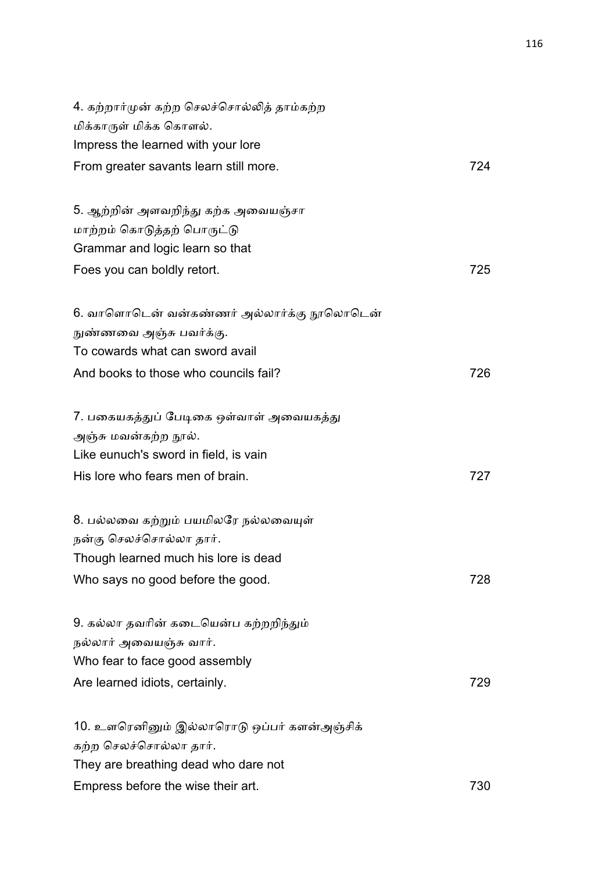| 4. கற்றார்முன் கற்ற செலச்சொல்லித் தாம்கற்ற  |     |
|---------------------------------------------|-----|
| மிக்காருள் மிக்க கொளல்.                     |     |
| Impress the learned with your lore          |     |
| From greater savants learn still more.      | 724 |
| 5. ஆற்றின் அளவறிந்து கற்க அவையஞ்சா          |     |
| மாற்றம் கொடுத்தற் பொருட்டு                  |     |
| Grammar and logic learn so that             |     |
| Foes you can boldly retort.                 | 725 |
| 6. வாளொடென் வன்கண்ணர் அல்லார்க்கு நூலொடென்  |     |
| நுண்ணவை அஞ்சு பவர்க்கு.                     |     |
| To cowards what can sword avail             |     |
| And books to those who councils fail?       | 726 |
| 7. பகையகத்துப் பேடிகை ஒள்வாள் அவையகத்து     |     |
| அஞ்சு மவன்கற்ற நூல்.                        |     |
| Like eunuch's sword in field, is vain       |     |
| His lore who fears men of brain.            | 727 |
| 8. பல்லவை கற்றும் பயமிலரே நல்லவையுள்        |     |
| நன்கு செலச்சொல்லா தார்.                     |     |
| Though learned much his lore is dead        |     |
| Who says no good before the good.           | 728 |
| 9. கல்லா தவரின் கடையென்ப கற்றறிந்தும்       |     |
| நல்லார் அவையஞ்சு வார்.                      |     |
| Who fear to face good assembly              |     |
| Are learned idiots, certainly.              | 729 |
| 10. உளரெனினும் இல்லாரொடு ஒப்பர் களன்அஞ்சிக் |     |
| கற்ற செலச்சொல்லா தார்.                      |     |
| They are breathing dead who dare not        |     |
| Empress before the wise their art.          | 730 |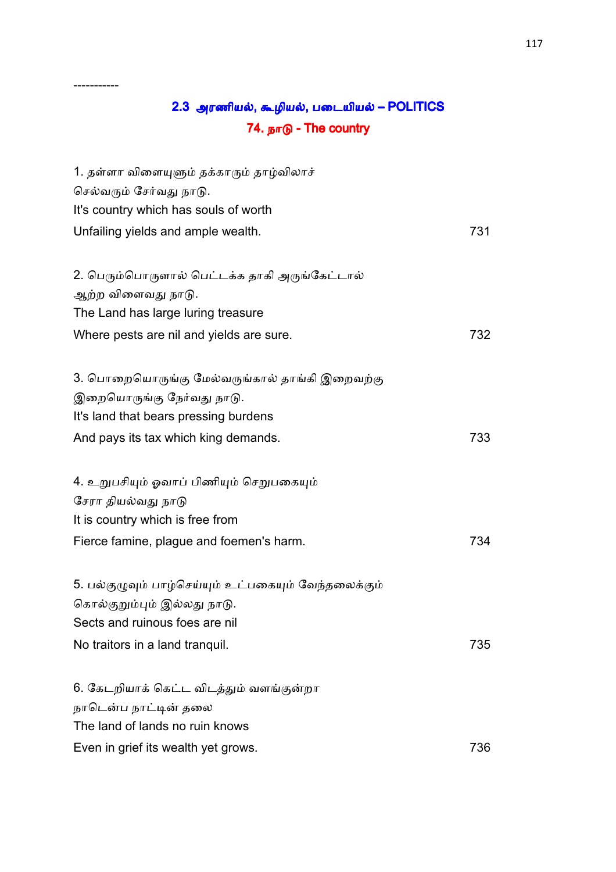# 2.3 அரணியல், கூழியல், படையியல் – POLITICS 74. நாடு - The country

-----------

| 1. தள்ளா விளையுளும் தக்காரும் தாழ்விலாச்<br>செல்வரும் சேர்வது நாடு.<br>It's country which has souls of worth |     |
|--------------------------------------------------------------------------------------------------------------|-----|
| Unfailing yields and ample wealth.                                                                           | 731 |
| 2. பெரும்பொருளால் பெட்டக்க தாகி அருங்கேட்டால்<br>ஆற்ற விளைவது நாடு.                                          |     |
| The Land has large luring treasure                                                                           |     |
| Where pests are nil and yields are sure.                                                                     | 732 |
| 3. பொறையொருங்கு மேல்வருங்கால் தாங்கி இறைவற்கு                                                                |     |
| இறையொருங்கு நேர்வது நாடு.                                                                                    |     |
| It's land that bears pressing burdens                                                                        |     |
| And pays its tax which king demands.                                                                         | 733 |
| 4. உறுபசியும் ஓவாப் பிணியும் செறுபகையும்                                                                     |     |
| சேரா தியல்வது நாடு                                                                                           |     |
| It is country which is free from                                                                             |     |
| Fierce famine, plague and foemen's harm.                                                                     | 734 |
| 5. பல்குழுவும் பாழ்செய்யும் உட்பகையும் வேந்தலைக்கும்                                                         |     |
| கொல்குறும்பும் இல்லது நாடு.                                                                                  |     |
| Sects and ruinous foes are nil                                                                               |     |
| No traitors in a land tranquil.                                                                              | 735 |
| 6. கேடறியாக் கெட்ட விடத்தும் வளங்குன்றா                                                                      |     |
| நாடென்ப நாட்டின் தலை                                                                                         |     |
| The land of lands no ruin knows                                                                              |     |
| Even in grief its wealth yet grows.                                                                          | 736 |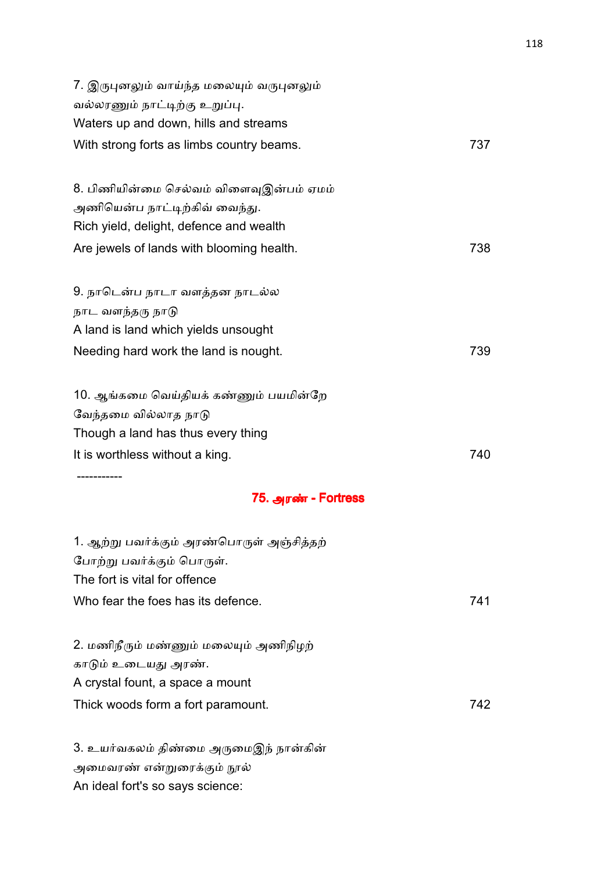| 7. இருபுனலும் வாய்ந்த மலையும் வருபுனலும்<br>வல்லரணும் நாட்டிற்கு உறுப்பு.<br>Waters up and down, hills and streams<br>With strong forts as limbs country beams.             | 737 |
|-----------------------------------------------------------------------------------------------------------------------------------------------------------------------------|-----|
| 8. பிணியின்மை செல்வம் விளைவுஇன்பம் ஏமம்<br>அணியென்ப நாட்டிற்கிவ் வைந்து.<br>Rich yield, delight, defence and wealth                                                         |     |
| Are jewels of lands with blooming health.                                                                                                                                   | 738 |
| 9. நாடென்ப நாடா வளத்தன நாடல்ல<br>நாட வளந்தரு நாடு<br>A land is land which yields unsought                                                                                   |     |
| Needing hard work the land is nought.                                                                                                                                       | 739 |
| 10. ஆங்கமை வெய்தியக் கண்ணும் பயமின்றே<br>வேந்தமை வில்லாத நாடு<br>Though a land has thus every thing<br>It is worthless without a king.<br>----------<br>75. அரண் - Fortress | 740 |
| 1. ஆற்று பவர்க்கும் அரண்பொருள் அஞ்சித்தற்<br>போற்று பவர்க்கும் பொருள்.<br>The fort is vital for offence<br>Who fear the foes has its defence.                               | 741 |
| 2. மணிநீரும் மண்ணும் மலையும் அணிநிழற்<br>காடும் உடையது அரண்.<br>A crystal fount, a space a mount                                                                            |     |
| Thick woods form a fort paramount.                                                                                                                                          | 742 |

3. உயர்வகலம் திண்மை அருமைஇந் நான்கின் அமைவரண் என்றுரைக்கும் நூல் An ideal fort's so says science: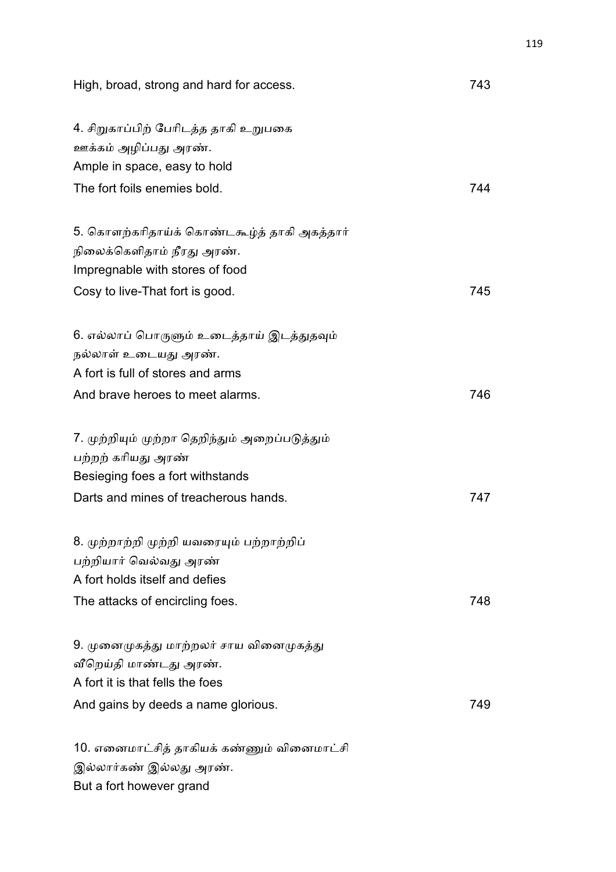| High, broad, strong and hard for access.                      | 743 |
|---------------------------------------------------------------|-----|
| 4. சிறுகாப்பிற் பேரிடத்த தாகி உறுபகை<br>ஊக்கம் அழிப்பது அரண். |     |
| Ample in space, easy to hold                                  |     |
| The fort foils enemies bold.                                  | 744 |
| 5. கொளற்கரிதாய்க் கொண்டகூழ்த் தாகி அகத்தார்                   |     |
| நிலைக்கெளிதாம் நீரது அரண்.                                    |     |
| Impregnable with stores of food                               |     |
| Cosy to live-That fort is good.                               | 745 |
| 6. எல்லாப் பொருளும் உடைத்தாய் இடத்துதவும்                     |     |
| நல்லாள் உடையது அரண்.                                          |     |
| A fort is full of stores and arms                             |     |
| And brave heroes to meet alarms.                              | 746 |
| 7. முற்றியும் முற்றா தெறிந்தும் அறைப்படுத்தும்                |     |
| பற்றற் கரியது அரண்                                            |     |
| Besieging foes a fort withstands                              |     |
| Darts and mines of treacherous hands.                         | 747 |
| 8. முற்றாற்றி முற்றி யவரையும் பற்றாற்றிப்                     |     |
| பற்றியார் வெல்வது அரண்                                        |     |
| A fort holds itself and defies                                |     |
| The attacks of encircling foes.                               | 748 |
| 9. முனைமுகத்து மாற்றலர் சாய வினைமுகத்து                       |     |
| வீறெய்தி மாண்டது அரண்.                                        |     |
| A fort it is that fells the foes                              |     |
| And gains by deeds a name glorious.                           | 749 |
| 10. எனைமாட்சித் தாகியக் கண்ணும் வினைமாட்சி                    |     |
| இல்லார்கண் இல்லது அரண்.                                       |     |
| But a fort however grand                                      |     |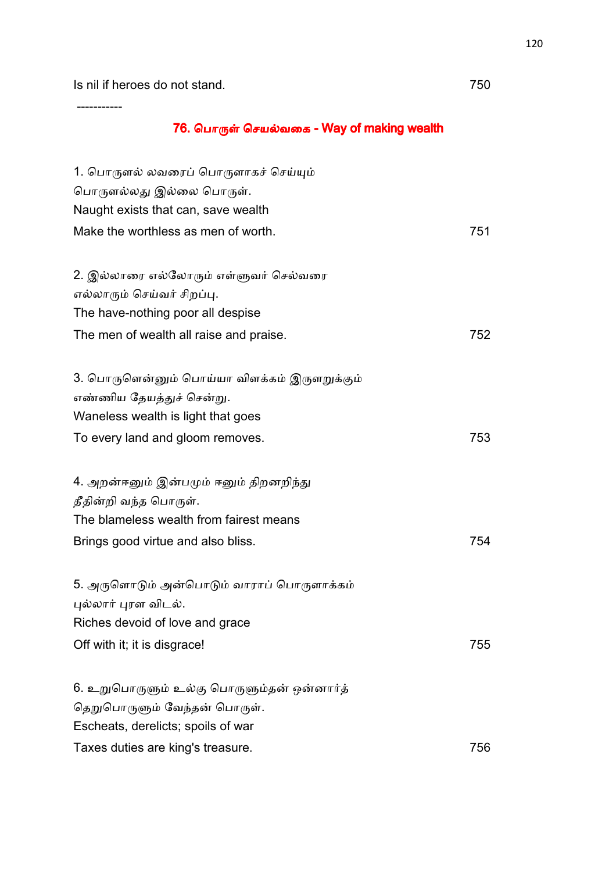-----------

### 76. பொருள் செயல்வகை - Way of making wealth

| 1. பொருளல் லவரைப் பொருளாகச் செய்யும்         |     |
|----------------------------------------------|-----|
| பொருளல்லது இல்லை பொருள்.                     |     |
| Naught exists that can, save wealth          |     |
| Make the worthless as men of worth.          | 751 |
| 2. இல்லாரை எல்லோரும் எள்ளுவர் செல்வரை        |     |
| எல்லாரும் செய்வர் சிறப்பு.                   |     |
| The have-nothing poor all despise            |     |
| The men of wealth all raise and praise.      | 752 |
| 3. பொருளென்னும் பொய்யா விளக்கம் இருளறுக்கும் |     |
| எண்ணிய தேயத்துச் சென்று.                     |     |
| Waneless wealth is light that goes           |     |
| To every land and gloom removes.             | 753 |
| 4. அறன்ஈனும் இன்பமும் ஈனும் திறனறிந்து       |     |
| தீதின்றி வந்த பொருள்.                        |     |
| The blameless wealth from fairest means      |     |
| Brings good virtue and also bliss.           | 754 |
| 5. அருளொடும் அன்பொடும் வாராப் பொருளாக்கம்    |     |
| புல்லார் புரள விடல்.                         |     |
| Riches devoid of love and grace              |     |
| Off with it; it is disgrace!                 | 755 |
| 6. உறுபொருளும் உல்கு பொருளும்தன் ஒன்னார்த்   |     |
| தெறுபொருளும் வேந்தன் பொருள்.                 |     |
| Escheats, derelicts; spoils of war           |     |
| Taxes duties are king's treasure.            | 756 |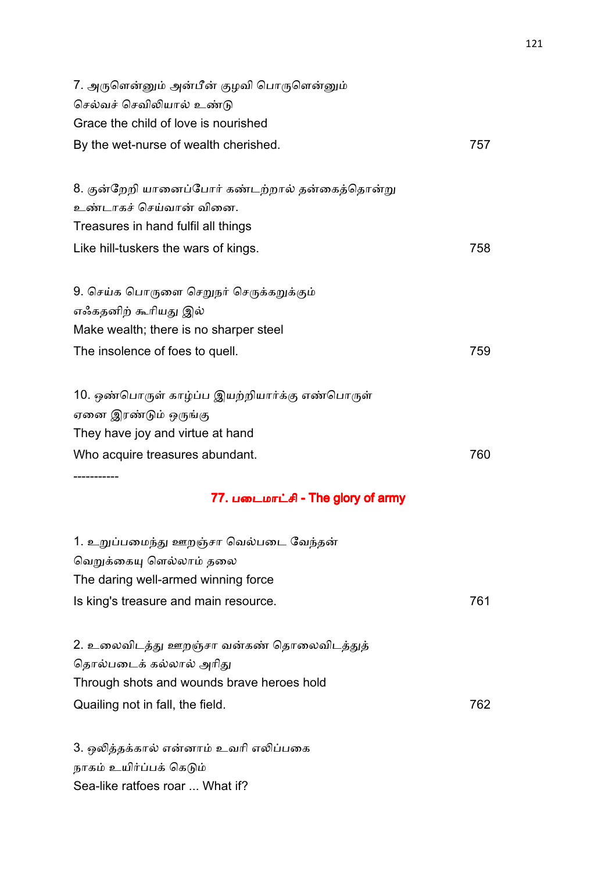| 7. அருளென்னும் அன்பீன் குழவி பொருளென்னும்<br>செல்வச் செவிலியால் உண்டு |     |
|-----------------------------------------------------------------------|-----|
| Grace the child of love is nourished                                  |     |
| By the wet-nurse of wealth cherished.                                 | 757 |
| 8. குன்றேறி யானைப்போர் கண்டற்றால் தன்கைத்தொன்று                       |     |
| உண்டாகச் செய்வான் வினை.                                               |     |
| Treasures in hand fulfil all things                                   |     |
| Like hill-tuskers the wars of kings.                                  | 758 |
| 9. செய்க பொருளை செறுநர் செருக்கறுக்கும்                               |     |
| எஃகதனிற் கூரியது இல்                                                  |     |
| Make wealth; there is no sharper steel                                |     |
| The insolence of foes to quell.                                       | 759 |
| 10. ஒண்பொருள் காழ்ப்ப இயற்றியார்க்கு எண்பொருள்                        |     |
| ஏனை இரண்டும் ஒருங்கு                                                  |     |
| They have joy and virtue at hand                                      |     |
| Who acquire treasures abundant.                                       | 760 |
| 77. படைமாட்சி - The glory of army                                     |     |
| 1. உறுப்பமைந்து ஊறஞ்சா வெல்படை வேந்தன்                                |     |
| வெறுக்கையு ளெல்லாம் தலை                                               |     |
| The daring well-armed winning force                                   |     |
| Is king's treasure and main resource.                                 | 761 |
| 2. உலைவிடத்து ஊறஞ்சா வன்கண் தொலைவிடத்துத்                             |     |
| தொல்படைக் கல்லால் அரிது                                               |     |
| Through shots and wounds brave heroes hold                            |     |
| Quailing not in fall, the field.                                      | 762 |
| 3. ஒலித்தக்கால் என்னாம் உவரி எலிப்பகை                                 |     |

நாகம் உயிர்ப்பக் கெடும்

Sea-like ratfoes roar ... What if?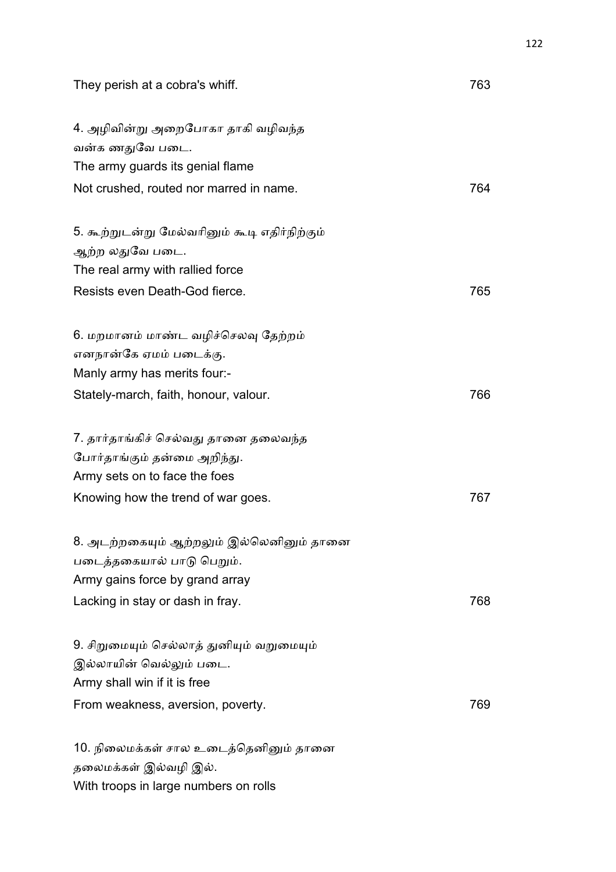| They perish at a cobra's whiff.               | 763 |
|-----------------------------------------------|-----|
| 4. அழிவின்று அறைபோகா தாகி வழிவந்த             |     |
| வன்க ணதுவே படை.                               |     |
| The army guards its genial flame              |     |
| Not crushed, routed nor marred in name.       | 764 |
| 5. கூற்றுடன்று மேல்வரினும் கூடி எதிர்நிற்கும் |     |
| ஆற்ற லதுவே படை.                               |     |
| The real army with rallied force              |     |
| Resists even Death-God fierce.                | 765 |
| 6. மறமானம் மாண்ட வழிச்செலவு தேற்றம்           |     |
| எனநான்கே ஏமம் படைக்கு.                        |     |
| Manly army has merits four:-                  |     |
| Stately-march, faith, honour, valour.         | 766 |
| 7. தார்தாங்கிச் செல்வது தானை தலைவந்த          |     |
| போர்தாங்கும் தன்மை அறிந்து.                   |     |
| Army sets on to face the foes                 |     |
| Knowing how the trend of war goes.            | 767 |
| 8. அடற்றகையும் ஆற்றலும் இல்லெனினும் தானை      |     |
| படைத்தகையால் பாடு பெறும்.                     |     |
| Army gains force by grand array               |     |
| Lacking in stay or dash in fray.              | 768 |
| 9. சிறுமையும் செல்லாத் துனியும் வறுமையும்     |     |
| இல்லாயின் வெல்லும் படை.                       |     |
| Army shall win if it is free                  |     |
| From weakness, aversion, poverty.             | 769 |
| 10. நிலைமக்கள் சால உடைத்தெனினும் தானை         |     |
| தலைமக்கள் இல்வழி இல்.                         |     |
| With troops in large numbers on rolls         |     |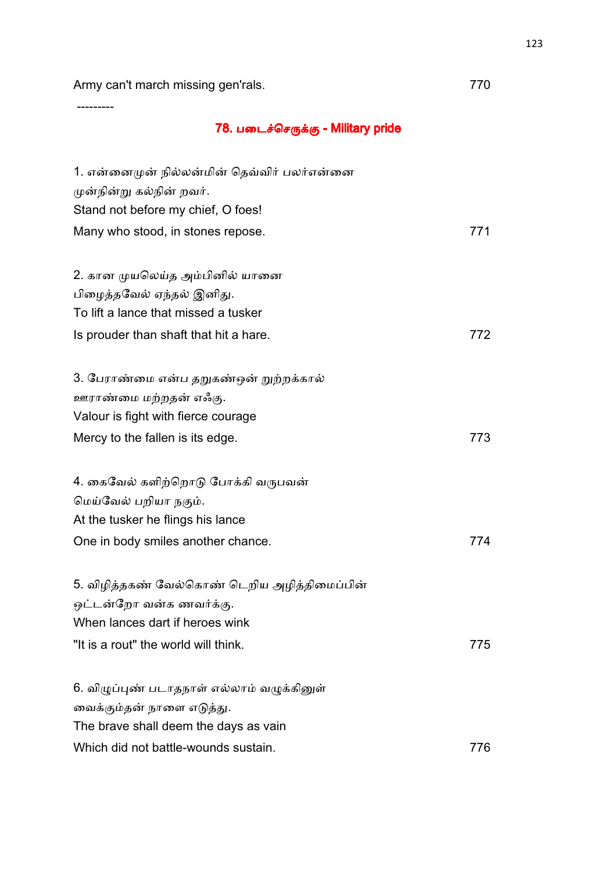Army can't march missing gen'rals. The matrix of the matrix of the matrix of the matrix of the matrix of the m

---------

## 78. படைச்செருக்கு - Military pride

| 1. என்னைமுன் நில்லன்மின் தெவ்விர் பலர்என்னை  |     |
|----------------------------------------------|-----|
| முன்நின்று கல்நின் றவர்.                     |     |
| Stand not before my chief, O foes!           |     |
| Many who stood, in stones repose.            | 771 |
|                                              |     |
| 2. கான முயலெய்த அம்பினில் யானை               |     |
| பிழைத்தவேல் ஏந்தல் இனிது.                    |     |
| To lift a lance that missed a tusker         |     |
| Is prouder than shaft that hit a hare.       | 772 |
|                                              |     |
| 3. பேராண்மை என்ப தறுகண்ஒன் றுற்றக்கால்       |     |
| ஊராண்மை மற்றதன் எஃகு.                        |     |
| Valour is fight with fierce courage          |     |
| Mercy to the fallen is its edge.             | 773 |
| 4. கைவேல் களிற்றொடு போக்கி வருபவன்           |     |
| மெய்வேல் பறியா நகும்.                        |     |
| At the tusker he flings his lance            |     |
| One in body smiles another chance.           | 774 |
|                                              |     |
| 5. விழித்தகண் வேல்கொண் டெறிய அழித்திமைப்பின் |     |
| ஒட்டன்றோ வன்க ணவர்க்கு.                      |     |
| When lances dart if heroes wink              |     |
| "It is a rout" the world will think.         | 775 |
|                                              |     |
| 6. விழுப்புண் படாதநாள் எல்லாம் வழுக்கினுள்   |     |
| வைக்கும்தன் நாளை எடுத்து.                    |     |
| The brave shall deem the days as vain        |     |
| Which did not battle-wounds sustain.         | 776 |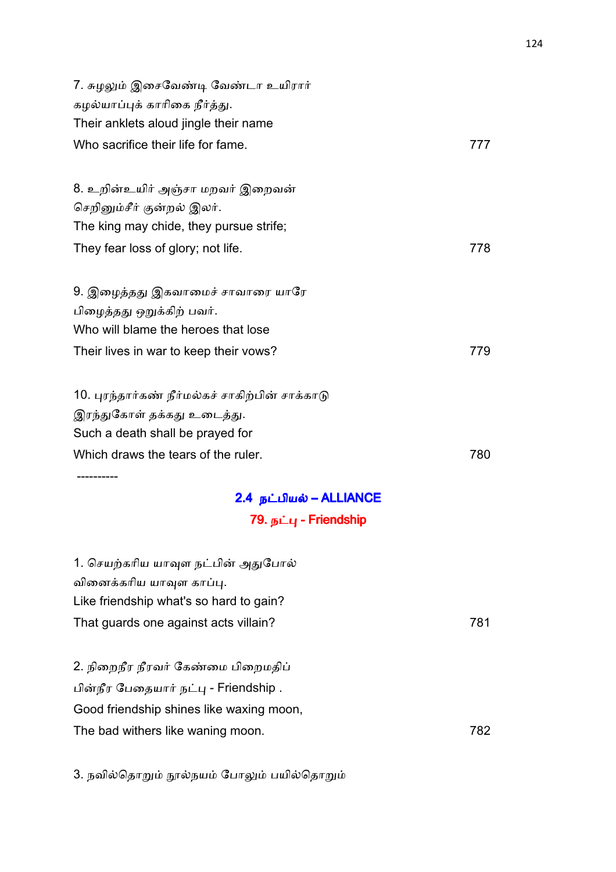| 7. சுழலும் இசைவேண்டி வேண்டா உயிரார்<br>கழல்யாப்புக் காரிகை நீர்த்து.<br>Their anklets aloud jingle their name<br>Who sacrifice their life for fame. | 777 |
|-----------------------------------------------------------------------------------------------------------------------------------------------------|-----|
| 8. உறின்உயிர் அஞ்சா மறவர் இறைவன்                                                                                                                    |     |
| செறினும்சீர் குன்றல் இலர்.                                                                                                                          |     |
| The king may chide, they pursue strife;                                                                                                             |     |
| They fear loss of glory; not life.                                                                                                                  | 778 |
|                                                                                                                                                     |     |
| 9. இழைத்தது இகவாமைச் சாவாரை யாரே                                                                                                                    |     |
| பிழைத்தது ஒறுக்கிற் பவர்.                                                                                                                           |     |
| Who will blame the heroes that lose                                                                                                                 |     |
| Their lives in war to keep their vows?                                                                                                              | 779 |
|                                                                                                                                                     |     |
| 10. புரந்தார்கண் நீர்மல்கச் சாகிற்பின் சாக்காடு                                                                                                     |     |
| இரந்துகோள் தக்கது உடைத்து.                                                                                                                          |     |
| Such a death shall be prayed for                                                                                                                    |     |
| Which draws the tears of the ruler.                                                                                                                 | 780 |
|                                                                                                                                                     |     |

# 2.4 நட்பியல் – ALLIANCE 79. நட்பு - Friendship

| 1. செயற்கரிய யாவுள நட்பின் அதுபோல்       |     |
|------------------------------------------|-----|
| வினைக்கரிய யாவுள காப்பு.                 |     |
| Like friendship what's so hard to gain?  |     |
| That guards one against acts villain?    | 781 |
|                                          |     |
| 2. நிறைநீர நீரவர் கேண்மை பிறைமதிப்       |     |
| பின்நீர பேதையார் நட்பு - Friendship .    |     |
| Good friendship shines like waxing moon, |     |
| The bad withers like waning moon.        | 782 |
|                                          |     |

3. நவில்தொறும் நூல்நயம் போலும் பயில்தொறும்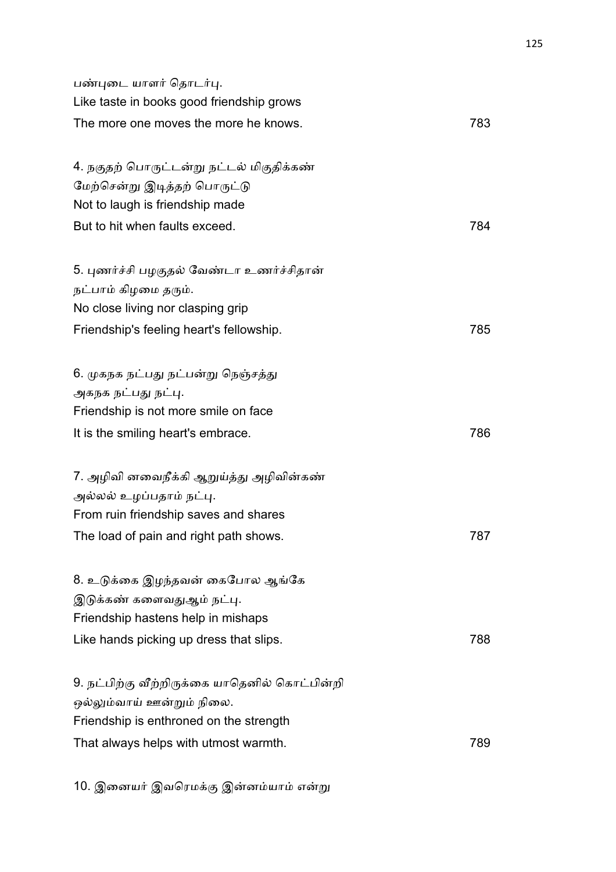| பண்புடை யாளர் தொடர்பு.<br>Like taste in books good friendship grows |     |
|---------------------------------------------------------------------|-----|
| The more one moves the more he knows.                               | 783 |
| 4. நகுதற் பொருட்டன்று நட்டல் மிகுதிக்கண்                            |     |
| மேற்சென்று இடித்தற் பொருட்டு                                        |     |
| Not to laugh is friendship made<br>But to hit when faults exceed.   | 784 |
|                                                                     |     |
| 5. புணர்ச்சி பழகுதல் வேண்டா உணர்ச்சிதான்                            |     |
| நட்பாம் கிழமை தரும்.                                                |     |
| No close living nor clasping grip                                   |     |
| Friendship's feeling heart's fellowship.                            | 785 |
| 6. முகநக நட்பது நட்பன்று நெஞ்சத்து                                  |     |
| அகநக நட்பது நட்பு.                                                  |     |
| Friendship is not more smile on face                                |     |
| It is the smiling heart's embrace.                                  | 786 |
| 7. அழிவி னவைநீக்கி ஆறுய்த்து அழிவின்கண்                             |     |
| அல்லல் உழப்பதாம் நட்பு.                                             |     |
| From ruin friendship saves and shares                               |     |
| The load of pain and right path shows.                              | 787 |
| 8. உடுக்கை இழந்தவன் கைபோல ஆங்கே                                     |     |
| இடுக்கண் களைவதுஆம் நட்பு.                                           |     |
| Friendship hastens help in mishaps                                  |     |
| Like hands picking up dress that slips.                             | 788 |
| 9. நட்பிற்கு வீற்றிருக்கை யாதெனில் கொட்பின்றி                       |     |
| ஒல்லும்வாய் ஊன்றும் நிலை.                                           |     |
| Friendship is enthroned on the strength                             |     |
| That always helps with utmost warmth.                               | 789 |
|                                                                     |     |

10. இனையர் இவரெமக்கு இன்னம்யாம் என்று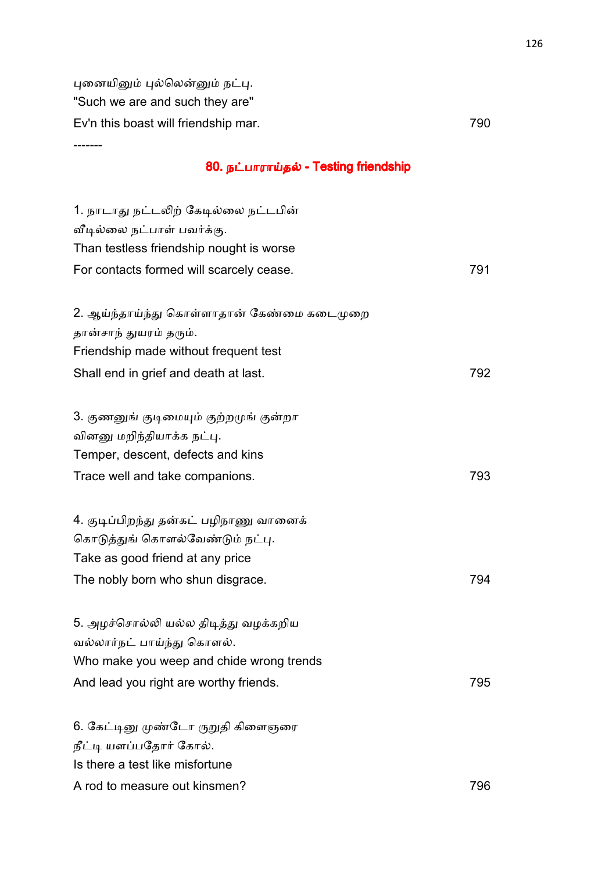புனையினும் புல்லென்னும் நட்பு. "Such we are and such they are" Ev'n this boast will friendship mar. 790 -------

### 80. நட்பாராய்தல் - Testing friendship

| 1. நாடாது நட்டலிற் கேடில்லை நட்டபின்       |     |
|--------------------------------------------|-----|
| வீடில்லை நட்பாள் பவர்க்கு.                 |     |
| Than testless friendship nought is worse   |     |
| For contacts formed will scarcely cease.   | 791 |
|                                            |     |
| 2. ஆய்ந்தாய்ந்து கொள்ளாதான் கேண்மை கடைமுறை |     |
| தான்சாந் துயரம் தரும்.                     |     |
| Friendship made without frequent test      |     |
| Shall end in grief and death at last.      | 792 |
| 3. குணனுங் குடிமையும் குற்றமுங் குன்றா     |     |
| வினனு மறிந்தியாக்க நட்பு.                  |     |
| Temper, descent, defects and kins          |     |
| Trace well and take companions.            | 793 |
|                                            |     |
| 4. குடிப்பிறந்து தன்கட் பழிநாணு வானைக்     |     |
| கொடுத்துங் கொளல்வேண்டும் நட்பு.            |     |
| Take as good friend at any price           |     |
| The nobly born who shun disgrace.          | 794 |
| 5. அழச்சொல்லி யல்ல திடித்து வழக்கறிய       |     |
| வல்லார்நட் பாய்ந்து கொளல்.                 |     |
| Who make you weep and chide wrong trends   |     |
| And lead you right are worthy friends.     | 795 |
|                                            |     |
| 6. கேட்டினு முண்டோ ருறுதி கிளைஞரை          |     |
| நீட்டி யளப்பதோர் கோல்.                     |     |
| Is there a test like misfortune            |     |
| A rod to measure out kinsmen?              | 796 |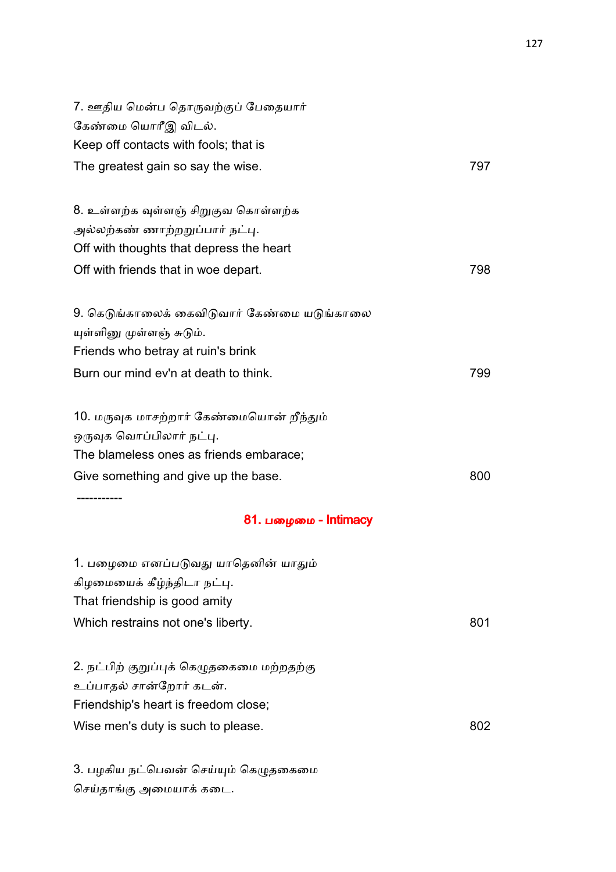| 7. ஊதிய மென்ப தொருவற்குப் பேதையார்<br>கேண்மை யொரீஇ விடல். |     |
|-----------------------------------------------------------|-----|
| Keep off contacts with fools; that is                     |     |
| The greatest gain so say the wise.                        | 797 |
| 8. உள்ளற்க வுள்ளஞ் சிறுகுவ கொள்ளற்க                       |     |
| அல்லற்கண் ணாற்றறுப்பார் நட்பு.                            |     |
| Off with thoughts that depress the heart                  |     |
| Off with friends that in woe depart.                      | 798 |
| 9. கெடுங்காலைக் கைவிடுவார் கேண்மை யடுங்காலை               |     |
| யுள்ளினு முள்ளஞ் சுடும்.                                  |     |
| Friends who betray at ruin's brink                        |     |
| Burn our mind ev'n at death to think.                     | 799 |
| 10. மருவுக மாசற்றார் கேண்மையொன் றீந்தும்                  |     |
| ஒருவுக வொப்பிலார் நட்பு.                                  |     |
| The blameless ones as friends embarace;                   |     |
| Give something and give up the base.                      | 800 |
| ---------<br>81. பழைமை - Intimacy                         |     |
| 1. பழைமை எனப்படுவது யாதெனின் யாதும்                       |     |
| கிழமையைக் கீழ்ந்திடா நட்பு.                               |     |
| That friendship is good amity                             |     |
| Which restrains not one's liberty.                        | 801 |
| 2. நட்பிற் குறுப்புக் கெழுதகைமை மற்றதற்கு                 |     |
| உப்பாதல் சான்றோர் கடன்.                                   |     |
| Friendship's heart is freedom close;                      |     |
| Wise men's duty is such to please.                        | 802 |
|                                                           |     |

3. பழகிய நட்பெவன் செய்யும் கெழுதகைமை செய்தாங்கு அமையாக் கடை.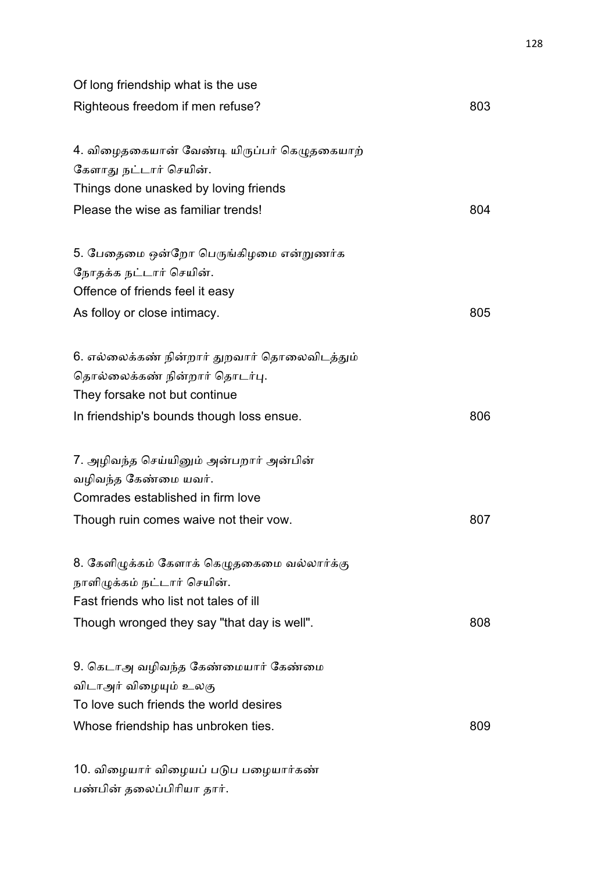| Of long friendship what is the use           |     |
|----------------------------------------------|-----|
| Righteous freedom if men refuse?             | 803 |
| 4. விழைதகையான் வேண்டி யிருப்பர் கெழுதகையாற்  |     |
| கேளாது நட்டார் செயின்.                       |     |
| Things done unasked by loving friends        |     |
| Please the wise as familiar trends!          | 804 |
| 5. பேதைமை ஒன்றோ பெருங்கிழமை என்றுணர்க        |     |
| நோதக்க நட்டார் செயின்.                       |     |
| Offence of friends feel it easy              |     |
| As folloy or close intimacy.                 | 805 |
| 6. எல்லைக்கண் நின்றார் துறவார் தொலைவிடத்தும் |     |
| தொல்லைக்கண் நின்றார் தொடர்பு.                |     |
| They forsake not but continue                |     |
| In friendship's bounds though loss ensue.    | 806 |
| 7. அழிவந்த செய்யினும் அன்பறார் அன்பின்       |     |
| வழிவந்த கேண்மை யவர்.                         |     |
| Comrades established in firm love            |     |
| Though ruin comes waive not their vow.       | 807 |
| 8. கேளிழுக்கம் கேளாக் கெழுதகைமை வல்லார்க்கு  |     |
| நாளிழுக்கம் நட்டார் செயின்.                  |     |
| Fast friends who list not tales of ill       |     |
| Though wronged they say "that day is well".  | 808 |
| 9. கெடாஅ வழிவந்த கேண்மையார் கேண்மை           |     |
| விடாஅர் விழையும் உலகு                        |     |
| To love such friends the world desires       |     |
| Whose friendship has unbroken ties.          | 809 |
| 10. விழையார் விழையப் படுப பழையார்கண்         |     |

பண்பின் தலைப்பிரியா தார்.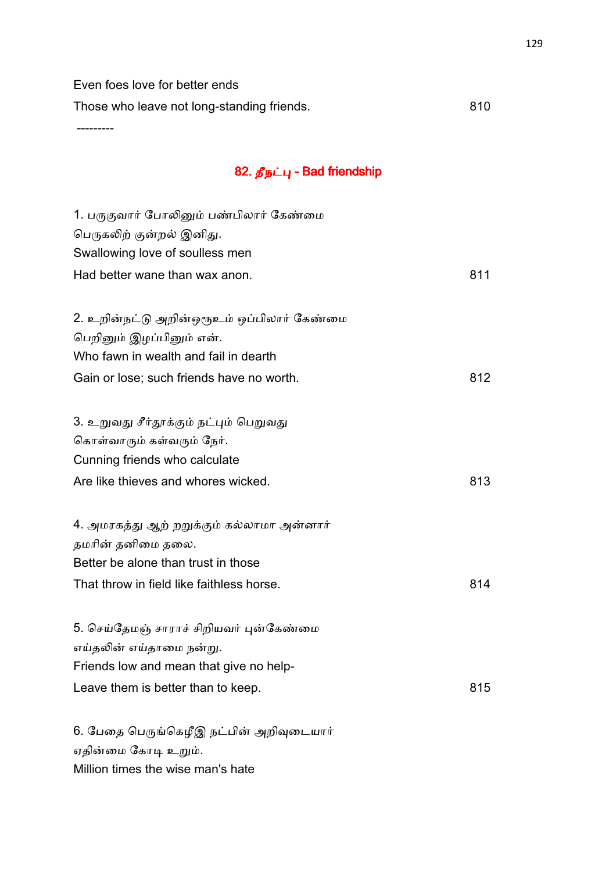Even foes love for better ends

Those who leave not long-standing friends. 610

---------

# 82. தீநட்பு - Bad friendship

| 1. பருகுவார் போலினும் பண்பிலார் கேண்மை     |     |
|--------------------------------------------|-----|
| பெருகலிற் குன்றல் இனிது.                   |     |
| Swallowing love of soulless men            |     |
| Had better wane than wax anon.             | 811 |
|                                            |     |
| 2. உறின்நட்டு அறின்ஒரூஉம் ஒப்பிலார் கேண்மை |     |
| பெறினும் இழப்பினும் என்.                   |     |
| Who fawn in wealth and fail in dearth      |     |
| Gain or lose; such friends have no worth.  | 812 |
|                                            |     |
| 3. உறுவது சீர்தூக்கும் நட்பும் பெறுவது     |     |
| கொள்வாரும் கள்வரும் நேர்.                  |     |
| Cunning friends who calculate              |     |
| Are like thieves and whores wicked.        | 813 |
|                                            |     |
| 4. அமரகத்து ஆற் றறுக்கும் கல்லாமா அன்னார்  |     |
| தமரின் தனிமை தலை.                          |     |
| Better be alone than trust in those        |     |
| That throw in field like faithless horse.  | 814 |
|                                            |     |
| 5. செய்தேமஞ் சாராச் சிறியவர் புன்கேண்மை    |     |
| எய்தலின் எய்தாமை நன்று.                    |     |
| Friends low and mean that give no help-    |     |
| Leave them is better than to keep.         | 815 |
|                                            |     |
| 6. பேதை பெருங்கெழீஇ நட்பின் அறிவுடையார்    |     |
| ஏதின்மை கோடி உறும்.                        |     |

Million times the wise man's hate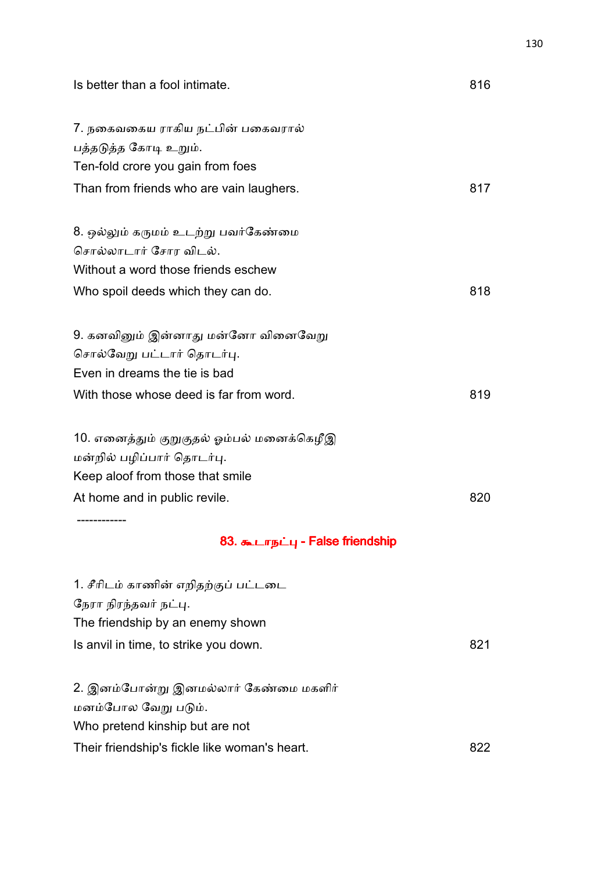| Is better than a fool intimate.           | 816 |
|-------------------------------------------|-----|
| 7. நகைவகைய ராகிய நட்பின் பகைவரால்         |     |
| பத்தடுத்த கோடி உறும்.                     |     |
| Ten-fold crore you gain from foes         |     |
| Than from friends who are vain laughers.  | 817 |
| 8. ஒல்லும் கருமம் உடற்று பவர்கேண்மை       |     |
| சொல்லாடார் சோர விடல்.                     |     |
| Without a word those friends eschew       |     |
| Who spoil deeds which they can do.        | 818 |
| 9. கனவினும் இன்னாது மன்னோ வினைவேறு        |     |
| சொல்வேறு பட்டார் தொடர்பு.                 |     |
| Even in dreams the tie is bad             |     |
| With those whose deed is far from word.   | 819 |
| 10. எனைத்தும் குறுகுதல் ஓம்பல் மனைக்கெழீஇ |     |
| மன்றில் பழிப்பார் தொடர்பு.                |     |
| Keep aloof from those that smile          |     |
| At home and in public revile.             | 820 |
| 83. கூடாநட்பு - False friendship          |     |
| 1. சீரிடம் காணின் எறிதற்குப் பட்டடை       |     |
| நேரா நிரந்தவர் நட்பு.                     |     |
| The friendship by an enemy shown          |     |
| Is anvil in time, to strike you down.     | 821 |
|                                           |     |

2. இனம்போன்று இனமல்லார் கேண்மை மகளிர் மனம்போல வேறு படும். Who pretend kinship but are not Their friendship's fickle like woman's heart. 622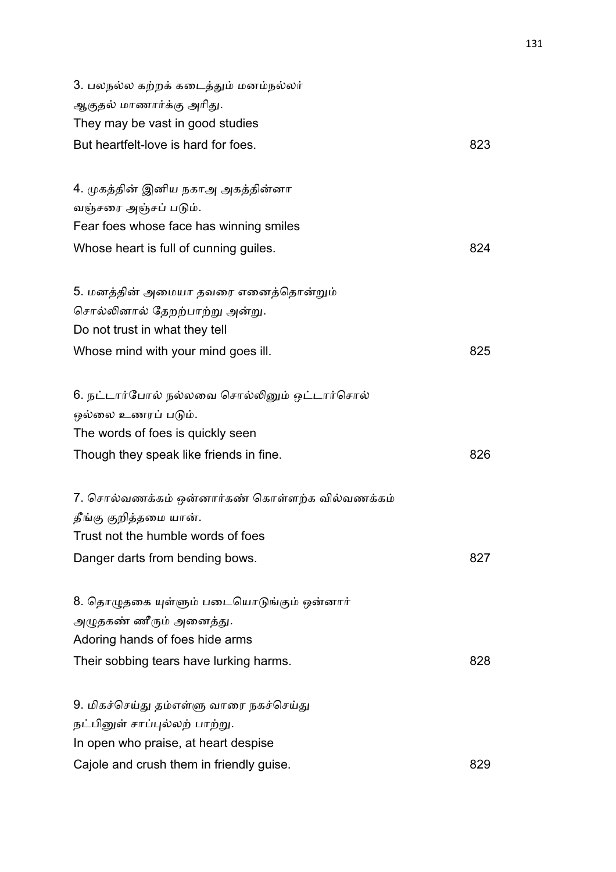| 3. பலநல்ல கற்றக் கடைத்தும் மனம்நல்லர்          |     |
|------------------------------------------------|-----|
| ஆகுதல் மாணார்க்கு அரிது.                       |     |
| They may be vast in good studies               |     |
| But heartfelt-love is hard for foes.           | 823 |
|                                                |     |
| 4. முகத்தின் இனிய நகாஅ அகத்தின்னா              |     |
| வஞ்சரை அஞ்சப் படும்.                           |     |
| Fear foes whose face has winning smiles        |     |
| Whose heart is full of cunning guiles.         | 824 |
|                                                |     |
| 5. மனத்தின் அமையா தவரை எனைத்தொன்றும்           |     |
| சொல்லினால் தேறற்பாற்று அன்று.                  |     |
| Do not trust in what they tell                 |     |
| Whose mind with your mind goes ill.            | 825 |
|                                                |     |
| 6. நட்டார்போல் நல்லவை சொல்லினும் ஒட்டார்சொல்   |     |
| ஒல்லை உணரப் படும்.                             |     |
| The words of foes is quickly seen              |     |
| Though they speak like friends in fine.        | 826 |
|                                                |     |
| 7. சொல்வணக்கம் ஒன்னார்கண் கொள்ளற்க வில்வணக்கம் |     |
| தீங்கு குறித்தமை யான்.                         |     |
| Trust not the humble words of foes             |     |
| Danger darts from bending bows.                | 827 |
|                                                |     |
| 8. தொழுதகை யுள்ளும் படையொடுங்கும் ஒன்னார்      |     |
| அழுதகண் ணீரும் அனைத்து.                        |     |
| Adoring hands of foes hide arms                |     |
| Their sobbing tears have lurking harms.        | 828 |
|                                                |     |
| 9. மிகச்செய்து தம்எள்ளு வாரை நகச்செய்து        |     |
| நட்பினுள் சாப்புல்லற் பாற்று.                  |     |
| In open who praise, at heart despise           |     |
| Cajole and crush them in friendly guise.       | 829 |
|                                                |     |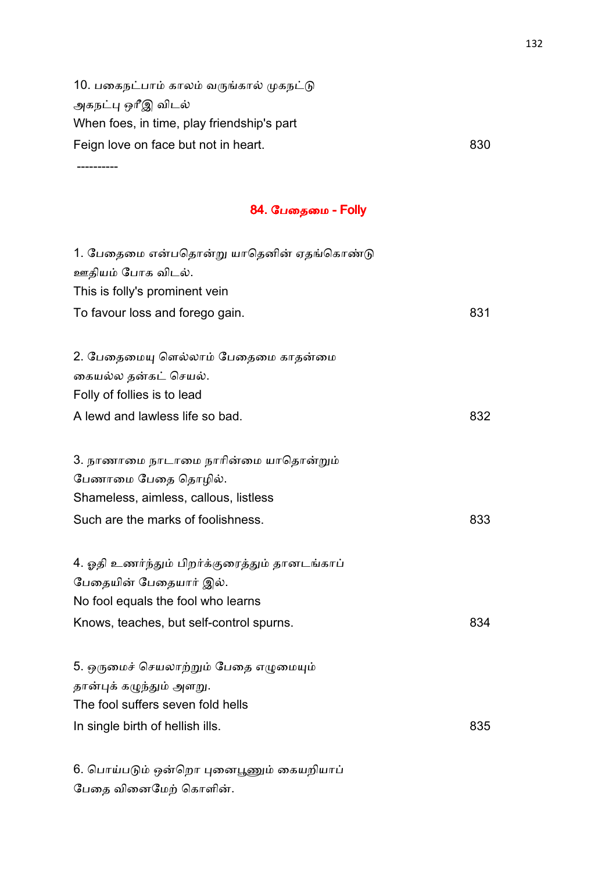10. பகைநட்பாம் காலம் வருங்கால் முகநட்டு அகநட்பு ஒரீஇ விடல் When foes, in time, play friendship's part Feign love on face but not in heart. 630

----------

பேதை வினைமேற் கொளின்.

#### **84. பேதைமை - Folly**

| 1. பேதைமை என்பதொன்று யாதெனின் ஏதங்கொண்டு<br>ஊதியம் போக விடல். |     |
|---------------------------------------------------------------|-----|
| This is folly's prominent vein                                |     |
| To favour loss and forego gain.                               | 831 |
|                                                               |     |
| 2. பேதைமையு ளெல்லாம் பேதைமை காதன்மை                           |     |
| கையல்ல தன்கட் செயல்.                                          |     |
| Folly of follies is to lead                                   |     |
| A lewd and lawless life so bad.                               | 832 |
|                                                               |     |
| 3. நாணாமை நாடாமை நாரின்மை யாதொன்றும்                          |     |
| பேணாமை பேதை தொழில்.                                           |     |
| Shameless, aimless, callous, listless                         |     |
| Such are the marks of foolishness.                            | 833 |
| 4. ஓதி உணர்ந்தும் பிறர்க்குரைத்தும் தானடங்காப்                |     |
| பேதையின் பேதையார் இல்.                                        |     |
| No fool equals the fool who learns                            |     |
| Knows, teaches, but self-control spurns.                      | 834 |
| 5. ஒருமைச் செயலாற்றும் பேதை எழுமையும்                         |     |
| தான்புக் கழுந்தும் அளறு.                                      |     |
| The fool suffers seven fold hells                             |     |
| In single birth of hellish ills.                              | 835 |
|                                                               |     |
| 6. பொய்படும் ஒன்றொ புனைபூணும் கையறியாப்                       |     |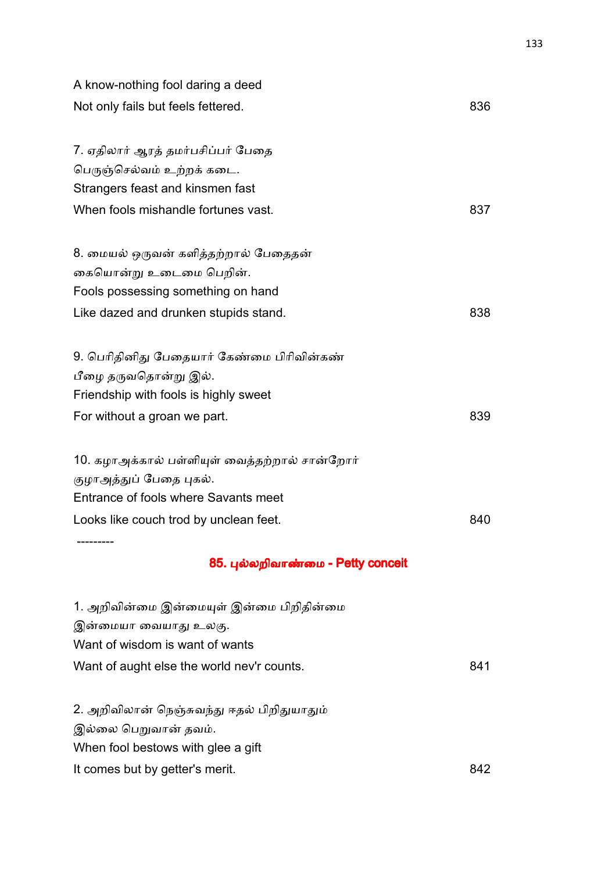| A know-nothing fool daring a deed             |     |
|-----------------------------------------------|-----|
| Not only fails but feels fettered.            | 836 |
|                                               |     |
| 7. ஏதிலார் ஆரத் தமர்பசிப்பர் பேதை             |     |
| பெருஞ்செல்வம் உற்றக் கடை.                     |     |
| Strangers feast and kinsmen fast              |     |
| When fools mishandle fortunes vast.           | 837 |
| 8. மையல் ஒருவன் களித்தற்றால் பேதைதன்          |     |
| கையொன்று உடைமை பெறின்.                        |     |
| Fools possessing something on hand            |     |
| Like dazed and drunken stupids stand.         | 838 |
| 9. பெரிதினிது பேதையார் கேண்மை பிரிவின்கண்     |     |
| பீழை தருவதொன்று இல்.                          |     |
| Friendship with fools is highly sweet         |     |
| For without a groan we part.                  | 839 |
| 10. கழாஅக்கால் பள்ளியுள் வைத்தற்றால் சான்றோர் |     |
| குழாஅத்துப் பேதை புகல்.                       |     |
| Entrance of fools where Savants meet          |     |
| Looks like couch trod by unclean feet.        | 840 |
|                                               |     |
| 85. புல்லறிவாண்மை - Petty conceit             |     |
| 1. அறிவின்மை இன்மையுள் இன்மை பிறிதின்மை       |     |
| இன்மையா வையாது உலகு.                          |     |
| Want of wisdom is want of wants               |     |
| Want of aught else the world nev'r counts.    | 841 |
| 2. அறிவிலான் நெஞ்சுவந்து ஈதல் பிறிதுயாதும்    |     |
| இல்லை பெறுவான் தவம்.                          |     |
| When fool bestows with glee a gift            |     |
| It comes but by getter's merit.               | 842 |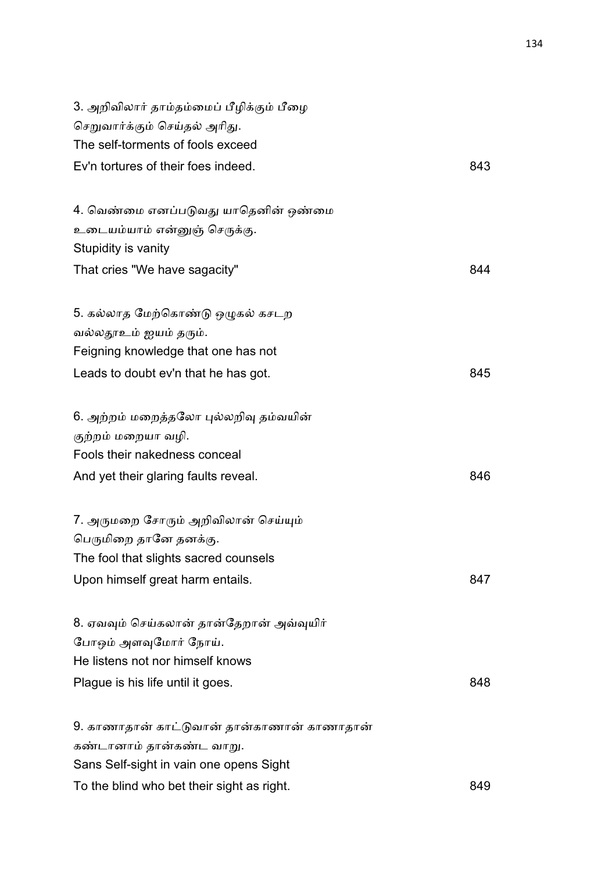| 3. அறிவிலார் தாம்தம்மைப் பீழிக்கும் பீழை<br>செறுவார்க்கும் செய்தல் அரிது. |     |
|---------------------------------------------------------------------------|-----|
| The self-torments of fools exceed                                         |     |
| Ev'n tortures of their foes indeed.                                       | 843 |
| 4. வெண்மை எனப்படுவது யாதெனின் ஒண்மை                                       |     |
| உடையம்யாம் என்னுஞ் செருக்கு.                                              |     |
| Stupidity is vanity                                                       |     |
| That cries "We have sagacity"                                             | 844 |
| 5. கல்லாத மேற்கொண்டு ஒழுகல் கசடற                                          |     |
| வல்லதூஉம் ஐயம் தரும்.                                                     |     |
| Feigning knowledge that one has not                                       |     |
| Leads to doubt ev'n that he has got.                                      | 845 |
| 6. அற்றம் மறைத்தலோ புல்லறிவு தம்வயின்                                     |     |
| குற்றம் மறையா வழி.                                                        |     |
| Fools their nakedness conceal                                             |     |
| And yet their glaring faults reveal.                                      | 846 |
| 7. அருமறை சோரும் அறிவிலான் செய்யும்                                       |     |
| பெருமிறை தானே தனக்கு.                                                     |     |
| The fool that slights sacred counsels                                     |     |
| Upon himself great harm entails.                                          | 847 |
| 8. ஏவவும் செய்கலான் தான்தேறான் அவ்வுயிர்                                  |     |
| போஒம் அளவுமோர் நோய்.                                                      |     |
| He listens not nor himself knows                                          |     |
| Plague is his life until it goes.                                         | 848 |
| 9. காணாதான் காட்டுவான் தான்காணான் காணாதான்                                |     |
| கண்டானாம் தான்கண்ட வாறு.                                                  |     |
| Sans Self-sight in vain one opens Sight                                   |     |
| To the blind who bet their sight as right.                                | 849 |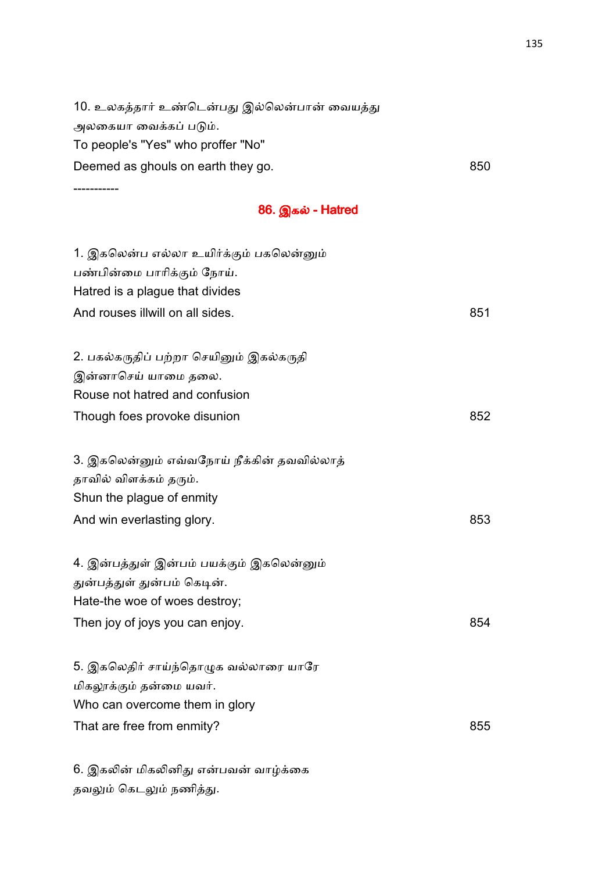10. உலகத்தார் உண்டென்பது இல்லென்பான் வையத்து அலகையா வைக்கப் படும். To people's "Yes" who proffer "No" Deemed as ghouls on earth they go. **850** SO

-----------

**86. இகல் - Hatred** 

| 1. இகலென்ப எல்லா உயிர்க்கும் பகலென்னும்    |     |
|--------------------------------------------|-----|
| பண்பின்மை பாரிக்கும் நோய்.                 |     |
| Hatred is a plague that divides            |     |
| And rouses illwill on all sides.           | 851 |
|                                            |     |
| 2. பகல்கருதிப் பற்றா செயினும் இகல்கருதி    |     |
| இன்னாசெய் யாமை தலை.                        |     |
| Rouse not hatred and confusion             |     |
| Though foes provoke disunion               | 852 |
|                                            |     |
| 3. இகலென்னும் எவ்வநோய் நீக்கின் தவவில்லாத் |     |
| தாவில் விளக்கம் தரும்.                     |     |
| Shun the plague of enmity                  |     |
| And win everlasting glory.                 | 853 |
|                                            |     |
| 4. இன்பத்துள் இன்பம் பயக்கும் இகலென்னும்   |     |
| துன்பத்துள் துன்பம் கெடின்.                |     |
| Hate-the woe of woes destroy;              |     |
| Then joy of joys you can enjoy.            | 854 |
| 5. இகலெதிர் சாய்ந்தொழுக வல்லாரை யாரே       |     |
| மிகலூக்கும் தன்மை யவர்.                    |     |
| Who can overcome them in glory             |     |
| That are free from enmity?                 | 855 |
|                                            |     |
|                                            |     |

6. இகலின் மிகலினிது என்பவன் வாழ்க்கை தவலும் கெடலும் நணித்து.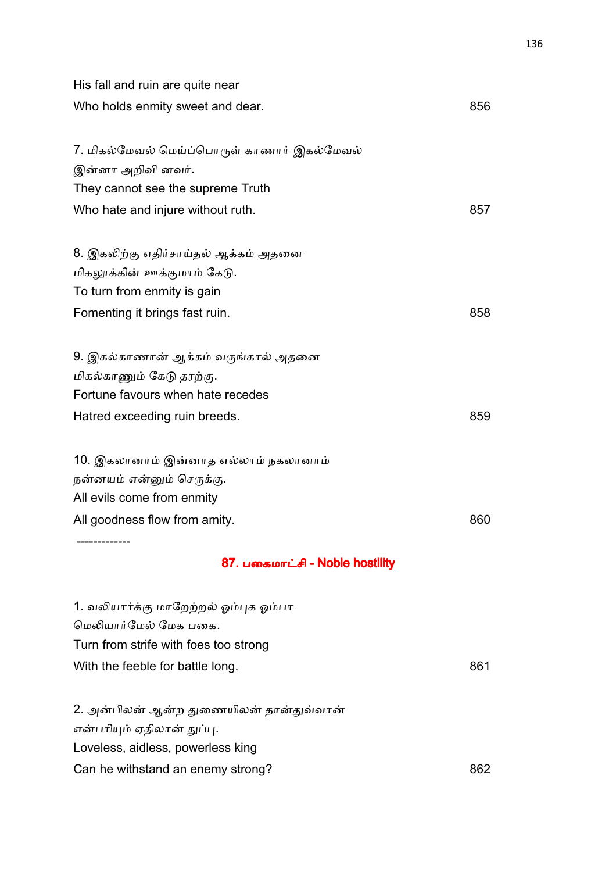| His fall and ruin are quite near                                                                                                            |     |
|---------------------------------------------------------------------------------------------------------------------------------------------|-----|
| Who holds enmity sweet and dear.                                                                                                            | 856 |
| 7. மிகல்மேவல் மெய்ப்பொருள் காணார் இகல்மேவல்<br>இன்னா அறிவி னவர்.<br>They cannot see the supreme Truth                                       |     |
| Who hate and injure without ruth.                                                                                                           | 857 |
| 8. இகலிற்கு எதிர்சாய்தல் ஆக்கம் அதனை<br>மிகலூக்கின் ஊக்குமாம் கேடு.<br>To turn from enmity is gain                                          |     |
| Fomenting it brings fast ruin.                                                                                                              | 858 |
| 9. இகல்காணான் ஆக்கம் வருங்கால் அதனை<br>மிகல்காணும் கேடு தரற்கு.<br>Fortune favours when hate recedes<br>Hatred exceeding ruin breeds.       | 859 |
| 10. இகலானாம் இன்னாத எல்லாம் நகலானாம்<br>நன்னயம் என்னும் செருக்கு.<br>All evils come from enmity                                             |     |
| All goodness flow from amity.                                                                                                               | 860 |
| 87. பகைமாட்சி - Noble hostility                                                                                                             |     |
| 1. வலியார்க்கு மாறேற்றல் ஓம்புக ஓம்பா<br>மெலியார்மேல் மேக பகை.<br>Turn from strife with foes too strong<br>With the feeble for battle long. | 861 |
| 2. அன்பிலன் ஆன்ற துணையிலன் தான்துவ்வான்<br>என்பரியும் ஏதிலான் துப்பு.<br>Loveless, aidless, powerless king                                  |     |
| Can he withstand an enemy strong?                                                                                                           | 862 |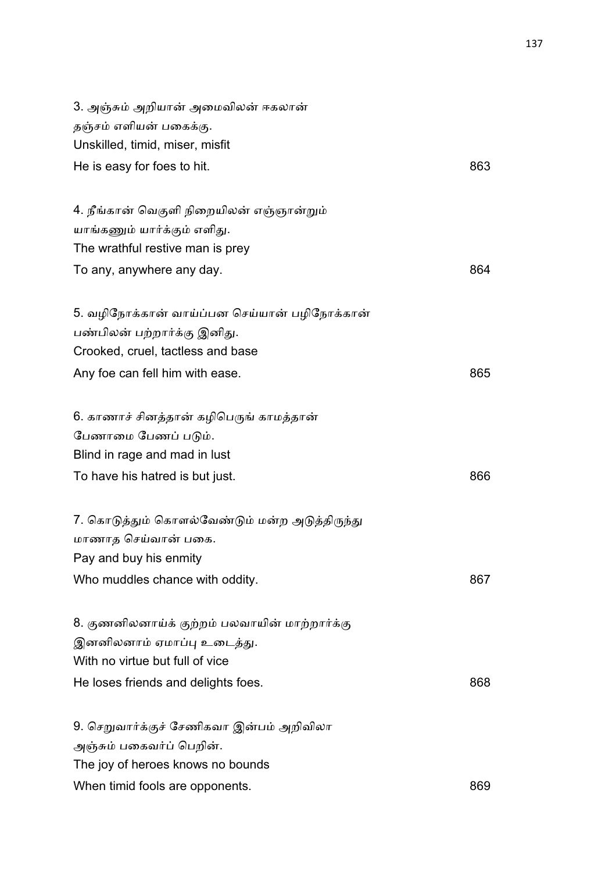| 863 |
|-----|
|     |
|     |
|     |
| 864 |
|     |
|     |
|     |
| 865 |
|     |
|     |
|     |
| 866 |
|     |
|     |
|     |
| 867 |
|     |
|     |
|     |
| 868 |
|     |
|     |
|     |
| 869 |
|     |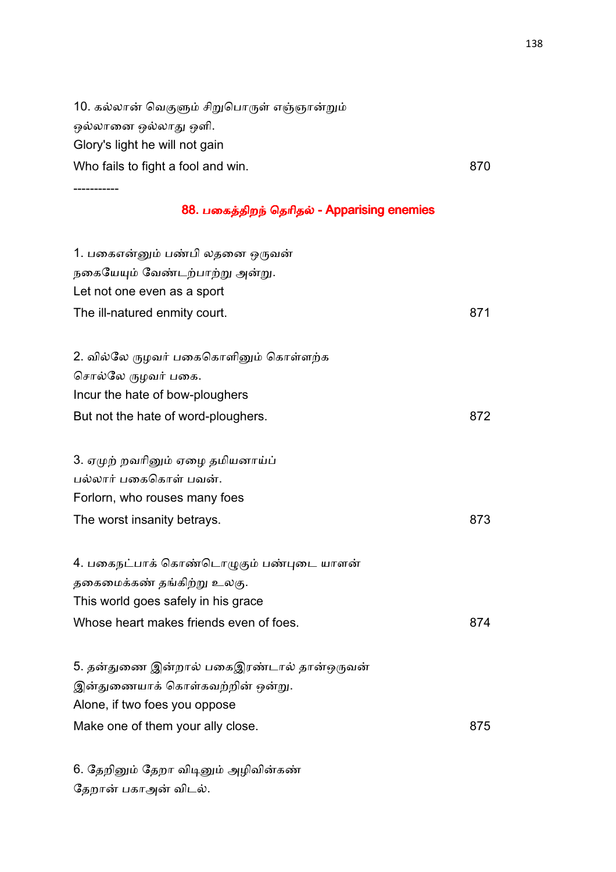10. கல்லான் வெகுளும் சிறுபொருள் எஞ்ஞான்றும் ஒலாைன ஒலா ஒளி. Glory's light he will not gain Who fails to fight a fool and win. 870

-----------

#### 88. பகைத்திறந் தெரிதல் - Apparising enemies

| 1. பகைஎன்னும் பண்பி லதனை ஒருவன்<br>நகையேயும் வேண்டற்பாற்று அன்று.<br>Let not one even as a sport<br>The ill-natured enmity court.                        | 871 |
|----------------------------------------------------------------------------------------------------------------------------------------------------------|-----|
| 2. வில்லே ருழவர் பகைகொளினும் கொள்ளற்க                                                                                                                    |     |
| சொல்லே ருழவர் பகை.                                                                                                                                       |     |
| Incur the hate of bow-ploughers                                                                                                                          |     |
| But not the hate of word-ploughers.                                                                                                                      | 872 |
| 3. ஏமுற் றவரினும் ஏழை தமியனாய்ப்<br>பல்லார் பகைகொள் பவன்.<br>Forlorn, who rouses many foes                                                               |     |
| The worst insanity betrays.                                                                                                                              | 873 |
| 4. பகைநட்பாக் கொண்டொழுகும் பண்புடை யாளன்<br>தகைமைக்கண் தங்கிற்று உலகு.<br>This world goes safely in his grace<br>Whose heart makes friends even of foes. | 874 |
| 5. தன்துணை இன்றால் பகைஇரண்டால் தான்ஒருவன்<br>இன்துணையாக் கொள்கவற்றின் ஒன்று.<br>Alone, if two foes you oppose<br>Make one of them your ally close.       | 875 |
|                                                                                                                                                          |     |

6. தேறினும் தேறா விடினும் அழிவின்கண் தேறான் பகாஅன் விடல்.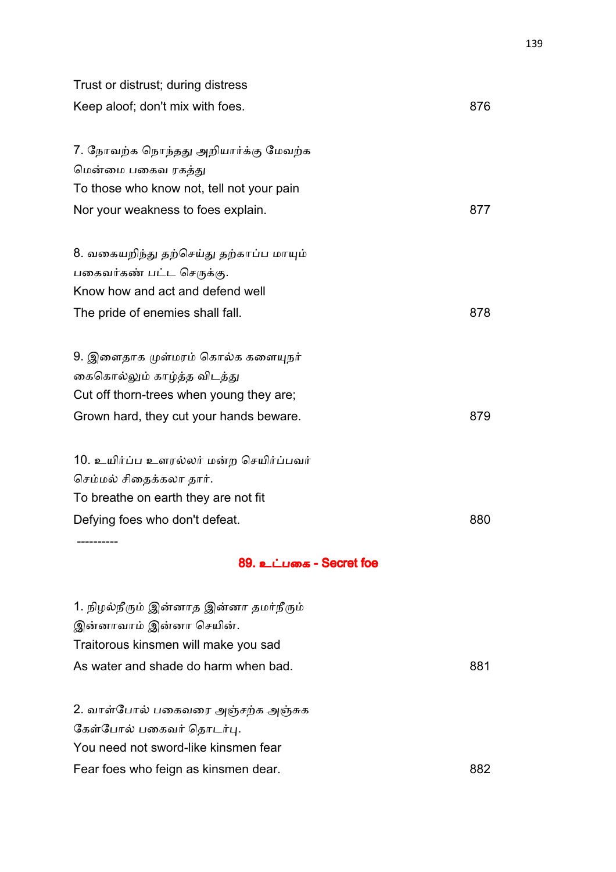| Trust or distrust; during distress        |     |
|-------------------------------------------|-----|
| Keep aloof; don't mix with foes.          | 876 |
|                                           |     |
| 7. நோவற்க நொந்தது அறியார்க்கு மேவற்க      |     |
| மென்மை பகைவ ரகத்து                        |     |
| To those who know not, tell not your pain |     |
| Nor your weakness to foes explain.        | 877 |
| 8. வகையறிந்து தற்செய்து தற்காப்ப மாயும்   |     |
| பகைவர்கண் பட்ட செருக்கு.                  |     |
| Know how and act and defend well          |     |
| The pride of enemies shall fall.          | 878 |
| 9. இளைதாக முள்மரம் கொல்க களையுநர்         |     |
| கைகொல்லும் காழ்த்த விடத்து                |     |
| Cut off thorn-trees when young they are;  |     |
| Grown hard, they cut your hands beware.   | 879 |
| 10. உயிர்ப்ப உளரல்லர் மன்ற செயிர்ப்பவர்   |     |
| செம்மல் சிதைக்கலா தார்.                   |     |
| To breathe on earth they are not fit      |     |
| Defying foes who don't defeat.            | 880 |
|                                           |     |
| 89. உட்பகை - Secret foe                   |     |
| 1. நிழல்நீரும் இன்னாத இன்னா தமர்நீரும்    |     |
| இன்னாவாம் இன்னா செயின்.                   |     |
| Traitorous kinsmen will make you sad      |     |
| As water and shade do harm when bad.      | 881 |
| 2. வாள்போல் பகைவரை அஞ்சற்க அஞ்சுக         |     |
| கேள்போல் பகைவர் தொடர்பு.                  |     |
| You need not sword-like kinsmen fear      |     |

## Fear foes who feign as kinsmen dear. The state of the state of the state of the state of the state of the state of the state of the state of the state of the state of the state of the state of the state of the state of the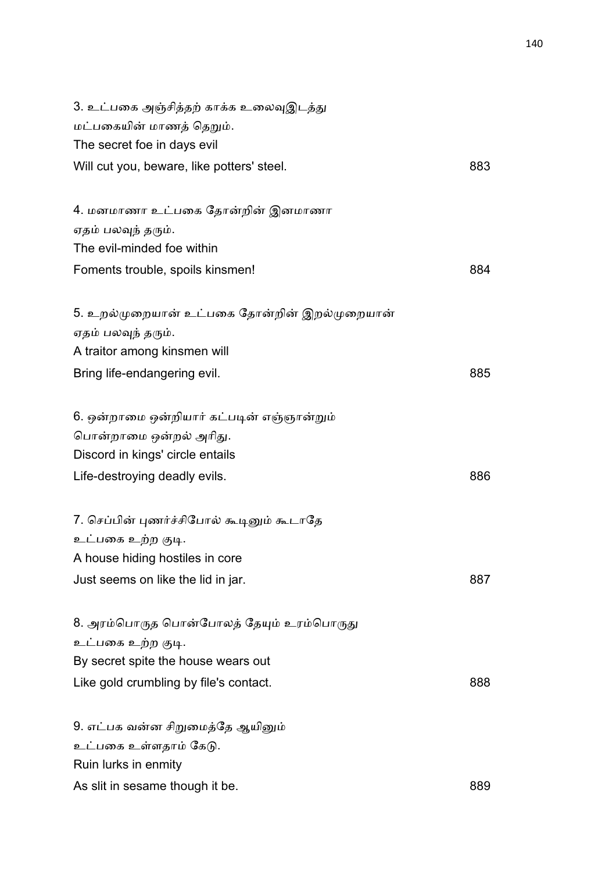| 3. உட்பகை அஞ்சித்தற் காக்க உலைவுஇடத்து       |     |
|----------------------------------------------|-----|
| மட்பகையின் மாணத் தெறும்.                     |     |
| The secret foe in days evil                  |     |
| Will cut you, beware, like potters' steel.   | 883 |
| 4. மனமாணா உட்பகை தோன்றின் இனமாணா             |     |
| ஏதம் பலவுந் தரும்.                           |     |
| The evil-minded foe within                   |     |
| Foments trouble, spoils kinsmen!             | 884 |
| 5. உறல்முறையான் உட்பகை தோன்றின் இறல்முறையான் |     |
| ஏதம் பலவுந் தரும்.                           |     |
| A traitor among kinsmen will                 |     |
| Bring life-endangering evil.                 | 885 |
| 6. ஒன்றாமை ஒன்றியார் கட்படின் எஞ்ஞான்றும்    |     |
| பொன்றாமை ஒன்றல் அரிது.                       |     |
| Discord in kings' circle entails             |     |
| Life-destroying deadly evils.                | 886 |
| 7. செப்பின் புணர்ச்சிபோல் கூடினும் கூடாதே    |     |
| உட்பகை உற்ற குடி.                            |     |
| A house hiding hostiles in core              |     |
| Just seems on like the lid in jar.           | 887 |
| 8. அரம்பொருத பொன்போலத் தேயும் உரம்பொருது     |     |
| உட்பகை உற்ற குடி.                            |     |
| By secret spite the house wears out          |     |
| Like gold crumbling by file's contact.       | 888 |
| 9. எட்பக வன்ன சிறுமைத்தே ஆயினும்             |     |
| உட்பகை உள்ளதாம் கேடு.                        |     |
| Ruin lurks in enmity                         |     |
| As slit in sesame though it be.              | 889 |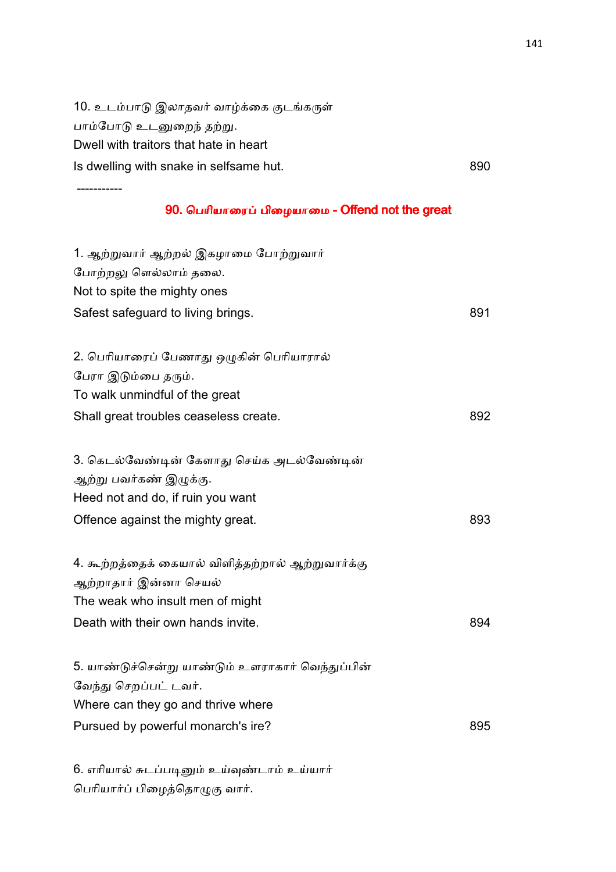10. உடம்பாடு இலாதவர் வாழ்க்கை குடங்கருள் பாம்போடு உடனுறைந் தற்று. Dwell with traitors that hate in heart Is dwelling with snake in selfsame hut. **890** 

-----------

#### 90. பெரியாரைப் பிழையாமை - Offend not the great

| 1. ஆற்றுவார் ஆற்றல் இகழாமை போற்றுவார்<br>போற்றலு ளெல்லாம் தலை.<br>Not to spite the mighty ones<br>Safest safeguard to living brings. | 891 |
|--------------------------------------------------------------------------------------------------------------------------------------|-----|
|                                                                                                                                      |     |
| 2. பெரியாரைப் பேணாது ஒழுகின் பெரியாரால்<br>பேரா இடும்பை தரும்.                                                                       |     |
| To walk unmindful of the great                                                                                                       |     |
| Shall great troubles ceaseless create.                                                                                               | 892 |
| 3. கெடல்வேண்டின் கேளாது செய்க அடல்வேண்டின்                                                                                           |     |
| ஆற்று பவர்கண் இழுக்கு.                                                                                                               |     |
| Heed not and do, if ruin you want                                                                                                    |     |
| Offence against the mighty great.                                                                                                    | 893 |
| 4. கூற்றத்தைக் கையால் விளித்தற்றால் ஆற்றுவார்க்கு<br>ஆற்றாதார் இன்னா செயல்<br>The weak who insult men of might                       |     |
| Death with their own hands invite.                                                                                                   | 894 |
| 5. யாண்டுச்சென்று யாண்டும் உளராகார் வெந்துப்பின்<br>வேந்து செறப்பட் டவர்.                                                            |     |
| Where can they go and thrive where                                                                                                   |     |
| Pursued by powerful monarch's ire?                                                                                                   | 895 |
|                                                                                                                                      |     |

6. எரியால் சுடப்படினும் உய்வுண்டாம் உய்யார் பெரியார்ப் பிழைத்தொழுகு வார்.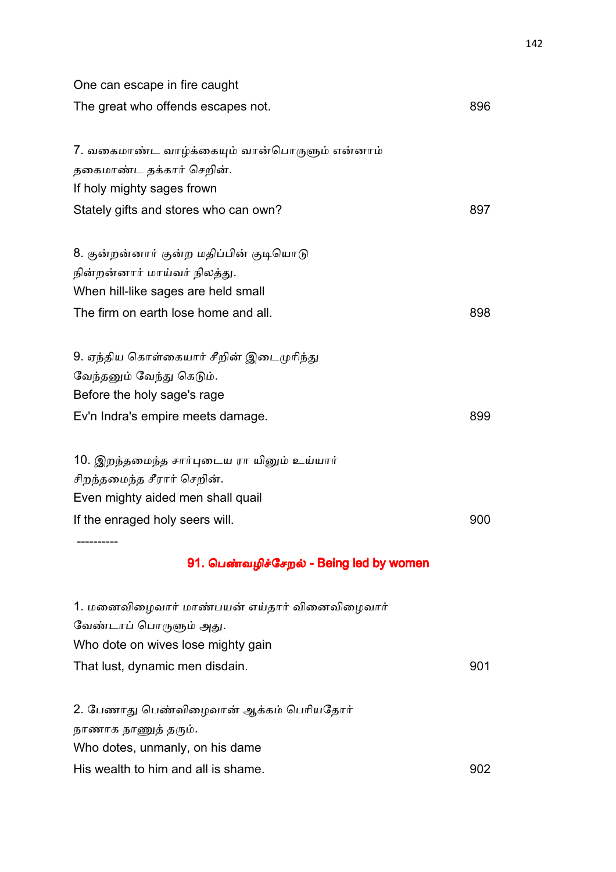| One can escape in fire caught                 |     |
|-----------------------------------------------|-----|
| The great who offends escapes not.            | 896 |
| 7. வகைமாண்ட வாழ்க்கையும் வான்பொருளும் என்னாம் |     |
| தகைமாண்ட தக்கார் செறின்.                      |     |
| If holy mighty sages frown                    |     |
| Stately gifts and stores who can own?         | 897 |
| 8. குன்றன்னார் குன்ற மதிப்பின் குடியொடு       |     |
| நின்றன்னார் மாய்வர் நிலத்து.                  |     |
| When hill-like sages are held small           |     |
| The firm on earth lose home and all.          | 898 |
| 9. ஏந்திய கொள்கையார் சீறின் இடைமுரிந்து       |     |
| வேந்தனும் வேந்து கெடும்.                      |     |
| Before the holy sage's rage                   |     |
| Ev'n Indra's empire meets damage.             | 899 |
| 10. இறந்தமைந்த சார்புடைய ரா யினும் உய்யார்    |     |
| சிறந்தமைந்த சீரார் செறின்.                    |     |
| Even mighty aided men shall quail             |     |
| If the enraged holy seers will.               | 900 |
| 91. பெண்வழிச்சேறல் - Being led by women       |     |
| 1. மனைவிழைவார் மாண்பயன் எய்தார் வினைவிழைவார்  |     |
| வேண்டாப் பொருளும் அது.                        |     |
| Who dote on wives lose mighty gain            |     |
| That lust, dynamic men disdain.               | 901 |
| 2. பேணாது பெண்விழைவான் ஆக்கம் பெரியதோர்       |     |
| நாணாக நாணுத் தரும்.                           |     |
| Who dotes, unmanly, on his dame               |     |
| His wealth to him and all is shame.           | 902 |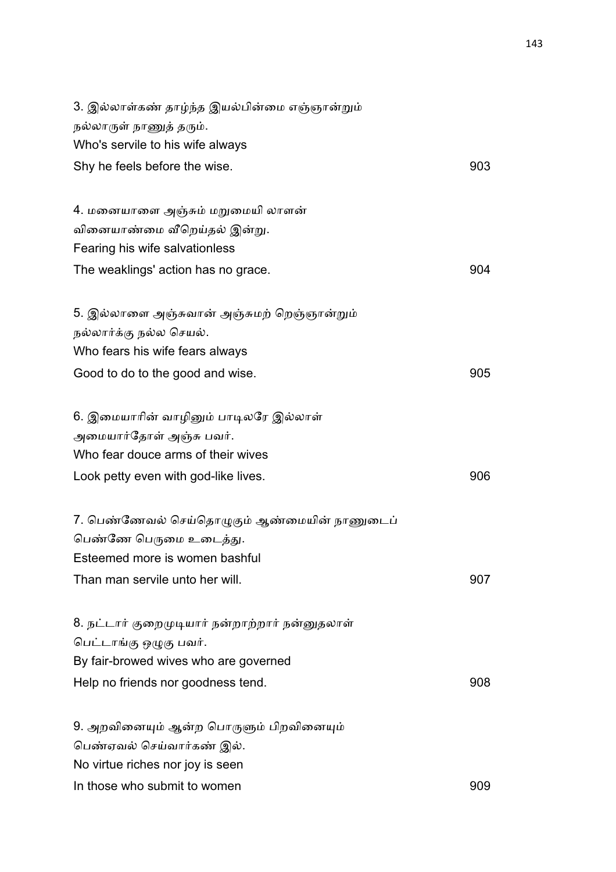| 3. இல்லாள்கண் தாழ்ந்த இயல்பின்மை எஞ்ஞான்றும்   |     |
|------------------------------------------------|-----|
| நல்லாருள் நாணுத் தரும்.                        |     |
| Who's servile to his wife always               |     |
| Shy he feels before the wise.                  | 903 |
| 4. மனையாளை அஞ்சும் மறுமையி லாளன்               |     |
| வினையாண்மை வீறெய்தல் இன்று.                    |     |
| Fearing his wife salvationless                 |     |
| The weaklings' action has no grace.            | 904 |
| 5. இல்லாளை அஞ்சுவான் அஞ்சுமற் றெஞ்ஞான்றும்     |     |
| நல்லார்க்கு நல்ல செயல்.                        |     |
| Who fears his wife fears always                |     |
| Good to do to the good and wise.               | 905 |
| 6. இமையாரின் வாழினும் பாடிலரே இல்லாள்          |     |
| அமையார்தோள் அஞ்சு பவர்.                        |     |
| Who fear douce arms of their wives             |     |
| Look petty even with god-like lives.           | 906 |
| 7. பெண்ணேவல் செய்தொழுகும் ஆண்மையின் நாணுடைப்   |     |
| பெண்ணே பெருமை உடைத்து.                         |     |
| Esteemed more is women bashful                 |     |
| Than man servile unto her will.                | 907 |
| 8. நட்டார் குறைமுடியார் நன்றாற்றார் நன்னுதலாள் |     |
| பெட்டாங்கு ஒழுகு பவர்.                         |     |
| By fair-browed wives who are governed          |     |
| Help no friends nor goodness tend.             | 908 |
| 9. அறவினையும் ஆன்ற பொருளும் பிறவினையும்        |     |
| பெண்ஏவல் செய்வார்கண் இல்.                      |     |
| No virtue riches nor joy is seen               |     |
| In those who submit to women                   | 909 |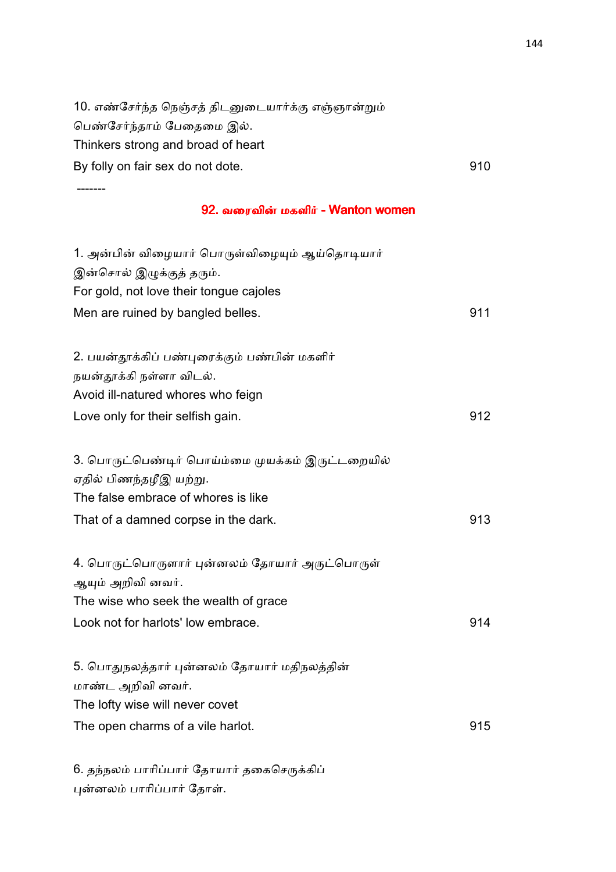| 10. எண்சேர்ந்த நெஞ்சத் திடனுடையார்க்கு எஞ்ஞான்றும் |     |
|----------------------------------------------------|-----|
| பெண்சேர்ந்தாம் பேதைமை இல்.                         |     |
| Thinkers strong and broad of heart                 |     |
| By folly on fair sex do not dote.                  | 910 |
|                                                    |     |
| 92. வரைவின் மகளிர் - Wanton women                  |     |
| 1. அன்பின் விழையார் பொருள்விழையும் ஆய்தொடியார்     |     |
| இன்சொல் இழுக்குத் தரும்.                           |     |
| For gold, not love their tongue cajoles            |     |
| Men are ruined by bangled belles.                  | 911 |
| 2. பயன்தூக்கிப் பண்புரைக்கும் பண்பின் மகளிர்       |     |
| நயன்தூக்கி நள்ளா விடல்.                            |     |
| Avoid ill-natured whores who feign                 |     |
| Love only for their selfish gain.                  | 912 |
| 3. பொருட்பெண்டிர் பொய்ம்மை முயக்கம் இருட்டறையில்   |     |
| ஏதில் பிணந்தழீஇ யற்று.                             |     |
| The false embrace of whores is like                |     |
| That of a damned corpse in the dark.               | 913 |
| 4. பொருட்பொருளார் புன்னலம் தோயார் அருட்பொருள்      |     |
| ஆயும் அறிவி னவர்.                                  |     |
| The wise who seek the wealth of grace              |     |
| Look not for harlots' low embrace.                 | 914 |
| 5. பொதுநலத்தார் புன்னலம் தோயார் மதிநலத்தின்        |     |
| மாண்ட அறிவி னவர்.                                  |     |
| The lofty wise will never covet                    |     |
| The open charms of a vile harlot.                  | 915 |

6. தந்நலம் பாரிப்பார் தோயார் தகைசெருக்கிப் புன்னலம் பாரிப்பார் தோள்.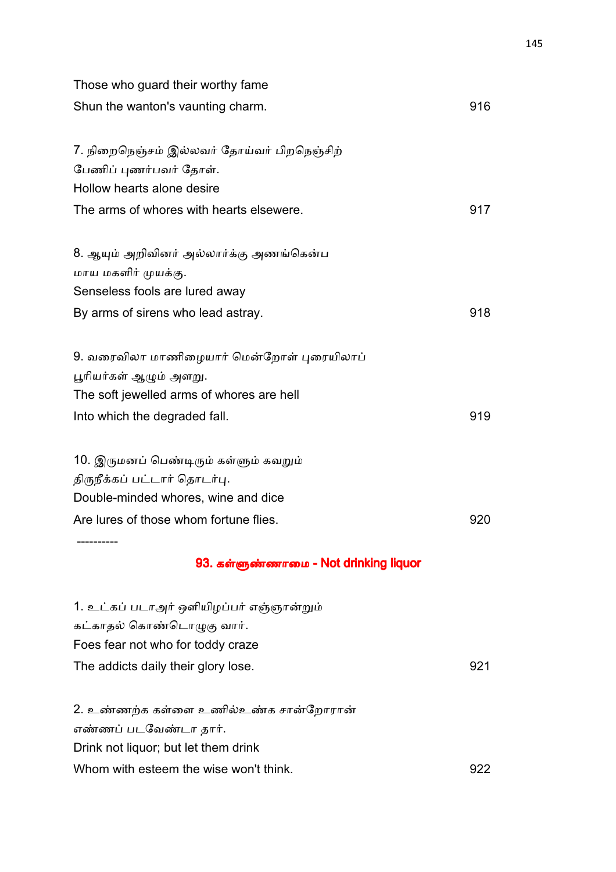| Those who guard their worthy fame                                    |     |
|----------------------------------------------------------------------|-----|
| Shun the wanton's vaunting charm.                                    | 916 |
| 7. நிறைநெஞ்சம் இல்லவர் தோய்வர் பிறநெஞ்சிற்<br>பேணிப் புணர்பவர் தோள். |     |
| Hollow hearts alone desire                                           |     |
| The arms of whores with hearts elsewere.                             | 917 |
| 8. ஆயும் அறிவினர் அல்லார்க்கு அணங்கென்ப                              |     |
| மாய மகளிர் முயக்கு.                                                  |     |
| Senseless fools are lured away                                       |     |
| By arms of sirens who lead astray.                                   | 918 |
| 9. வரைவிலா மாணிழையார் மென்றோள் புரையிலாப்                            |     |
| பூரியர்கள் ஆழும் அளறு.                                               |     |
| The soft jewelled arms of whores are hell                            |     |
| Into which the degraded fall.                                        | 919 |
| 10. இருமனப் பெண்டிரும் கள்ளும் கவறும்                                |     |
| திருநீக்கப் பட்டார் தொடர்பு.                                         |     |
| Double-minded whores, wine and dice                                  |     |
| Are lures of those whom fortune flies.                               | 920 |
| 93. கள்ளுண்ணாமை - Not drinking liquor                                |     |
| 1. உட்கப் படாஅர் ஒளியிழப்பர் எஞ்ஞான்றும்                             |     |
| கட்காதல் கொண்டொழுகு வார்.                                            |     |
| Foes fear not who for toddy craze                                    |     |
| The addicts daily their glory lose.                                  | 921 |
| 2. உண்ணற்க கள்ளை உணில்உண்க சான்றோரான்                                |     |
| எண்ணப் படவேண்டா தார்.                                                |     |
| Drink not liquor; but let them drink                                 |     |
| Whom with esteem the wise won't think.                               | 922 |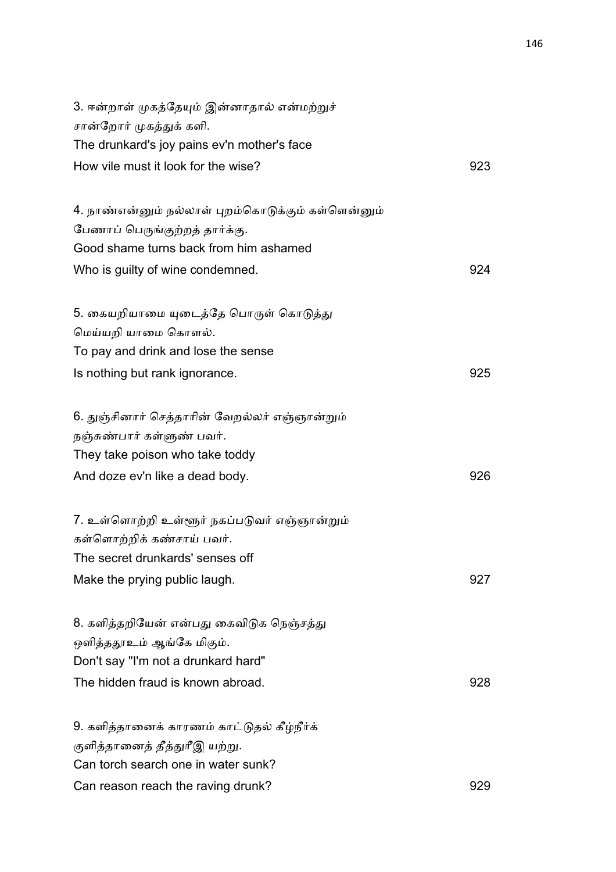| 3. ஈன்றாள் முகத்தேயும் இன்னாதால் என்மற்றுச்<br>சான்றோர் முகத்துக் களி. |     |
|------------------------------------------------------------------------|-----|
| The drunkard's joy pains ev'n mother's face                            |     |
| How vile must it look for the wise?                                    | 923 |
| 4. நாண்என்னும் நல்லாள் புறம்கொடுக்கும் கள்ளென்னும்                     |     |
| பேணாப் பெருங்குற்றத் தார்க்கு.                                         |     |
| Good shame turns back from him ashamed                                 |     |
| Who is guilty of wine condemned.                                       | 924 |
| 5. கையறியாமை யுடைத்தே பொருள் கொடுத்து                                  |     |
| மெய்யறி யாமை கொளல்.                                                    |     |
| To pay and drink and lose the sense                                    |     |
| Is nothing but rank ignorance.                                         | 925 |
| 6. துஞ்சினார் செத்தாரின் வேறல்லர் எஞ்ஞான்றும்                          |     |
| நஞ்சுண்பார் கள்ளுண் பவர்.                                              |     |
| They take poison who take toddy                                        |     |
| And doze ev'n like a dead body.                                        | 926 |
| 7. உள்ளொற்றி உள்ளூர் நகப்படுவர் எஞ்ஞான்றும்                            |     |
| கள்ளொற்றிக் கண்சாய் பவர்.                                              |     |
| The secret drunkards' senses off                                       |     |
| Make the prying public laugh.                                          | 927 |
| 8. களித்தறியேன் என்பது கைவிடுக நெஞ்சத்து                               |     |
| ஒளித்ததூஉம் ஆங்கே மிகும்.                                              |     |
| Don't say "I'm not a drunkard hard"                                    |     |
| The hidden fraud is known abroad.                                      | 928 |
| 9. களித்தானைக் காரணம் காட்டுதல் கீழ்நீர்க்                             |     |
| குளித்தானைத் தீத்துரீஇ யற்று.                                          |     |
| Can torch search one in water sunk?                                    |     |
| Can reason reach the raving drunk?                                     | 929 |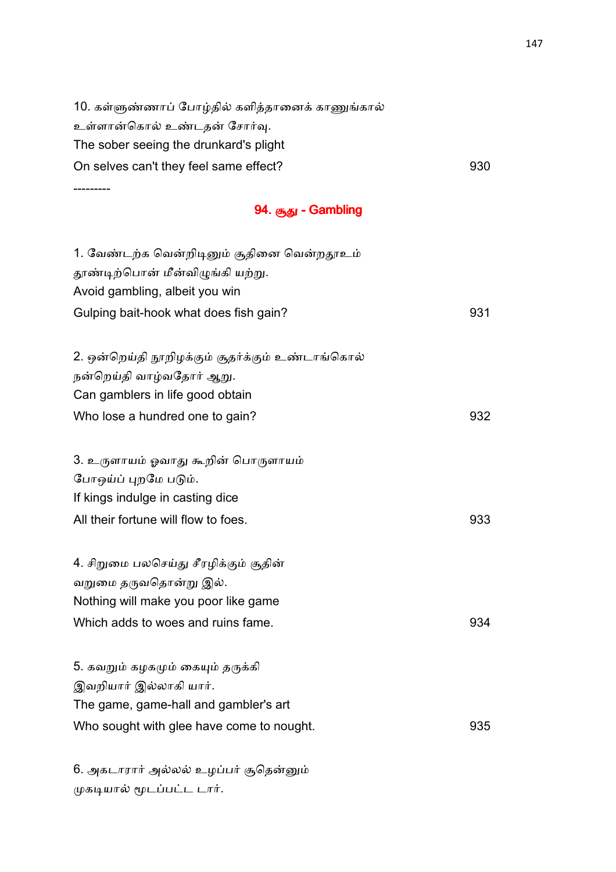10. கள்ளுண்ணாப் போழ்தில் களித்தானைக் காணுங்கால் உள்ளான்கொல் உண்டதன் சோர்வு. The sober seeing the drunkard's plight On selves can't they feel same effect? 930 ---------

| 94. சூது - Gambling |  |
|---------------------|--|
|---------------------|--|

| 1. வேண்டற்க வென்றிடினும் சூதினை வென்றதூஉம்<br>தூண்டிற்பொன் மீன்விழுங்கி யற்று.<br>Avoid gambling, albeit you win<br>Gulping bait-hook what does fish gain? | 931 |
|------------------------------------------------------------------------------------------------------------------------------------------------------------|-----|
| 2. ஒன்றெய்தி நூறிழக்கும் சூதர்க்கும் உண்டாங்கொல்                                                                                                           |     |
| நன்றெய்தி வாழ்வதோர் ஆறு.                                                                                                                                   |     |
| Can gamblers in life good obtain                                                                                                                           |     |
| Who lose a hundred one to gain?                                                                                                                            | 932 |
| 3. உருளாயம் ஓவாது கூறின் பொருளாயம்                                                                                                                         |     |
| போஒய்ப் புறமே படும்.                                                                                                                                       |     |
| If kings indulge in casting dice                                                                                                                           |     |
| All their fortune will flow to foes.                                                                                                                       | 933 |
| 4. சிறுமை பலசெய்து சீரழிக்கும் சூதின்                                                                                                                      |     |
| வறுமை தருவதொன்று இல்.                                                                                                                                      |     |
| Nothing will make you poor like game                                                                                                                       |     |
| Which adds to woes and ruins fame.                                                                                                                         | 934 |
| 5. கவறும் கழகமும் கையும் தருக்கி                                                                                                                           |     |
| இவறியார் இல்லாகி யார்.                                                                                                                                     |     |
| The game, game-hall and gambler's art                                                                                                                      |     |
| Who sought with glee have come to nought.                                                                                                                  | 935 |
|                                                                                                                                                            |     |
|                                                                                                                                                            |     |

6. அகடாரார் அல்லல் உழப்பர் சூதென்னும் முகடியால் மூடப்பட்ட டார்.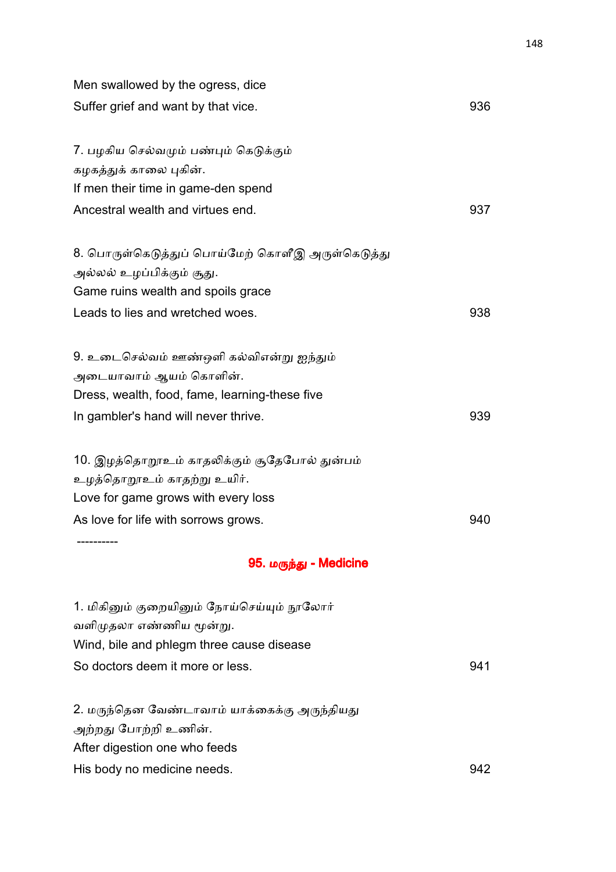| Men swallowed by the ogress, dice                |     |
|--------------------------------------------------|-----|
| Suffer grief and want by that vice.              | 936 |
| 7. பழகிய செல்வமும் பண்பும் கெடுக்கும்            |     |
| கழகத்துக் காலை புகின்.                           |     |
| If men their time in game-den spend              |     |
| Ancestral wealth and virtues end.                | 937 |
| 8. பொருள்கெடுத்துப் பொய்மேற் கொளீஇ அருள்கெடுத்து |     |
| அல்லல் உழப்பிக்கும் சூது.                        |     |
| Game ruins wealth and spoils grace               |     |
| Leads to lies and wretched woes.                 | 938 |
| 9. உடைசெல்வம் ஊண்ஒளி கல்விஎன்று ஐந்தும்          |     |
| அடையாவாம் ஆயம் கொளின்.                           |     |
| Dress, wealth, food, fame, learning-these five   |     |
| In gambler's hand will never thrive.             | 939 |
| 10. இழத்தொறூஉம் காதலிக்கும் சூதேபோல் துன்பம்     |     |
| உழத்தொறூஉம் காதற்று உயிர்.                       |     |
| Love for game grows with every loss              |     |
| As love for life with sorrows grows.             | 940 |
| 95. மருந்து - Medicine                           |     |
| 1. மிகினும் குறையினும் நோய்செய்யும் நூலோர்       |     |
| வளிமுதலா எண்ணிய மூன்று.                          |     |
| Wind, bile and phlegm three cause disease        |     |
| So doctors deem it more or less.                 | 941 |
| 2. மருந்தென வேண்டாவாம் யாக்கைக்கு அருந்தியது     |     |
| அற்றது போற்றி உணின்.                             |     |
| After digestion one who feeds                    |     |
| His body no medicine needs.                      | 942 |
|                                                  |     |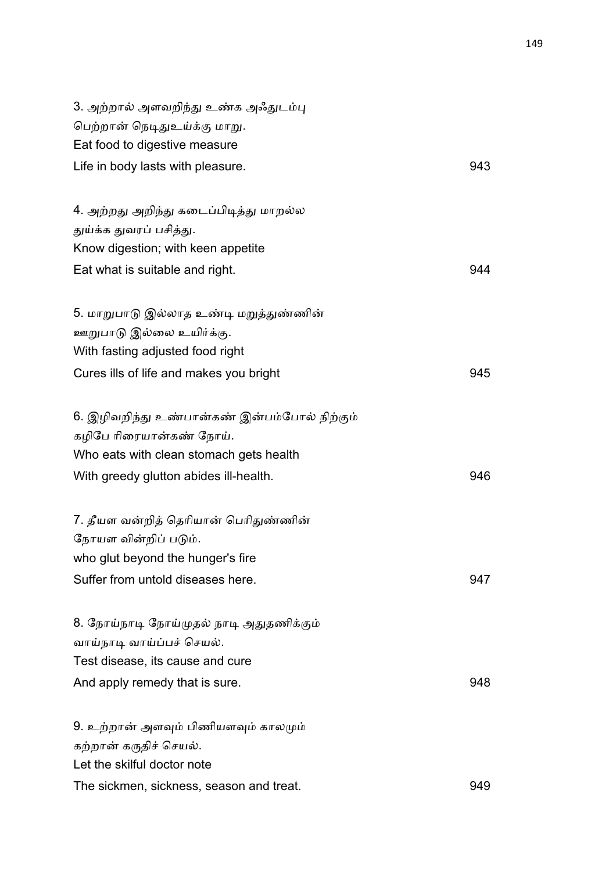| 3. அற்றால் அளவறிந்து உண்க அஃதுடம்பு<br>பெற்றான் நெடிதுஉய்க்கு மாறு.<br>Eat food to digestive measure |     |
|------------------------------------------------------------------------------------------------------|-----|
| Life in body lasts with pleasure.                                                                    | 943 |
|                                                                                                      |     |
| 4. அற்றது அறிந்து கடைப்பிடித்து மாறல்ல                                                               |     |
| துய்க்க துவரப் பசித்து.                                                                              |     |
| Know digestion; with keen appetite                                                                   |     |
| Eat what is suitable and right.                                                                      | 944 |
| 5. மாறுபாடு இல்லாத உண்டி மறுத்துண்ணின்                                                               |     |
| ஊறுபாடு இல்லை உயிர்க்கு.                                                                             |     |
| With fasting adjusted food right                                                                     |     |
| Cures ills of life and makes you bright                                                              | 945 |
| 6. இழிவறிந்து உண்பான்கண் இன்பம்போல் நிற்கும்                                                         |     |
| கழிபே ரிரையான்கண் நோய்.                                                                              |     |
| Who eats with clean stomach gets health                                                              |     |
| With greedy glutton abides ill-health.                                                               | 946 |
| 7. தீயள வன்றித் தெரியான் பெரிதுண்ணின்                                                                |     |
| நோயள வின்றிப் படும்.                                                                                 |     |
| who glut beyond the hunger's fire                                                                    |     |
| Suffer from untold diseases here.                                                                    | 947 |
| 8. நோய்நாடி நோய்முதல் நாடி அதுதணிக்கும்                                                              |     |
| வாய்நாடி வாய்ப்பச் செயல்.                                                                            |     |
| Test disease, its cause and cure                                                                     |     |
| And apply remedy that is sure.                                                                       | 948 |
| 9. உற்றான் அளவும் பிணியளவும் காலமும்                                                                 |     |
| கற்றான் கருதிச் செயல்.                                                                               |     |
| Let the skilful doctor note                                                                          |     |
| The sickmen, sickness, season and treat.                                                             | 949 |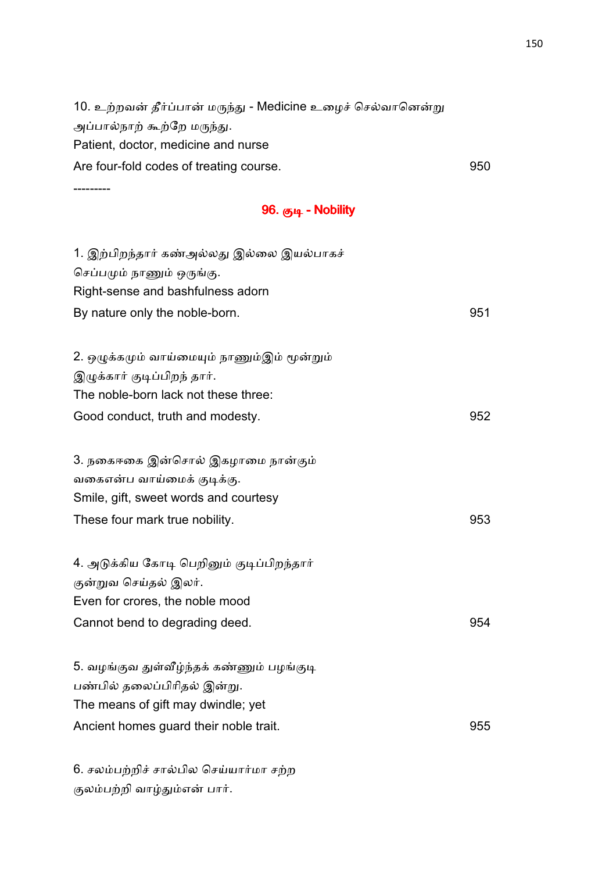10. உற்றவன் தீர்ப்பான் மருந்து - Medicine உழைச் செல்வானென்று அப்பால்நாற் கூற்றே மருந்து. Patient, doctor, medicine and nurse Are four-fold codes of treating course. The state of the state of the state of the state of the state of the state of the state of the state of the state of the state of the state of the state of the state of the state of

---------

|  |  |  | 96. குடி - Nobility |
|--|--|--|---------------------|
|--|--|--|---------------------|

| 1. இற்பிறந்தார் கண்அல்லது இல்லை இயல்பாகச்<br>செப்பமும் நாணும் ஒருங்கு.<br>Right-sense and bashfulness adorn<br>By nature only the noble-born. | 951 |
|-----------------------------------------------------------------------------------------------------------------------------------------------|-----|
| 2. ஒழுக்கமும் வாய்மையும் நாணும்இம் மூன்றும்                                                                                                   |     |
| இழுக்கார் குடிப்பிறந் தார்.                                                                                                                   |     |
| The noble-born lack not these three:                                                                                                          |     |
| Good conduct, truth and modesty.                                                                                                              | 952 |
|                                                                                                                                               |     |
| 3. நகைஈகை இன்சொல் இகழாமை நான்கும்                                                                                                             |     |
| வகைஎன்ப வாய்மைக் குடிக்கு.                                                                                                                    |     |
| Smile, gift, sweet words and courtesy                                                                                                         |     |
| These four mark true nobility.                                                                                                                | 953 |
|                                                                                                                                               |     |
| 4. அடுக்கிய கோடி பெறினும் குடிப்பிறந்தார்                                                                                                     |     |
| குன்றுவ செய்தல் இலர்.                                                                                                                         |     |
| Even for crores, the noble mood                                                                                                               |     |
| Cannot bend to degrading deed.                                                                                                                | 954 |
|                                                                                                                                               |     |
| 5. வழங்குவ துள்வீழ்ந்தக் கண்ணும் பழங்குடி                                                                                                     |     |
| பண்பில் தலைப்பிரிதல் இன்று.                                                                                                                   |     |
| The means of gift may dwindle; yet                                                                                                            |     |
| Ancient homes guard their noble trait.                                                                                                        | 955 |
|                                                                                                                                               |     |
|                                                                                                                                               |     |

6. சலம்பற்றிச் சால்பில செய்யார்மா சற்ற குலம்பற்றி வாழ்தும்என் பார்.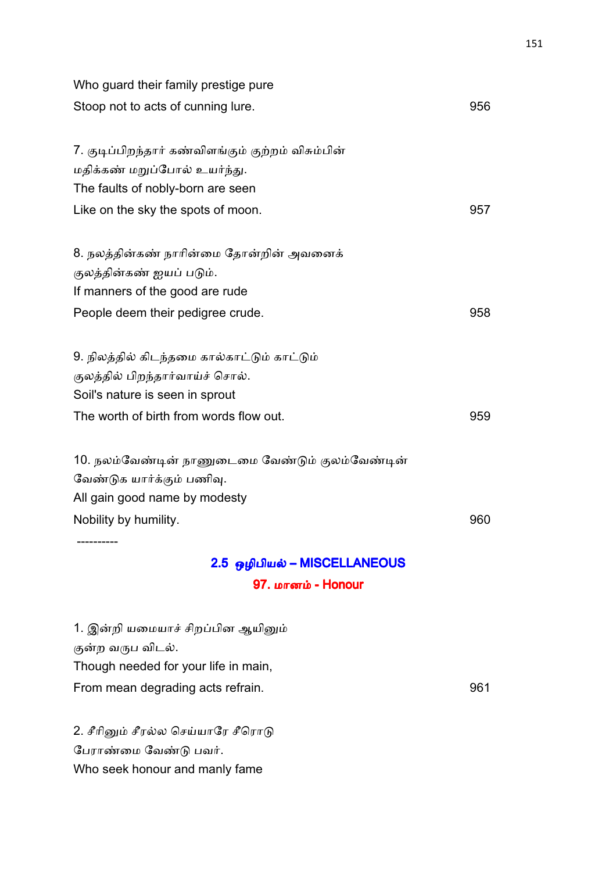| Who guard their family prestige pure               |  |
|----------------------------------------------------|--|
| Stoop not to acts of cunning lure.<br>956          |  |
|                                                    |  |
| 7. குடிப்பிறந்தார் கண்விளங்கும் குற்றம் விசும்பின் |  |
| மதிக்கண் மறுப்போல் உயர்ந்து.                       |  |
| The faults of nobly-born are seen                  |  |
| Like on the sky the spots of moon.<br>957          |  |
| 8. நலத்தின்கண் நாரின்மை தோன்றின் அவனைக்            |  |
| குலத்தின்கண் ஐயப் படும்.                           |  |
| If manners of the good are rude                    |  |
| People deem their pedigree crude.<br>958           |  |
| 9. நிலத்தில் கிடந்தமை கால்காட்டும் காட்டும்        |  |
| குலத்தில் பிறந்தார்வாய்ச் சொல்.                    |  |
| Soil's nature is seen in sprout                    |  |
| The worth of birth from words flow out.<br>959     |  |
| 10. நலம்வேண்டின் நாணுடைமை வேண்டும் குலம்வேண்டின்   |  |
| வேண்டுக யார்க்கும் பணிவு.                          |  |
| All gain good name by modesty                      |  |
| Nobility by humility.<br>960                       |  |
|                                                    |  |
| 2.5 ஒழிபியல் – MISCELLANEOUS                       |  |
| 97. மானம் – Honour                                 |  |
| 1. இன்றி யமையாச் சிறப்பின ஆயினும்                  |  |

குன்ற வருப விடல்.

Though needed for your life in main,

From mean degrading acts refrain. The manufacturer of the state of the state of the state of the state of the state of the state of the state of the state of the state of the state of the state of the state of the state of

2. சீரினும் சீரல்ல செய்யாரே சீரொடு பேராண்மை வேண்டு பவர். Who seek honour and manly fame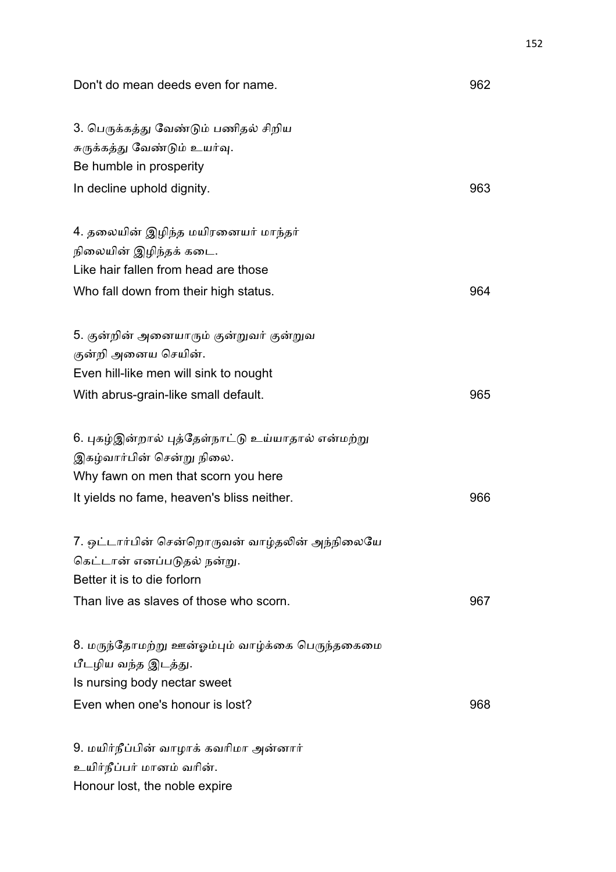| Don't do mean deeds even for name.                                                                                                                                  | 962 |
|---------------------------------------------------------------------------------------------------------------------------------------------------------------------|-----|
| 3. பெருக்கத்து வேண்டும் பணிதல் சிறிய<br>சுருக்கத்து வேண்டும் உயர்வு.<br>Be humble in prosperity                                                                     |     |
| In decline uphold dignity.                                                                                                                                          | 963 |
| 4. தலையின் இழிந்த மயிரனையர் மாந்தர்<br>நிலையின் இழிந்தக் கடை.<br>Like hair fallen from head are those<br>Who fall down from their high status.                      | 964 |
|                                                                                                                                                                     |     |
| 5. குன்றின் அனையாரும் குன்றுவர் குன்றுவ<br>குன்றி அனைய செயின்.<br>Even hill-like men will sink to nought                                                            |     |
| With abrus-grain-like small default.                                                                                                                                | 965 |
| 6. புகழ்இன்றால் புத்தேள்நாட்டு உய்யாதால் என்மற்று<br>இகழ்வார்பின் சென்று நிலை.<br>Why fawn on men that scorn you here<br>It yields no fame, heaven's bliss neither. | 966 |
| 7. ஒட்டார்பின் சென்றொருவன் வாழ்தலின் அந்நிலையே<br>கெட்டான் எனப்படுதல் நன்று.<br>Better it is to die forlorn                                                         |     |
| Than live as slaves of those who scorn.                                                                                                                             | 967 |
| 8. மருந்தோமற்று ஊன்ஓம்பும் வாழ்க்கை பெருந்தகைமை<br>பீடழிய வந்த இடத்து.<br>Is nursing body nectar sweet                                                              |     |
| Even when one's honour is lost?                                                                                                                                     | 968 |
| 9. மயிர்நீப்பின் வாழாக் கவரிமா அன்னார்<br>உயிர்நீப்பர் மானம் வரின்.<br>Honour lost, the noble expire                                                                |     |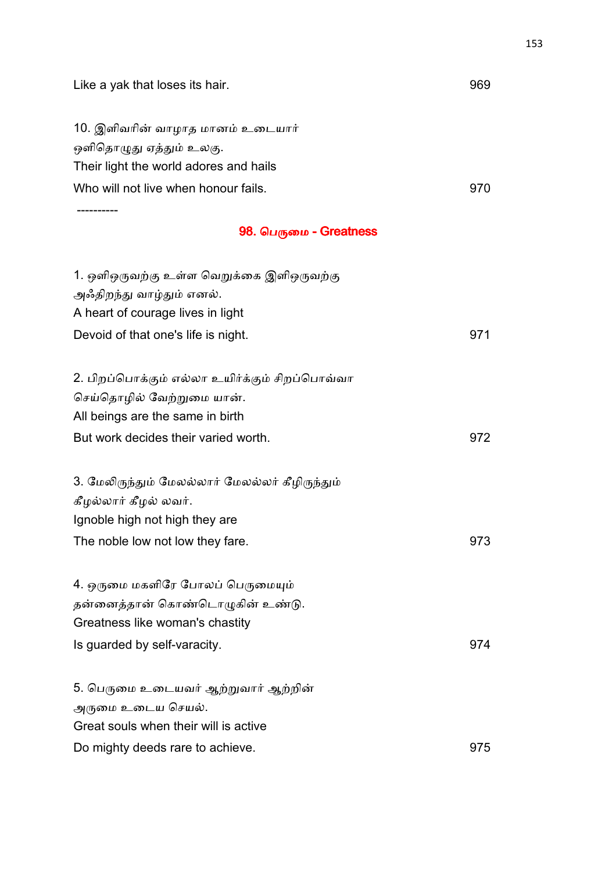| Like a yak that loses its hair.                 | 969 |
|-------------------------------------------------|-----|
| 10. இளிவரின் வாழாத மானம் உடையார்                |     |
| ஒளிதொழுது ஏத்தும் உலகு.                         |     |
| Their light the world adores and hails          |     |
| Who will not live when honour fails.            | 970 |
| ---------                                       |     |
| 98. பெருமை - Greatness                          |     |
| 1. ஒளிஒருவற்கு உள்ள வெறுக்கை இளிஒருவற்கு        |     |
| அஃதிறந்து வாழ்தும் எனல்.                        |     |
| A heart of courage lives in light               |     |
| Devoid of that one's life is night.             | 971 |
| 2. பிறப்பொக்கும் எல்லா உயிர்க்கும் சிறப்பொவ்வா  |     |
| செய்தொழில் வேற்றுமை யான்.                       |     |
| All beings are the same in birth                |     |
| But work decides their varied worth.            | 972 |
| 3. மேலிருந்தும் மேலல்லார் மேலல்லர் கீழிருந்தும் |     |
| கீழல்லார் கீழல் லவர்.                           |     |
| Ignoble high not high they are                  |     |
| The noble low not low they fare.                | 973 |
| 4. ஒருமை மகளிரே போலப் பெருமையும்                |     |
| தன்னைத்தான் கொண்டொழுகின் உண்டு.                 |     |
| Greatness like woman's chastity                 |     |
| Is guarded by self-varacity.                    | 974 |
| 5. பெருமை உடையவர் ஆற்றுவார் ஆற்றின்             |     |
| அருமை உடைய செயல்.                               |     |
| Great souls when their will is active           |     |
| Do mighty deeds rare to achieve.                | 975 |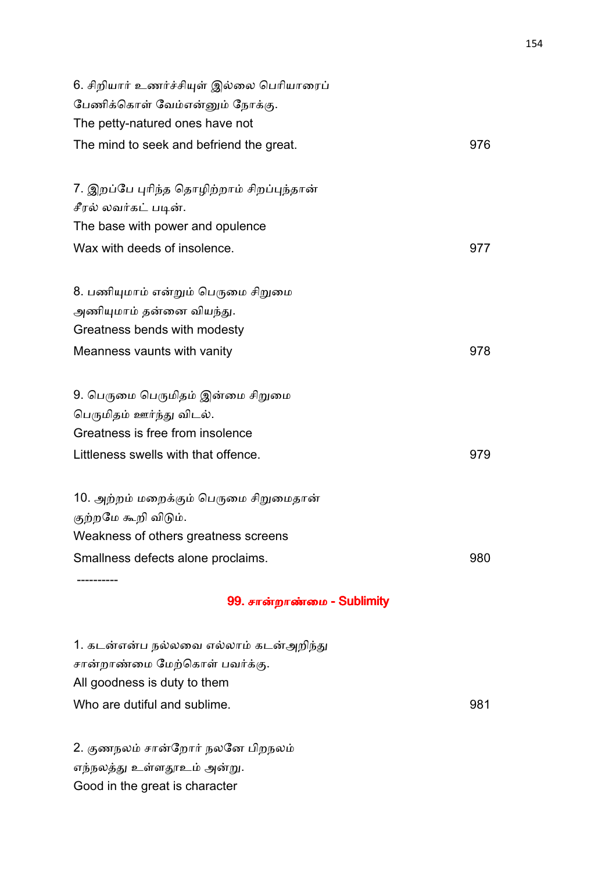| 6. சிறியார் உணர்ச்சியுள் இல்லை பெரியாரைப்  |     |
|--------------------------------------------|-----|
| பேணிக்கொள் வேம்என்னும் நோக்கு.             |     |
| The petty-natured ones have not            |     |
| The mind to seek and befriend the great.   | 976 |
|                                            |     |
| 7. இறப்பே புரிந்த தொழிற்றாம் சிறப்புந்தான் |     |
| சீரல் லவர்கட் படின்.                       |     |
| The base with power and opulence           |     |
| Wax with deeds of insolence.               | 977 |
|                                            |     |
| 8. பணியுமாம் என்றும் பெருமை சிறுமை         |     |
| அணியுமாம் தன்னை வியந்து.                   |     |
| Greatness bends with modesty               |     |
| Meanness vaunts with vanity                | 978 |
|                                            |     |
| 9. பெருமை பெருமிதம் இன்மை சிறுமை           |     |
| பெருமிதம் ஊர்ந்து விடல்.                   |     |
| Greatness is free from insolence           |     |
| Littleness swells with that offence.       | 979 |
|                                            |     |
| 10. அற்றம் மறைக்கும் பெருமை சிறுமைதான்     |     |
| குற்றமே கூறி விடும்.                       |     |
| Weakness of others greatness screens       |     |
| Smallness defects alone proclaims.         | 980 |
|                                            |     |

## 99. சான்றாண்மை - Sublimity

1. கடன்என்ப நல்லவை எல்லாம் கடன்அறிந்து சான்றாண்மை மேற்கொள் பவர்க்கு. All goodness is duty to them Who are dutiful and sublime. **981** 

2. குணநலம் சான்றோர் நலனே பிறநலம் எந்நலத்து உள்ளதூஉம் அன்று. Good in the great is character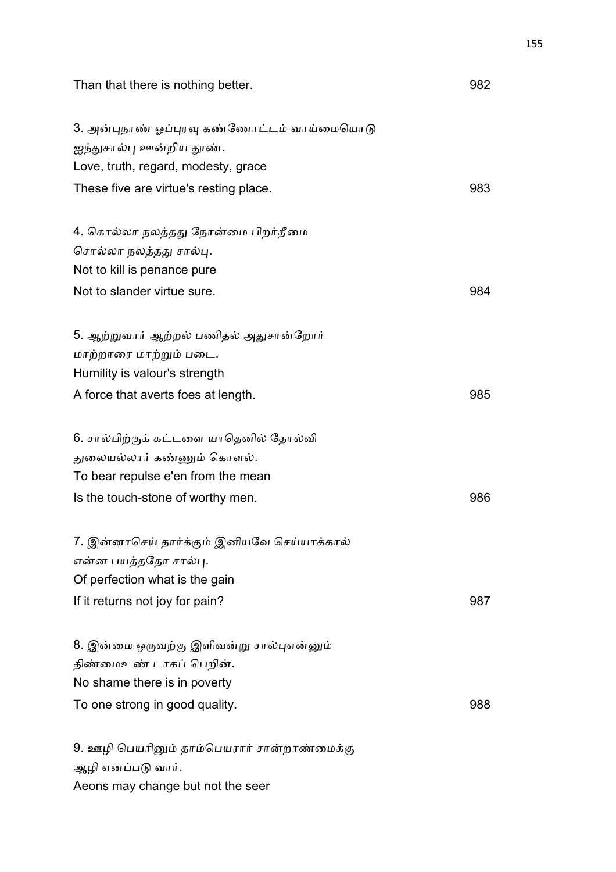| Than that there is nothing better.                                                                                                              | 982 |
|-------------------------------------------------------------------------------------------------------------------------------------------------|-----|
| 3. அன்புநாண் ஓப்புரவு கண்ணோட்டம் வாய்மையொடு<br>ஐந்துசால்பு ஊன்றிய தூண்.<br>Love, truth, regard, modesty, grace                                  |     |
| These five are virtue's resting place.                                                                                                          | 983 |
| 4. கொல்லா நலத்தது நோன்மை பிறர்தீமை<br>சொல்லா நலத்தது சால்பு.<br>Not to kill is penance pure                                                     |     |
| Not to slander virtue sure.                                                                                                                     | 984 |
| 5. ஆற்றுவார் ஆற்றல் பணிதல் அதுசான்றோர்<br>மாற்றாரை மாற்றும் படை.<br>Humility is valour's strength                                               |     |
| A force that averts foes at length.                                                                                                             | 985 |
| 6. சால்பிற்குக் கட்டளை யாதெனில் தோல்வி<br>துலையல்லார் கண்ணும் கொளல்.<br>To bear repulse e'en from the mean<br>Is the touch-stone of worthy men. | 986 |
| 7. இன்னாசெய் தார்க்கும் இனியவே செய்யாக்கால்<br>என்ன பயத்ததோ சால்பு.<br>Of perfection what is the gain                                           |     |
| If it returns not joy for pain?                                                                                                                 | 987 |
| 8. இன்மை ஒருவற்கு இளிவன்று சால்புஎன்னும்<br>திண்மைஉண் டாகப் பெறின்.<br>No shame there is in poverty<br>To one strong in good quality.           | 988 |
| 9. ஊழி பெயரினும் தாம்பெயரார் சான்றாண்மைக்கு<br>ஆழி எனப்படு வார்.                                                                                |     |

Aeons may change but not the seer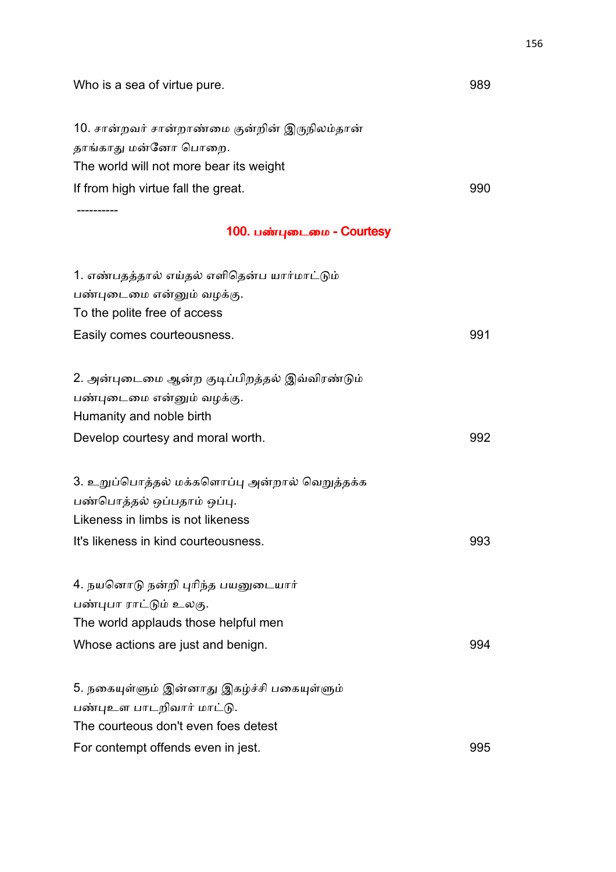| Who is a sea of virtue pure.                  | 989 |
|-----------------------------------------------|-----|
| 10. சான்றவர் சான்றாண்மை குன்றின் இருநிலம்தான் |     |
| தாங்காது மன்னோ பொறை.                          |     |
| The world will not more bear its weight       |     |
| If from high virtue fall the great.           | 990 |
| ---------                                     |     |
| 100. பண்புடைமை - Courtesy                     |     |
| 1. எண்பதத்தால் எய்தல் எளிதென்ப யார்மாட்டும்   |     |
| பண்புடைமை என்னும் வழக்கு.                     |     |
| To the polite free of access                  |     |
| Easily comes courteousness.                   | 991 |
| 2. அன்புடைமை ஆன்ற குடிப்பிறத்தல் இவ்விரண்டும் |     |
| பண்புடைமை என்னும் வழக்கு.                     |     |
| Humanity and noble birth                      |     |
| Develop courtesy and moral worth.             | 992 |
| 3. உறுப்பொத்தல் மக்களொப்பு அன்றால் வெறுத்தக்க |     |
| பண்பொத்தல் ஒப்பதாம் ஒப்பு.                    |     |
| Likeness in limbs is not likeness             |     |
| It's likeness in kind courteousness.          | 993 |
| 4. நயனொடு நன்றி புரிந்த பயனுடையார்            |     |
| பண்புபா ராட்டும் உலகு.                        |     |
| The world applauds those helpful men          |     |
| Whose actions are just and benign.            | 994 |
| 5. நகையுள்ளும் இன்னாது இகழ்ச்சி பகையுள்ளும்   |     |
| பண்புஉள பாடறிவார் மாட்டு.                     |     |
| The courteous don't even foes detest          |     |
| For contempt offends even in jest.            | 995 |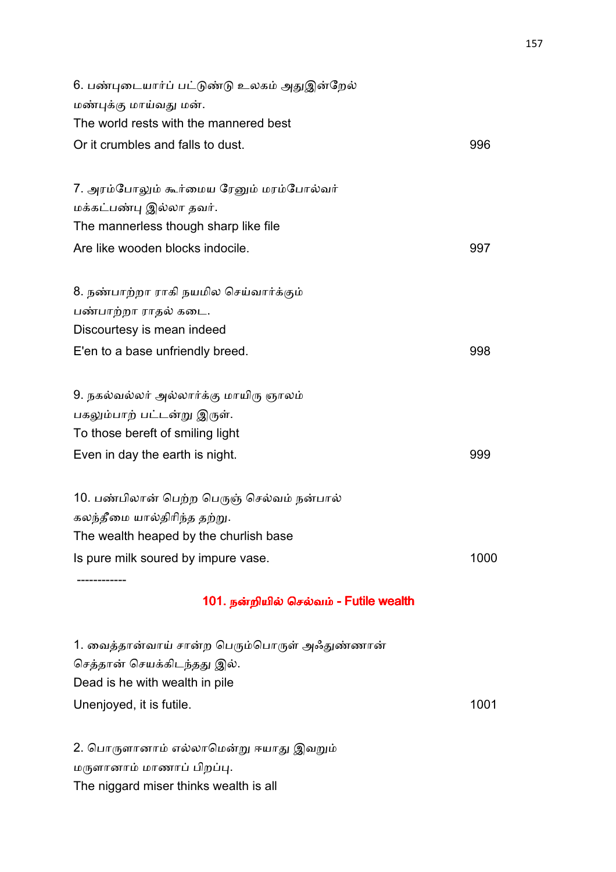| 101. நன்றியில் செல்வம் - Futile wealth      |      |
|---------------------------------------------|------|
|                                             |      |
| Is pure milk soured by impure vase.         | 1000 |
| The wealth heaped by the churlish base      |      |
| கலந்தீமை யால்திரிந்த தற்று.                 |      |
| 10. பண்பிலான் பெற்ற பெருஞ் செல்வம் நன்பால்  |      |
| Even in day the earth is night.             | 999  |
| To those bereft of smiling light            |      |
| பகலும்பாற் பட்டன்று இருள்.                  |      |
| 9. நகல்வல்லர் அல்லார்க்கு மாயிரு ஞாலம்      |      |
| E'en to a base unfriendly breed.            | 998  |
| Discourtesy is mean indeed                  |      |
| பண்பாற்றா ராதல் கடை.                        |      |
| 8. நண்பாற்றா ராகி நயமில செய்வார்க்கும்      |      |
| Are like wooden blocks indocile.            | 997  |
| The mannerless though sharp like file       |      |
| மக்கட்பண்பு இல்லா தவர்.                     |      |
| 7. அரம்போலும் கூர்மைய ரேனும் மரம்போல்வர்    |      |
| Or it crumbles and falls to dust.           | 996  |
| The world rests with the mannered best      |      |
| மண்புக்கு மாய்வது மன்.                      |      |
| 6. பண்புடையார்ப் பட்டுண்டு உலகம் அதுஇன்றேல் |      |

1. வைத்தான்வாய் சான்ற பெரும்பொருள் அஃதுண்ணான் செத்தான் செயக்கிடந்தது இல். Dead is he with wealth in pile Unenjoyed, it is futile. 1001

2. பொருளானாம் எல்லாமென்று ஈயாது இவறும் மருளானாம் மாணாப் பிறப்பு. The niggard miser thinks wealth is all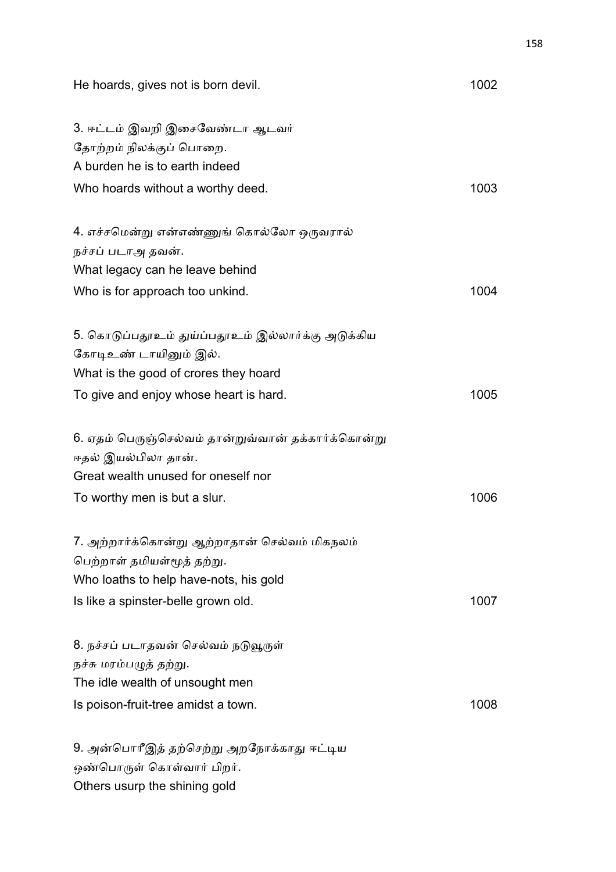| He hoards, gives not is born devil.                                    | 1002 |
|------------------------------------------------------------------------|------|
| 3. ஈட்டம் இவறி இசைவேண்டா ஆடவர்<br>தோற்றம் நிலக்குப் பொறை.              |      |
| A burden he is to earth indeed                                         |      |
| Who hoards without a worthy deed.                                      | 1003 |
| 4. எச்சமென்று என்எண்ணுங் கொல்லோ ஒருவரால்                               |      |
| நச்சப் படாஅ தவன்.                                                      |      |
| What legacy can he leave behind                                        |      |
| Who is for approach too unkind.                                        | 1004 |
| 5. கொடுப்பதூஉம் துய்ப்பதூஉம் இல்லார்க்கு அடுக்கிய                      |      |
| கோடிஉண் டாயினும் இல்.                                                  |      |
| What is the good of crores they hoard                                  |      |
| To give and enjoy whose heart is hard.                                 | 1005 |
| 6. ஏதம் பெருஞ்செல்வம் தான்றுவ்வான் தக்கார்க்கொன்று                     |      |
| ஈதல் இயல்பிலா தான்.                                                    |      |
| Great wealth unused for oneself nor                                    |      |
| To worthy men is but a slur.                                           | 1006 |
| 7. அற்றார்க்கொன்று ஆற்றாதான் செல்வம் மிகநலம்                           |      |
| பெற்றாள் தமியள்மூத் தற்று.                                             |      |
| Who loaths to help have-nots, his gold                                 |      |
| Is like a spinster-belle grown old.                                    | 1007 |
| 8. நச்சப் படாதவன் செல்வம் நடுவூருள்                                    |      |
| நச்சு மரம்பழுத் தற்று.                                                 |      |
| The idle wealth of unsought men                                        |      |
| Is poison-fruit-tree amidst a town.                                    | 1008 |
| 9. அன்பொரீஇத் தற்செற்று அறநோக்காது ஈட்டிய<br>ஒண்பொருள் கொள்வார் பிறர். |      |
| Others usurp the shining gold                                          |      |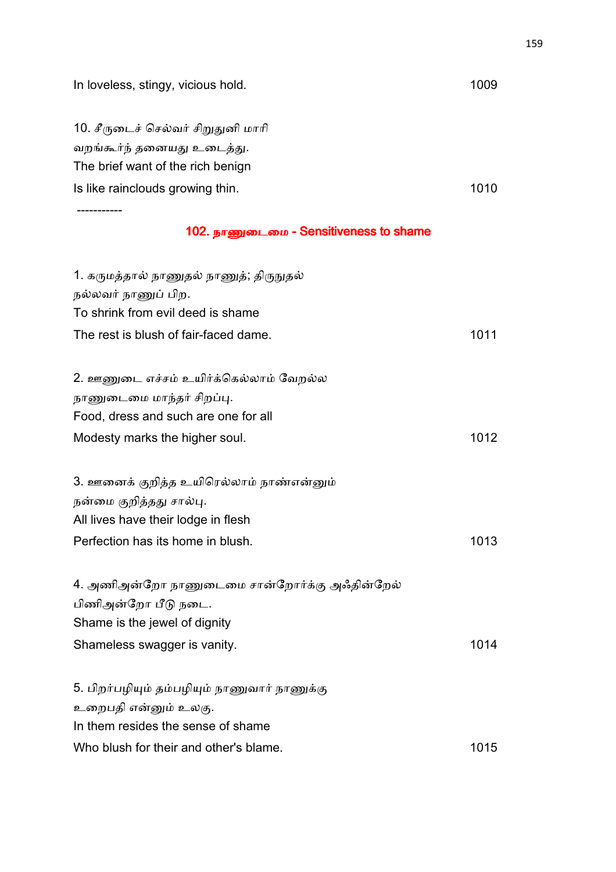| In loveless, stingy, vicious hold.           | 1009 |
|----------------------------------------------|------|
| 10. சீருடைச் செல்வர் சிறுதுனி மாரி           |      |
| வறங்கூர்ந் தனையது உடைத்து.                   |      |
| The brief want of the rich benign            |      |
| Is like rainclouds growing thin.             | 1010 |
|                                              |      |
| 102. நாணுடைமை - Sensitiveness to shame       |      |
| 1. கருமத்தால் நாணுதல் நாணுத்; திருநுதல்      |      |
| நல்லவர் நாணுப் பிற.                          |      |
| To shrink from evil deed is shame            |      |
| The rest is blush of fair-faced dame.        | 1011 |
| 2. ஊணுடை எச்சம் உயிர்க்கெல்லாம் வேறல்ல       |      |
| நாணுடைமை மாந்தர் சிறப்பு.                    |      |
| Food, dress and such are one for all         |      |
| Modesty marks the higher soul.               | 1012 |
| 3. ஊனைக் குறித்த உயிரெல்லாம் நாண்என்னும்     |      |
| நன்மை குறித்தது சால்பு.                      |      |
| All lives have their lodge in flesh          |      |
| Perfection has its home in blush.            | 1013 |
|                                              |      |
| 4. அணிஅன்றோ நாணுடைமை சான்றோர்க்கு அஃதின்றேல் |      |
| பிணிஅன்றோ பீடு நடை.                          |      |
| Shame is the jewel of dignity                |      |
| Shameless swagger is vanity.                 | 1014 |
| 5. பிறர்பழியும் தம்பழியும் நாணுவார் நாணுக்கு |      |
| உறைபதி என்னும் உலகு.                         |      |
| In them resides the sense of shame           |      |
| Who blush for their and other's blame.       | 1015 |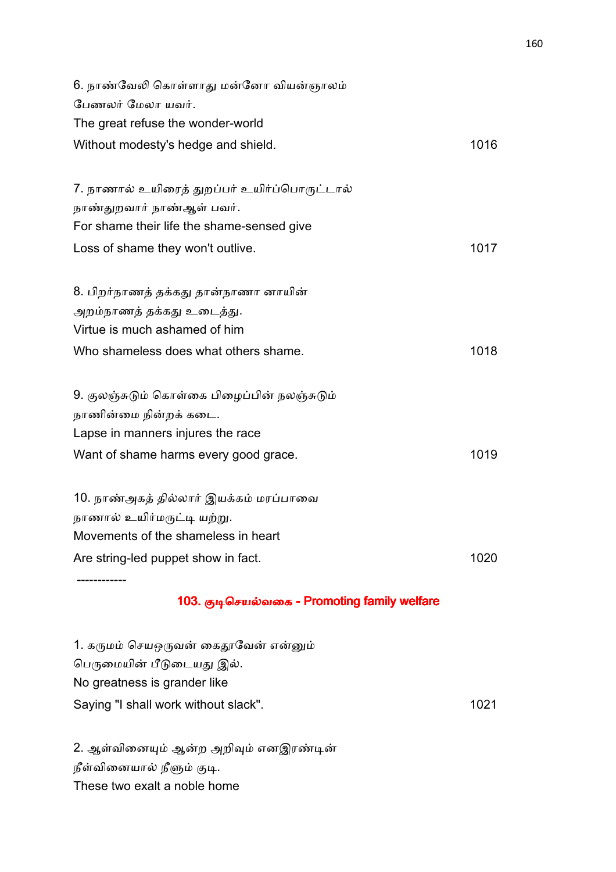| 6. நாண்வேலி கொள்ளாது மன்னோ வியன்ஞாலம்        |      |
|----------------------------------------------|------|
| பேணலர் மேலா யவர்.                            |      |
| The great refuse the wonder-world            |      |
| Without modesty's hedge and shield.          | 1016 |
|                                              |      |
| 7. நாணால் உயிரைத் துறப்பர் உயிர்ப்பொருட்டால் |      |
| நாண்துறவார் நாண்ஆள் பவர்.                    |      |
| For shame their life the shame-sensed give   |      |
| Loss of shame they won't outlive.            | 1017 |
|                                              |      |
| 8. பிறர்நாணத் தக்கது தான்நாணா னாயின்         |      |
| அறம்நாணத் தக்கது உடைத்து.                    |      |
| Virtue is much ashamed of him                |      |
| Who shameless does what others shame.        | 1018 |
|                                              |      |
| 9. குலஞ்சுடும் கொள்கை பிழைப்பின் நலஞ்சுடும்  |      |
| நாணின்மை நின்றக் கடை.                        |      |
| Lapse in manners injures the race            |      |
| Want of shame harms every good grace.        | 1019 |
|                                              |      |
| 10. நாண்அகத் தில்லார் இயக்கம் மரப்பாவை       |      |
| நாணால் உயிர்மருட்டி யற்று.                   |      |
| Movements of the shameless in heart          |      |
| Are string-led puppet show in fact.          | 1020 |
|                                              |      |

# 103. குடிசெயல்வகை - Promoting family welfare

| 1. கருமம் செயஒருவன் கைதூவேன் என்னும் |      |
|--------------------------------------|------|
| பெருமையின் பீடுடையது இல்.            |      |
| No greatness is grander like         |      |
| Saying "I shall work without slack". | 1021 |

2. ஆள்வினையும் ஆன்ற அறிவும் எனஇரண்டின் நீள்வினையால் நீளும் குடி. These two exalt a noble home

------------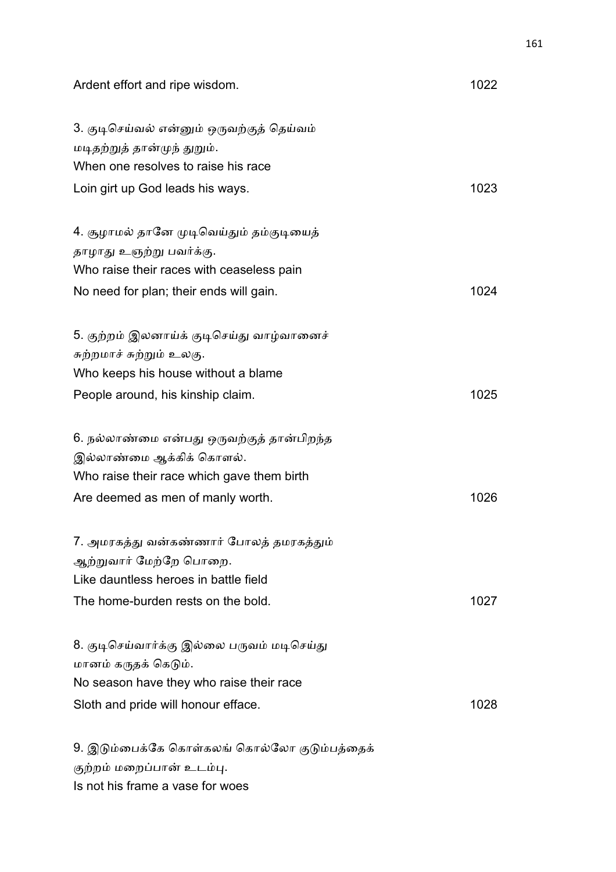| Ardent effort and ripe wisdom.               | 1022 |
|----------------------------------------------|------|
| 3. குடிசெய்வல் என்னும் ஒருவற்குத் தெய்வம்    |      |
| மடிதற்றுத் தான்முந் துறும்.                  |      |
| When one resolves to raise his race          |      |
| Loin girt up God leads his ways.             | 1023 |
| 4. சூழாமல் தானே முடிவெய்தும் தம்குடியைத்     |      |
| தாழாது உஞற்று பவர்க்கு.                      |      |
| Who raise their races with ceaseless pain    |      |
| No need for plan; their ends will gain.      | 1024 |
| 5. குற்றம் இலனாய்க் குடிசெய்து வாழ்வானைச்    |      |
| சுற்றமாச் சுற்றும் உலகு.                     |      |
| Who keeps his house without a blame          |      |
| People around, his kinship claim.            | 1025 |
| 6. நல்லாண்மை என்பது ஒருவற்குத் தான்பிறந்த    |      |
| இல்லாண்மை ஆக்கிக் கொளல்.                     |      |
| Who raise their race which gave them birth   |      |
| Are deemed as men of manly worth.            | 1026 |
| 7. அமரகத்து வன்கண்ணார் போலத் தமரகத்தும்      |      |
| ஆற்றுவார் மேற்றே பொறை.                       |      |
| Like dauntless heroes in battle field        |      |
| The home-burden rests on the bold.           | 1027 |
| 8. குடிசெய்வார்க்கு இல்லை பருவம் மடிசெய்து   |      |
| மானம் கருதக் கெடும்.                         |      |
| No season have they who raise their race     |      |
| Sloth and pride will honour efface.          | 1028 |
| 9. இடும்பைக்கே கொள்கலங் கொல்லோ குடும்பத்தைக் |      |
| குற்றம் மறைப்பான் உடம்பு.                    |      |

Is not his frame a vase for woes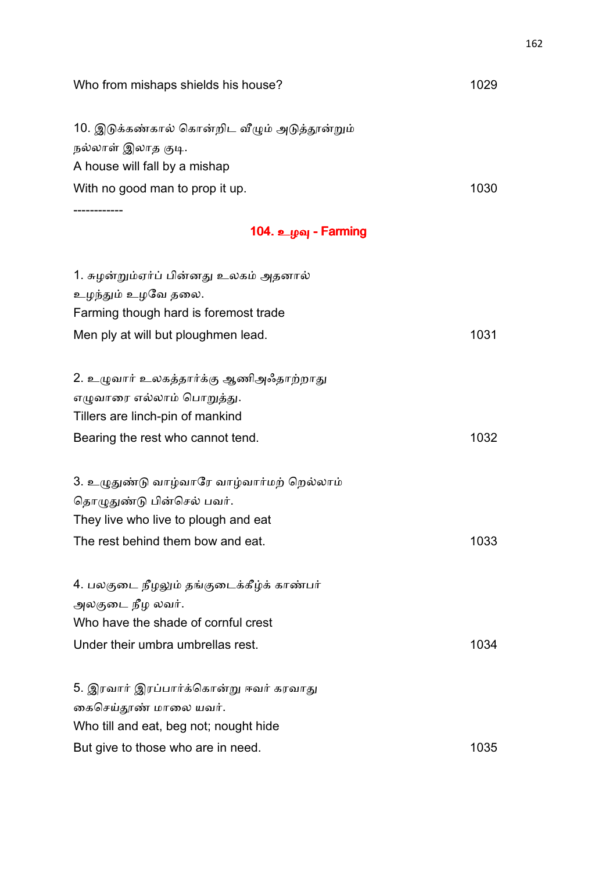| Who from mishaps shields his house?           | 1029 |
|-----------------------------------------------|------|
| 10. இடுக்கண்கால் கொன்றிட வீழும் அடுத்தூன்றும் |      |
| நல்லாள் இலாத குடி.                            |      |
| A house will fall by a mishap                 |      |
| With no good man to prop it up.               | 1030 |
|                                               |      |
| 104. உழவு - Farming                           |      |
| 1. சுழன்றும்ஏர்ப் பின்னது உலகம் அதனால்        |      |
| உழந்தும் உழவே தலை.                            |      |
| Farming though hard is foremost trade         |      |
| Men ply at will but ploughmen lead.           | 1031 |
| 2. உழுவார் உலகத்தார்க்கு ஆணிஅஃதாற்றாது        |      |
| எழுவாரை எல்லாம் பொறுத்து.                     |      |
| Tillers are linch-pin of mankind              |      |
| Bearing the rest who cannot tend.             | 1032 |
| 3. உழுதுண்டு வாழ்வாரே வாழ்வார்மற் றெல்லாம்    |      |
| தொழுதுண்டு பின்செல் பவர்.                     |      |
| They live who live to plough and eat          |      |
| The rest behind them bow and eat.             | 1033 |
| 4. பலகுடை நீழலும் தங்குடைக்கீழ்க் காண்பர்     |      |
| அலகுடை நீழ லவர்.                              |      |
| Who have the shade of cornful crest           |      |
| Under their umbra umbrellas rest.             | 1034 |
| 5. இரவார் இரப்பார்க்கொன்று ஈவர் கரவாது        |      |
| கைசெய்தூண் மாலை யவர்.                         |      |
| Who till and eat, beg not; nought hide        |      |
| But give to those who are in need.            | 1035 |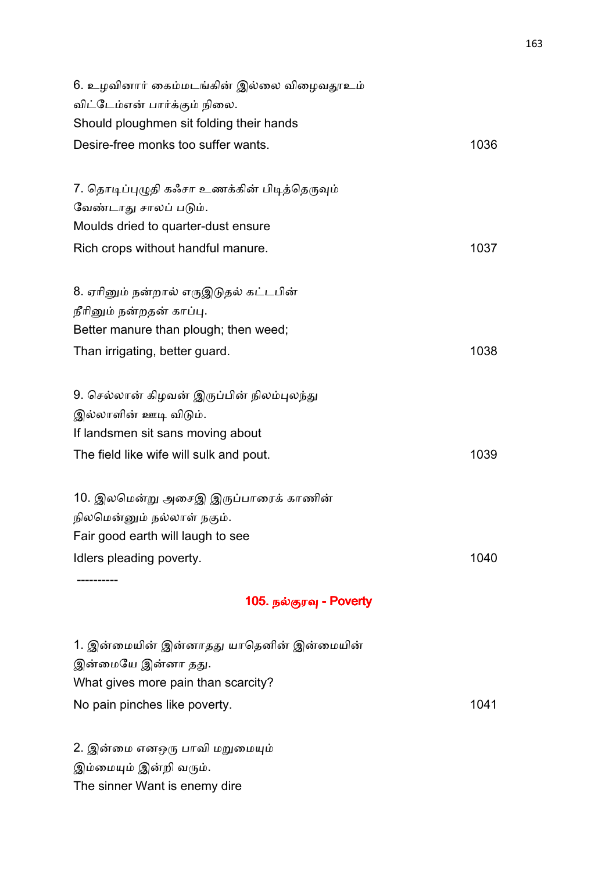| 6. உழவினார் கைம்மடங்கின் இல்லை விழைவதூஉம்<br>விட்டேம்என் பார்க்கும் நிலை. |      |
|---------------------------------------------------------------------------|------|
| Should ploughmen sit folding their hands                                  |      |
| Desire-free monks too suffer wants.                                       | 1036 |
|                                                                           |      |
| 7. தொடிப்புழுதி கஃசா உணக்கின் பிடித்தெருவும்                              |      |
| வேண்டாது சாலப் படும்.                                                     |      |
| Moulds dried to quarter-dust ensure                                       |      |
| Rich crops without handful manure.                                        | 1037 |
| 8. ஏரினும் நன்றால் எருஇடுதல் கட்டபின்                                     |      |
| நீரினும் நன்றதன் காப்பு.                                                  |      |
| Better manure than plough; then weed;                                     |      |
|                                                                           | 1038 |
| Than irrigating, better guard.                                            |      |
| 9. செல்லான் கிழவன் இருப்பின் நிலம்புலந்து                                 |      |
| இல்லாளின் ஊடி விடும்.                                                     |      |
| If landsmen sit sans moving about                                         |      |
| The field like wife will sulk and pout.                                   | 1039 |
| 10. இலமென்று அசைஇ இருப்பாரைக் காணின்                                      |      |
| நிலமென்னும் நல்லாள் நகும்.                                                |      |
| Fair good earth will laugh to see                                         |      |
| Idlers pleading poverty.                                                  | 1040 |
|                                                                           |      |
| 105. நல்குரவு - Poverty                                                   |      |
| 1. இன்மையின் இன்னாதது யாதெனின் இன்மையின்                                  |      |
| இன்மையே இன்னா தது.                                                        |      |
| What gives more pain than scarcity?                                       |      |
| No pain pinches like poverty.                                             | 1041 |

2. இன்மை எனஒரு பாவி மறுமையும் இம்மையும் இன்றி வரும். The sinner Want is enemy dire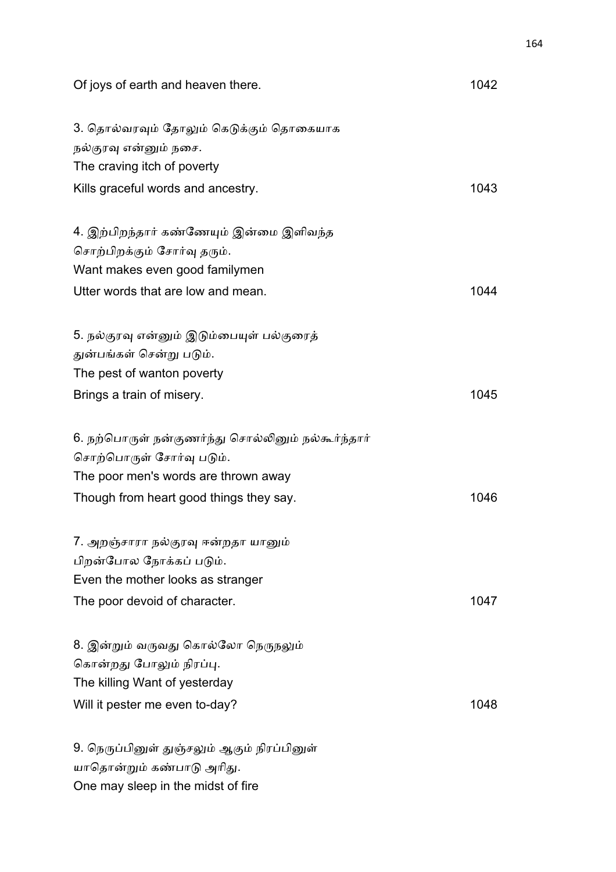| Of joys of earth and heaven there.                                                                                                                                | 1042 |
|-------------------------------------------------------------------------------------------------------------------------------------------------------------------|------|
| 3. தொல்வரவும் தோலும் கெடுக்கும் தொகையாக<br>நல்குரவு என்னும் நசை.<br>The craving itch of poverty                                                                   |      |
| Kills graceful words and ancestry.                                                                                                                                | 1043 |
| 4. இற்பிறந்தார் கண்ணேயும் இன்மை இளிவந்த<br>சொற்பிறக்கும் சோர்வு தரும்.<br>Want makes even good familymen                                                          |      |
| Utter words that are low and mean.                                                                                                                                | 1044 |
| 5. நல்குரவு என்னும் இடும்பையுள் பல்குரைத்<br>துன்பங்கள் சென்று படும்.<br>The pest of wanton poverty                                                               |      |
| Brings a train of misery.                                                                                                                                         | 1045 |
| 6. நற்பொருள் நன்குணர்ந்து சொல்லினும் நல்கூர்ந்தார்<br>சொற்பொருள் சோர்வு படும்.<br>The poor men's words are thrown away<br>Though from heart good things they say. | 1046 |
| 7. அறஞ்சாரா நல்குரவு ஈன்றதா யானும்<br>பிறன்போல நோக்கப் படும்.<br>Even the mother looks as stranger                                                                |      |
| The poor devoid of character.                                                                                                                                     | 1047 |
| 8. இன்றும் வருவது கொல்லோ நெருநலும்<br>கொன்றது போலும் நிரப்பு.<br>The killing Want of yesterday<br>Will it pester me even to-day?                                  | 1048 |
| 9. நெருப்பினுள் துஞ்சலும் ஆகும் நிரப்பினுள்<br>யாதொன்றும் கண்பாடு அரிது.                                                                                          |      |

One may sleep in the midst of fire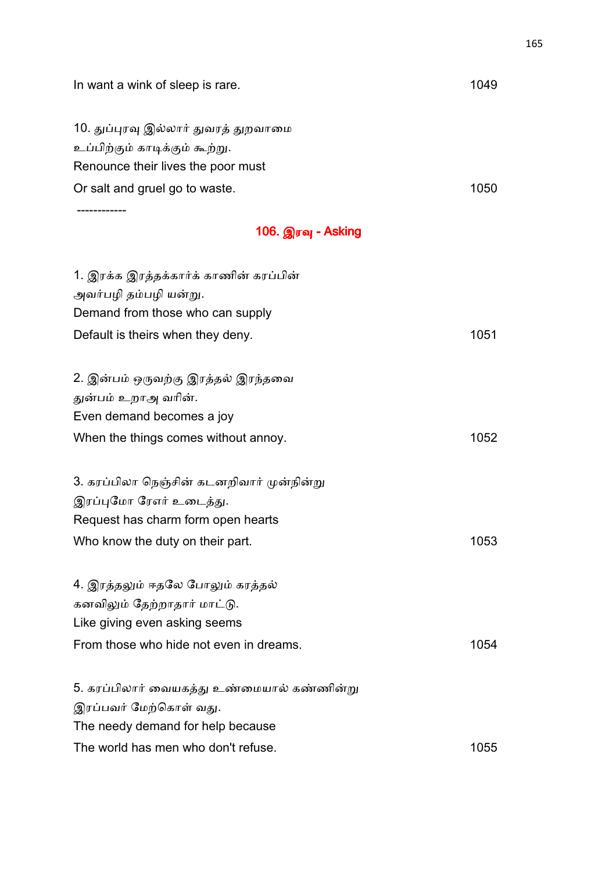| In want a wink of sleep is rare.           | 1049 |
|--------------------------------------------|------|
| 10. துப்புரவு இல்லார் துவரத் துறவாமை       |      |
| உப்பிற்கும் காடிக்கும் கூற்று.             |      |
| Renounce their lives the poor must         |      |
| Or salt and gruel go to waste.             | 1050 |
|                                            |      |
| 106. இரவு - Asking                         |      |
| 1. இரக்க இரத்தக்கார்க் காணின் கரப்பின்     |      |
| அவர்பழி தம்பழி யன்று.                      |      |
| Demand from those who can supply           |      |
| Default is theirs when they deny.          | 1051 |
| 2. இன்பம் ஒருவற்கு இரத்தல் இரந்தவை         |      |
| துன்பம் உறாஅ வரின்.                        |      |
| Even demand becomes a joy                  |      |
| When the things comes without annoy.       | 1052 |
| 3. கரப்பிலா நெஞ்சின் கடனறிவார் முன்நின்று  |      |
| இரப்புமோ ரேஎர் உடைத்து.                    |      |
| Request has charm form open hearts         |      |
| Who know the duty on their part.           | 1053 |
| 4. இரத்தலும் ஈதலே போலும் கரத்தல்           |      |
| கனவிலும் தேற்றாதார் மாட்டு.                |      |
| Like giving even asking seems              |      |
| From those who hide not even in dreams.    | 1054 |
| 5. கரப்பிலார் வையகத்து உண்மையால் கண்ணின்று |      |
| இரப்பவர் மேற்கொள் வது.                     |      |
| The needy demand for help because          |      |
| The world has men who don't refuse.        | 1055 |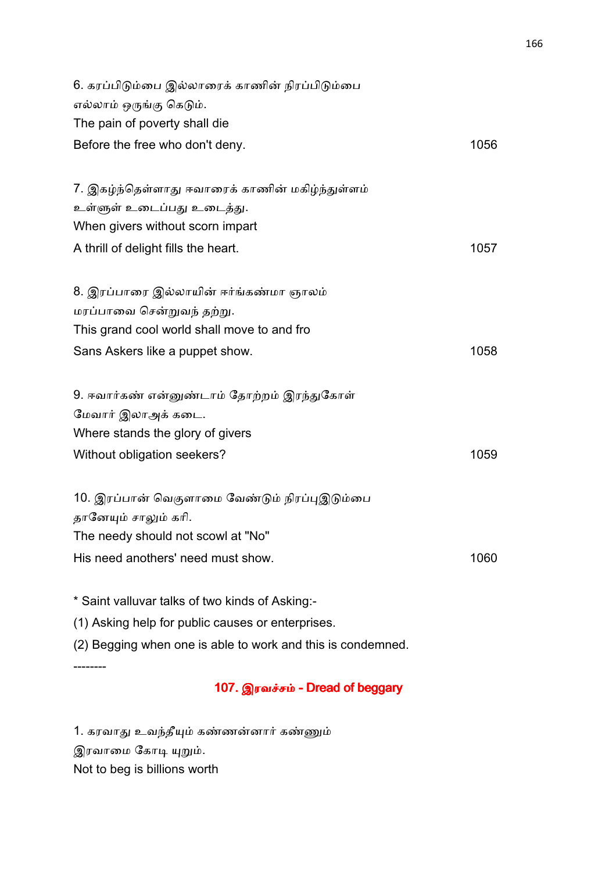| 6. கரப்பிடும்பை இல்லாரைக் காணின் நிரப்பிடும்பை<br>எல்லாம் ஒருங்கு கெடும்.<br>The pain of poverty shall die                                               |      |
|----------------------------------------------------------------------------------------------------------------------------------------------------------|------|
| Before the free who don't deny.                                                                                                                          | 1056 |
| 7. இகழ்ந்தெள்ளாது ஈவாரைக் காணின் மகிழ்ந்துள்ளம்<br>உள்ளுள் உடைப்பது உடைத்து.<br>When givers without scorn impart<br>A thrill of delight fills the heart. | 1057 |
| 8. இரப்பாரை இல்லாயின் ஈர்ங்கண்மா ஞாலம்<br>மரப்பாவை சென்றுவந் தற்று.<br>This grand cool world shall move to and fro<br>Sans Askers like a puppet show.    | 1058 |
| 9. ஈவார்கண் என்னுண்டாம் தோற்றம் இரந்துகோள்                                                                                                               |      |
| மேவார் இலாஅக் கடை.                                                                                                                                       |      |
| Where stands the glory of givers                                                                                                                         |      |
| Without obligation seekers?                                                                                                                              | 1059 |
| 10. இரப்பான் வெகுளாமை வேண்டும் நிரப்புஇடும்பை<br>தானேயும் சாலும் கரி.<br>The needy should not scowl at "No"                                              |      |
| His need anothers' need must show.                                                                                                                       | 1060 |
| * Saint valluvar talks of two kinds of Asking:-<br>(1) Asking help for public causes or enterprises.                                                     |      |

(2) Begging when one is able to work and this is condemned.

--------

# 107. இரவச்சம் - Dread of beggary

1. கரவாது உவந்தீயும் கண்ணன்னார் கண்ணும் இரவாமை கோடி யுறும். Not to beg is billions worth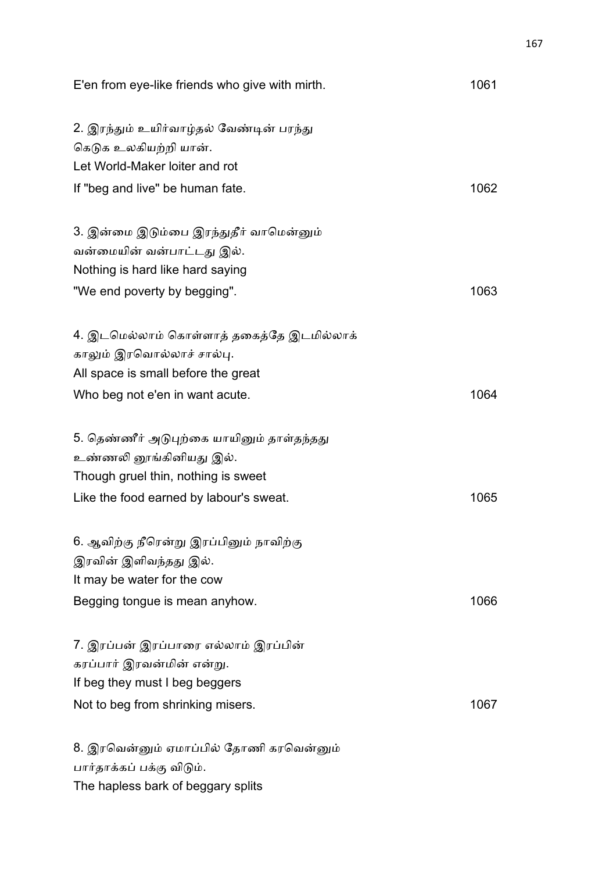| E'en from eye-like friends who give with mirth.                   | 1061 |
|-------------------------------------------------------------------|------|
| 2. இரந்தும் உயிர்வாழ்தல் வேண்டின் பரந்து<br>கெடுக உலகியற்றி யான். |      |
| Let World-Maker loiter and rot                                    |      |
| If "beg and live" be human fate.                                  | 1062 |
| 3. இன்மை இடும்பை இரந்துதீர் வாமென்னும்                            |      |
| வன்மையின் வன்பாட்டது இல்.                                         |      |
| Nothing is hard like hard saying                                  |      |
| "We end poverty by begging".                                      | 1063 |
| 4. இடமெல்லாம் கொள்ளாத் தகைத்தே இடமில்லாக்                         |      |
| காலும் இரவொல்லாச் சால்பு.                                         |      |
| All space is small before the great                               |      |
| Who beg not e'en in want acute.                                   | 1064 |
| 5. தெண்ணீர் அடுபுற்கை யாயினும் தாள்தந்தது                         |      |
| உண்ணலி னூங்கினியது இல்.                                           |      |
| Though gruel thin, nothing is sweet                               |      |
| Like the food earned by labour's sweat.                           | 1065 |
| 6. ஆவிற்கு நீரென்று இரப்பினும் நாவிற்கு                           |      |
| இரவின் இளிவந்தது இல்.                                             |      |
| It may be water for the cow                                       |      |
| Begging tongue is mean anyhow.                                    | 1066 |
| 7. இரப்பன் இரப்பாரை எல்லாம் இரப்பின்                              |      |
| கரப்பார் இரவன்மின் என்று.                                         |      |
| If beg they must I beg beggers                                    |      |
| Not to beg from shrinking misers.                                 | 1067 |
| 8. இரவென்னும் ஏமாப்பில் தோணி கரவென்னும்                           |      |
| பார்தாக்கப் பக்கு விடும்.                                         |      |
| The hapless bark of beggary splits                                |      |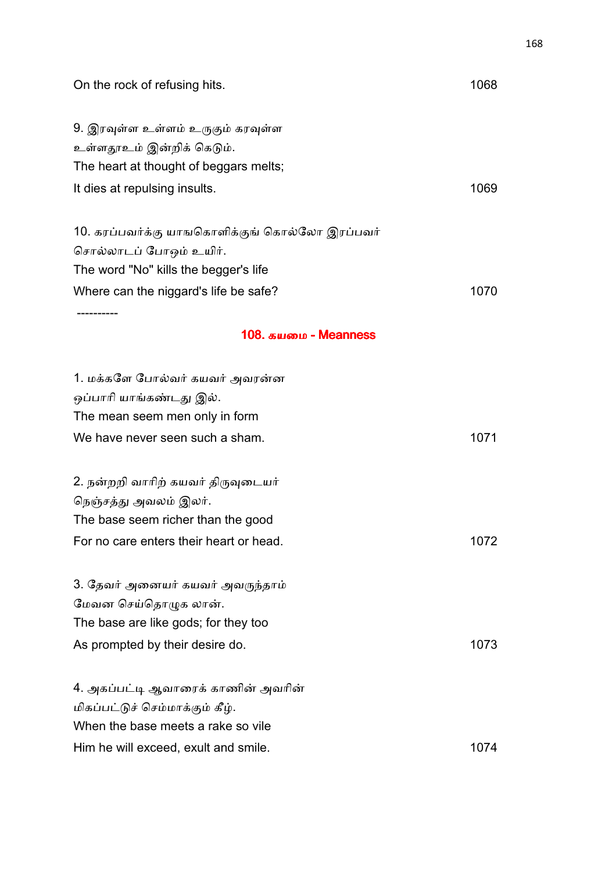| On the rock of refusing hits.                  | 1068 |
|------------------------------------------------|------|
| 9. இரவுள்ள உள்ளம் உருகும் கரவுள்ள              |      |
| உள்ளதூஉம் இன்றிக் கெடும்.                      |      |
| The heart at thought of beggars melts;         |      |
| It dies at repulsing insults.                  | 1069 |
| 10. கரப்பவர்க்கு யாஙகொளிக்குங் கொல்லோ இரப்பவர் |      |
| சொல்லாடப் போஒம் உயிர்.                         |      |
| The word "No" kills the begger's life          |      |
| Where can the niggard's life be safe?          | 1070 |
| ---------<br>108. கயமை - Meanness              |      |
|                                                |      |
| 1. மக்களே போல்வர் கயவர் அவரன்ன                 |      |
| ஒப்பாரி யாங்கண்டது இல்.                        |      |
| The mean seem men only in form                 |      |
| We have never seen such a sham.                | 1071 |
| 2. நன்றறி வாரிற் கயவர் திருவுடையர்             |      |
| நெஞ்சத்து அவலம் இலர்.                          |      |
| The base seem richer than the good             |      |
| For no care enters their heart or head.        | 1072 |
| 3. தேவர் அனையர் கயவர் அவருந்தாம்               |      |
| மேவன செய்தொழுக லான்.                           |      |
| The base are like gods; for they too           |      |
| As prompted by their desire do.                | 1073 |
| 4. அகப்பட்டி ஆவாரைக் காணின் அவரின்             |      |
| மிகப்பட்டுச் செம்மாக்கும் கீழ்.                |      |
| When the base meets a rake so vile             |      |
| Him he will exceed, exult and smile.           | 1074 |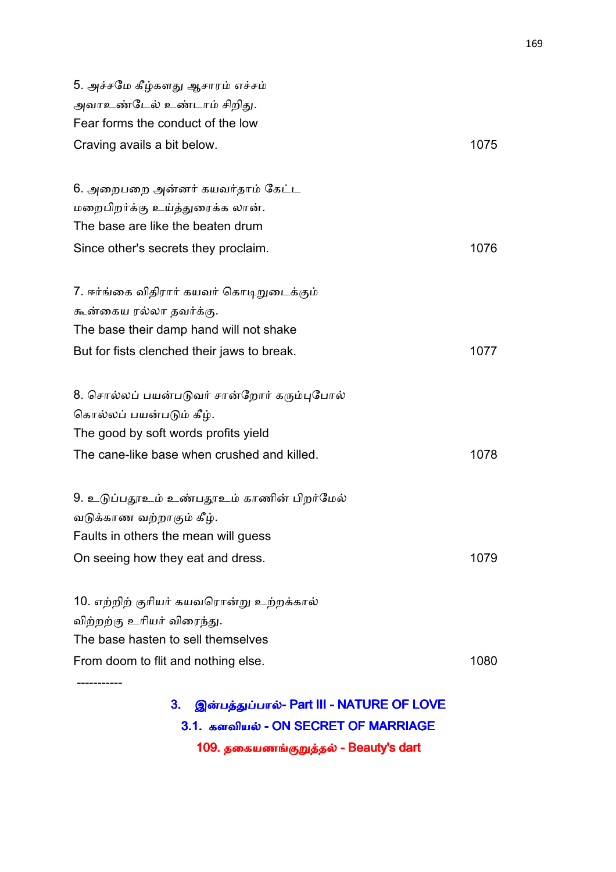| 5. அச்சமே கீழ்களது ஆசாரம் எச்சம்<br>அவாஉண்டேல் உண்டாம் சிறிது.<br>Fear forms the conduct of the low                                                           |      |
|---------------------------------------------------------------------------------------------------------------------------------------------------------------|------|
| Craving avails a bit below.                                                                                                                                   | 1075 |
| 6. அறைபறை அன்னர் கயவர்தாம் கேட்ட<br>மறைபிறர்க்கு உய்த்துரைக்க லான்.<br>The base are like the beaten drum<br>Since other's secrets they proclaim.              | 1076 |
| 7. ஈர்ங்கை விதிரார் கயவர் கொடிறுடைக்கும்<br>கூன்கைய ரல்லா தவர்க்கு.<br>The base their damp hand will not shake<br>But for fists clenched their jaws to break. | 1077 |
| 8. சொல்லப் பயன்படுவர் சான்றோர் கரும்புபோல்<br>கொல்லப் பயன்படும் கீழ்.<br>The good by soft words profits yield<br>The cane-like base when crushed and killed.  | 1078 |
| 9. உடுப்பதூஉம் உண்பதூஉம் காணின் பிறர்மேல்<br>வடுக்காண வற்றாகும் கீழ்.<br>Faults in others the mean will guess<br>On seeing how they eat and dress.            | 1079 |
| 10. எற்றிற் குரியர் கயவரொன்று உற்றக்கால்<br>விற்றற்கு உரியர் விரைந்து.<br>The base hasten to sell themselves<br>From doom to flit and nothing else.           | 1080 |
| இன்பத்துப்பால்- Part III - NATURE OF LOVE<br>3.                                                                                                               |      |

3. இன்பத்துப்பால்- Part III - NATURE OF LOVE 3.1. களவியல் - ON SECRET OF MARRIAGE 109. தகையணங்குறுத்தல் - Beauty's dart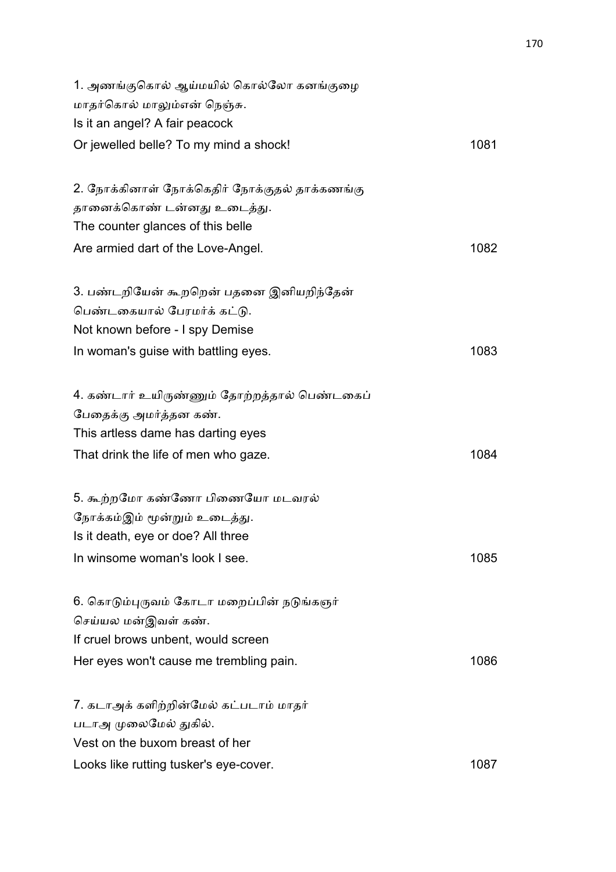| 1. அணங்குகொல் ஆய்மயில் கொல்லோ கனங்குழை<br>மாதர்கொல் மாலும்என் நெஞ்சு.<br>Is it an angel? A fair peacock |      |
|---------------------------------------------------------------------------------------------------------|------|
| Or jewelled belle? To my mind a shock!                                                                  | 1081 |
| 2. நோக்கினாள் நோக்கெதிர் நோக்குதல் தாக்கணங்கு                                                           |      |
| தானைக்கொண் டன்னது உடைத்து.                                                                              |      |
| The counter glances of this belle                                                                       |      |
| Are armied dart of the Love-Angel.                                                                      | 1082 |
| 3. பண்டறியேன் கூறறென் பதனை இனியறிந்தேன்                                                                 |      |
| பெண்டகையால் பேரமர்க் கட்டு.                                                                             |      |
| Not known before - I spy Demise                                                                         |      |
| In woman's guise with battling eyes.                                                                    | 1083 |
| 4. கண்டார் உயிருண்ணும் தோற்றத்தால் பெண்டகைப்                                                            |      |
| பேதைக்கு அமர்த்தன கண்.                                                                                  |      |
| This artless dame has darting eyes                                                                      |      |
| That drink the life of men who gaze.                                                                    | 1084 |
| 5. கூற்றமோ கண்ணோ பிணையோ மடவரல்                                                                          |      |
| நோக்கம்இம் மூன்றும் உடைத்து.                                                                            |      |
| Is it death, eye or doe? All three                                                                      |      |
| In winsome woman's look I see.                                                                          | 1085 |
| 6. கொடும்புருவம் கோடா மறைப்பின் நடுங்களுர்                                                              |      |
| செய்யல மன்இவள் கண்.                                                                                     |      |
| If cruel brows unbent, would screen                                                                     |      |
| Her eyes won't cause me trembling pain.                                                                 | 1086 |
| 7. கடாஅக் களிற்றின்மேல் கட்படாம் மாதர்                                                                  |      |
| படாஅ முலைமேல் துகில்.                                                                                   |      |
| Vest on the buxom breast of her                                                                         |      |
| Looks like rutting tusker's eye-cover.                                                                  | 1087 |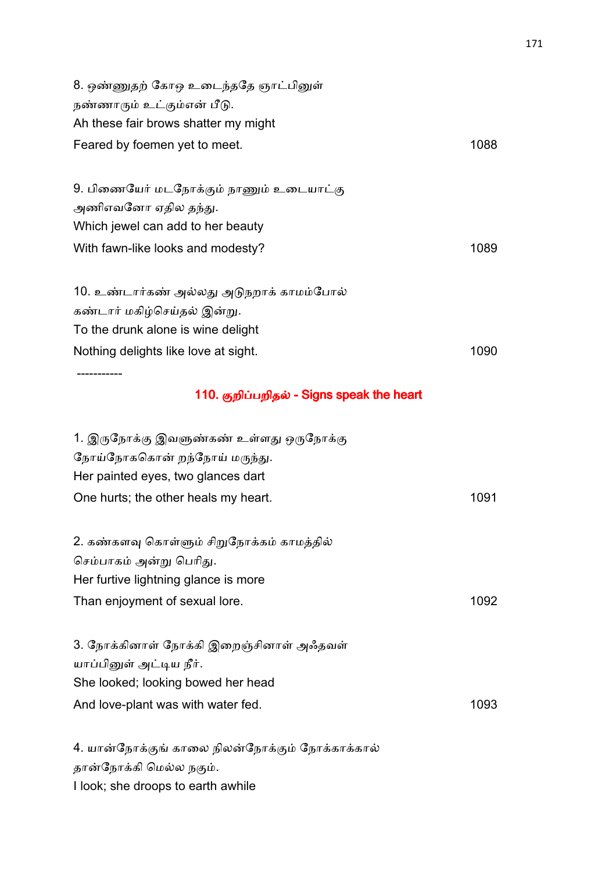| 8. ஒண்ணுதற் கோஒ உடைந்ததே ஞாட்பினுள்<br>நண்ணாரும் உட்கும்என் பீடு.<br>Ah these fair brows shatter my might                                             |      |
|-------------------------------------------------------------------------------------------------------------------------------------------------------|------|
| Feared by foemen yet to meet.                                                                                                                         | 1088 |
| 9. பிணையேர் மடநோக்கும் நாணும் உடையாட்கு<br>அணிஎவனோ ஏதில தந்து.<br>Which jewel can add to her beauty<br>With fawn-like looks and modesty?              | 1089 |
| 10. உண்டார்கண் அல்லது அடுநறாக் காமம்போல்<br>கண்டார் மகிழ்செய்தல் இன்று.<br>To the drunk alone is wine delight<br>Nothing delights like love at sight. | 1090 |
| ---------                                                                                                                                             |      |

# 110. குறிப்பறிதல் - Signs speak the heart

| 1. இருநோக்கு இவளுண்கண் உள்ளது ஒருநோக்கு   |      |
|-------------------------------------------|------|
| நோய்நோககொன் றந்நோய் மருந்து.              |      |
| Her painted eyes, two glances dart        |      |
| One hurts; the other heals my heart.      | 1091 |
|                                           |      |
| 2. கண்களவு கொள்ளும் சிறுநோக்கம் காமத்தில் |      |
| செம்பாகம் அன்று பெரிது.                   |      |
| Her furtive lightning glance is more      |      |
| Than enjoyment of sexual lore.            | 1092 |
|                                           |      |
| 3. நோக்கினாள் நோக்கி இறைஞ்சினாள் அஃதவள்   |      |
| யாப்பினுள் அட்டிய நீர்.                   |      |
| She looked; looking bowed her head        |      |
| And love-plant was with water fed.        | 1093 |
|                                           |      |
|                                           |      |

4. யான்நோக்குங் காலை நிலன்நோக்கும் நோக்காக்கால் தான்நோக்கி மெல்ல நகும். I look; she droops to earth awhile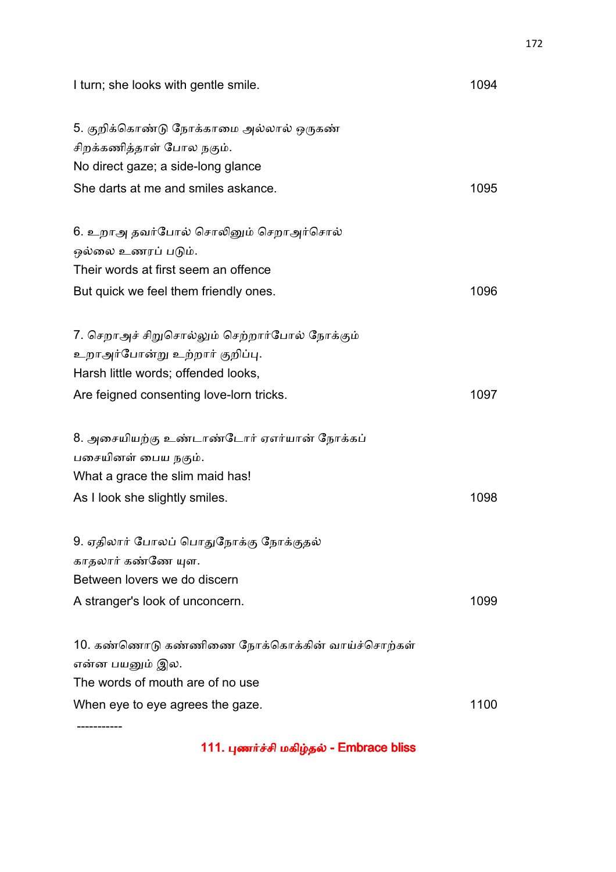| I turn; she looks with gentle smile.           | 1094 |
|------------------------------------------------|------|
| 5. குறிக்கொண்டு நோக்காமை அல்லால் ஒருகண்        |      |
| சிறக்கணித்தாள் போல நகும்.                      |      |
| No direct gaze; a side-long glance             |      |
| She darts at me and smiles askance.            | 1095 |
| 6. உறாஅ தவர்போல் சொலினும் செறாஅர்சொல்          |      |
| ஒல்லை உணரப் படும்.                             |      |
| Their words at first seem an offence           |      |
| But quick we feel them friendly ones.          | 1096 |
| 7. செறாஅச் சிறுசொல்லும் செற்றார்போல் நோக்கும்  |      |
| உறாஅர்போன்று உற்றார் குறிப்பு.                 |      |
| Harsh little words; offended looks,            |      |
| Are feigned consenting love-lorn tricks.       | 1097 |
| 8. அசையியற்கு உண்டாண்டோர் ஏஎர்யான் நோக்கப்     |      |
| பசையினள் பைய நகும்.                            |      |
| What a grace the slim maid has!                |      |
| As I look she slightly smiles.                 | 1098 |
| 9. ஏதிலார் போலப் பொதுநோக்கு நோக்குதல்          |      |
| காதலார் கண்ணே யுள.                             |      |
| Between lovers we do discern                   |      |
| A stranger's look of unconcern.                | 1099 |
| 10. கண்ணொடு கண்ணிணை நோக்கொக்கின் வாய்ச்சொற்கள் |      |
| என்ன பயனும் இல.                                |      |
| The words of mouth are of no use               |      |
| When eye to eye agrees the gaze.               | 1100 |
|                                                |      |

111. புணர்ச்சி மகிழ்தல் - Embrace bliss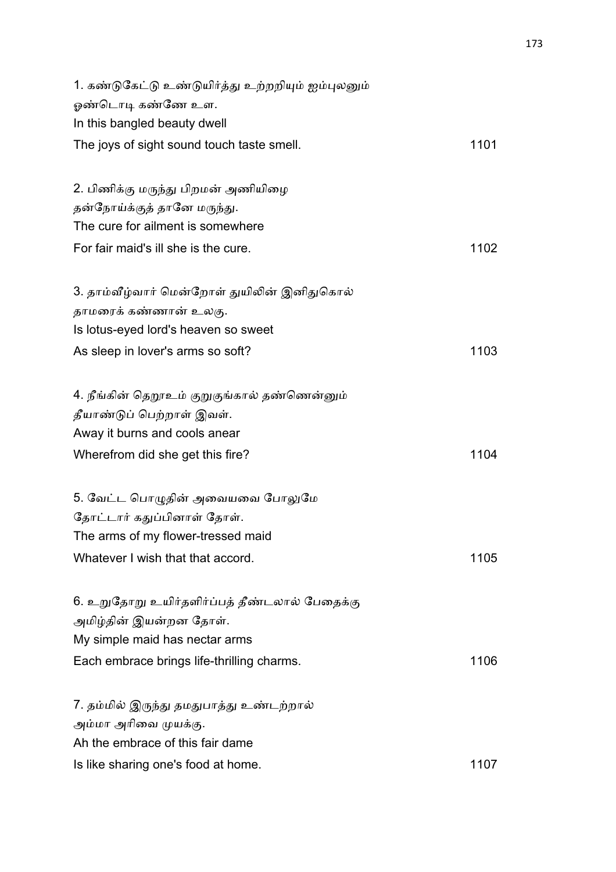| 1. கண்டுகேட்டு உண்டுயிர்த்து உற்றறியும் ஐம்புலனும் |      |
|----------------------------------------------------|------|
| ஓண்டொடி கண்ணே உள.                                  |      |
| In this bangled beauty dwell                       |      |
| The joys of sight sound touch taste smell.         | 1101 |
| 2. பிணிக்கு மருந்து பிறமன் அணியிழை                 |      |
| தன்நோய்க்குத் தானே மருந்து.                        |      |
| The cure for ailment is somewhere                  |      |
|                                                    |      |
| For fair maid's ill she is the cure.               | 1102 |
| 3. தாம்வீழ்வார் மென்றோள் துயிலின் இனிதுகொல்        |      |
| தாமரைக் கண்ணான் உலகு.                              |      |
| Is lotus-eyed lord's heaven so sweet               |      |
| As sleep in lover's arms so soft?                  | 1103 |
| 4. நீங்கின் தெறூஉம் குறுகுங்கால் தண்ணென்னும்       |      |
| தீயாண்டுப் பெற்றாள் இவள்.                          |      |
| Away it burns and cools anear                      |      |
| Wherefrom did she get this fire?                   | 1104 |
|                                                    |      |
| 5. வேட்ட பொழுதின் அவையவை போலுமே                    |      |
| தோட்டார் கதுப்பினாள் தோள்.                         |      |
| The arms of my flower-tressed maid                 |      |
| Whatever I wish that that accord.                  | 1105 |
| 6. உறுதோறு உயிர்தளிர்ப்பத் தீண்டலால் பேதைக்கு      |      |
| அமிழ்தின் இயன்றன தோள்.                             |      |
| My simple maid has nectar arms                     |      |
| Each embrace brings life-thrilling charms.         | 1106 |
| 7. தம்மில் இருந்து தமதுபாத்து உண்டற்றால்           |      |
| அம்மா அரிவை முயக்கு.                               |      |
| Ah the embrace of this fair dame                   |      |
| Is like sharing one's food at home.                | 1107 |
|                                                    |      |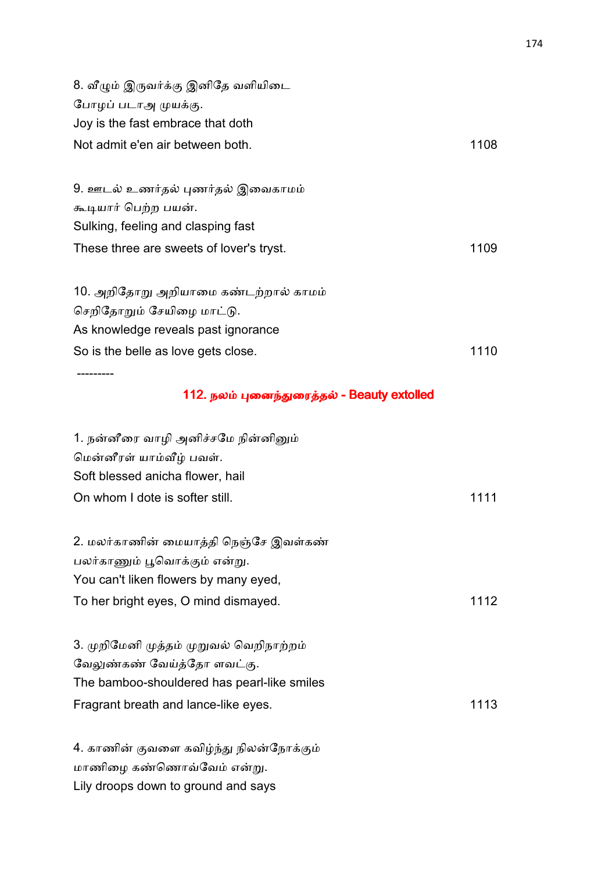| 8. வீழும் இருவர்க்கு இனிதே வளியிடை       |      |
|------------------------------------------|------|
| போழப் படாஅ முயக்கு.                      |      |
| Joy is the fast embrace that doth        |      |
| Not admit e'en air between both.         | 1108 |
| 9. ஊடல் உணர்தல் புணர்தல் இவைகாமம்        |      |
| கூடியார் பெற்ற பயன்.                     |      |
| Sulking, feeling and clasping fast       |      |
| These three are sweets of lover's tryst. | 1109 |
| 10. அறிதோறு அறியாமை கண்டற்றால் காமம்     |      |
| செறிதோறும் சேயிழை மாட்டு.                |      |
| As knowledge reveals past ignorance      |      |
| So is the belle as love gets close.      | 1110 |
|                                          |      |

# 112. நலம் புனைந்துரைத்தல் - Beauty extolled

| 1. நன்னீரை வாழி அனிச்சமே நின்னினும்<br>மென்னீரள் யாம்வீழ் பவள். |      |
|-----------------------------------------------------------------|------|
| Soft blessed anicha flower, hail                                |      |
| On whom I dote is softer still.                                 | 1111 |
| 2. மலர்காணின் மையாத்தி நெஞ்சே இவள்கண்                           |      |
| பலர்காணும் பூவொக்கும் என்று.                                    |      |
| You can't liken flowers by many eyed,                           |      |
| To her bright eyes, O mind dismayed.                            | 1112 |
| 3. முறிமேனி முத்தம் முறுவல் வெறிநாற்றம்                         |      |
| வேலுண்கண் வேய்த்தோ ளவட்கு.                                      |      |
| The bamboo-shouldered has pearl-like smiles                     |      |
| Fragrant breath and lance-like eyes.                            | 1113 |
| 4. காணின் குவளை கவிழ்ந்து நிலன்நோக்கும்                         |      |

மாணிழை கண்ணொவ்வேம் என்று.

Lily droops down to ground and says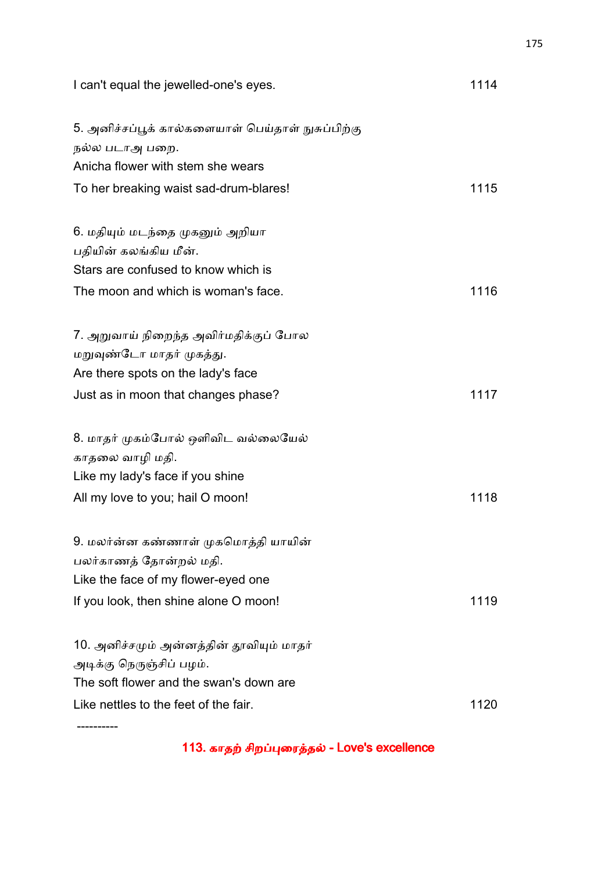| I can't equal the jewelled-one's eyes.                                                                          | 1114 |
|-----------------------------------------------------------------------------------------------------------------|------|
| 5. அனிச்சப்பூக் கால்களையாள் பெய்தாள் நுசுப்பிற்கு<br>நல்ல படாஅ பறை.                                             |      |
| Anicha flower with stem she wears                                                                               |      |
| To her breaking waist sad-drum-blares!                                                                          | 1115 |
| 6. மதியும் மடந்தை முகனும் அறியா<br>பதியின் கலங்கிய மீன்.                                                        |      |
| Stars are confused to know which is                                                                             |      |
| The moon and which is woman's face.                                                                             | 1116 |
| 7. அறுவாய் நிறைந்த அவிர்மதிக்குப் போல<br>மறுவுண்டோ மாதர் முகத்து.<br>Are there spots on the lady's face         |      |
| Just as in moon that changes phase?                                                                             | 1117 |
| 8. மாதர் முகம்போல் ஒளிவிட வல்லையேல்<br>காதலை வாழி மதி.                                                          |      |
| Like my lady's face if you shine                                                                                |      |
| All my love to you; hail O moon!                                                                                | 1118 |
| 9. மலர்ன்ன கண்ணாள் முகமொத்தி யாயின்<br>பலர்காணத் தோன்றல் மதி.<br>Like the face of my flower-eyed one            |      |
| If you look, then shine alone O moon!                                                                           | 1119 |
| 10. அனிச்சமும் அன்னத்தின் தூவியும் மாதர்<br>அடிக்கு நெருஞ்சிப் பழம்.<br>The soft flower and the swan's down are |      |
| Like nettles to the feet of the fair.                                                                           | 1120 |
|                                                                                                                 |      |

113. காதற் சிறப்புரைத்தல் - Love's excellence

----------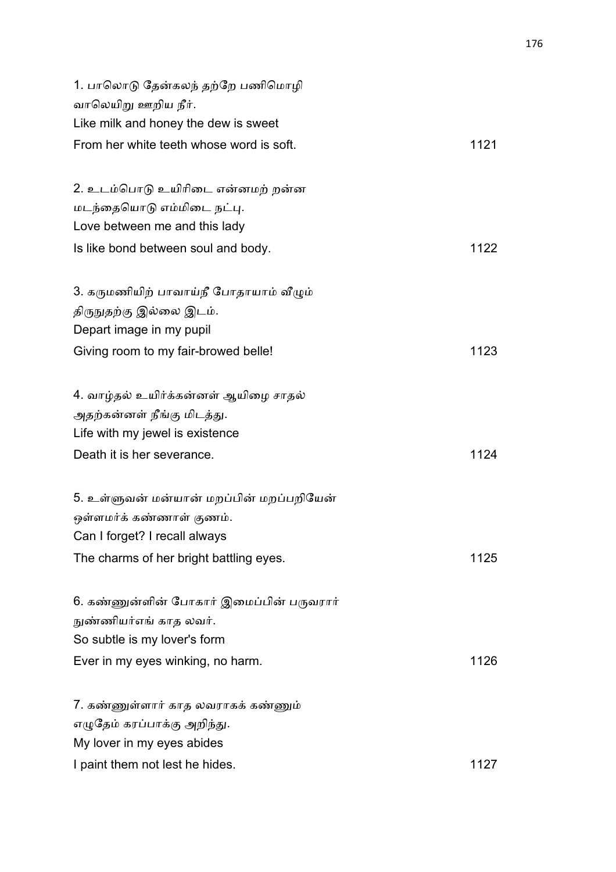| 1. பாலொடு தேன்கலந் தற்றே பணிமொழி         |      |
|------------------------------------------|------|
| வாலெயிறு ஊறிய நீர்.                      |      |
| Like milk and honey the dew is sweet     |      |
| From her white teeth whose word is soft. | 1121 |
| 2. உடம்பொடு உயிரிடை என்னமற் றன்ன         |      |
| மடந்தையொடு எம்மிடை நட்பு.                |      |
| Love between me and this lady            |      |
| Is like bond between soul and body.      | 1122 |
| 3. கருமணியிற் பாவாய்நீ போதாயாம் வீழும்   |      |
| திருநுதற்கு இல்லை இடம்.                  |      |
| Depart image in my pupil                 |      |
| Giving room to my fair-browed belle!     | 1123 |
| 4. வாழ்தல் உயிர்க்கன்னள் ஆயிழை சாதல்     |      |
| அதற்கன்னள் நீங்கு மிடத்து.               |      |
| Life with my jewel is existence          |      |
| Death it is her severance.               | 1124 |
| 5. உள்ளுவன் மன்யான் மறப்பின் மறப்பறியேன் |      |
| ஒள்ளமர்க் கண்ணாள் குணம்.                 |      |
| Can I forget? I recall always            |      |
| The charms of her bright battling eyes.  | 1125 |
| 6. கண்ணுன்ளின் போகார் இமைப்பின் பருவரார் |      |
| நுண்ணியர்எங் காத லவர்.                   |      |
| So subtle is my lover's form             |      |
| Ever in my eyes winking, no harm.        | 1126 |
| 7. கண்ணுள்ளார் காத லவராகக் கண்ணும்       |      |
| எழுதேம் கரப்பாக்கு அறிந்து.              |      |
| My lover in my eyes abides               |      |
| I paint them not lest he hides.          | 1127 |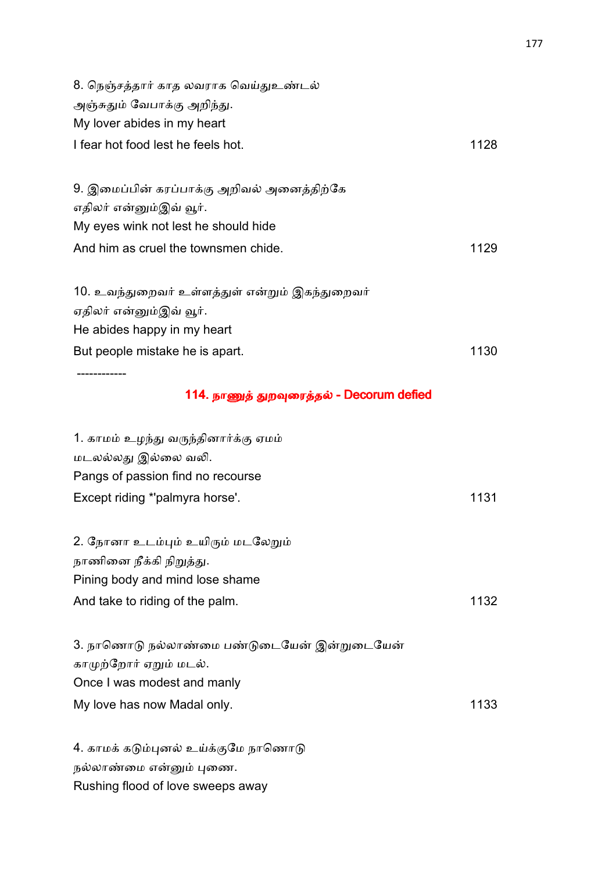| 8. நெஞ்சத்தார் காத லவராக வெய்துஉண்டல்<br>அஞ்சுதும் வேபாக்கு அறிந்து. |      |
|----------------------------------------------------------------------|------|
| My lover abides in my heart                                          |      |
| I fear hot food lest he feels hot.                                   | 1128 |
| 9. இமைப்பின் கரப்பாக்கு அறிவல் அனைத்திற்கே                           |      |
| எதிலர் என்னும்இவ் வூர்.<br>My eyes wink not lest he should hide      |      |
| And him as cruel the townsmen chide.                                 | 1129 |
| 10. உவந்துறைவர் உள்ளத்துள் என்றும் இகந்துறைவர்                       |      |
| ஏதிலர் என்னும்இவ் வூர்.                                              |      |
| He abides happy in my heart                                          |      |
| But people mistake he is apart.                                      | 1130 |
|                                                                      |      |
|                                                                      |      |

# 114. நாணுத் துறவுரைத்தல் - Decorum defied

| 1. காமம் உழந்து வருந்தினார்க்கு ஏமம்        |      |
|---------------------------------------------|------|
| மடலல்லது இல்லை வலி.                         |      |
| Pangs of passion find no recourse           |      |
| Except riding *'palmyra horse'.             | 1131 |
|                                             |      |
| 2. நோனா உடம்பும் உயிரும் மடலேறும்           |      |
| நாணினை நீக்கி நிறுத்து.                     |      |
| Pining body and mind lose shame             |      |
| And take to riding of the palm.             | 1132 |
|                                             |      |
| 3. நாணொடு நல்லாண்மை பண்டுடையேன் இன்றுடையேன் |      |
| காமுற்றோர் ஏறும் மடல்.                      |      |
| Once I was modest and manly                 |      |
| My love has now Madal only.                 | 1133 |
|                                             |      |
| 4. காமக் கடும்புனல் உய்க்குமே நாணொடு        |      |
| நல்லாண்மை என்னும் புணை.                     |      |

Rushing flood of love sweeps away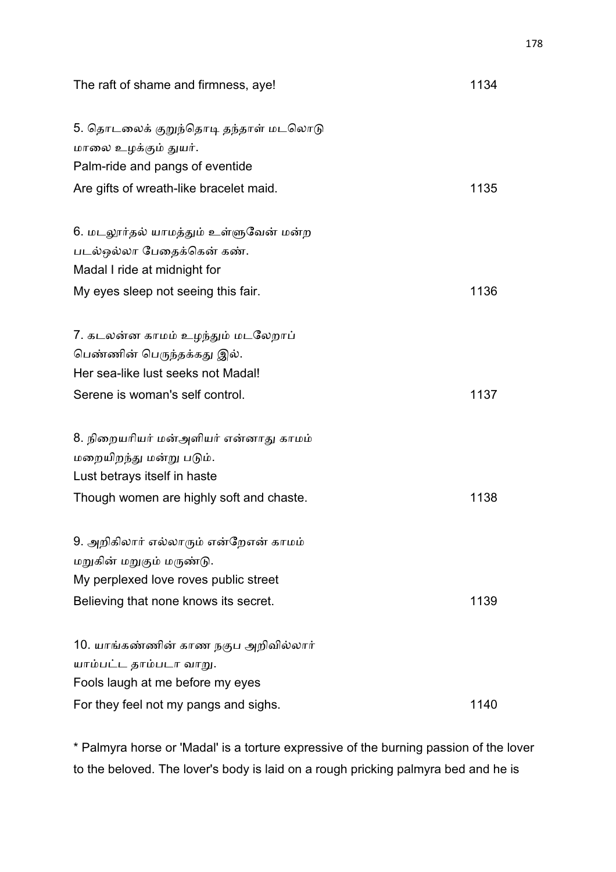| The raft of shame and firmness, aye!                                                            | 1134 |
|-------------------------------------------------------------------------------------------------|------|
| 5. தொடலைக் குறுந்தொடி தந்தாள் மடலொடு<br>மாலை உழக்கும் துயர்.<br>Palm-ride and pangs of eventide |      |
| Are gifts of wreath-like bracelet maid.                                                         | 1135 |
|                                                                                                 |      |
| 6. மடலூர்தல் யாமத்தும் உள்ளுவேன் மன்ற                                                           |      |
| படல்ஒல்லா பேதைக்கென் கண்.                                                                       |      |
| Madal I ride at midnight for                                                                    |      |
| My eyes sleep not seeing this fair.                                                             | 1136 |
| 7. கடலன்ன காமம் உழந்தும் மடலேறாப்                                                               |      |
| பெண்ணின் பெருந்தக்கது இல்.                                                                      |      |
| Her sea-like lust seeks not Madal!                                                              |      |
| Serene is woman's self control.                                                                 | 1137 |
|                                                                                                 |      |
| 8. நிறையரியர் மன்அளியர் என்னாது காமம்                                                           |      |
| மறையிறந்து மன்று படும்.                                                                         |      |
| Lust betrays itself in haste                                                                    |      |
| Though women are highly soft and chaste.                                                        | 1138 |
| 9. அறிகிலார் எல்லாரும் என்றேஎன் காமம்                                                           |      |
| மறுகின் மறுகும் மருண்டு.                                                                        |      |
| My perplexed love roves public street                                                           |      |
| Believing that none knows its secret.                                                           | 1139 |
| 10. யாங்கண்ணின் காண நகுப அறிவில்லார்                                                            |      |
| யாம்பட்ட தாம்படா வாறு.                                                                          |      |
| Fools laugh at me before my eyes                                                                |      |
| For they feel not my pangs and sighs.                                                           | 1140 |

\* Palmyra horse or 'Madal' is a torture expressive of the burning passion of the lover to the beloved. The lover's body is laid on a rough pricking palmyra bed and he is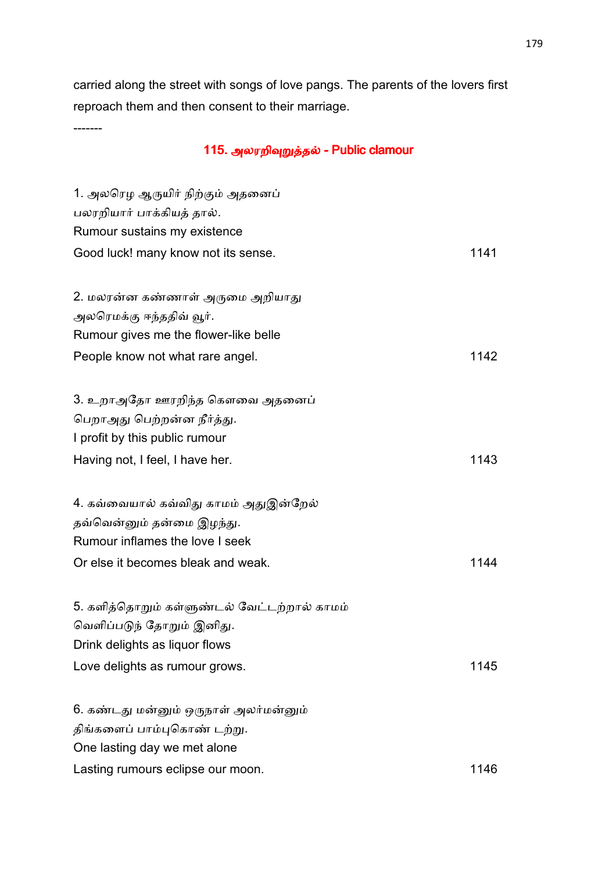carried along the street with songs of love pangs. The parents of the lovers first reproach them and then consent to their marriage.

-------

# 115. அலரறிவுறுத்தல் - Public clamour

| 1. அலரெழ ஆருயிர் நிற்கும் அதனைப்            |      |
|---------------------------------------------|------|
| பலரறியார் பாக்கியத் தால்.                   |      |
| Rumour sustains my existence                |      |
| Good luck! many know not its sense.         | 1141 |
|                                             |      |
| 2. மலரன்ன கண்ணாள் அருமை அறியாது             |      |
| அலரெமக்கு ஈந்ததிவ் வூர்.                    |      |
| Rumour gives me the flower-like belle       |      |
| People know not what rare angel.            | 1142 |
|                                             |      |
| 3. உறாஅதோ ஊரறிந்த கௌவை அதனைப்               |      |
| பெறாஅது பெற்றன்ன நீர்த்து.                  |      |
| I profit by this public rumour              |      |
| Having not, I feel, I have her.             | 1143 |
|                                             |      |
| 4. கவ்வையால் கவ்விது காமம் அதுஇன்றேல்       |      |
| தவ்வென்னும் தன்மை இழந்து.                   |      |
| Rumour inflames the love I seek             |      |
| Or else it becomes bleak and weak.          | 1144 |
|                                             |      |
| 5. களித்தொறும் கள்ளுண்டல் வேட்டற்றால் காமம் |      |
| வெளிப்படுந் தோறும் இனிது.                   |      |
| Drink delights as liquor flows              |      |
| Love delights as rumour grows.              | 1145 |
|                                             |      |
| 6. கண்டது மன்னும் ஒருநாள் அலர்மன்னும்       |      |
| திங்களைப் பாம்புகொண் டற்று.                 |      |
| One lasting day we met alone                |      |
| Lasting rumours eclipse our moon.           | 1146 |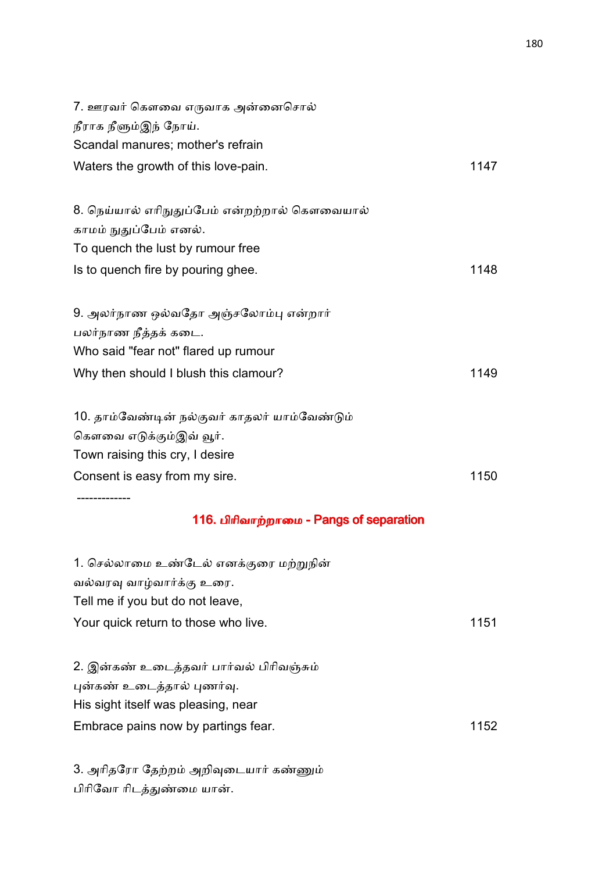| 7. ஊரவர் கௌவை எருவாக அன்னைசொல்<br>நீராக நீளும்இந் நோய்.<br>Scandal manures; mother's refrain |      |
|----------------------------------------------------------------------------------------------|------|
| Waters the growth of this love-pain.                                                         | 1147 |
|                                                                                              |      |
| 8. நெய்யால் எரிநுதுப்பேம் என்றற்றால் கௌவையால்<br>காமம் நுதுப்பேம் எனல்.                      |      |
| To quench the lust by rumour free                                                            |      |
| Is to quench fire by pouring ghee.                                                           | 1148 |
|                                                                                              |      |
| 9. அலர்நாண ஒல்வதோ அஞ்சலோம்பு என்றார்                                                         |      |
| பலர்நாண நீத்தக் கடை.                                                                         |      |
| Who said "fear not" flared up rumour                                                         |      |
| Why then should I blush this clamour?                                                        | 1149 |
| 10. தாம்வேண்டின் நல்குவர் காதலர் யாம்வேண்டும்                                                |      |
| கௌவை எடுக்கும்இவ் வூர்.                                                                      |      |
| Town raising this cry, I desire                                                              |      |
| Consent is easy from my sire.                                                                | 1150 |
| 116. பிரிவாற்றாமை - Pangs of separation                                                      |      |
| 1. செல்லாமை உண்டேல் எனக்குரை மற்றுநின்                                                       |      |
| வல்வரவு வாழ்வார்க்கு உரை.                                                                    |      |
| Tell me if you but do not leave,                                                             |      |
| Your quick return to those who live.                                                         | 1151 |
| 2. இன்கண் உடைத்தவர் பார்வல் பிரிவஞ்சும்                                                      |      |
| புன்கண் உடைத்தால் புணர்வு.                                                                   |      |
| His sight itself was pleasing, near                                                          |      |
| Embrace pains now by partings fear.                                                          | 1152 |
|                                                                                              |      |

3. அரிதரோ தேற்றம் அறிவுடையார் கண்ணும் பிரிவோ ரிடத்துண்மை யான்.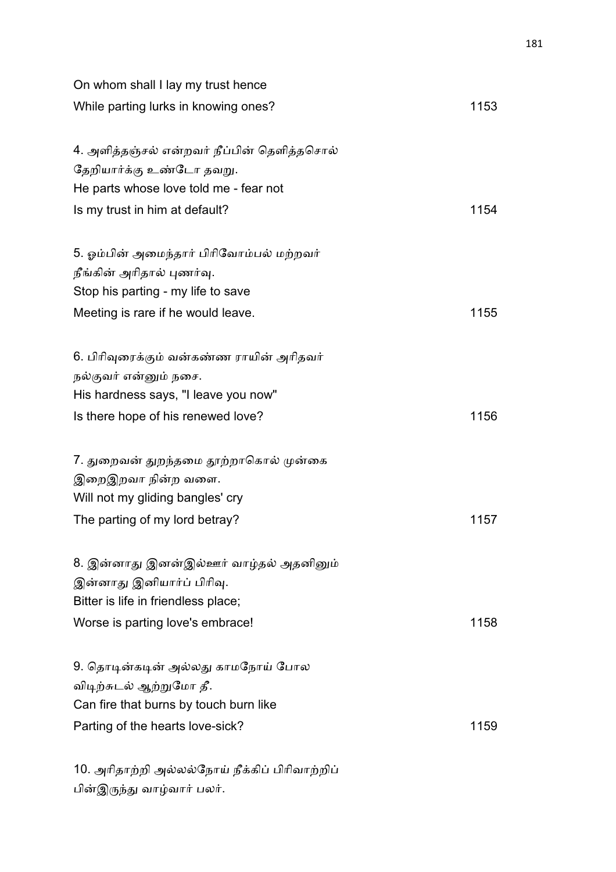| On whom shall I lay my trust hence             |      |
|------------------------------------------------|------|
| While parting lurks in knowing ones?           | 1153 |
| 4. அளித்தஞ்சல் என்றவர் நீப்பின் தெளித்தசொல்    |      |
| தேறியார்க்கு உண்டோ தவறு.                       |      |
| He parts whose love told me - fear not         |      |
| Is my trust in him at default?                 | 1154 |
| 5. ஓம்பின் அமைந்தார் பிரிவோம்பல் மற்றவர்       |      |
| நீங்கின் அரிதால் புணர்வு.                      |      |
| Stop his parting - my life to save             |      |
| Meeting is rare if he would leave.             | 1155 |
| 6. பிரிவுரைக்கும் வன்கண்ண ராயின் அரிதவர்       |      |
| நல்குவர் என்னும் நசை.                          |      |
| His hardness says, "I leave you now"           |      |
| Is there hope of his renewed love?             | 1156 |
| 7. துறைவன் துறந்தமை தூற்றாகொல் முன்கை          |      |
| இறைஇறவா நின்ற வளை.                             |      |
| Will not my gliding bangles' cry               |      |
| The parting of my lord betray?                 | 1157 |
| 8. இன்னாது இனன்இல்ஊர் வாழ்தல் அதனினும்         |      |
| இன்னாது இனியார்ப் பிரிவு.                      |      |
| Bitter is life in friendless place;            |      |
| Worse is parting love's embrace!               | 1158 |
| 9. தொடின்கடின் அல்லது காமநோய் போல              |      |
| விடிற்சுடல் ஆற்றுமோ தீ.                        |      |
| Can fire that burns by touch burn like         |      |
| Parting of the hearts love-sick?               | 1159 |
| 10. அரிதாற்றி அல்லல்நோய் நீக்கிப் பிரிவாற்றிப் |      |

பின்இருந்து வாழ்வார் பலர்.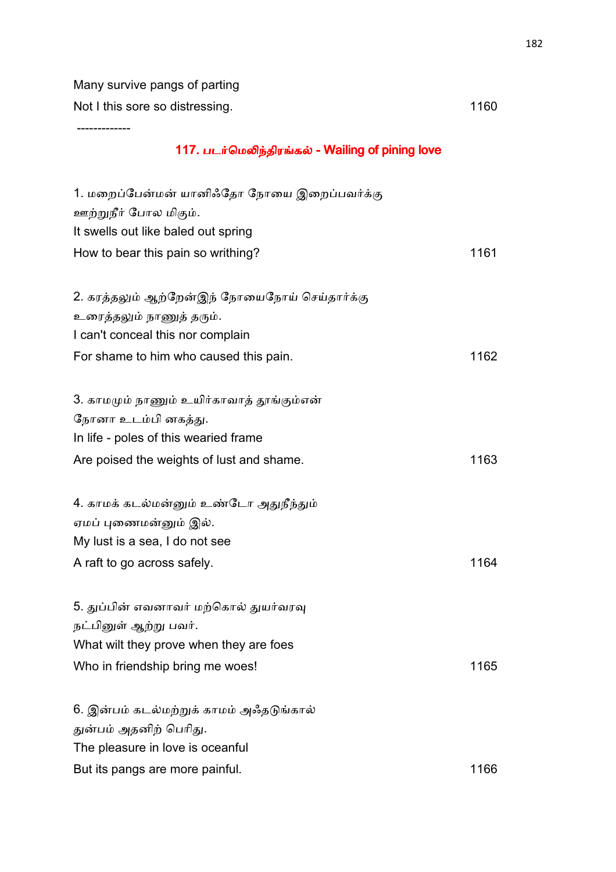Many survive pangs of parting Not I this sore so distressing. The same state of the state of the 1160

-------------

# 117. படர்மெலிந்திரங்கல் - Wailing of pining love

| 1. மறைப்பேன்மன் யானிஃதோ நோயை இறைப்பவர்க்கு    |      |
|-----------------------------------------------|------|
| ஊற்றுநீர் போல மிகும்.                         |      |
| It swells out like baled out spring           |      |
| How to bear this pain so writhing?            | 1161 |
|                                               |      |
| 2. கரத்தலும் ஆற்றேன்இந் நோயைநோய் செய்தார்க்கு |      |
| உரைத்தலும் நாணுத் தரும்.                      |      |
| I can't conceal this nor complain             |      |
| For shame to him who caused this pain.        | 1162 |
|                                               |      |
| 3. காமமும் நாணும் உயிர்காவாத் தூங்கும்என்     |      |
| நோனா உடம்பி னகத்து.                           |      |
| In life - poles of this wearied frame         |      |
| Are poised the weights of lust and shame.     | 1163 |
|                                               |      |
| 4. காமக் கடல்மன்னும் உண்டோ அதுநீந்தும்        |      |
| ஏமப் புணைமன்னும் இல்.                         |      |
| My lust is a sea, I do not see                |      |
| A raft to go across safely.                   | 1164 |
|                                               |      |
| 5. துப்பின் எவனாவர் மற்கொல் துயர்வரவு         |      |
| நட்பினுள் ஆற்று பவர்.                         |      |
| What wilt they prove when they are foes       |      |
| Who in friendship bring me woes!              | 1165 |
|                                               |      |
| 6. இன்பம் கடல்மற்றுக் காமம் அஃதடுங்கால்       |      |
| துன்பம் அதனிற் பெரிது.                        |      |
| The pleasure in love is oceanful              |      |
| But its pangs are more painful.               | 1166 |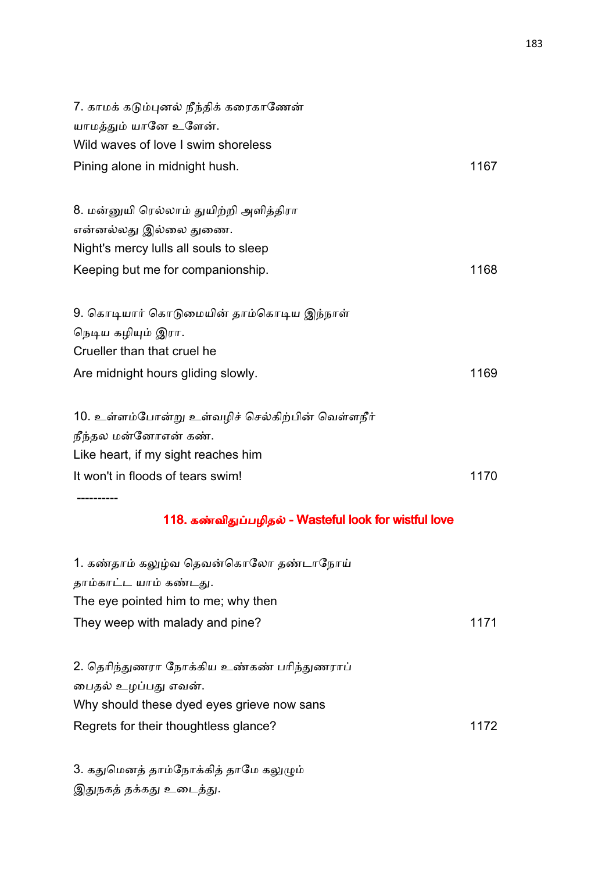| 7. காமக் கடும்புனல் நீந்திக் கரைகாணேன்                |      |
|-------------------------------------------------------|------|
| யாமத்தும் யானே உளேன்.                                 |      |
| Wild waves of love I swim shoreless                   |      |
| Pining alone in midnight hush.                        | 1167 |
| 8. மன்னுயி ரெல்லாம் துயிற்றி அளித்திரா                |      |
| என்னல்லது இல்லை துணை.                                 |      |
| Night's mercy lulls all souls to sleep                |      |
| Keeping but me for companionship.                     | 1168 |
| 9. கொடியார் கொடுமையின் தாம்கொடிய இந்நாள்              |      |
| நெடிய கழியும் இரா.                                    |      |
| Crueller than that cruel he                           |      |
| Are midnight hours gliding slowly.                    | 1169 |
| 10. உள்ளம்போன்று உள்வழிச் செல்கிற்பின் வெள்ளநீர்      |      |
| நீந்தல மன்னோஎன் கண்.                                  |      |
| Like heart, if my sight reaches him                   |      |
| It won't in floods of tears swim!                     | 1170 |
| 118. கண்விதுப்பழிதல் - Wasteful look for wistful love |      |
| 1. கண்தாம் கலுழ்வ தெவன்கொலோ தண்டாநோய்                 |      |
| தாம்காட்ட யாம் கண்டது.                                |      |
| The eye pointed him to me; why then                   |      |
| They weep with malady and pine?                       | 1171 |
| 2. தெரிந்துணரா நோக்கிய உண்கண் பரிந்துணராப்            |      |
| பைதல் உழப்பது எவன்.                                   |      |
| Why should these dyed eyes grieve now sans            |      |
| Regrets for their thoughtless glance?                 | 1172 |
| 3. கதுமெனத் தாம்நோக்கித் தாமே கலுழும்                 |      |

இதுநகத் தக்கது உடைத்து.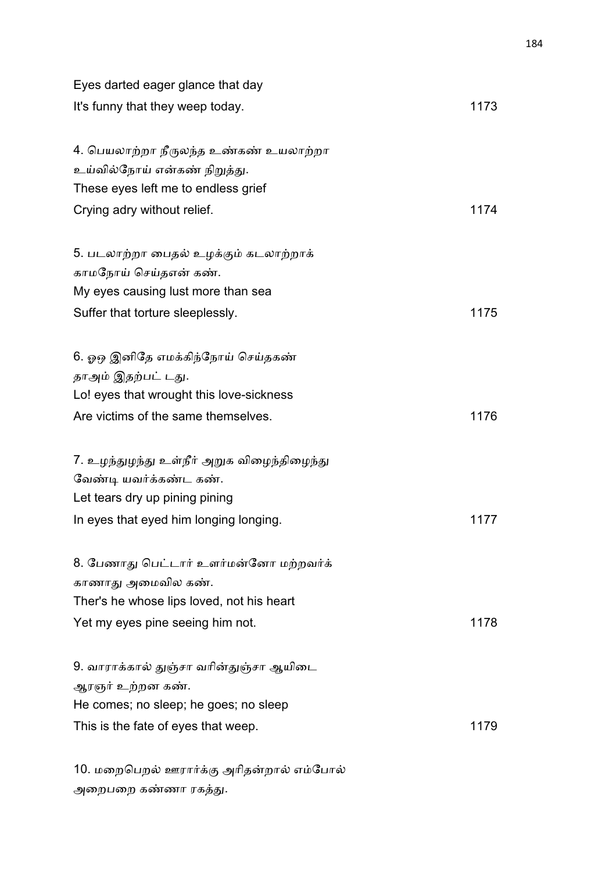| Eyes darted eager glance that day          |      |
|--------------------------------------------|------|
| It's funny that they weep today.           | 1173 |
| 4. பெயலாற்றா நீருலந்த உண்கண் உயலாற்றா      |      |
| உய்வில்நோய் என்கண் நிறுத்து.               |      |
| These eyes left me to endless grief        |      |
| Crying adry without relief.                | 1174 |
| 5. படலாற்றா பைதல் உழக்கும் கடலாற்றாக்      |      |
| காமநோய் செய்தஎன் கண்.                      |      |
| My eyes causing lust more than sea         |      |
| Suffer that torture sleeplessly.           | 1175 |
| 6. ஓஒ இனிதே எமக்கிந்நோய் செய்தகண்          |      |
| தாஅம் இதற்பட் டது.                         |      |
| Lo! eyes that wrought this love-sickness   |      |
| Are victims of the same themselves.        | 1176 |
| 7. உழந்துழந்து உள்நீர் அறுக விழைந்திழைந்து |      |
| வேண்டி யவர்க்கண்ட கண்.                     |      |
| Let tears dry up pining pining             |      |
| In eyes that eyed him longing longing.     | 1177 |
| 8. பேணாது பெட்டார் உளர்மன்னோ மற்றவர்க்     |      |
| காணாது அமைவில கண்.                         |      |
| Ther's he whose lips loved, not his heart  |      |
| Yet my eyes pine seeing him not.           | 1178 |
| 9. வாராக்கால் துஞ்சா வரின்துஞ்சா ஆயிடை     |      |
| ஆரஞர் உற்றன கண்.                           |      |
| He comes; no sleep; he goes; no sleep      |      |
| This is the fate of eyes that weep.        | 1179 |
| 10. மறைபெறல் ஊரார்க்கு அரிதன்றால் எம்போல்  |      |

அறைபறை கண்ணா ரகத்து.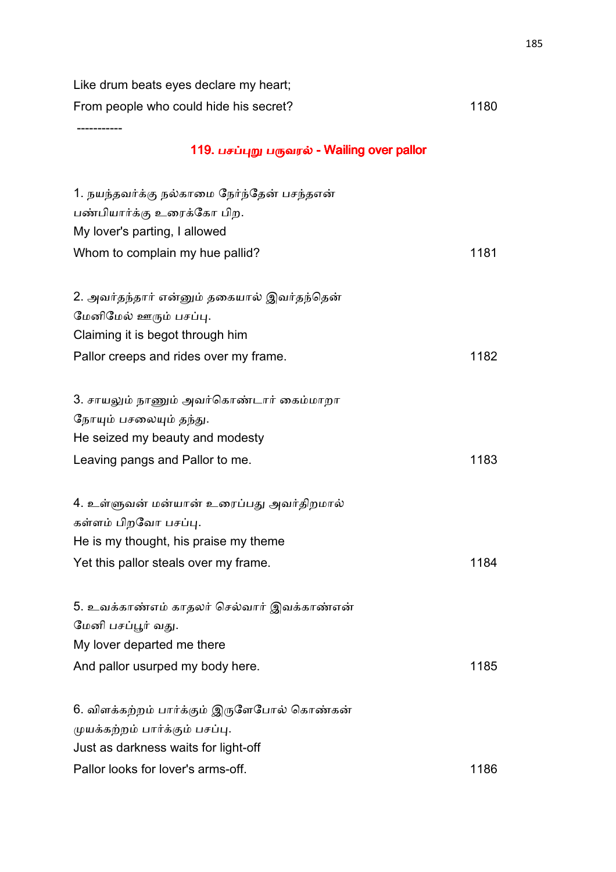Like drum beats eyes declare my heart;

From people who could hide his secret? 1180

-----------

# 119. பசப்புறு பருவரல் - Wailing over pallor

| 1. நயந்தவர்க்கு நல்காமை நேர்ந்தேன் பசந்தஎன்<br>பண்பியார்க்கு உரைக்கோ பிற.<br>My lover's parting, I allowed                                                  |      |
|-------------------------------------------------------------------------------------------------------------------------------------------------------------|------|
| Whom to complain my hue pallid?                                                                                                                             | 1181 |
| 2. அவர்தந்தார் என்னும் தகையால் இவர்தந்தென்<br>மேனிமேல் ஊரும் பசப்பு.<br>Claiming it is begot through him<br>Pallor creeps and rides over my frame.          | 1182 |
| 3. சாயலும் நாணும் அவர்கொண்டார் கைம்மாறா<br>நோயும் பசலையும் தந்து.                                                                                           |      |
| He seized my beauty and modesty                                                                                                                             |      |
| Leaving pangs and Pallor to me.                                                                                                                             | 1183 |
| 4. உள்ளுவன் மன்யான் உரைப்பது அவர்திறமால்<br>கள்ளம் பிறவோ பசப்பு.<br>He is my thought, his praise my theme                                                   |      |
| Yet this pallor steals over my frame.                                                                                                                       | 1184 |
| 5. உவக்காண்எம் காதலர் செல்வார் இவக்காண்என்<br>மேனி பசப்பூர் வது.<br>My lover departed me there<br>And pallor usurped my body here.                          | 1185 |
| 6. விளக்கற்றம் பார்க்கும் இருளேபோல் கொண்கன்<br>முயக்கற்றம் பார்க்கும் பசப்பு.<br>Just as darkness waits for light-off<br>Pallor looks for lover's arms-off. | 1186 |
|                                                                                                                                                             |      |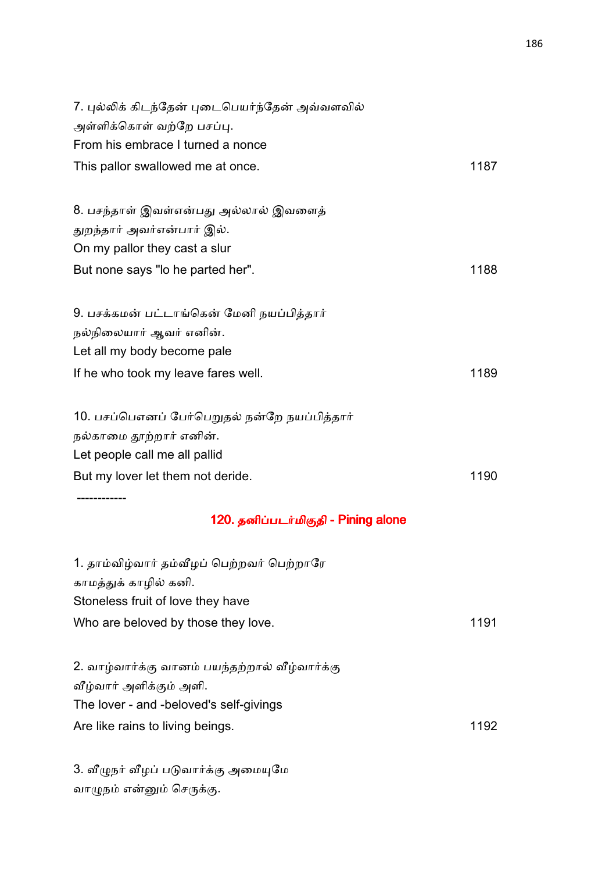| 7. புல்லிக் கிடந்தேன் புடைபெயர்ந்தேன் அவ்வளவில் |      |
|-------------------------------------------------|------|
| அள்ளிக்கொள் வற்றே பசப்பு.                       |      |
| From his embrace I turned a nonce               |      |
| This pallor swallowed me at once.               | 1187 |
| 8. பசந்தாள் இவள்என்பது அல்லால் இவளைத்           |      |
| துறந்தார் அவர்என்பார் இல்.                      |      |
| On my pallor they cast a slur                   |      |
| But none says "lo he parted her".               | 1188 |
| 9. பசக்கமன் பட்டாங்கென் மேனி நயப்பித்தார்       |      |
| நல்நிலையார் ஆவர் எனின்.                         |      |
| Let all my body become pale                     |      |
| If he who took my leave fares well.             | 1189 |
| 10. பசப்பெஎனப் பேர்பெறுதல் நன்றே நயப்பித்தார்   |      |
| நல்காமை தூற்றார் எனின்.                         |      |
| Let people call me all pallid                   |      |
| But my lover let them not deride.               | 1190 |
| 120. தனிப்படர்மிகுதி - Pining alone             |      |
| 1. தாம்விழ்வார் தம்வீழப் பெற்றவர் பெற்றாரே      |      |
| காமத்துக் காழில் கனி.                           |      |
| Stoneless fruit of love they have               |      |
| Who are beloved by those they love.             | 1191 |
| 2. வாழ்வார்க்கு வானம் பயந்தற்றால் வீழ்வார்க்கு  |      |
| வீழ்வார் அளிக்கும் அளி.                         |      |
| The lover - and -beloved's self-givings         |      |
| Are like rains to living beings.                | 1192 |
| 3. வீழுநர் வீழப் படுவார்க்கு அமையுமே            |      |
|                                                 |      |

வாழுநம் என்னும் செருக்கு.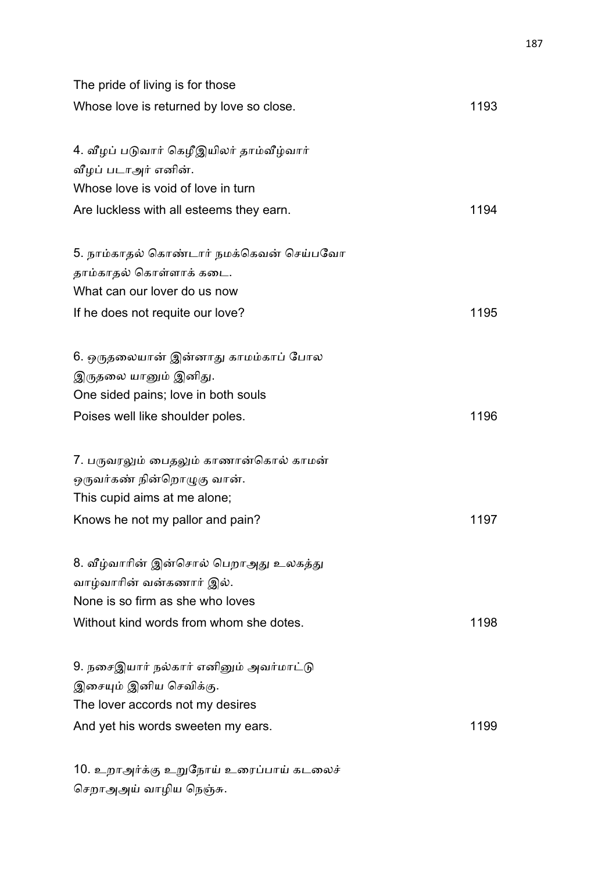| The pride of living is for those         |      |
|------------------------------------------|------|
| Whose love is returned by love so close. | 1193 |
| 4. வீழப் படுவார் கெழீஇயிலர் தாம்வீழ்வார் |      |
| வீழப் படாஅர் எனின்.                      |      |
| Whose love is void of love in turn       |      |
| Are luckless with all esteems they earn. | 1194 |
| 5. நாம்காதல் கொண்டார் நமக்கெவன் செய்பவோ  |      |
| தாம்காதல் கொள்ளாக் கடை.                  |      |
| What can our lover do us now             |      |
| If he does not requite our love?         | 1195 |
| 6. ஒருதலையான் இன்னாது காமம்காப் போல      |      |
| இருதலை யானும் இனிது.                     |      |
| One sided pains; love in both souls      |      |
| Poises well like shoulder poles.         | 1196 |
| 7. பருவரலும் பைதலும் காணான்கொல் காமன்    |      |
| ஒருவர்கண் நின்றொழுகு வான்.               |      |
| This cupid aims at me alone;             |      |
| Knows he not my pallor and pain?         | 1197 |
| 8. வீழ்வாரின் இன்சொல் பெறாஅது உலகத்து    |      |
| வாழ்வாரின் வன்கணார் இல்.                 |      |
| None is so firm as she who loves         |      |
| Without kind words from whom she dotes.  | 1198 |
| 9. நசைஇயார் நல்கார் எனினும் அவர்மாட்டு   |      |
| இசையும் இனிய செவிக்கு.                   |      |
| The lover accords not my desires         |      |
| And yet his words sweeten my ears.       | 1199 |
|                                          |      |

10. உறாஅர்க்கு உறுநோய் உரைப்பாய் கடலைச் செறாஅஅய் வாழிய நெஞ்சு.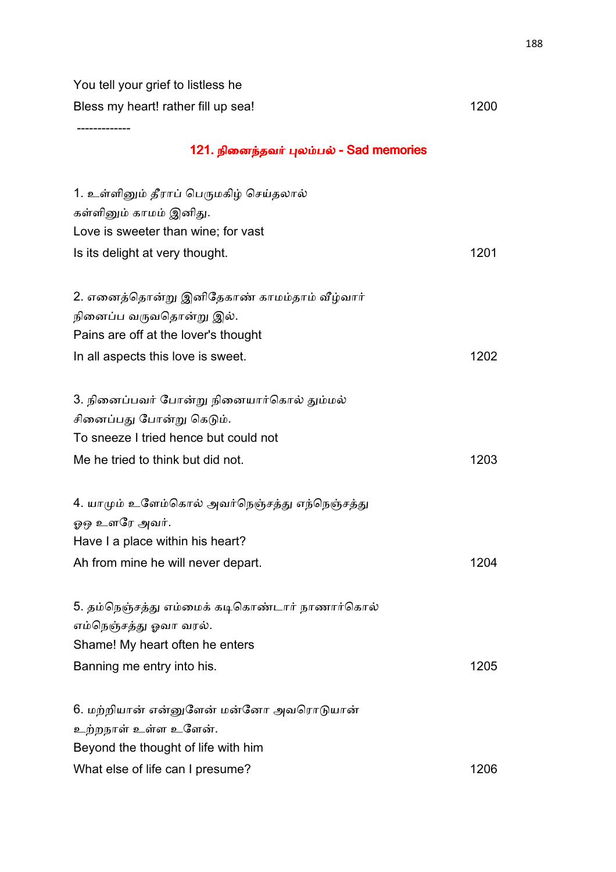You tell your grief to listless he Bless my heart! rather fill up sea! 1200

-------------

#### 121. நினைந்தவர் புலம்பல் - Sad memories

| 1. உள்ளினும் தீராப் பெருமகிழ் செய்தலால்        |      |
|------------------------------------------------|------|
| கள்ளினும் காமம் இனிது.                         |      |
| Love is sweeter than wine; for vast            |      |
| Is its delight at very thought.                | 1201 |
|                                                |      |
| 2. எனைத்தொன்று இனிதேகாண் காமம்தாம் வீழ்வார்    |      |
| நினைப்ப வருவதொன்று இல்.                        |      |
| Pains are off at the lover's thought           |      |
| In all aspects this love is sweet.             | 1202 |
|                                                |      |
| 3. நினைப்பவர் போன்று நினையார்கொல் தும்மல்      |      |
| சினைப்பது போன்று கெடும்.                       |      |
| To sneeze I tried hence but could not          |      |
| Me he tried to think but did not.              | 1203 |
|                                                |      |
| 4. யாமும் உளேம்கொல் அவர்நெஞ்சத்து எந்நெஞ்சத்து |      |
| ஓஒ உளரே அவர்.                                  |      |
| Have I a place within his heart?               |      |
| Ah from mine he will never depart.             | 1204 |
|                                                |      |
| 5. தம்நெஞ்சத்து எம்மைக் கடிகொண்டார் நாணார்கொல் |      |
| எம்நெஞ்சத்து ஓவா வரல்.                         |      |
| Shame! My heart often he enters                |      |
| Banning me entry into his.                     | 1205 |
|                                                |      |
| 6. மற்றியான் என்னுளேன் மன்னோ அவரொடுயான்        |      |
| உற்றநாள் உள்ள உளேன்.                           |      |
| Beyond the thought of life with him            |      |
| What else of life can I presume?               | 1206 |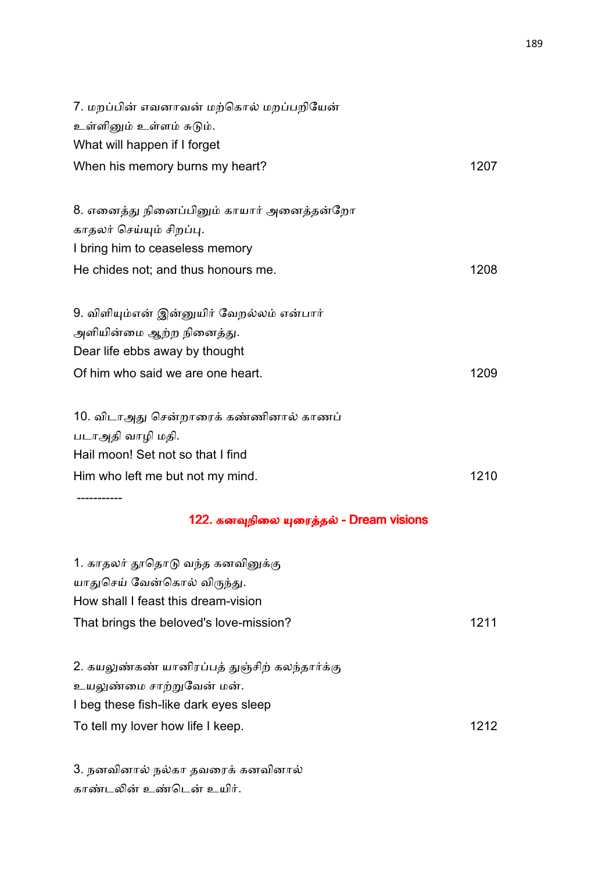| 7. மறப்பின் எவனாவன் மற்கொல் மறப்பறியேன்                    |      |
|------------------------------------------------------------|------|
| உள்ளினும் உள்ளம் சுடும்.                                   |      |
| What will happen if I forget                               |      |
| When his memory burns my heart?                            | 1207 |
| 8. எனைத்து நினைப்பினும் காயார் அனைத்தன்றோ                  |      |
| காதலர் செய்யும் சிறப்பு.                                   |      |
| I bring him to ceaseless memory                            |      |
| He chides not; and thus honours me.                        | 1208 |
| 9. விளியும்என் இன்னுயிர் வேறல்லம் என்பார்                  |      |
| அளியின்மை ஆற்ற நினைத்து.                                   |      |
| Dear life ebbs away by thought                             |      |
| Of him who said we are one heart.                          | 1209 |
| 10. விடாஅது சென்றாரைக் கண்ணினால் காணப்<br>படாஅதி வாழி மதி. |      |
| Hail moon! Set not so that I find                          |      |
| Him who left me but not my mind.                           | 1210 |
| 122. கனவுநிலை யுரைத்தல் - Dream visions                    |      |
|                                                            |      |
| 1. காதலர் தூதொடு வந்த கனவினுக்கு                           |      |
| யாதுசெய் வேன்கொல் விருந்து.                                |      |
| How shall I feast this dream-vision                        |      |
| That brings the beloved's love-mission?                    | 1211 |
| 2. கயலுண்கண் யானிரப்பத் துஞ்சிற் கலந்தார்க்கு              |      |
| உயலுண்மை சாற்றுவேன் மன்.                                   |      |
| I beg these fish-like dark eyes sleep                      |      |
| To tell my lover how life I keep.                          | 1212 |
|                                                            |      |

3. நனவினால் நல்கா தவரைக் கனவினால் காண்டலின் உண்டென் உயிர்.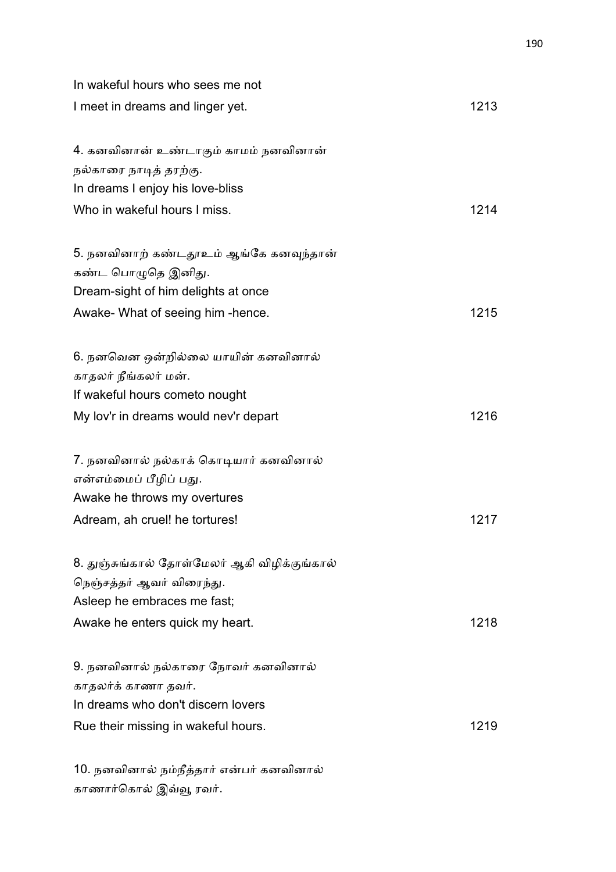| In wakeful hours who sees me not                           |      |
|------------------------------------------------------------|------|
| I meet in dreams and linger yet.                           | 1213 |
| 4. கனவினான் உண்டாகும் காமம் நனவினான்                       |      |
| நல்காரை நாடித் தரற்கு.<br>In dreams I enjoy his love-bliss |      |
| Who in wakeful hours I miss.                               | 1214 |
| 5. நனவினாற் கண்டதூஉம் ஆங்கே கனவுந்தான்                     |      |
| கண்ட பொழுதெ இனிது.                                         |      |
| Dream-sight of him delights at once                        |      |
| Awake- What of seeing him -hence.                          | 1215 |
| 6. நனவென ஒன்றில்லை யாயின் கனவினால்                         |      |
| காதலர் நீங்கலர் மன்.                                       |      |
| If wakeful hours cometo nought                             |      |
| My lov'r in dreams would nev'r depart                      | 1216 |
| 7. நனவினால் நல்காக் கொடியார் கனவினால்                      |      |
| என்எம்மைப் பீழிப் பது.                                     |      |
| Awake he throws my overtures                               |      |
| Adream, ah cruel! he tortures!                             | 1217 |
| 8. துஞ்சுங்கால் தோள்மேலர் ஆகி விழிக்குங்கால்               |      |
| நெஞ்சத்தர் ஆவர் விரைந்து.                                  |      |
| Asleep he embraces me fast;                                |      |
| Awake he enters quick my heart.                            | 1218 |
| 9. நனவினால் நல்காரை நோவர் கனவினால்                         |      |
| காதலர்க் காணா தவர்.                                        |      |
| In dreams who don't discern lovers                         |      |
| Rue their missing in wakeful hours.                        | 1219 |
| 10. நனவினால் நம்நீத்தார் என்பர் கனவினால்                   |      |

காணார்கொல் இவ்வூ ரவர்.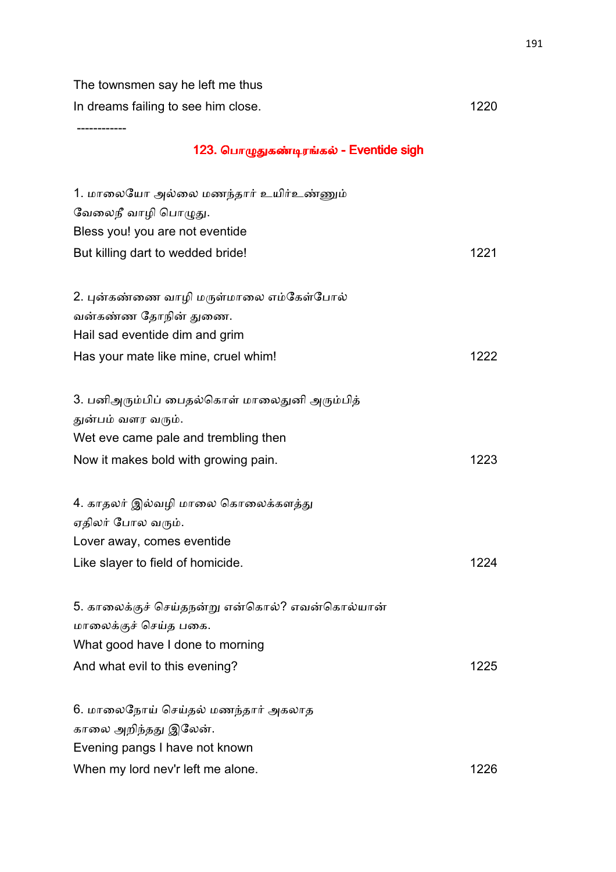The townsmen say he left me thus In dreams failing to see him close. The set of the set of the set of the set of the set of the set of the set o

------------

# 123. பொழுதுகண்டிரங்கல் - Eventide sigh

| 1. மாலையோ அல்லை மணந்தார் உயிர்உண்ணும்          |      |
|------------------------------------------------|------|
| வேலைநீ வாழி பொழுது.                            |      |
| Bless you! you are not eventide                |      |
| But killing dart to wedded bride!              | 1221 |
|                                                |      |
| 2. புன்கண்ணை வாழி மருள்மாலை எம்கேள்போல்        |      |
| வன்கண்ண தோநின் துணை.                           |      |
| Hail sad eventide dim and grim                 |      |
| Has your mate like mine, cruel whim!           | 1222 |
|                                                |      |
| 3. பனிஅரும்பிப் பைதல்கொள் மாலைதுனி அரும்பித்   |      |
| துன்பம் வளர வரும்.                             |      |
| Wet eve came pale and trembling then           |      |
| Now it makes bold with growing pain.           | 1223 |
|                                                |      |
| 4. காதலர் இல்வழி மாலை கொலைக்களத்து             |      |
| ஏதிலர் போல வரும்.                              |      |
| Lover away, comes eventide                     |      |
| Like slayer to field of homicide.              | 1224 |
|                                                |      |
| 5. காலைக்குச் செய்தநன்று என்கொல்? எவன்கொல்யான் |      |
| மாலைக்குச் செய்த பகை.                          |      |
| What good have I done to morning               |      |
| And what evil to this evening?                 | 1225 |
|                                                |      |
| 6. மாலைநோய் செய்தல் மணந்தார் அகலாத             |      |
| காலை அறிந்தது இலேன்.                           |      |
| Evening pangs I have not known                 |      |
| When my lord nev'r left me alone.              | 1226 |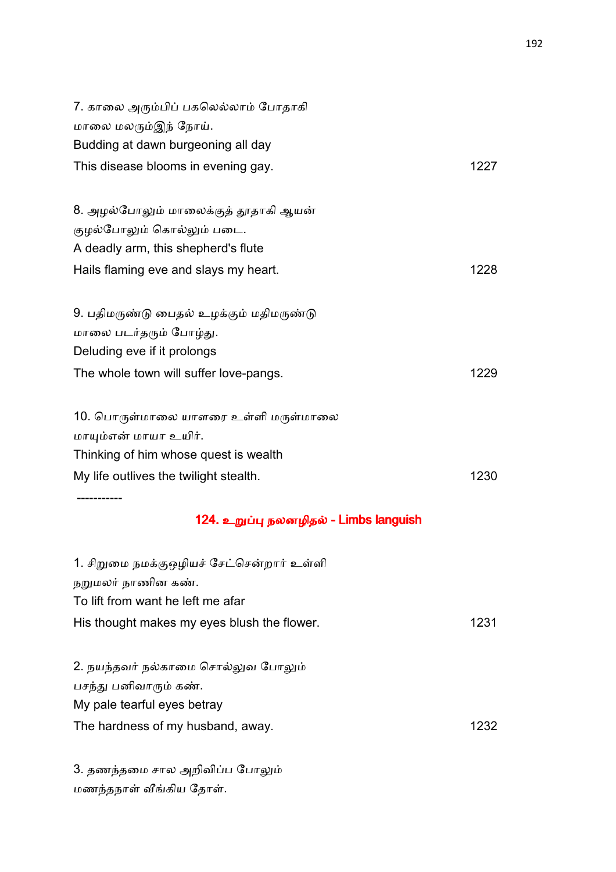| 7. காலை அரும்பிப் பகலெல்லாம் போதாகி         |      |
|---------------------------------------------|------|
| மாலை மலரும்இந் நோய்.                        |      |
| Budding at dawn burgeoning all day          |      |
| This disease blooms in evening gay.         | 1227 |
| 8. அழல்போலும் மாலைக்குத் தூதாகி ஆயன்        |      |
| குழல்போலும் கொல்லும் படை.                   |      |
| A deadly arm, this shepherd's flute         |      |
| Hails flaming eve and slays my heart.       | 1228 |
| 9. பதிமருண்டு பைதல் உழக்கும் மதிமருண்டு     |      |
| மாலை படர்தரும் போழ்து.                      |      |
| Deluding eve if it prolongs                 |      |
| The whole town will suffer love-pangs.      | 1229 |
| 10. பொருள்மாலை யாளரை உள்ளி மருள்மாலை        |      |
| மாயும்என் மாயா உயிர்.                       |      |
| Thinking of him whose quest is wealth       |      |
| My life outlives the twilight stealth.      | 1230 |
| 124. உறுப்பு நலனழிதல் - Limbs languish      |      |
| 1. சிறுமை நமக்குஒழியச் சேட்சென்றார் உள்ளி   |      |
| நறுமலர் நாணின கண்.                          |      |
| To lift from want he left me afar           |      |
| His thought makes my eyes blush the flower. | 1231 |
| 2. நயந்தவர் நல்காமை சொல்லுவ போலும்          |      |
| பசந்து பனிவாரும் கண்.                       |      |
| My pale tearful eyes betray                 |      |

The hardness of my husband, away. The hardness of my husband, away.

3. தணந்தமை சால அறிவிப்ப போலும் மணந்தநாள் வீங்கிய தோள்.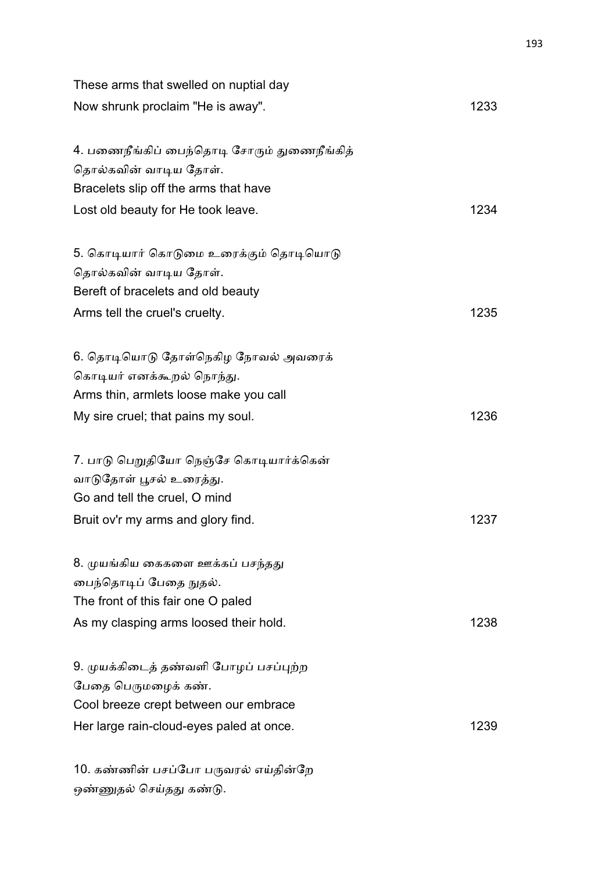| These arms that swelled on nuptial day                                                                                                            |      |
|---------------------------------------------------------------------------------------------------------------------------------------------------|------|
| Now shrunk proclaim "He is away".                                                                                                                 | 1233 |
| 4. பணைநீங்கிப் பைந்தொடி சோரும் துணைநீங்கித்<br>தொல்கவின் வாடிய தோள்.<br>Bracelets slip off the arms that have                                     |      |
| Lost old beauty for He took leave.                                                                                                                | 1234 |
| 5. கொடியார் கொடுமை உரைக்கும் தொடியொடு<br>தொல்கவின் வாடிய தோள்.<br>Bereft of bracelets and old beauty                                              |      |
| Arms tell the cruel's cruelty.                                                                                                                    | 1235 |
| 6. தொடியொடு தோள்நெகிழ நோவல் அவரைக்<br>கொடியர் எனக்கூறல் நொந்து.<br>Arms thin, armlets loose make you call<br>My sire cruel; that pains my soul.   | 1236 |
| 7. பாடு பெறுதியோ நெஞ்சே கொடியார்க்கென்<br>வாடுதோள் பூசல் உரைத்து.<br>Go and tell the cruel, O mind<br>Bruit ov'r my arms and glory find.          | 1237 |
| 8. முயங்கிய கைகளை ஊக்கப் பசந்தது<br>பைந்தொடிப் பேதை நுதல்.<br>The front of this fair one O paled<br>As my clasping arms loosed their hold.        | 1238 |
| 9. முயக்கிடைத் தண்வளி போழப் பசப்புற்ற<br>பேதை பெருமழைக் கண்.<br>Cool breeze crept between our embrace<br>Her large rain-cloud-eyes paled at once. | 1239 |
| 10. கண்ணின் பசப்போ பருவரல் எய்தின்றே                                                                                                              |      |

ஒண்ணுதல் செய்தது கண்டு.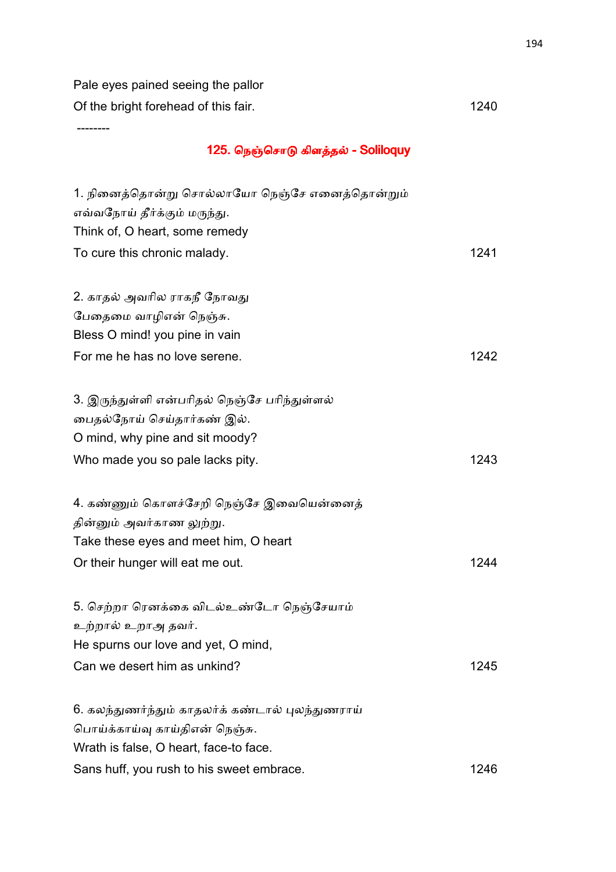Pale eyes pained seeing the pallor Of the bright forehead of this fair. 1240

--------

# 125. நெஞ்சொடு கிளத்தல் - Soliloquy

| 1. நினைத்தொன்று சொல்லாயோ நெஞ்சே எனைத்தொன்றும்    |      |
|--------------------------------------------------|------|
| எவ்வநோய் தீர்க்கும் மருந்து.                     |      |
| Think of, O heart, some remedy                   |      |
| To cure this chronic malady.                     | 1241 |
|                                                  |      |
| 2. காதல் அவரில ராகநீ நோவது                       |      |
| பேதைமை வாழிஎன் நெஞ்சு.                           |      |
| Bless O mind! you pine in vain                   |      |
| For me he has no love serene.                    | 1242 |
|                                                  |      |
| 3. இருந்துள்ளி என்பரிதல் நெஞ்சே பரிந்துள்ளல்     |      |
| பைதல்நோய் செய்தார்கண் இல்.                       |      |
| O mind, why pine and sit moody?                  |      |
| Who made you so pale lacks pity.                 | 1243 |
|                                                  |      |
| 4. கண்ணும் கொளச்சேறி நெஞ்சே இவையென்னைத்          |      |
| தின்னும் அவர்காண லுற்று.                         |      |
| Take these eyes and meet him, O heart            |      |
| Or their hunger will eat me out.                 | 1244 |
|                                                  |      |
| 5. செற்றா ரெனக்கை விடல்உண்டோ நெஞ்சேயாம்          |      |
| உற்றால் உறாஅ தவர்.                               |      |
| He spurns our love and yet, O mind,              |      |
| Can we desert him as unkind?                     | 1245 |
|                                                  |      |
| 6. கலந்துணர்ந்தும் காதலர்க் கண்டால் புலந்துணராய் |      |
| பொய்க்காய்வு காய்திஎன் நெஞ்சு.                   |      |
| Wrath is false, O heart, face-to face.           |      |
| Sans huff, you rush to his sweet embrace.        | 1246 |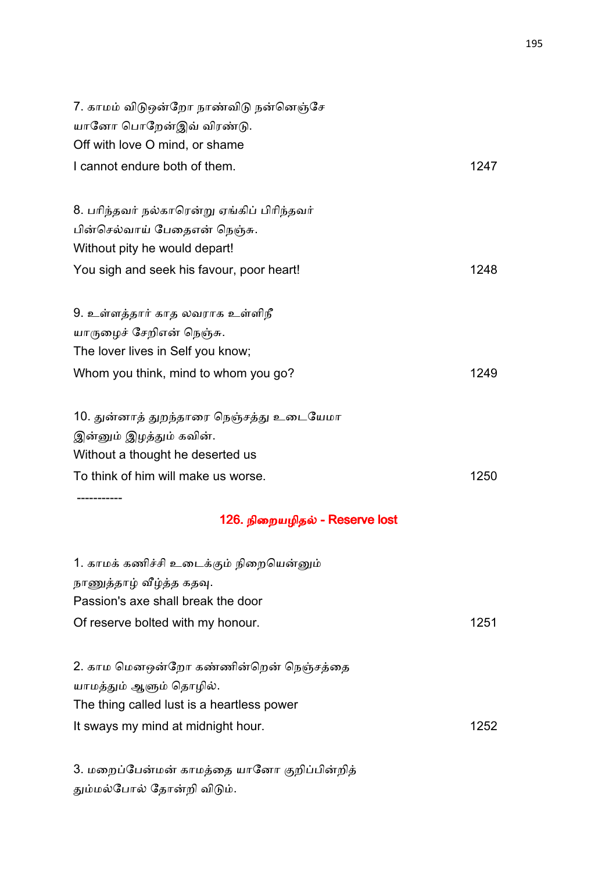| 7. காமம் விடுஒன்றோ நாண்விடு நன்னெஞ்சே<br>யானோ பொறேன்இவ் விரண்டு.    |      |
|---------------------------------------------------------------------|------|
| Off with love O mind, or shame                                      |      |
| I cannot endure both of them.                                       | 1247 |
| 8. பரிந்தவர் நல்காரென்று ஏங்கிப் பிரிந்தவர்                         |      |
| பின்செல்வாய் பேதைஎன் நெஞ்சு.                                        |      |
| Without pity he would depart!                                       |      |
| You sigh and seek his favour, poor heart!                           | 1248 |
| 9. உள்ளத்தார் காத லவராக உள்ளிநீ                                     |      |
| யாருழைச் சேறிஎன் நெஞ்சு.                                            |      |
| The lover lives in Self you know;                                   |      |
| Whom you think, mind to whom you go?                                | 1249 |
| 10. துன்னாத் துறந்தாரை நெஞ்சத்து உடையேமா<br>இன்னும் இழத்தும் கவின். |      |
| Without a thought he deserted us                                    |      |
| To think of him will make us worse.                                 | 1250 |
| 126. நிறையழிதல் - Reserve lost                                      |      |
| 1. காமக் கணிச்சி உடைக்கும் நிறையென்னும்                             |      |
| நாணுத்தாழ் வீழ்த்த கதவு.                                            |      |
| Passion's axe shall break the door                                  |      |
| Of reserve bolted with my honour.                                   | 1251 |
| 2. காம மெனஒன்றோ கண்ணின்றென் நெஞ்சத்தை                               |      |
| யாமத்தும் ஆளும் தொழில்.                                             |      |
| The thing called lust is a heartless power                          |      |
| It sways my mind at midnight hour.                                  | 1252 |
|                                                                     |      |

3. மறைப்பேன்மன் காமத்தை யானோ குறிப்பின்றித் தும்மல்போல் தோன்றி விடும்.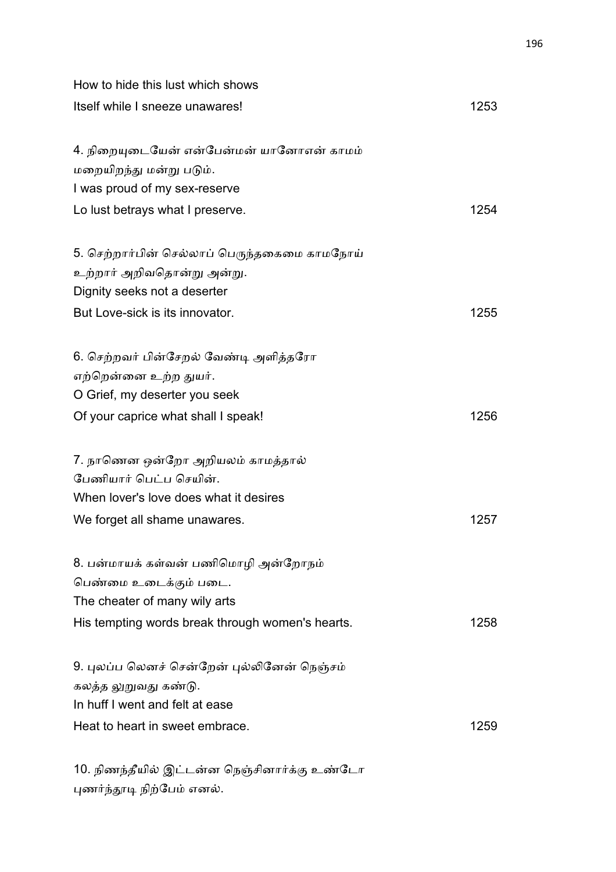| How to hide this lust which shows                |      |
|--------------------------------------------------|------|
| Itself while I sneeze unawares!                  | 1253 |
| 4. நிறையுடையேன் என்பேன்மன் யானோஎன் காமம்         |      |
| மறையிறந்து மன்று படும்.                          |      |
| I was proud of my sex-reserve                    |      |
| Lo lust betrays what I preserve.                 | 1254 |
| 5. செற்றார்பின் செல்லாப் பெருந்தகைமை காமநோய்     |      |
| உற்றார் அறிவதொன்று அன்று.                        |      |
| Dignity seeks not a deserter                     |      |
| But Love-sick is its innovator.                  | 1255 |
| 6. செற்றவர் பின்சேறல் வேண்டி அளித்தரோ            |      |
| எற்றென்னை உற்ற துயர்.                            |      |
| O Grief, my deserter you seek                    |      |
| Of your caprice what shall I speak!              | 1256 |
| 7. நாணென ஒன்றோ அறியலம் காமத்தால்                 |      |
| பேணியார் பெட்ப செயின்.                           |      |
| When lover's love does what it desires           |      |
| We forget all shame unawares.                    | 1257 |
| 8. பன்மாயக் கள்வன் பணிமொழி அன்றோநம்              |      |
| பெண்மை உடைக்கும் படை.                            |      |
| The cheater of many wily arts                    |      |
| His tempting words break through women's hearts. | 1258 |
| 9. புலப்ப லெனச் சென்றேன் புல்லினேன் நெஞ்சம்      |      |
| கலத்த லுறுவது கண்டு.                             |      |
| In huff I went and felt at ease                  |      |
| Heat to heart in sweet embrace.                  | 1259 |
|                                                  |      |

10. நிணந்தீயில் இட்டன்ன நெஞ்சினார்க்கு உண்டோ புணர்ந்தூடி நிற்பேம் எனல்.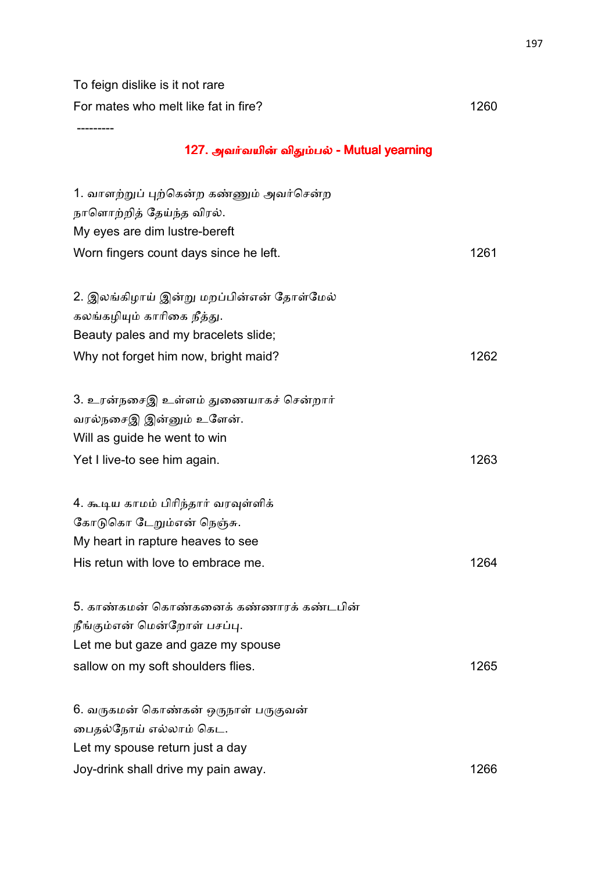To feign dislike is it not rare

For mates who melt like fat in fire? 1260

---------

# 127. அவர்வயின் விதும்பல் - Mutual yearning

| 1. வாளற்றுப் புற்கென்ற கண்ணும் அவர்சென்ற<br>நாளொற்றித் தேய்ந்த விரல்.<br>My eyes are dim lustre-bereft |      |
|--------------------------------------------------------------------------------------------------------|------|
| Worn fingers count days since he left.                                                                 | 1261 |
|                                                                                                        |      |
| 2. இலங்கிழாய் இன்று மறப்பின்என் தோள்மேல்                                                               |      |
| கலங்கழியும் காரிகை நீத்து.                                                                             |      |
| Beauty pales and my bracelets slide;                                                                   |      |
| Why not forget him now, bright maid?                                                                   | 1262 |
|                                                                                                        |      |
| 3. உரன்நசைஇ உள்ளம் துணையாகச் சென்றார்                                                                  |      |
| வரல்நசைஇ இன்னும் உளேன்.                                                                                |      |
| Will as guide he went to win                                                                           |      |
| Yet I live-to see him again.                                                                           | 1263 |
|                                                                                                        |      |
| 4. கூடிய காமம் பிரிந்தார் வரவுள்ளிக்                                                                   |      |
| கோடுகொ டேறும்என் நெஞ்சு.                                                                               |      |
| My heart in rapture heaves to see                                                                      |      |
| His retun with love to embrace me.                                                                     | 1264 |
|                                                                                                        |      |
| 5. காண்கமன் கொண்கனைக் கண்ணாரக் கண்டபின்                                                                |      |
| நீங்கும்என் மென்றோள் பசப்பு.                                                                           |      |
| Let me but gaze and gaze my spouse                                                                     |      |
| sallow on my soft shoulders flies.                                                                     | 1265 |
|                                                                                                        |      |
| 6. வருகமன் கொண்கன் ஒருநாள் பருகுவன்                                                                    |      |
| பைதல்நோய் எல்லாம் கெட.                                                                                 |      |
| Let my spouse return just a day                                                                        |      |
| Joy-drink shall drive my pain away.                                                                    | 1266 |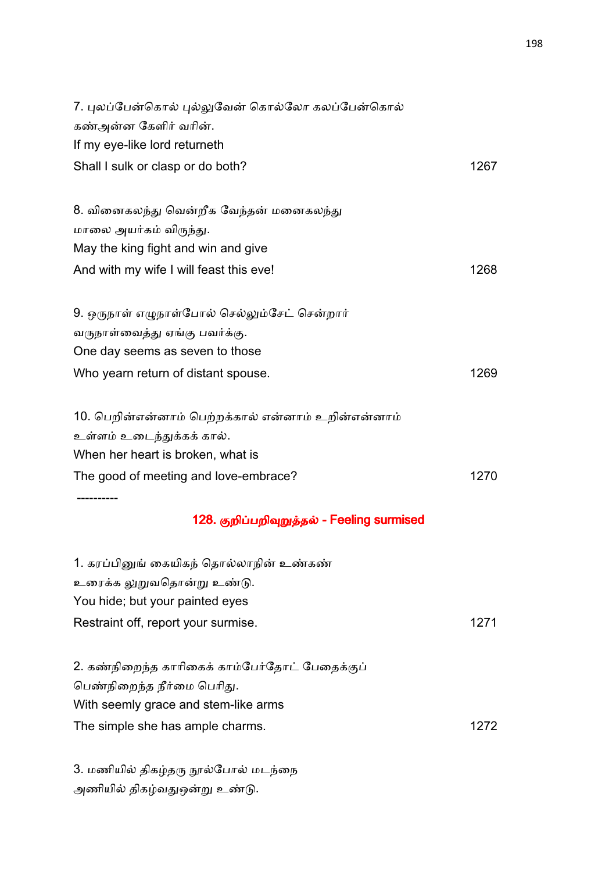| 7. புலப்பேன்கொல் புல்லுவேன் கொல்லோ கலப்பேன்கொல்    |      |
|----------------------------------------------------|------|
| கண்அன்ன கேளிர் வரின்.                              |      |
| If my eye-like lord returneth                      |      |
| Shall I sulk or clasp or do both?                  | 1267 |
| 8. வினைகலந்து வென்றீக வேந்தன் மனைகலந்து            |      |
| மாலை அயர்கம் விருந்து.                             |      |
| May the king fight and win and give                |      |
| And with my wife I will feast this eve!            | 1268 |
| 9. ஒருநாள் எழுநாள்போல் செல்லும்சேட் சென்றார்       |      |
| வருநாள்வைத்து ஏங்கு பவர்க்கு.                      |      |
| One day seems as seven to those                    |      |
| Who yearn return of distant spouse.                | 1269 |
| 10. பெறின்என்னாம் பெற்றக்கால் என்னாம் உறின்என்னாம் |      |
| உள்ளம் உடைந்துக்கக் கால்.                          |      |
| When her heart is broken, what is                  |      |
| The good of meeting and love-embrace?              | 1270 |
|                                                    |      |
| 128. குறிப்பறிவுறுத்தல் - Feeling surmised         |      |
| 1. கரப்பினுங் கையிகந் தொல்லாநின் உண்கண்            |      |
| உரைக்க லுறுவதொன்று உண்டு.                          |      |
| You hide; but your painted eyes                    |      |
| Restraint off, report your surmise.                | 1271 |
| 2. கண்நிறைந்த காரிகைக் காம்பேர்தோட் பேதைக்குப்     |      |
| பெண்நிறைந்த நீர்மை பெரிது.                         |      |
| With seemly grace and stem-like arms               |      |
| The simple she has ample charms.                   | 1272 |
|                                                    |      |

3. மணியில் திகழ்தரு நூல்போல் மடந்நை அணியில் திகழ்வதுஒன்று உண்டு.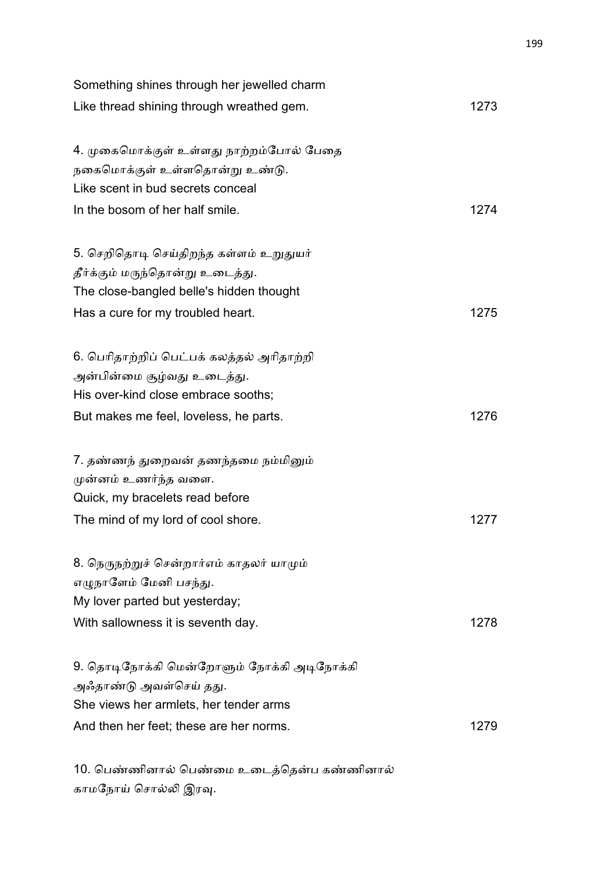| Something shines through her jewelled charm |      |
|---------------------------------------------|------|
| Like thread shining through wreathed gem.   | 1273 |
| 4. முகைமொக்குள் உள்ளது நாற்றம்போல் பேதை     |      |
| நகைமொக்குள் உள்ளதொன்று உண்டு.               |      |
| Like scent in bud secrets conceal           |      |
| In the bosom of her half smile.             | 1274 |
| 5. செறிதொடி செய்திறந்த கள்ளம் உறுதுயர்      |      |
| தீர்க்கும் மருந்தொன்று உடைத்து.             |      |
| The close-bangled belle's hidden thought    |      |
| Has a cure for my troubled heart.           | 1275 |
| 6. பெரிதாற்றிப் பெட்பக் கலத்தல் அரிதாற்றி   |      |
| அன்பின்மை சூழ்வது உடைத்து.                  |      |
| His over-kind close embrace sooths;         |      |
| But makes me feel, loveless, he parts.      | 1276 |
| 7. தண்ணந் துறைவன் தணந்தமை நம்மினும்         |      |
| முன்னம் உணர்ந்த வளை.                        |      |
| Quick, my bracelets read before             |      |
| The mind of my lord of cool shore.          | 1277 |
| 8. நெருநற்றுச் சென்றார்எம் காதலர் யாமும்    |      |
| எழுநாளேம் மேனி பசந்து.                      |      |
| My lover parted but yesterday;              |      |
| With sallowness it is seventh day.          | 1278 |
| 9. தொடிநோக்கி மென்றோளும் நோக்கி அடிநோக்கி   |      |
| அஃதாண்டு அவள்செய் தது.                      |      |
| She views her armlets, her tender arms      |      |
| And then her feet; these are her norms.     | 1279 |

10. பெண்ணினால் பெண்மை உடைத்தென்ப கண்ணினால் காமநோய் சொல்லி இரவு.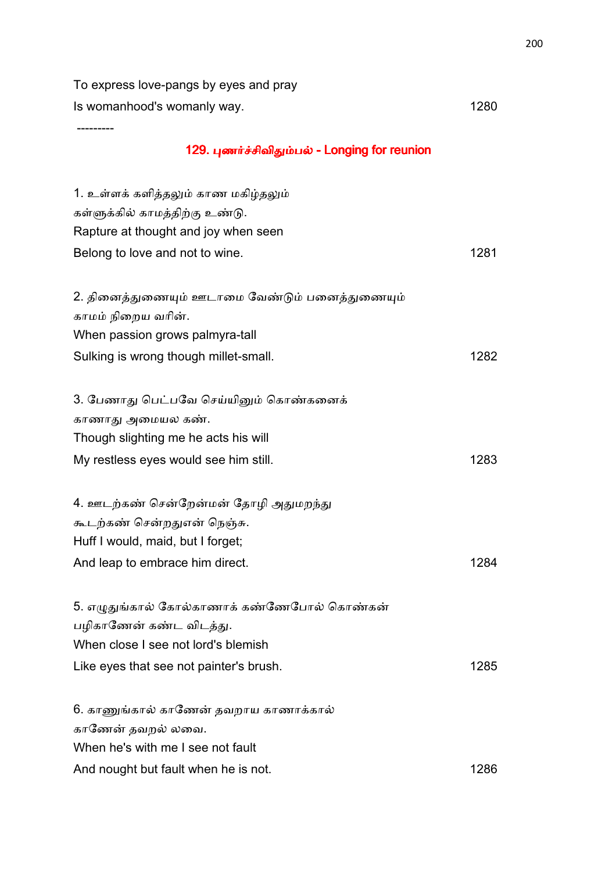To express love-pangs by eyes and pray Is womanhood's womanly way. The same state of the state of the state of the state of the state of the state of the state of the state of the state of the state of the state of the state of the state of the state of the sta

---------

# 129. புணர்ச்சிவிதும்பல் - Longing for reunion

| 1. உள்ளக் களித்தலும் காண மகிழ்தலும்<br>கள்ளுக்கில் காமத்திற்கு உண்டு.<br>Rapture at thought and joy when seen                                    |      |
|--------------------------------------------------------------------------------------------------------------------------------------------------|------|
| Belong to love and not to wine.                                                                                                                  | 1281 |
| 2. தினைத்துணையும் ஊடாமை வேண்டும் பனைத்துணையும்<br>காமம் நிறைய வரின்.<br>When passion grows palmyra-tall<br>Sulking is wrong though millet-small. | 1282 |
|                                                                                                                                                  |      |
| 3. பேணாது பெட்பவே செய்யினும் கொண்கனைக்<br>காணாது அமையல கண்.                                                                                      |      |
| Though slighting me he acts his will                                                                                                             |      |
| My restless eyes would see him still.                                                                                                            | 1283 |
| 4. ஊடற்கண் சென்றேன்மன் தோழி அதுமறந்து                                                                                                            |      |
| கூடற்கண் சென்றதுஎன் நெஞ்சு.                                                                                                                      |      |
| Huff I would, maid, but I forget;                                                                                                                |      |
| And leap to embrace him direct.                                                                                                                  | 1284 |
| 5. எழுதுங்கால் கோல்காணாக் கண்ணேபோல் கொண்கன்                                                                                                      |      |
| பழிகாணேன் கண்ட விடத்து.                                                                                                                          |      |
| When close I see not lord's blemish                                                                                                              |      |
| Like eyes that see not painter's brush.                                                                                                          | 1285 |
| 6. காணுங்கால் காணேன் தவறாய காணாக்கால்                                                                                                            |      |
| காணேன் தவறல் லவை.                                                                                                                                |      |
| When he's with me I see not fault                                                                                                                |      |
| And nought but fault when he is not.                                                                                                             | 1286 |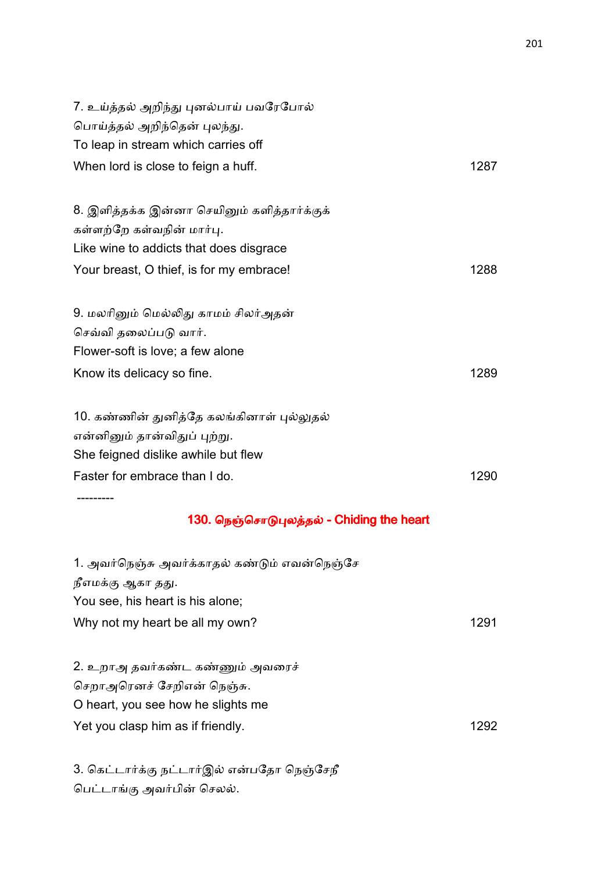| 7. உய்த்தல் அறிந்து புனல்பாய் பவரேபோல்<br>பொய்த்தல் அறிந்தென் புலந்து. |      |
|------------------------------------------------------------------------|------|
| To leap in stream which carries off                                    |      |
| When lord is close to feign a huff.                                    | 1287 |
| 8. இளித்தக்க இன்னா செயினும் களித்தார்க்குக்                            |      |
| கள்ளற்றே கள்வநின் மார்பு.                                              |      |
| Like wine to addicts that does disgrace                                |      |
| Your breast, O thief, is for my embrace!                               | 1288 |
| 9. மலரினும் மெல்லிது காமம் சிலர்அதன்                                   |      |
| செவ்வி தலைப்படு வார்.                                                  |      |
| Flower-soft is love; a few alone                                       |      |
| Know its delicacy so fine.                                             | 1289 |
| 10. கண்ணின் துனித்தே கலங்கினாள் புல்லுதல்                              |      |
| என்னினும் தான்விதுப் புற்று.                                           |      |
| She feigned dislike awhile but flew                                    |      |
| Faster for embrace than I do.                                          | 1290 |
| --------<br>130. நெஞ்சொடுபுலத்தல் - Chiding the heart                  |      |
| 1. அவர்நெஞ்சு அவர்க்காதல் கண்டும் எவன்நெஞ்சே                           |      |
| நீஎமக்கு ஆகா தது.                                                      |      |
| You see, his heart is his alone;                                       |      |
| Why not my heart be all my own?                                        | 1291 |
| 2. உறாஅ தவர்கண்ட கண்ணும் அவரைச்                                        |      |
| செறாஅரெனச் சேறிஎன் நெஞ்சு.                                             |      |
| O heart, you see how he slights me                                     |      |
| Yet you clasp him as if friendly.                                      | 1292 |

3. கெட்டார்க்கு நட்டார்இல் என்பதோ நெஞ்சேநீ பெட்டாங்கு அவர்பின் செலல்.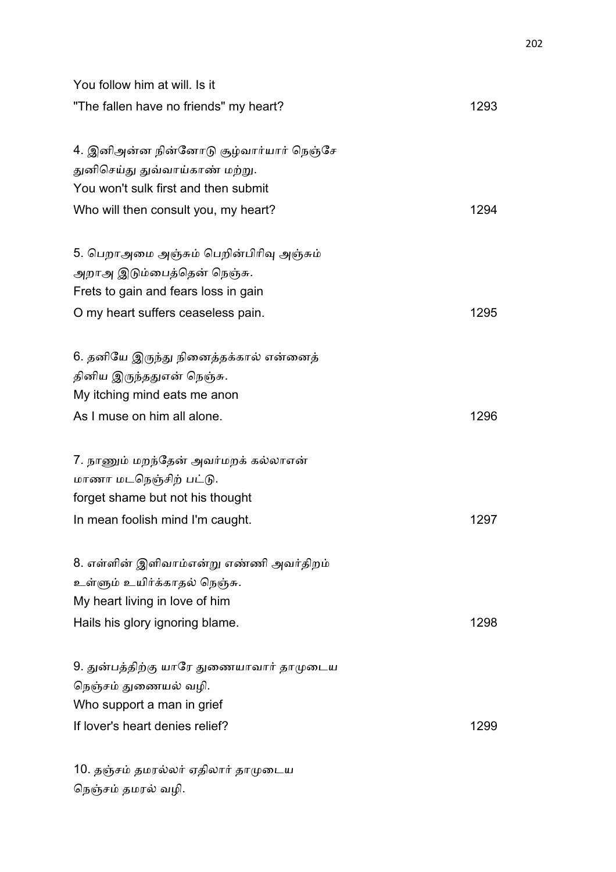| You follow him at will. Is it            |      |
|------------------------------------------|------|
| "The fallen have no friends" my heart?   | 1293 |
| 4. இனிஅன்ன நின்னோடு சூழ்வார்யார் நெஞ்சே  |      |
| துனிசெய்து துவ்வாய்காண் மற்று.           |      |
| You won't sulk first and then submit     |      |
| Who will then consult you, my heart?     | 1294 |
| 5. பெறாஅமை அஞ்சும் பெறின்பிரிவு அஞ்சும்  |      |
| அறாஅ இடும்பைத்தென் நெஞ்சு.               |      |
| Frets to gain and fears loss in gain     |      |
| O my heart suffers ceaseless pain.       | 1295 |
| 6. தனியே இருந்து நினைத்தக்கால் என்னைத்   |      |
| தினிய இருந்ததுஎன் நெஞ்சு.                |      |
| My itching mind eats me anon             |      |
| As I muse on him all alone.              | 1296 |
| 7. நாணும் மறந்தேன் அவர்மறக் கல்லாஎன்     |      |
| மாணா மடநெஞ்சிற் பட்டு.                   |      |
| forget shame but not his thought         |      |
| In mean foolish mind I'm caught.         | 1297 |
| 8. எள்ளின் இளிவாம்என்று எண்ணி அவர்திறம்  |      |
| உள்ளும் உயிர்க்காதல் நெஞ்சு.             |      |
| My heart living in love of him           |      |
| Hails his glory ignoring blame.          | 1298 |
| 9. துன்பத்திற்கு யாரே துணையாவார் தாமுடைய |      |
| நெஞ்சம் துணையல் வழி.                     |      |
| Who support a man in grief               |      |
| If lover's heart denies relief?          | 1299 |
| 10. தஞ்சம் தமரல்லர் ஏதிலார் தாமுடைய      |      |
| நெஞ்சம் தமரல் வழி.                       |      |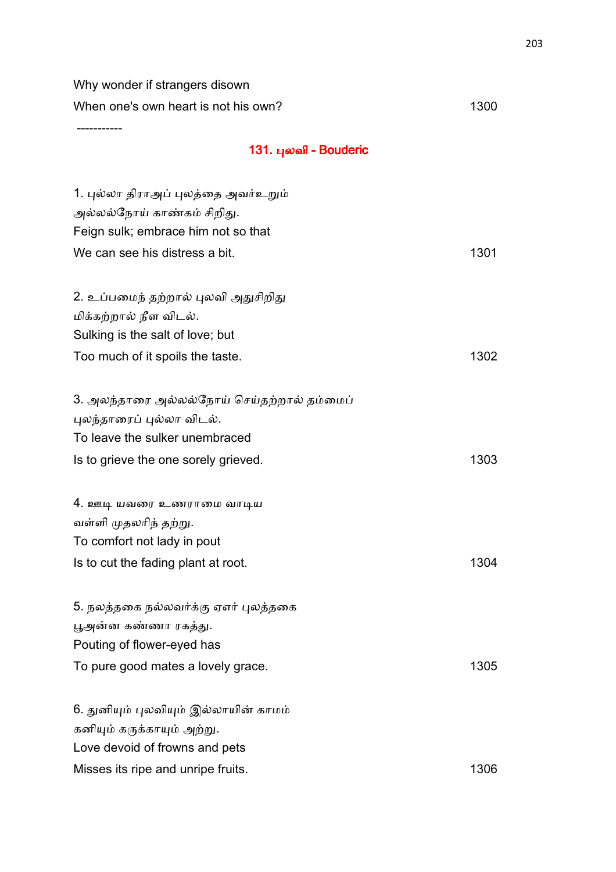Why wonder if strangers disown When one's own heart is not his own? 1300

-----------

# 131. புலவி - Bouderic

| 1. புல்லா திராஅப் புலத்தை அவர்உறும்<br>அல்லல்நோய் காண்கம் சிறிது.<br>Feign sulk; embrace him not so that                              |      |
|---------------------------------------------------------------------------------------------------------------------------------------|------|
| We can see his distress a bit.                                                                                                        | 1301 |
| 2. உப்பமைந் தற்றால் புலவி அதுசிறிது<br>மிக்கற்றால் நீள விடல்.<br>Sulking is the salt of love; but<br>Too much of it spoils the taste. | 1302 |
| 3. அலந்தாரை அல்லல்நோய் செய்தற்றால் தம்மைப்                                                                                            |      |
| புலந்தாரைப் புல்லா விடல்.                                                                                                             |      |
| To leave the sulker unembraced                                                                                                        |      |
| Is to grieve the one sorely grieved.                                                                                                  | 1303 |
| 4. ஊடி யவரை உணராமை வாடிய                                                                                                              |      |
| வள்ளி முதலரிந் தற்று.                                                                                                                 |      |
| To comfort not lady in pout                                                                                                           |      |
| Is to cut the fading plant at root.                                                                                                   | 1304 |
| 5. நலத்தகை நல்லவர்க்கு ஏஎர் புலத்தகை                                                                                                  |      |
| பூஅன்ன கண்ணா ரகத்து.                                                                                                                  |      |
| Pouting of flower-eyed has                                                                                                            |      |
| To pure good mates a lovely grace.                                                                                                    | 1305 |
| 6. துனியும் புலவியும் இல்லாயின் காமம்                                                                                                 |      |
| கனியும் கருக்காயும் அற்று.                                                                                                            |      |
| Love devoid of frowns and pets                                                                                                        |      |
| Misses its ripe and unripe fruits.                                                                                                    | 1306 |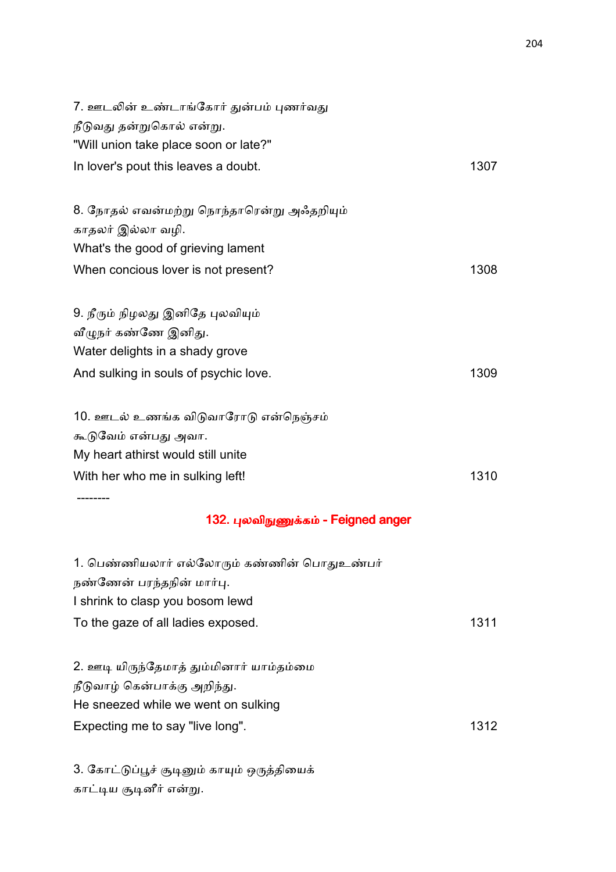| 7. ஊடலின் உண்டாங்கோர் துன்பம் புணர்வது<br>நீடுவது தன்றுகொல் என்று. |      |
|--------------------------------------------------------------------|------|
| "Will union take place soon or late?"                              |      |
| In lover's pout this leaves a doubt.                               | 1307 |
| 8. நோதல் எவன்மற்று நொந்தாரென்று அஃதறியும்                          |      |
| காதலர் இல்லா வழி.                                                  |      |
| What's the good of grieving lament                                 |      |
| When concious lover is not present?                                | 1308 |
| 9. நீரும் நிழலது இனிதே புலவியும்                                   |      |
| வீழுநர் கண்ணே இனிது.                                               |      |
| Water delights in a shady grove                                    |      |
| And sulking in souls of psychic love.                              | 1309 |
| 10. ஊடல் உணங்க விடுவாரோடு என்நெஞ்சம்                               |      |
| கூடுவேம் என்பது அவா.                                               |      |
| My heart athirst would still unite                                 |      |
| With her who me in sulking left!                                   | 1310 |
| 132. புலவிநுணுக்கம் - Feigned anger                                |      |
| 1. பெண்ணியலார் எல்லோரும் கண்ணின் பொதுஉண்பர்                        |      |
| நண்ணேன் பரந்தநின் மார்பு.                                          |      |
| I shrink to clasp you bosom lewd                                   |      |
| To the gaze of all ladies exposed.                                 | 1311 |
| 2. ஊடி யிருந்தேமாத் தும்மினார் யாம்தம்மை                           |      |
| நீடுவாழ் கென்பாக்கு அறிந்து.                                       |      |
| He sneezed while we went on sulking                                |      |
| Expecting me to say "live long".                                   | 1312 |

3. கோட்டுப்பூச் சூடினும் காயும் ஒருத்தியைக் காட்டிய சூடினீர் என்று.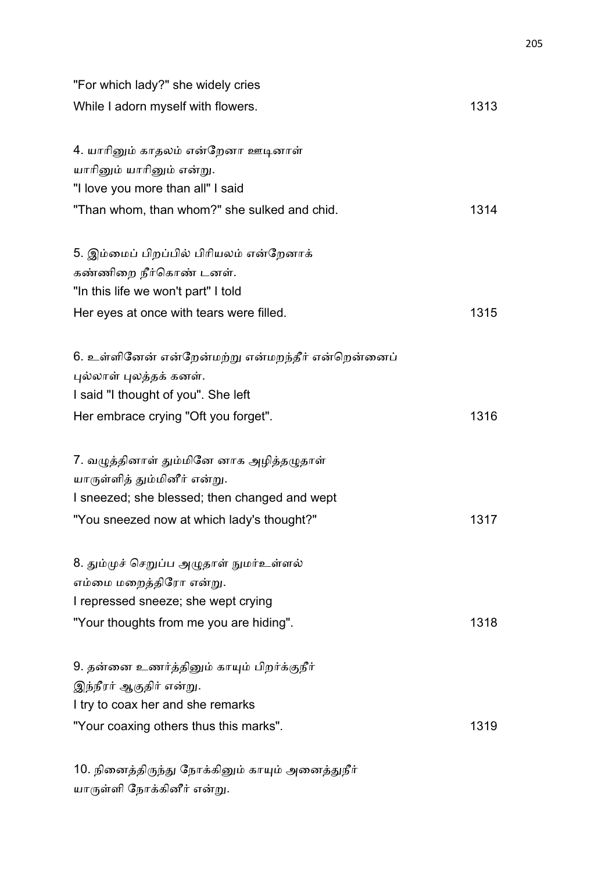| "For which lady?" she widely cries                |      |
|---------------------------------------------------|------|
| While I adorn myself with flowers.                | 1313 |
| 4. யாரினும் காதலம் என்றேனா ஊடினாள்                |      |
| யாரினும் யாரினும் என்று.                          |      |
| "I love you more than all" I said                 |      |
| "Than whom, than whom?" she sulked and chid.      | 1314 |
| 5. இம்மைப் பிறப்பில் பிரியலம் என்றேனாக்           |      |
| கண்ணிறை நீர்கொண் டனள்.                            |      |
| "In this life we won't part" I told               |      |
| Her eyes at once with tears were filled.          | 1315 |
| 6. உள்ளினேன் என்றேன்மற்று என்மறந்தீர் என்றென்னைப் |      |
| புல்லாள் புலத்தக் கனள்.                           |      |
| I said "I thought of you". She left               |      |
| Her embrace crying "Oft you forget".              | 1316 |
| 7. வழுத்தினாள் தும்மினே னாக அழித்தழுதாள்          |      |
| யாருள்ளித் தும்மினீர் என்று.                      |      |
| I sneezed; she blessed; then changed and wept     |      |
| "You sneezed now at which lady's thought?"        | 1317 |
| 8. தும்முச் செறுப்ப அழுதாள் நுமர்உள்ளல்           |      |
| எம்மை மறைத்திரோ என்று.                            |      |
| I repressed sneeze; she wept crying               |      |
| "Your thoughts from me you are hiding".           | 1318 |
| 9. தன்னை உணர்த்தினும் காயும் பிறர்க்குநீர்        |      |
| இந்நீரர் ஆகுதிர் என்று.                           |      |
| I try to coax her and she remarks                 |      |
| "Your coaxing others thus this marks".            | 1319 |
|                                                   |      |

10. நினைத்திருந்து நோக்கினும் காயும் அனைத்துநீர் யாருள்ளி நோக்கினீர் என்று.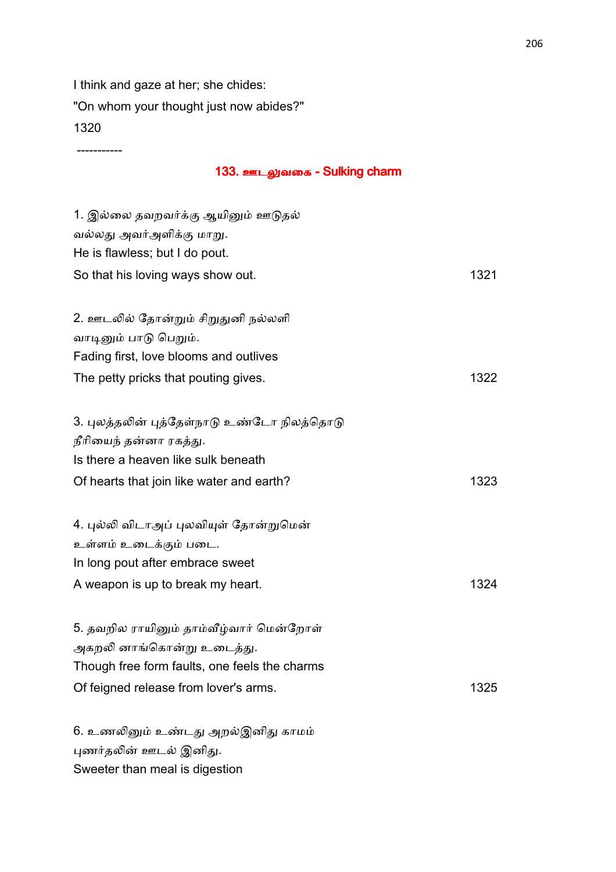I think and gaze at her; she chides: "On whom your thought just now abides?" 1320

-----------

#### 133. ஊடலுவகை - Sulking charm

| 1. இல்லை தவறவர்க்கு ஆயினும் ஊடுதல்            |      |
|-----------------------------------------------|------|
| வல்லது அவர்அளிக்கு மாறு.                      |      |
| He is flawless; but I do pout.                |      |
| So that his loving ways show out.             | 1321 |
|                                               |      |
| 2. ஊடலில் தோன்றும் சிறுதுனி நல்லளி            |      |
| வாடினும் பாடு பெறும்.                         |      |
| Fading first, love blooms and outlives        |      |
| The petty pricks that pouting gives.          | 1322 |
|                                               |      |
| 3. புலத்தலின் புத்தேள்நாடு உண்டோ நிலத்தொடு    |      |
| நீரியைந் தன்னா ரகத்து.                        |      |
| Is there a heaven like sulk beneath           |      |
| Of hearts that join like water and earth?     | 1323 |
|                                               |      |
| 4. புல்லி விடாஅப் புலவியுள் தோன்றுமென்        |      |
| உள்ளம் உடைக்கும் படை.                         |      |
| In long pout after embrace sweet              |      |
| A weapon is up to break my heart.             | 1324 |
|                                               |      |
| 5. தவறில ராயினும் தாம்வீழ்வார் மென்றோள்       |      |
| அகறலி னாங்கொன்று உடைத்து.                     |      |
| Though free form faults, one feels the charms |      |
| Of feigned release from lover's arms.         | 1325 |
|                                               |      |
| 6. உணலினும் உண்டது அறல்இனிது காமம்            |      |
| புணர்தலின் ஊடல் இனிது.                        |      |

Sweeter than meal is digestion